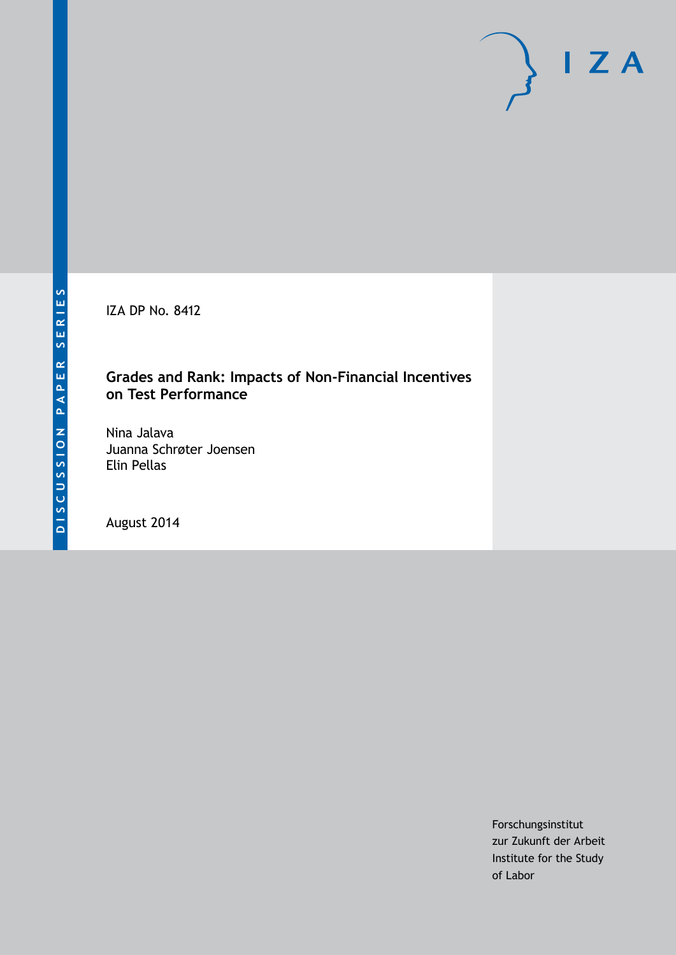IZA DP No. 8412

#### **Grades and Rank: Impacts of Non-Financial Incentives on Test Performance**

Nina Jalava Juanna Schrøter Joensen Elin Pellas

August 2014

Forschungsinstitut zur Zukunft der Arbeit Institute for the Study of Labor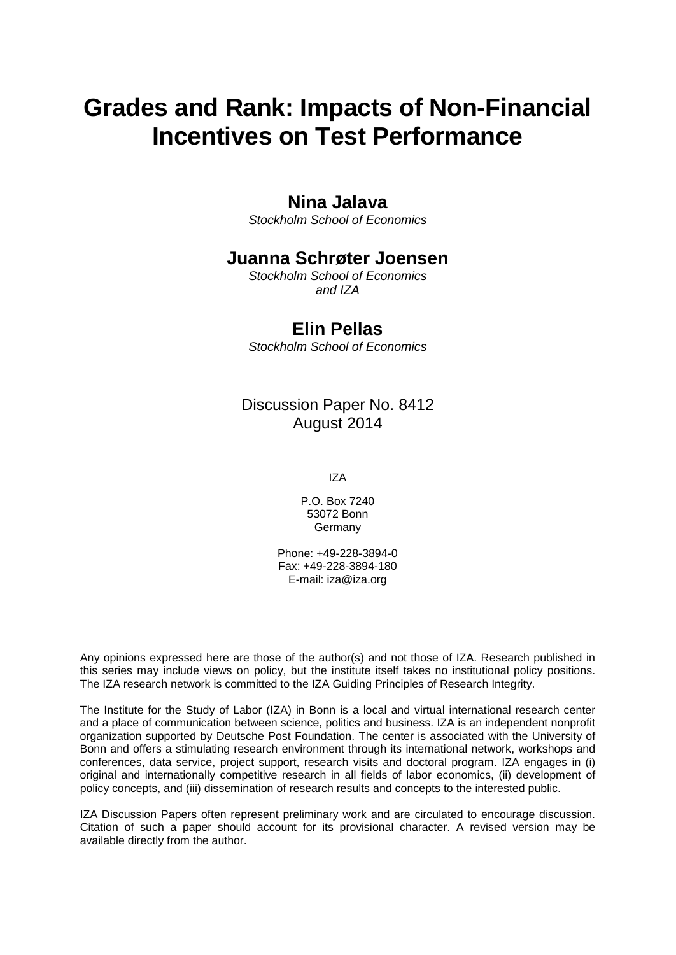# **Grades and Rank: Impacts of Non-Financial Incentives on Test Performance**

#### **Nina Jalava**

*Stockholm School of Economics*

### **Juanna Schrøter Joensen**

*Stockholm School of Economics and IZA*

### **Elin Pellas**

*Stockholm School of Economics*

### Discussion Paper No. 8412 August 2014

IZA

P.O. Box 7240 53072 Bonn **Germany** 

Phone: +49-228-3894-0 Fax: +49-228-3894-180 E-mail: [iza@iza.org](mailto:iza@iza.org)

Any opinions expressed here are those of the author(s) and not those of IZA. Research published in this series may include views on policy, but the institute itself takes no institutional policy positions. The IZA research network is committed to the IZA Guiding Principles of Research Integrity.

The Institute for the Study of Labor (IZA) in Bonn is a local and virtual international research center and a place of communication between science, politics and business. IZA is an independent nonprofit organization supported by Deutsche Post Foundation. The center is associated with the University of Bonn and offers a stimulating research environment through its international network, workshops and conferences, data service, project support, research visits and doctoral program. IZA engages in (i) original and internationally competitive research in all fields of labor economics, (ii) development of policy concepts, and (iii) dissemination of research results and concepts to the interested public.

<span id="page-1-0"></span>IZA Discussion Papers often represent preliminary work and are circulated to encourage discussion. Citation of such a paper should account for its provisional character. A revised version may be available directly from the author.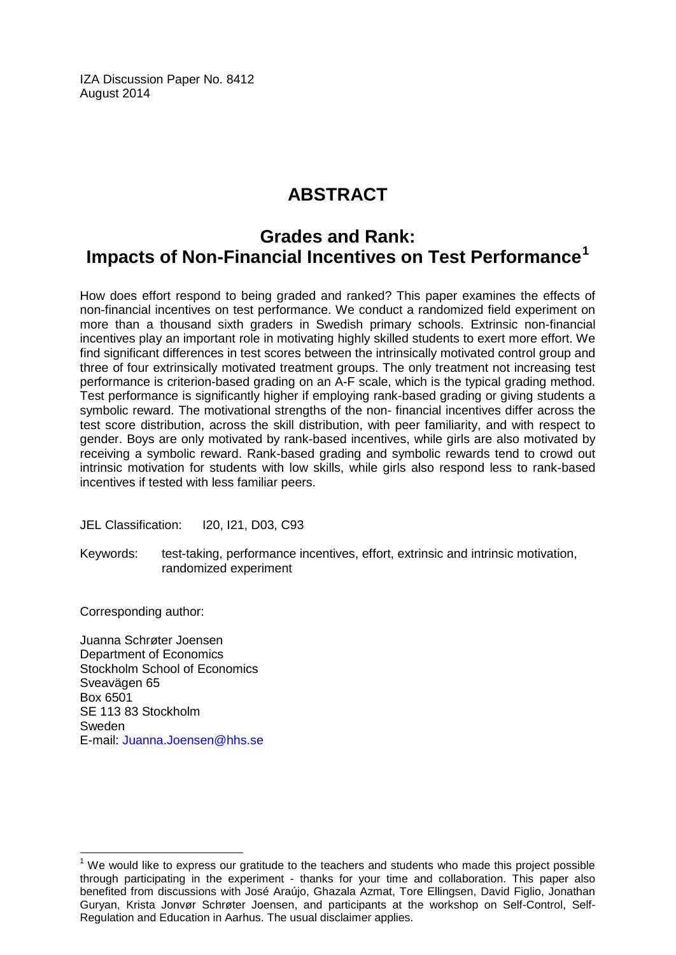IZA Discussion Paper No. 8412 August 2014

## **ABSTRACT**

### **Grades and Rank: Impacts of Non-Financial Incentives on Test Performance[1](#page-1-0)**

How does effort respond to being graded and ranked? This paper examines the effects of non-financial incentives on test performance. We conduct a randomized field experiment on more than a thousand sixth graders in Swedish primary schools. Extrinsic non-financial incentives play an important role in motivating highly skilled students to exert more effort. We find significant differences in test scores between the intrinsically motivated control group and three of four extrinsically motivated treatment groups. The only treatment not increasing test performance is criterion-based grading on an A-F scale, which is the typical grading method. Test performance is significantly higher if employing rank-based grading or giving students a symbolic reward. The motivational strengths of the non- financial incentives differ across the test score distribution, across the skill distribution, with peer familiarity, and with respect to gender. Boys are only motivated by rank-based incentives, while girls are also motivated by receiving a symbolic reward. Rank-based grading and symbolic rewards tend to crowd out intrinsic motivation for students with low skills, while girls also respond less to rank-based incentives if tested with less familiar peers.

JEL Classification: I20, I21, D03, C93

Keywords: test-taking, performance incentives, effort, extrinsic and intrinsic motivation, randomized experiment

Corresponding author:

Juanna Schrøter Joensen Department of Economics Stockholm School of Economics Sveavägen 65 Box 6501 SE 113 83 Stockholm Sweden E-mail: [Juanna.Joensen@hhs.se](mailto:Juanna.Joensen@hhs.se)

 $<sup>1</sup>$  We would like to express our gratitude to the teachers and students who made this project possible</sup> through participating in the experiment - thanks for your time and collaboration. This paper also benefited from discussions with José Araújo, Ghazala Azmat, Tore Ellingsen, David Figlio, Jonathan Guryan, Krista Jonvør Schrøter Joensen, and participants at the workshop on Self-Control, Self-Regulation and Education in Aarhus. The usual disclaimer applies.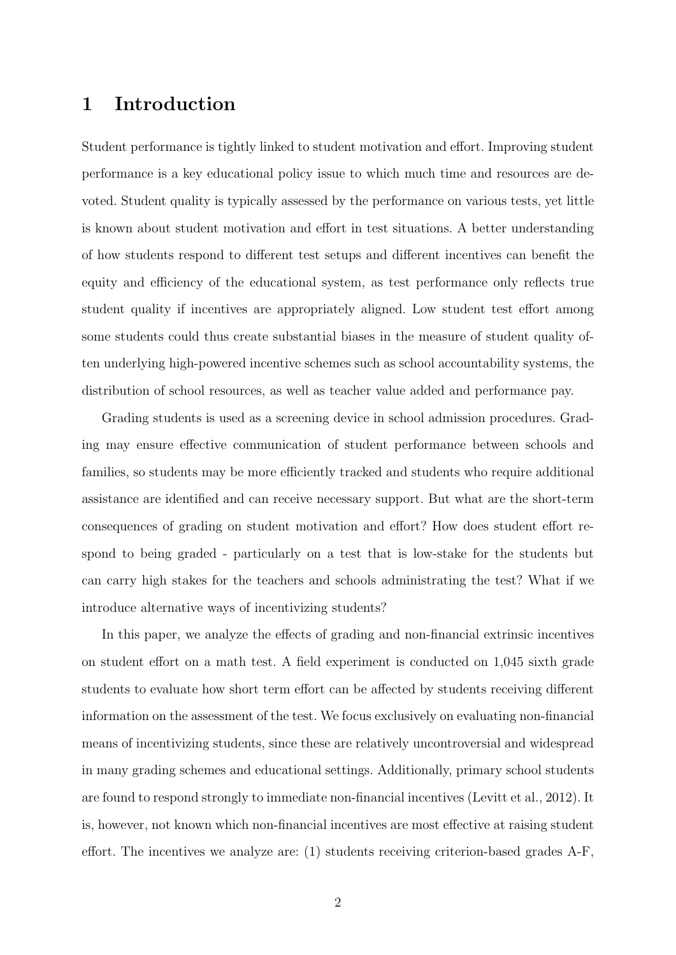#### 1 Introduction

Student performance is tightly linked to student motivation and effort. Improving student performance is a key educational policy issue to which much time and resources are devoted. Student quality is typically assessed by the performance on various tests, yet little is known about student motivation and effort in test situations. A better understanding of how students respond to different test setups and different incentives can benefit the equity and efficiency of the educational system, as test performance only reflects true student quality if incentives are appropriately aligned. Low student test effort among some students could thus create substantial biases in the measure of student quality often underlying high-powered incentive schemes such as school accountability systems, the distribution of school resources, as well as teacher value added and performance pay.

Grading students is used as a screening device in school admission procedures. Grading may ensure effective communication of student performance between schools and families, so students may be more efficiently tracked and students who require additional assistance are identified and can receive necessary support. But what are the short-term consequences of grading on student motivation and effort? How does student effort respond to being graded - particularly on a test that is low-stake for the students but can carry high stakes for the teachers and schools administrating the test? What if we introduce alternative ways of incentivizing students?

In this paper, we analyze the effects of grading and non-financial extrinsic incentives on student effort on a math test. A field experiment is conducted on 1,045 sixth grade students to evaluate how short term effort can be affected by students receiving different information on the assessment of the test. We focus exclusively on evaluating non-financial means of incentivizing students, since these are relatively uncontroversial and widespread in many grading schemes and educational settings. Additionally, primary school students are found to respond strongly to immediate non-financial incentives [\(Levitt et al.,](#page-42-0) [2012\)](#page-42-0). It is, however, not known which non-financial incentives are most effective at raising student effort. The incentives we analyze are: (1) students receiving criterion-based grades A-F,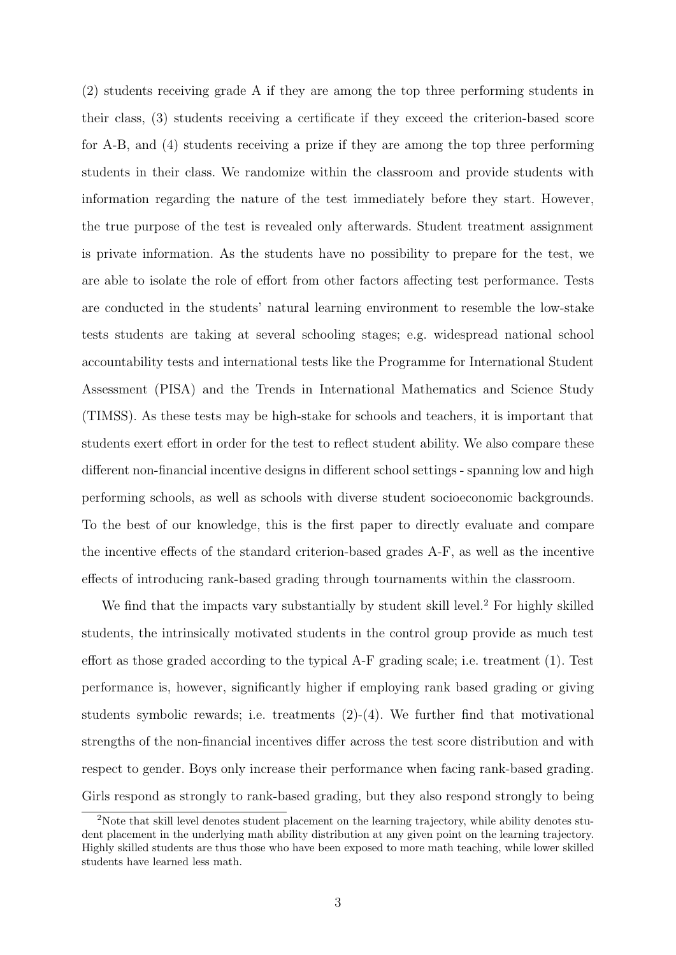(2) students receiving grade A if they are among the top three performing students in their class, (3) students receiving a certificate if they exceed the criterion-based score for A-B, and (4) students receiving a prize if they are among the top three performing students in their class. We randomize within the classroom and provide students with information regarding the nature of the test immediately before they start. However, the true purpose of the test is revealed only afterwards. Student treatment assignment is private information. As the students have no possibility to prepare for the test, we are able to isolate the role of effort from other factors affecting test performance. Tests are conducted in the students' natural learning environment to resemble the low-stake tests students are taking at several schooling stages; e.g. widespread national school accountability tests and international tests like the Programme for International Student Assessment (PISA) and the Trends in International Mathematics and Science Study (TIMSS). As these tests may be high-stake for schools and teachers, it is important that students exert effort in order for the test to reflect student ability. We also compare these different non-financial incentive designs in different school settings - spanning low and high performing schools, as well as schools with diverse student socioeconomic backgrounds. To the best of our knowledge, this is the first paper to directly evaluate and compare the incentive effects of the standard criterion-based grades A-F, as well as the incentive effects of introducing rank-based grading through tournaments within the classroom.

We find that the impacts vary substantially by student skill level.<sup>[2](#page--1-0)</sup> For highly skilled students, the intrinsically motivated students in the control group provide as much test effort as those graded according to the typical A-F grading scale; i.e. treatment (1). Test performance is, however, significantly higher if employing rank based grading or giving students symbolic rewards; i.e. treatments (2)-(4). We further find that motivational strengths of the non-financial incentives differ across the test score distribution and with respect to gender. Boys only increase their performance when facing rank-based grading. Girls respond as strongly to rank-based grading, but they also respond strongly to being

<sup>&</sup>lt;sup>2</sup>Note that skill level denotes student placement on the learning trajectory, while ability denotes student placement in the underlying math ability distribution at any given point on the learning trajectory. Highly skilled students are thus those who have been exposed to more math teaching, while lower skilled students have learned less math.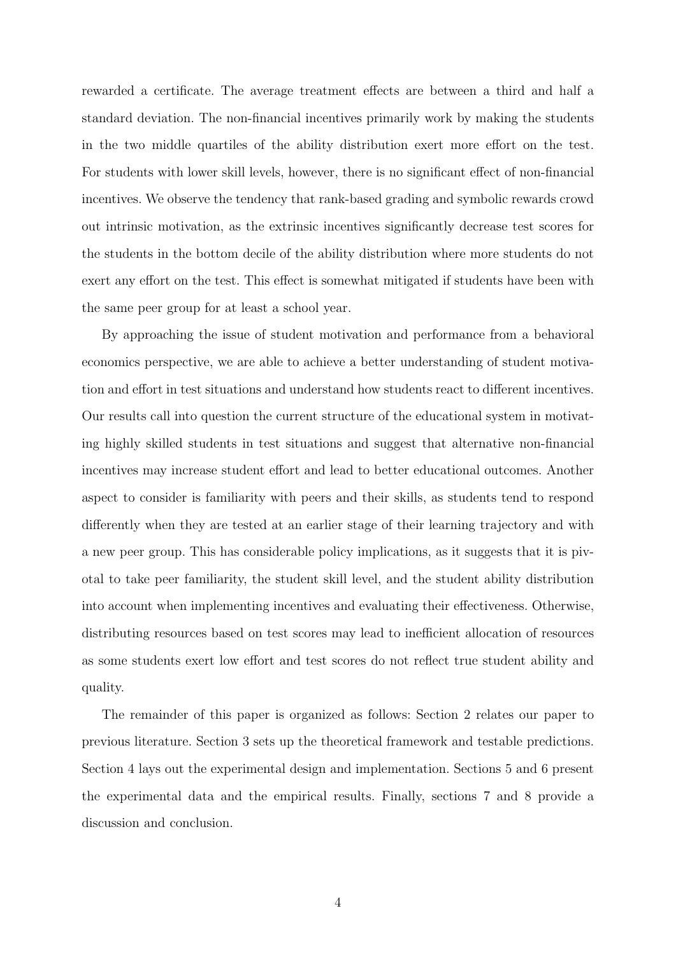rewarded a certificate. The average treatment effects are between a third and half a standard deviation. The non-financial incentives primarily work by making the students in the two middle quartiles of the ability distribution exert more effort on the test. For students with lower skill levels, however, there is no significant effect of non-financial incentives. We observe the tendency that rank-based grading and symbolic rewards crowd out intrinsic motivation, as the extrinsic incentives significantly decrease test scores for the students in the bottom decile of the ability distribution where more students do not exert any effort on the test. This effect is somewhat mitigated if students have been with the same peer group for at least a school year.

By approaching the issue of student motivation and performance from a behavioral economics perspective, we are able to achieve a better understanding of student motivation and effort in test situations and understand how students react to different incentives. Our results call into question the current structure of the educational system in motivating highly skilled students in test situations and suggest that alternative non-financial incentives may increase student effort and lead to better educational outcomes. Another aspect to consider is familiarity with peers and their skills, as students tend to respond differently when they are tested at an earlier stage of their learning trajectory and with a new peer group. This has considerable policy implications, as it suggests that it is pivotal to take peer familiarity, the student skill level, and the student ability distribution into account when implementing incentives and evaluating their effectiveness. Otherwise, distributing resources based on test scores may lead to inefficient allocation of resources as some students exert low effort and test scores do not reflect true student ability and quality.

The remainder of this paper is organized as follows: Section 2 relates our paper to previous literature. Section 3 sets up the theoretical framework and testable predictions. Section 4 lays out the experimental design and implementation. Sections 5 and 6 present the experimental data and the empirical results. Finally, sections 7 and 8 provide a discussion and conclusion.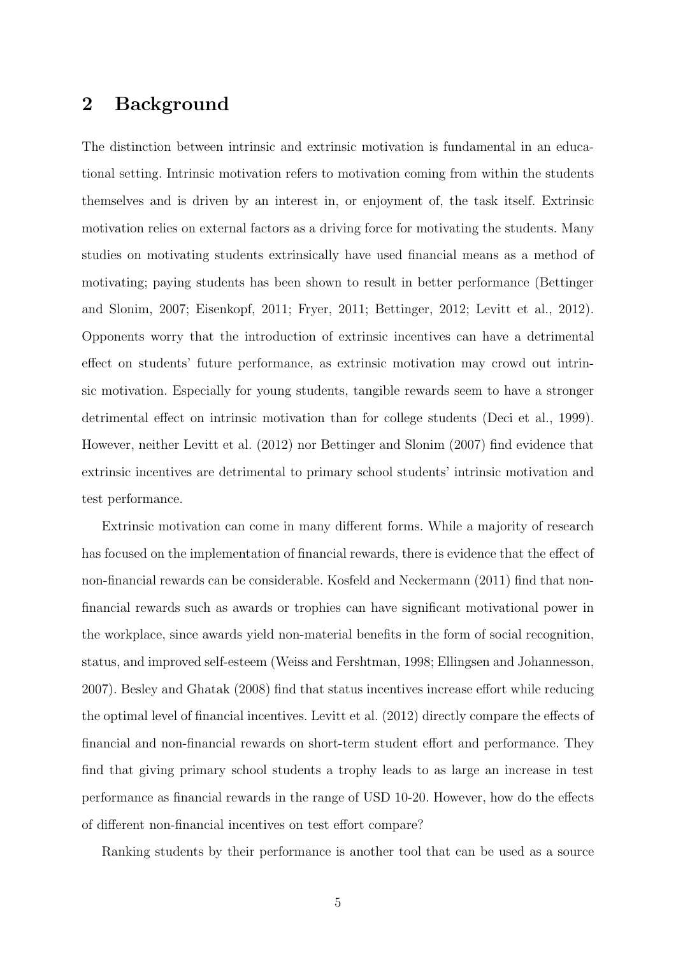#### 2 Background

The distinction between intrinsic and extrinsic motivation is fundamental in an educational setting. Intrinsic motivation refers to motivation coming from within the students themselves and is driven by an interest in, or enjoyment of, the task itself. Extrinsic motivation relies on external factors as a driving force for motivating the students. Many studies on motivating students extrinsically have used financial means as a method of motivating; paying students has been shown to result in better performance [\(Bettinger](#page-38-0) [and Slonim,](#page-38-0) [2007;](#page-38-0) [Eisenkopf,](#page-39-0) [2011;](#page-39-0) [Fryer,](#page-40-0) [2011;](#page-40-0) [Bettinger,](#page-38-1) [2012;](#page-38-1) [Levitt et al.,](#page-42-0) [2012\)](#page-42-0). Opponents worry that the introduction of extrinsic incentives can have a detrimental effect on students' future performance, as extrinsic motivation may crowd out intrinsic motivation. Especially for young students, tangible rewards seem to have a stronger detrimental effect on intrinsic motivation than for college students [\(Deci et al.,](#page-39-1) [1999\)](#page-39-1). However, neither [Levitt et al.](#page-42-0) [\(2012\)](#page-42-0) nor [Bettinger and Slonim](#page-38-0) [\(2007\)](#page-38-0) find evidence that extrinsic incentives are detrimental to primary school students' intrinsic motivation and test performance.

Extrinsic motivation can come in many different forms. While a majority of research has focused on the implementation of financial rewards, there is evidence that the effect of non-financial rewards can be considerable. [Kosfeld and Neckermann](#page-41-0) [\(2011\)](#page-41-0) find that nonfinancial rewards such as awards or trophies can have significant motivational power in the workplace, since awards yield non-material benefits in the form of social recognition, status, and improved self-esteem [\(Weiss and Fershtman,](#page-43-0) [1998;](#page-43-0) [Ellingsen and Johannesson,](#page-39-2) [2007\)](#page-39-2). [Besley and Ghatak](#page-37-0) [\(2008\)](#page-37-0) find that status incentives increase effort while reducing the optimal level of financial incentives. [Levitt et al.](#page-42-0) [\(2012\)](#page-42-0) directly compare the effects of financial and non-financial rewards on short-term student effort and performance. They find that giving primary school students a trophy leads to as large an increase in test performance as financial rewards in the range of USD 10-20. However, how do the effects of different non-financial incentives on test effort compare?

Ranking students by their performance is another tool that can be used as a source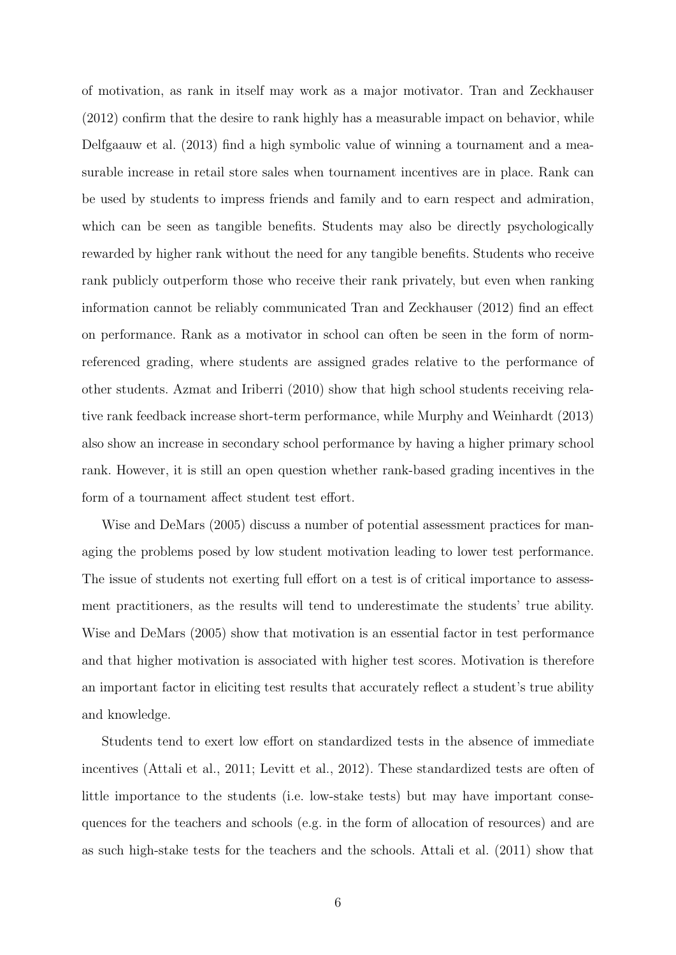of motivation, as rank in itself may work as a major motivator. [Tran and Zeckhauser](#page-43-1) [\(2012\)](#page-43-1) confirm that the desire to rank highly has a measurable impact on behavior, while [Delfgaauw et al.](#page-39-3) [\(2013\)](#page-39-3) find a high symbolic value of winning a tournament and a measurable increase in retail store sales when tournament incentives are in place. Rank can be used by students to impress friends and family and to earn respect and admiration, which can be seen as tangible benefits. Students may also be directly psychologically rewarded by higher rank without the need for any tangible benefits. Students who receive rank publicly outperform those who receive their rank privately, but even when ranking information cannot be reliably communicated [Tran and Zeckhauser](#page-43-1) [\(2012\)](#page-43-1) find an effect on performance. Rank as a motivator in school can often be seen in the form of normreferenced grading, where students are assigned grades relative to the performance of other students. [Azmat and Iriberri](#page-37-1) [\(2010\)](#page-37-1) show that high school students receiving relative rank feedback increase short-term performance, while [Murphy and Weinhardt](#page-42-1) [\(2013\)](#page-42-1) also show an increase in secondary school performance by having a higher primary school rank. However, it is still an open question whether rank-based grading incentives in the form of a tournament affect student test effort.

[Wise and DeMars](#page-43-2) [\(2005\)](#page-43-2) discuss a number of potential assessment practices for managing the problems posed by low student motivation leading to lower test performance. The issue of students not exerting full effort on a test is of critical importance to assessment practitioners, as the results will tend to underestimate the students' true ability. [Wise and DeMars](#page-43-2) [\(2005\)](#page-43-2) show that motivation is an essential factor in test performance and that higher motivation is associated with higher test scores. Motivation is therefore an important factor in eliciting test results that accurately reflect a student's true ability and knowledge.

Students tend to exert low effort on standardized tests in the absence of immediate incentives [\(Attali et al.,](#page-37-2) [2011;](#page-37-2) [Levitt et al.,](#page-42-0) [2012\)](#page-42-0). These standardized tests are often of little importance to the students (i.e. low-stake tests) but may have important consequences for the teachers and schools (e.g. in the form of allocation of resources) and are as such high-stake tests for the teachers and the schools. [Attali et al.](#page-37-2) [\(2011\)](#page-37-2) show that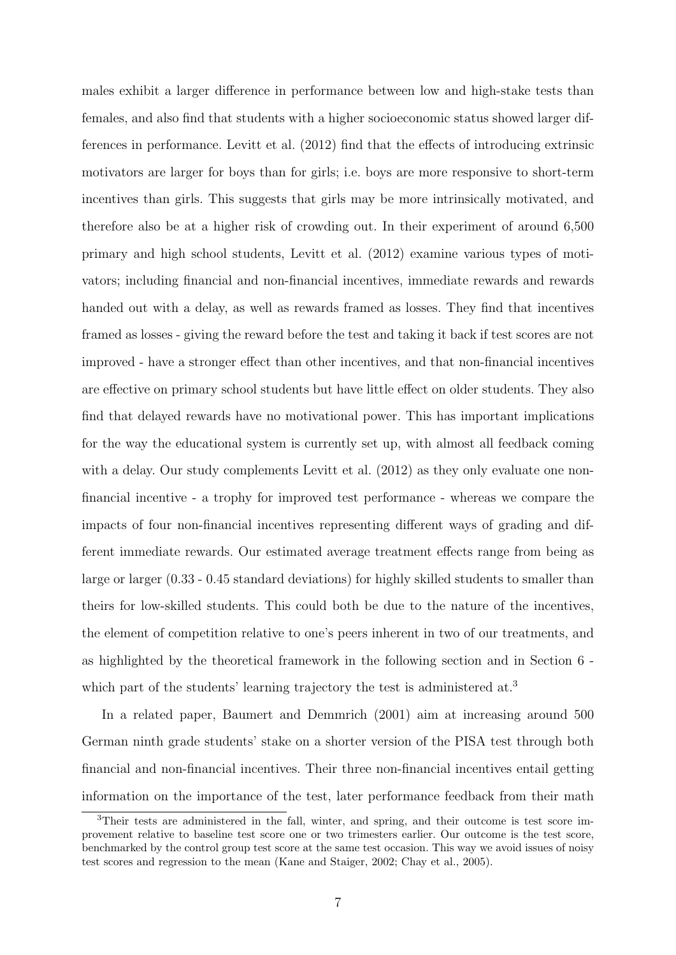males exhibit a larger difference in performance between low and high-stake tests than females, and also find that students with a higher socioeconomic status showed larger differences in performance. [Levitt et al.](#page-42-0) [\(2012\)](#page-42-0) find that the effects of introducing extrinsic motivators are larger for boys than for girls; i.e. boys are more responsive to short-term incentives than girls. This suggests that girls may be more intrinsically motivated, and therefore also be at a higher risk of crowding out. In their experiment of around 6,500 primary and high school students, [Levitt et al.](#page-42-0) [\(2012\)](#page-42-0) examine various types of motivators; including financial and non-financial incentives, immediate rewards and rewards handed out with a delay, as well as rewards framed as losses. They find that incentives framed as losses - giving the reward before the test and taking it back if test scores are not improved - have a stronger effect than other incentives, and that non-financial incentives are effective on primary school students but have little effect on older students. They also find that delayed rewards have no motivational power. This has important implications for the way the educational system is currently set up, with almost all feedback coming with a delay. Our study complements [Levitt et al.](#page-42-0) [\(2012\)](#page-42-0) as they only evaluate one nonfinancial incentive - a trophy for improved test performance - whereas we compare the impacts of four non-financial incentives representing different ways of grading and different immediate rewards. Our estimated average treatment effects range from being as large or larger (0.33 - 0.45 standard deviations) for highly skilled students to smaller than theirs for low-skilled students. This could both be due to the nature of the incentives, the element of competition relative to one's peers inherent in two of our treatments, and as highlighted by the theoretical framework in the following section and in Section 6 - which part of the students' learning trajectory the test is administered at.<sup>[3](#page--1-0)</sup>

In a related paper, [Baumert and Demmrich](#page-37-3) [\(2001\)](#page-37-3) aim at increasing around 500 German ninth grade students' stake on a shorter version of the PISA test through both financial and non-financial incentives. Their three non-financial incentives entail getting information on the importance of the test, later performance feedback from their math

<sup>3</sup>Their tests are administered in the fall, winter, and spring, and their outcome is test score improvement relative to baseline test score one or two trimesters earlier. Our outcome is the test score, benchmarked by the control group test score at the same test occasion. This way we avoid issues of noisy test scores and regression to the mean [\(Kane and Staiger,](#page-41-1) [2002;](#page-41-1) [Chay et al.,](#page-38-2) [2005\)](#page-38-2).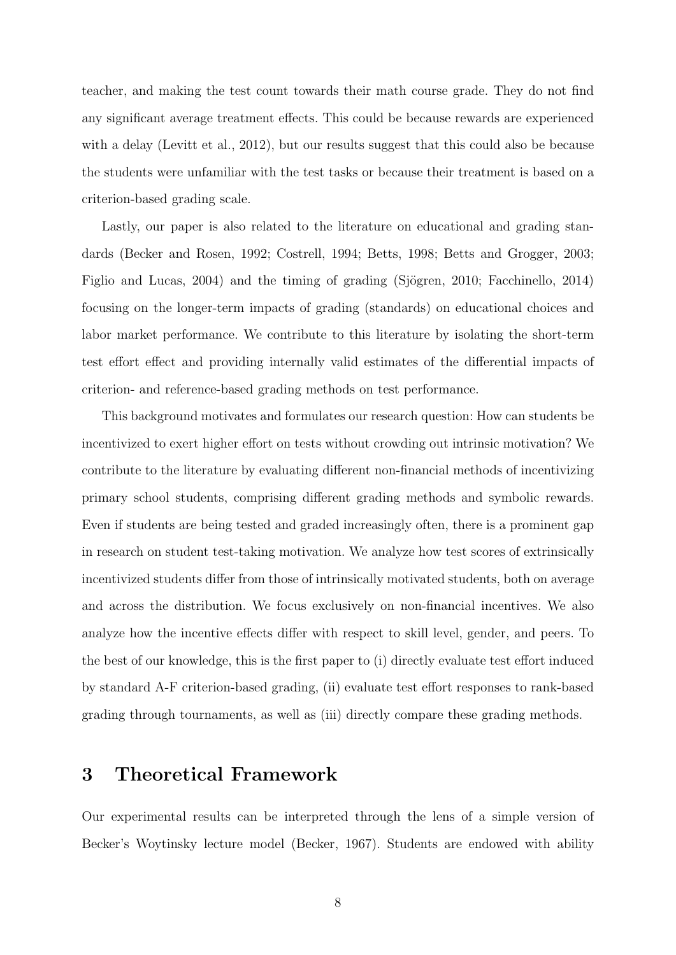teacher, and making the test count towards their math course grade. They do not find any significant average treatment effects. This could be because rewards are experienced with a delay [\(Levitt et al.,](#page-42-0) [2012\)](#page-42-0), but our results suggest that this could also be because the students were unfamiliar with the test tasks or because their treatment is based on a criterion-based grading scale.

Lastly, our paper is also related to the literature on educational and grading standards [\(Becker and Rosen,](#page-37-4) [1992;](#page-37-4) [Costrell,](#page-39-4) [1994;](#page-39-4) [Betts,](#page-38-3) [1998;](#page-38-3) [Betts and Grogger,](#page-38-4) [2003;](#page-38-4) [Figlio and Lucas,](#page-40-1) [2004\)](#page-40-1) and the timing of grading (Sjögren, [2010;](#page-42-2) [Facchinello,](#page-40-2) [2014\)](#page-40-2) focusing on the longer-term impacts of grading (standards) on educational choices and labor market performance. We contribute to this literature by isolating the short-term test effort effect and providing internally valid estimates of the differential impacts of criterion- and reference-based grading methods on test performance.

This background motivates and formulates our research question: How can students be incentivized to exert higher effort on tests without crowding out intrinsic motivation? We contribute to the literature by evaluating different non-financial methods of incentivizing primary school students, comprising different grading methods and symbolic rewards. Even if students are being tested and graded increasingly often, there is a prominent gap in research on student test-taking motivation. We analyze how test scores of extrinsically incentivized students differ from those of intrinsically motivated students, both on average and across the distribution. We focus exclusively on non-financial incentives. We also analyze how the incentive effects differ with respect to skill level, gender, and peers. To the best of our knowledge, this is the first paper to (i) directly evaluate test effort induced by standard A-F criterion-based grading, (ii) evaluate test effort responses to rank-based grading through tournaments, as well as (iii) directly compare these grading methods.

#### 3 Theoretical Framework

Our experimental results can be interpreted through the lens of a simple version of Becker's Woytinsky lecture model [\(Becker,](#page-37-5) [1967\)](#page-37-5). Students are endowed with ability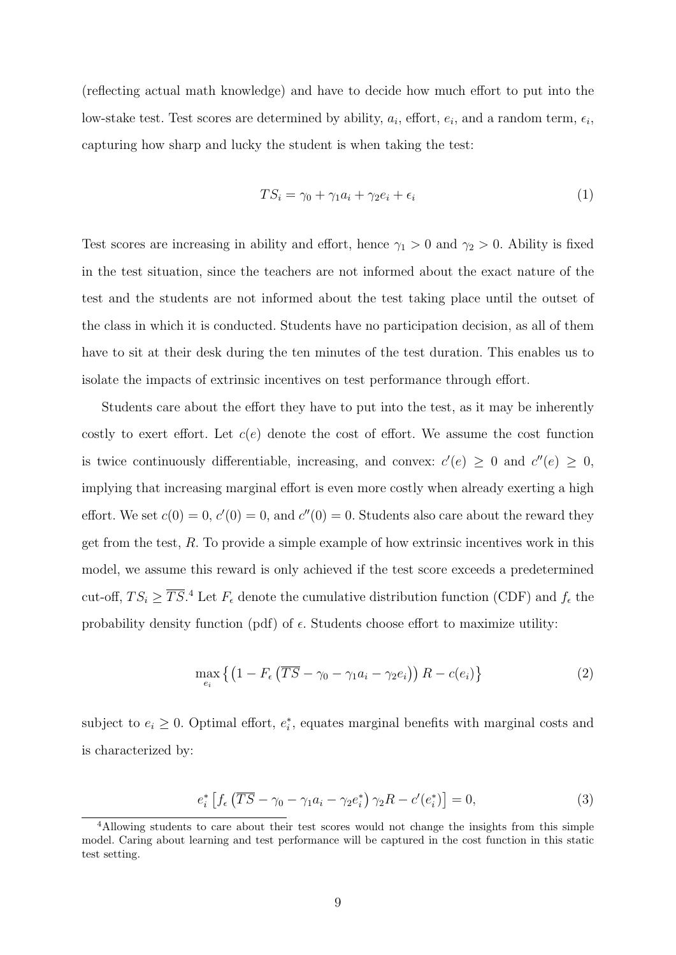(reflecting actual math knowledge) and have to decide how much effort to put into the low-stake test. Test scores are determined by ability,  $a_i$ , effort,  $e_i$ , and a random term,  $\epsilon_i$ , capturing how sharp and lucky the student is when taking the test:

$$
TS_i = \gamma_0 + \gamma_1 a_i + \gamma_2 e_i + \epsilon_i \tag{1}
$$

Test scores are increasing in ability and effort, hence  $\gamma_1 > 0$  and  $\gamma_2 > 0$ . Ability is fixed in the test situation, since the teachers are not informed about the exact nature of the test and the students are not informed about the test taking place until the outset of the class in which it is conducted. Students have no participation decision, as all of them have to sit at their desk during the ten minutes of the test duration. This enables us to isolate the impacts of extrinsic incentives on test performance through effort.

Students care about the effort they have to put into the test, as it may be inherently costly to exert effort. Let  $c(e)$  denote the cost of effort. We assume the cost function is twice continuously differentiable, increasing, and convex:  $c'(e) \geq 0$  and  $c''(e) \geq 0$ , implying that increasing marginal effort is even more costly when already exerting a high effort. We set  $c(0) = 0$ ,  $c'(0) = 0$ , and  $c''(0) = 0$ . Students also care about the reward they get from the test, R. To provide a simple example of how extrinsic incentives work in this model, we assume this reward is only achieved if the test score exceeds a predetermined cut-off,  $TS_i \geq \overline{TS}$ .<sup>[4](#page--1-0)</sup> Let  $F_{\epsilon}$  denote the cumulative distribution function (CDF) and  $f_{\epsilon}$  the probability density function (pdf) of  $\epsilon$ . Students choose effort to maximize utility:

<span id="page-10-0"></span>
$$
\max_{e_i} \left\{ \left( 1 - F_{\epsilon} \left( \overline{TS} - \gamma_0 - \gamma_1 a_i - \gamma_2 e_i \right) \right) R - c(e_i) \right\} \tag{2}
$$

subject to  $e_i \geq 0$ . Optimal effort,  $e_i^*$ , equates marginal benefits with marginal costs and is characterized by:

<span id="page-10-1"></span>
$$
e_i^* \left[ f_\epsilon \left( \overline{TS} - \gamma_0 - \gamma_1 a_i - \gamma_2 e_i^* \right) \gamma_2 R - c'(e_i^*) \right] = 0, \tag{3}
$$

<sup>&</sup>lt;sup>4</sup>Allowing students to care about their test scores would not change the insights from this simple model. Caring about learning and test performance will be captured in the cost function in this static test setting.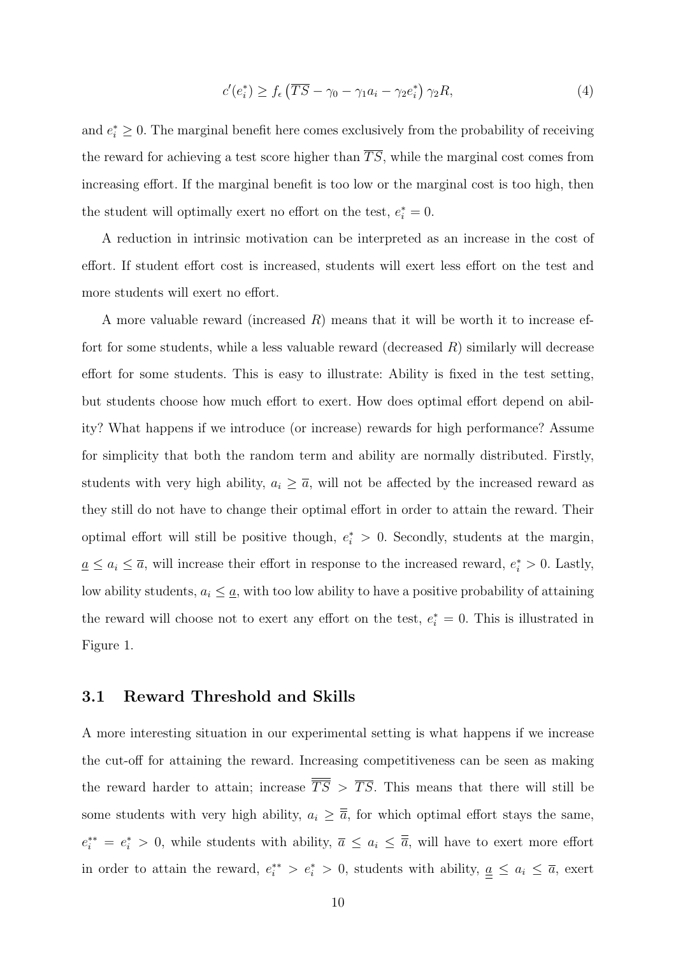$$
c'(e_i^*) \ge f_\epsilon \left(\overline{TS} - \gamma_0 - \gamma_1 a_i - \gamma_2 e_i^* \right) \gamma_2 R,\tag{4}
$$

and  $e_i^* \geq 0$ . The marginal benefit here comes exclusively from the probability of receiving the reward for achieving a test score higher than  $\overline{TS}$ , while the marginal cost comes from increasing effort. If the marginal benefit is too low or the marginal cost is too high, then the student will optimally exert no effort on the test,  $e_i^* = 0$ .

A reduction in intrinsic motivation can be interpreted as an increase in the cost of effort. If student effort cost is increased, students will exert less effort on the test and more students will exert no effort.

A more valuable reward (increased  $R$ ) means that it will be worth it to increase effort for some students, while a less valuable reward (decreased  $R$ ) similarly will decrease effort for some students. This is easy to illustrate: Ability is fixed in the test setting, but students choose how much effort to exert. How does optimal effort depend on ability? What happens if we introduce (or increase) rewards for high performance? Assume for simplicity that both the random term and ability are normally distributed. Firstly, students with very high ability,  $a_i \geq \overline{a}$ , will not be affected by the increased reward as they still do not have to change their optimal effort in order to attain the reward. Their optimal effort will still be positive though,  $e_i^* > 0$ . Secondly, students at the margin,  $\underline{a} \leq a_i \leq \overline{a}$ , will increase their effort in response to the increased reward,  $e_i^* > 0$ . Lastly, low ability students,  $a_i \leq \underline{a}$ , with too low ability to have a positive probability of attaining the reward will choose not to exert any effort on the test,  $e_i^* = 0$ . This is illustrated in Figure [1.](#page-44-0)

#### 3.1 Reward Threshold and Skills

A more interesting situation in our experimental setting is what happens if we increase the cut-off for attaining the reward. Increasing competitiveness can be seen as making the reward harder to attain; increase  $\overline{\overline{TS}} > \overline{TS}$ . This means that there will still be some students with very high ability,  $a_i \geq \overline{\overline{a}}$ , for which optimal effort stays the same,  $e_i^{**} = e_i^* > 0$ , while students with ability,  $\bar{a} \le a_i \le \bar{\bar{a}}$ , will have to exert more effort in order to attain the reward,  $e_i^{**} > e_i^* > 0$ , students with ability,  $\underline{a} \leq a_i \leq \overline{a}$ , exert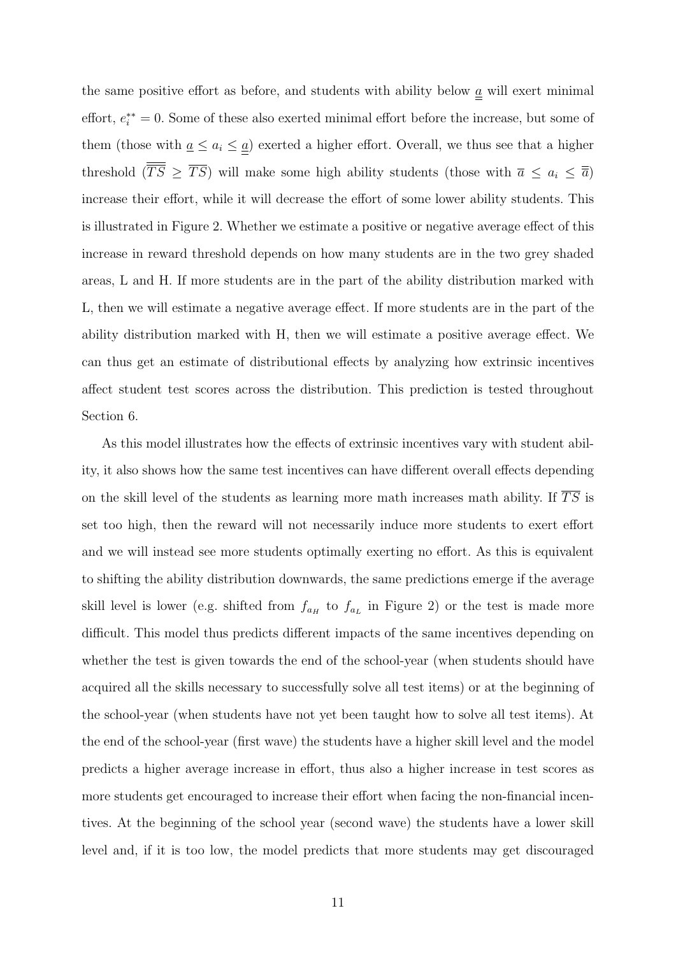the same positive effort as before, and students with ability below  $\underline{a}$  will exert minimal effort,  $e_i^{**} = 0$ . Some of these also exerted minimal effort before the increase, but some of them (those with  $\underline{a} \leq \underline{a}$ ) exerted a higher effort. Overall, we thus see that a higher threshold  $(\overline{\overline{TS}} \geq \overline{TS})$  will make some high ability students (those with  $\overline{a} \leq a_i \leq \overline{\overline{a}}$ ) increase their effort, while it will decrease the effort of some lower ability students. This is illustrated in Figure [2.](#page-44-1) Whether we estimate a positive or negative average effect of this increase in reward threshold depends on how many students are in the two grey shaded areas, L and H. If more students are in the part of the ability distribution marked with L, then we will estimate a negative average effect. If more students are in the part of the ability distribution marked with H, then we will estimate a positive average effect. We can thus get an estimate of distributional effects by analyzing how extrinsic incentives affect student test scores across the distribution. This prediction is tested throughout Section 6.

As this model illustrates how the effects of extrinsic incentives vary with student ability, it also shows how the same test incentives can have different overall effects depending on the skill level of the students as learning more math increases math ability. If  $\overline{TS}$  is set too high, then the reward will not necessarily induce more students to exert effort and we will instead see more students optimally exerting no effort. As this is equivalent to shifting the ability distribution downwards, the same predictions emerge if the average skill level is lower (e.g. shifted from  $f_{a_H}$  to  $f_{a_L}$  in Figure [2\)](#page-44-1) or the test is made more difficult. This model thus predicts different impacts of the same incentives depending on whether the test is given towards the end of the school-year (when students should have acquired all the skills necessary to successfully solve all test items) or at the beginning of the school-year (when students have not yet been taught how to solve all test items). At the end of the school-year (first wave) the students have a higher skill level and the model predicts a higher average increase in effort, thus also a higher increase in test scores as more students get encouraged to increase their effort when facing the non-financial incentives. At the beginning of the school year (second wave) the students have a lower skill level and, if it is too low, the model predicts that more students may get discouraged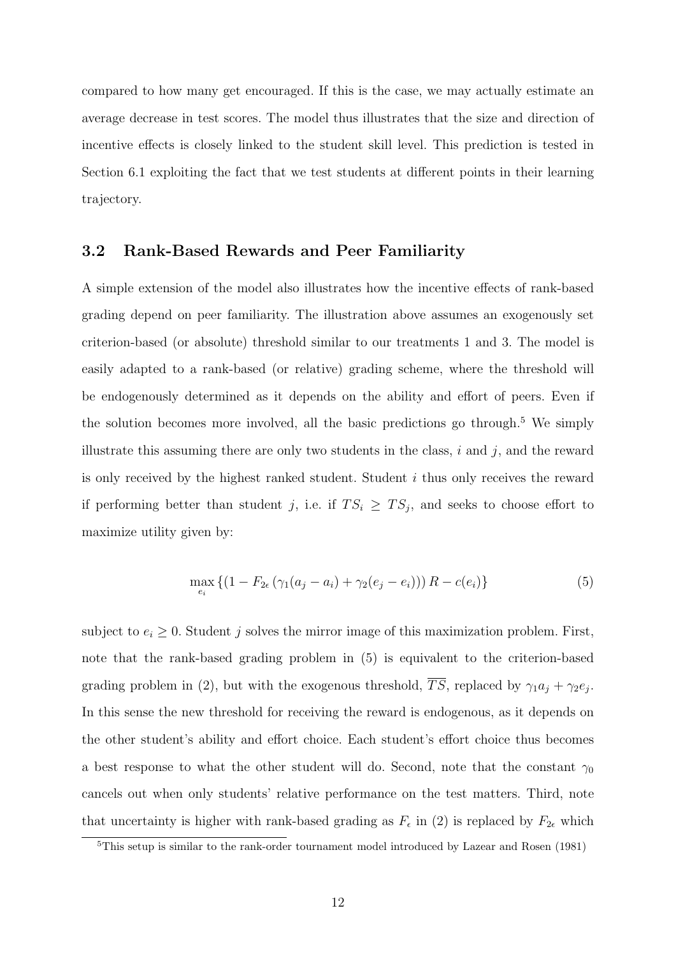compared to how many get encouraged. If this is the case, we may actually estimate an average decrease in test scores. The model thus illustrates that the size and direction of incentive effects is closely linked to the student skill level. This prediction is tested in Section 6.1 exploiting the fact that we test students at different points in their learning trajectory.

#### 3.2 Rank-Based Rewards and Peer Familiarity

A simple extension of the model also illustrates how the incentive effects of rank-based grading depend on peer familiarity. The illustration above assumes an exogenously set criterion-based (or absolute) threshold similar to our treatments 1 and 3. The model is easily adapted to a rank-based (or relative) grading scheme, where the threshold will be endogenously determined as it depends on the ability and effort of peers. Even if the solution becomes more involved, all the basic predictions go through.<sup>[5](#page--1-0)</sup> We simply illustrate this assuming there are only two students in the class,  $i$  and  $j$ , and the reward is only received by the highest ranked student. Student  $i$  thus only receives the reward if performing better than student j, i.e. if  $TS_i \geq TS_j$ , and seeks to choose effort to maximize utility given by:

<span id="page-13-0"></span>
$$
\max_{e_i} \left\{ (1 - F_{2\epsilon} \left( \gamma_1 (a_j - a_i) + \gamma_2 (e_j - e_i) \right) \right) R - c(e_i) \right\} \tag{5}
$$

subject to  $e_i \geq 0$ . Student j solves the mirror image of this maximization problem. First, note that the rank-based grading problem in [\(5\)](#page-13-0) is equivalent to the criterion-based grading problem in [\(2\)](#page-10-0), but with the exogenous threshold, TS, replaced by  $\gamma_1 a_j + \gamma_2 e_j$ . In this sense the new threshold for receiving the reward is endogenous, as it depends on the other student's ability and effort choice. Each student's effort choice thus becomes a best response to what the other student will do. Second, note that the constant  $\gamma_0$ cancels out when only students' relative performance on the test matters. Third, note that uncertainty is higher with rank-based grading as  $F_{\epsilon}$  in [\(2\)](#page-10-0) is replaced by  $F_{2\epsilon}$  which

<sup>5</sup>This setup is similar to the rank-order tournament model introduced by [Lazear and Rosen](#page-41-2) [\(1981\)](#page-41-2)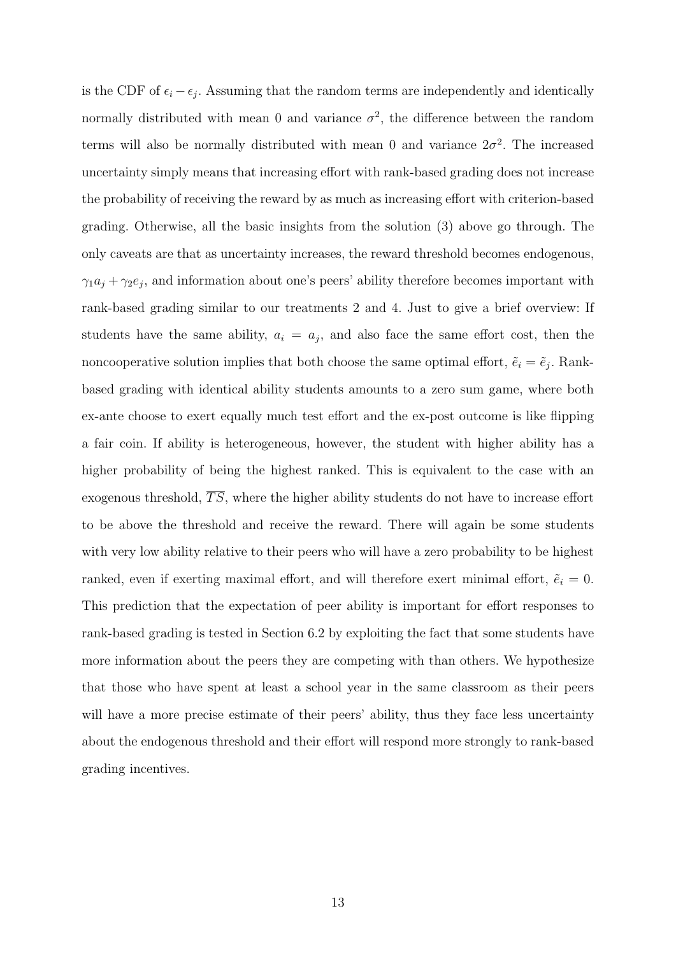is the CDF of  $\epsilon_i - \epsilon_j$ . Assuming that the random terms are independently and identically normally distributed with mean 0 and variance  $\sigma^2$ , the difference between the random terms will also be normally distributed with mean 0 and variance  $2\sigma^2$ . The increased uncertainty simply means that increasing effort with rank-based grading does not increase the probability of receiving the reward by as much as increasing effort with criterion-based grading. Otherwise, all the basic insights from the solution [\(3\)](#page-10-1) above go through. The only caveats are that as uncertainty increases, the reward threshold becomes endogenous,  $\gamma_1 a_j + \gamma_2 e_j$ , and information about one's peers' ability therefore becomes important with rank-based grading similar to our treatments 2 and 4. Just to give a brief overview: If students have the same ability,  $a_i = a_j$ , and also face the same effort cost, then the noncooperative solution implies that both choose the same optimal effort,  $\tilde{e}_i = \tilde{e}_j$ . Rankbased grading with identical ability students amounts to a zero sum game, where both ex-ante choose to exert equally much test effort and the ex-post outcome is like flipping a fair coin. If ability is heterogeneous, however, the student with higher ability has a higher probability of being the highest ranked. This is equivalent to the case with an exogenous threshold,  $\overline{TS}$ , where the higher ability students do not have to increase effort to be above the threshold and receive the reward. There will again be some students with very low ability relative to their peers who will have a zero probability to be highest ranked, even if exerting maximal effort, and will therefore exert minimal effort,  $\tilde{e}_i = 0$ . This prediction that the expectation of peer ability is important for effort responses to rank-based grading is tested in Section 6.2 by exploiting the fact that some students have more information about the peers they are competing with than others. We hypothesize that those who have spent at least a school year in the same classroom as their peers will have a more precise estimate of their peers' ability, thus they face less uncertainty about the endogenous threshold and their effort will respond more strongly to rank-based grading incentives.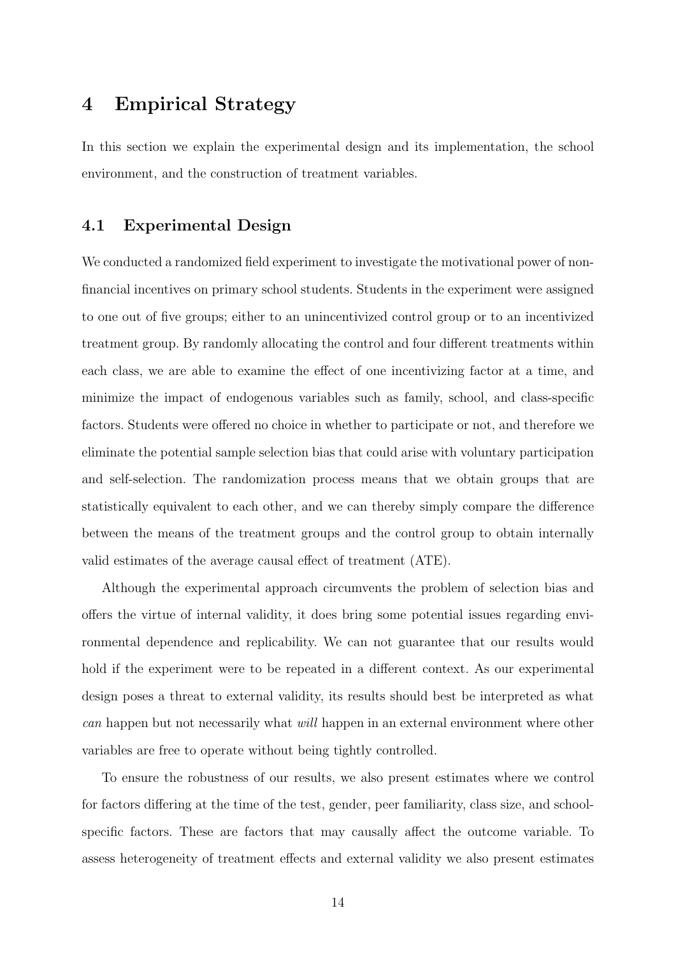### 4 Empirical Strategy

In this section we explain the experimental design and its implementation, the school environment, and the construction of treatment variables.

#### 4.1 Experimental Design

We conducted a randomized field experiment to investigate the motivational power of nonfinancial incentives on primary school students. Students in the experiment were assigned to one out of five groups; either to an unincentivized control group or to an incentivized treatment group. By randomly allocating the control and four different treatments within each class, we are able to examine the effect of one incentivizing factor at a time, and minimize the impact of endogenous variables such as family, school, and class-specific factors. Students were offered no choice in whether to participate or not, and therefore we eliminate the potential sample selection bias that could arise with voluntary participation and self-selection. The randomization process means that we obtain groups that are statistically equivalent to each other, and we can thereby simply compare the difference between the means of the treatment groups and the control group to obtain internally valid estimates of the average causal effect of treatment (ATE).

Although the experimental approach circumvents the problem of selection bias and offers the virtue of internal validity, it does bring some potential issues regarding environmental dependence and replicability. We can not guarantee that our results would hold if the experiment were to be repeated in a different context. As our experimental design poses a threat to external validity, its results should best be interpreted as what can happen but not necessarily what *will* happen in an external environment where other variables are free to operate without being tightly controlled.

To ensure the robustness of our results, we also present estimates where we control for factors differing at the time of the test, gender, peer familiarity, class size, and schoolspecific factors. These are factors that may causally affect the outcome variable. To assess heterogeneity of treatment effects and external validity we also present estimates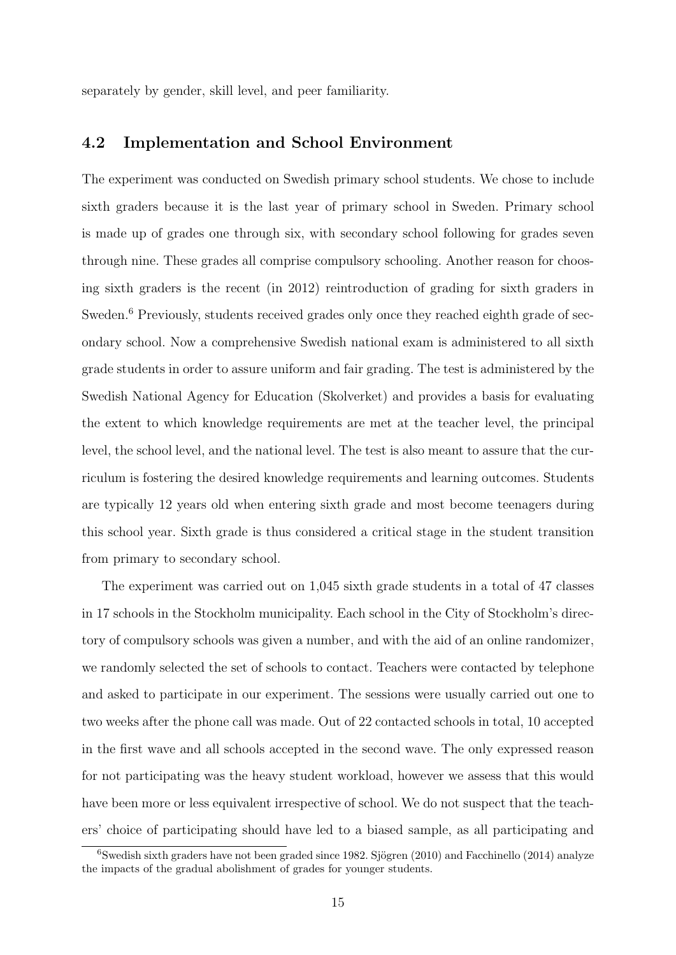separately by gender, skill level, and peer familiarity.

#### 4.2 Implementation and School Environment

The experiment was conducted on Swedish primary school students. We chose to include sixth graders because it is the last year of primary school in Sweden. Primary school is made up of grades one through six, with secondary school following for grades seven through nine. These grades all comprise compulsory schooling. Another reason for choosing sixth graders is the recent (in 2012) reintroduction of grading for sixth graders in Sweden.<sup>[6](#page--1-0)</sup> Previously, students received grades only once they reached eighth grade of secondary school. Now a comprehensive Swedish national exam is administered to all sixth grade students in order to assure uniform and fair grading. The test is administered by the Swedish National Agency for Education (Skolverket) and provides a basis for evaluating the extent to which knowledge requirements are met at the teacher level, the principal level, the school level, and the national level. The test is also meant to assure that the curriculum is fostering the desired knowledge requirements and learning outcomes. Students are typically 12 years old when entering sixth grade and most become teenagers during this school year. Sixth grade is thus considered a critical stage in the student transition from primary to secondary school.

The experiment was carried out on 1,045 sixth grade students in a total of 47 classes in 17 schools in the Stockholm municipality. Each school in the City of Stockholm's directory of compulsory schools was given a number, and with the aid of an online randomizer, we randomly selected the set of schools to contact. Teachers were contacted by telephone and asked to participate in our experiment. The sessions were usually carried out one to two weeks after the phone call was made. Out of 22 contacted schools in total, 10 accepted in the first wave and all schools accepted in the second wave. The only expressed reason for not participating was the heavy student workload, however we assess that this would have been more or less equivalent irrespective of school. We do not suspect that the teachers' choice of participating should have led to a biased sample, as all participating and

 $6$ Swedish sixth graders have not been graded since 1982. Sjögren [\(2010\)](#page-42-2) and [Facchinello](#page-40-2) [\(2014\)](#page-40-2) analyze the impacts of the gradual abolishment of grades for younger students.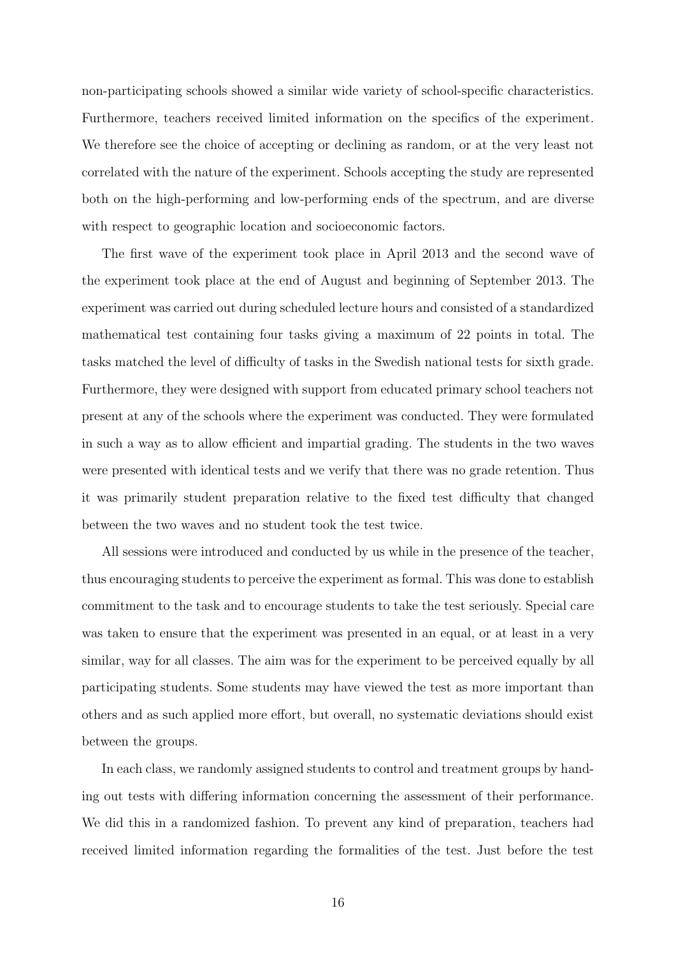non-participating schools showed a similar wide variety of school-specific characteristics. Furthermore, teachers received limited information on the specifics of the experiment. We therefore see the choice of accepting or declining as random, or at the very least not correlated with the nature of the experiment. Schools accepting the study are represented both on the high-performing and low-performing ends of the spectrum, and are diverse with respect to geographic location and socioeconomic factors.

The first wave of the experiment took place in April 2013 and the second wave of the experiment took place at the end of August and beginning of September 2013. The experiment was carried out during scheduled lecture hours and consisted of a standardized mathematical test containing four tasks giving a maximum of 22 points in total. The tasks matched the level of difficulty of tasks in the Swedish national tests for sixth grade. Furthermore, they were designed with support from educated primary school teachers not present at any of the schools where the experiment was conducted. They were formulated in such a way as to allow efficient and impartial grading. The students in the two waves were presented with identical tests and we verify that there was no grade retention. Thus it was primarily student preparation relative to the fixed test difficulty that changed between the two waves and no student took the test twice.

All sessions were introduced and conducted by us while in the presence of the teacher, thus encouraging students to perceive the experiment as formal. This was done to establish commitment to the task and to encourage students to take the test seriously. Special care was taken to ensure that the experiment was presented in an equal, or at least in a very similar, way for all classes. The aim was for the experiment to be perceived equally by all participating students. Some students may have viewed the test as more important than others and as such applied more effort, but overall, no systematic deviations should exist between the groups.

In each class, we randomly assigned students to control and treatment groups by handing out tests with differing information concerning the assessment of their performance. We did this in a randomized fashion. To prevent any kind of preparation, teachers had received limited information regarding the formalities of the test. Just before the test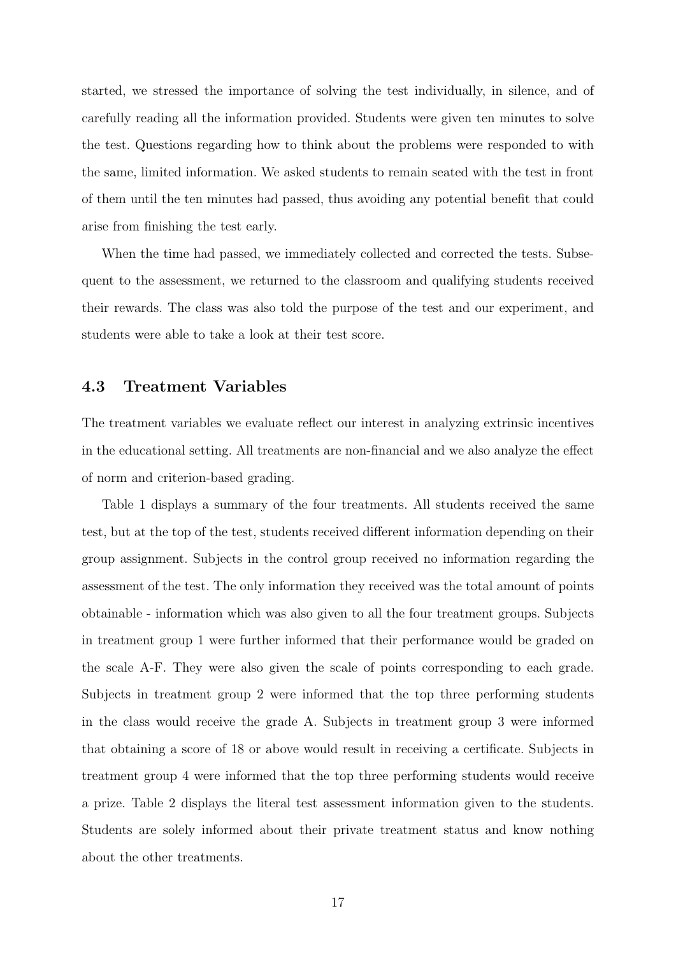started, we stressed the importance of solving the test individually, in silence, and of carefully reading all the information provided. Students were given ten minutes to solve the test. Questions regarding how to think about the problems were responded to with the same, limited information. We asked students to remain seated with the test in front of them until the ten minutes had passed, thus avoiding any potential benefit that could arise from finishing the test early.

When the time had passed, we immediately collected and corrected the tests. Subsequent to the assessment, we returned to the classroom and qualifying students received their rewards. The class was also told the purpose of the test and our experiment, and students were able to take a look at their test score.

#### 4.3 Treatment Variables

The treatment variables we evaluate reflect our interest in analyzing extrinsic incentives in the educational setting. All treatments are non-financial and we also analyze the effect of norm and criterion-based grading.

Table [1](#page-19-0) displays a summary of the four treatments. All students received the same test, but at the top of the test, students received different information depending on their group assignment. Subjects in the control group received no information regarding the assessment of the test. The only information they received was the total amount of points obtainable - information which was also given to all the four treatment groups. Subjects in treatment group 1 were further informed that their performance would be graded on the scale A-F. They were also given the scale of points corresponding to each grade. Subjects in treatment group 2 were informed that the top three performing students in the class would receive the grade A. Subjects in treatment group 3 were informed that obtaining a score of 18 or above would result in receiving a certificate. Subjects in treatment group 4 were informed that the top three performing students would receive a prize. Table [2](#page-20-0) displays the literal test assessment information given to the students. Students are solely informed about their private treatment status and know nothing about the other treatments.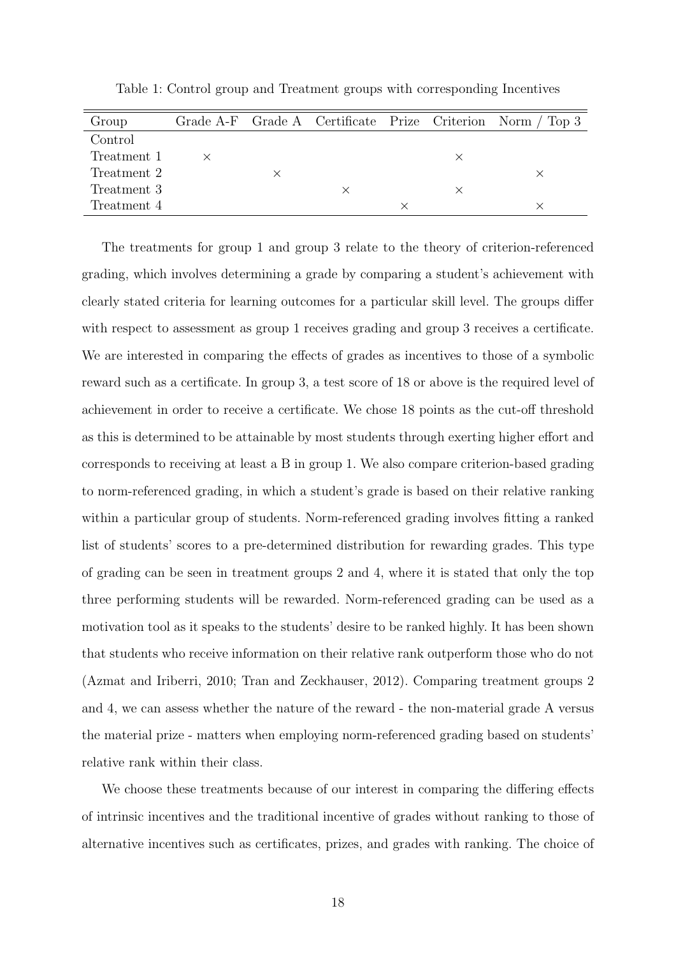| Group       |  |  | Grade A-F Grade A Certificate Prize Criterion Norm / Top 3 |
|-------------|--|--|------------------------------------------------------------|
| Control     |  |  |                                                            |
| Treatment 1 |  |  |                                                            |
| Treatment 2 |  |  |                                                            |
| Treatment 3 |  |  |                                                            |
| Treatment 4 |  |  |                                                            |

<span id="page-19-0"></span>Table 1: Control group and Treatment groups with corresponding Incentives

The treatments for group 1 and group 3 relate to the theory of criterion-referenced grading, which involves determining a grade by comparing a student's achievement with clearly stated criteria for learning outcomes for a particular skill level. The groups differ with respect to assessment as group 1 receives grading and group 3 receives a certificate. We are interested in comparing the effects of grades as incentives to those of a symbolic reward such as a certificate. In group 3, a test score of 18 or above is the required level of achievement in order to receive a certificate. We chose 18 points as the cut-off threshold as this is determined to be attainable by most students through exerting higher effort and corresponds to receiving at least a B in group 1. We also compare criterion-based grading to norm-referenced grading, in which a student's grade is based on their relative ranking within a particular group of students. Norm-referenced grading involves fitting a ranked list of students' scores to a pre-determined distribution for rewarding grades. This type of grading can be seen in treatment groups 2 and 4, where it is stated that only the top three performing students will be rewarded. Norm-referenced grading can be used as a motivation tool as it speaks to the students' desire to be ranked highly. It has been shown that students who receive information on their relative rank outperform those who do not [\(Azmat and Iriberri,](#page-37-1) [2010;](#page-37-1) [Tran and Zeckhauser,](#page-43-1) [2012\)](#page-43-1). Comparing treatment groups 2 and 4, we can assess whether the nature of the reward - the non-material grade A versus the material prize - matters when employing norm-referenced grading based on students' relative rank within their class.

We choose these treatments because of our interest in comparing the differing effects of intrinsic incentives and the traditional incentive of grades without ranking to those of alternative incentives such as certificates, prizes, and grades with ranking. The choice of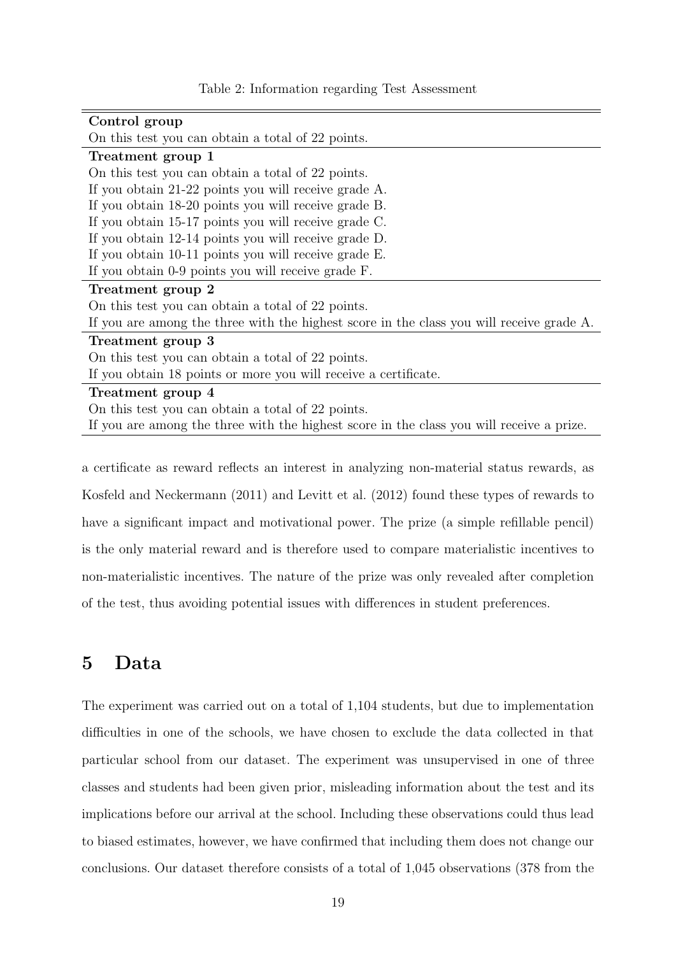<span id="page-20-0"></span>

| Control group                                                                            |
|------------------------------------------------------------------------------------------|
| On this test you can obtain a total of 22 points.                                        |
| Treatment group 1                                                                        |
| On this test you can obtain a total of 22 points.                                        |
| If you obtain 21-22 points you will receive grade A.                                     |
| If you obtain 18-20 points you will receive grade B.                                     |
| If you obtain 15-17 points you will receive grade C.                                     |
| If you obtain 12-14 points you will receive grade D.                                     |
| If you obtain 10-11 points you will receive grade E.                                     |
| If you obtain 0-9 points you will receive grade F.                                       |
| Treatment group 2                                                                        |
| On this test you can obtain a total of 22 points.                                        |
| If you are among the three with the highest score in the class you will receive grade A. |
| Treatment group 3                                                                        |
| On this test you can obtain a total of 22 points.                                        |
| If you obtain 18 points or more you will receive a certificate.                          |
| Treatment group 4                                                                        |
| On this test you can obtain a total of 22 points.                                        |
| If you are among the three with the highest score in the class you will receive a prize. |

Table 2: Information regarding Test Assessment

a certificate as reward reflects an interest in analyzing non-material status rewards, as [Kosfeld and Neckermann](#page-41-0) [\(2011\)](#page-41-0) and [Levitt et al.](#page-42-0) [\(2012\)](#page-42-0) found these types of rewards to have a significant impact and motivational power. The prize (a simple refillable pencil) is the only material reward and is therefore used to compare materialistic incentives to non-materialistic incentives. The nature of the prize was only revealed after completion of the test, thus avoiding potential issues with differences in student preferences.

### 5 Data

The experiment was carried out on a total of 1,104 students, but due to implementation difficulties in one of the schools, we have chosen to exclude the data collected in that particular school from our dataset. The experiment was unsupervised in one of three classes and students had been given prior, misleading information about the test and its implications before our arrival at the school. Including these observations could thus lead to biased estimates, however, we have confirmed that including them does not change our conclusions. Our dataset therefore consists of a total of 1,045 observations (378 from the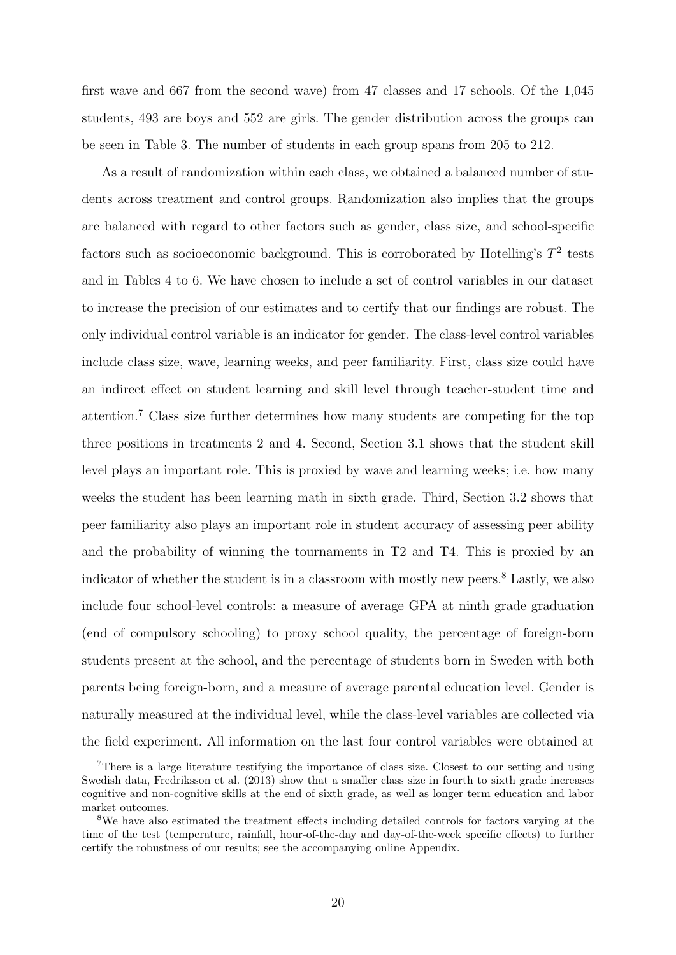first wave and 667 from the second wave) from 47 classes and 17 schools. Of the 1,045 students, 493 are boys and 552 are girls. The gender distribution across the groups can be seen in Table [3.](#page-49-0) The number of students in each group spans from 205 to 212.

As a result of randomization within each class, we obtained a balanced number of students across treatment and control groups. Randomization also implies that the groups are balanced with regard to other factors such as gender, class size, and school-specific factors such as socioeconomic background. This is corroborated by Hotelling's  $T^2$  tests and in Tables [4](#page-50-0) to [6.](#page-52-0) We have chosen to include a set of control variables in our dataset to increase the precision of our estimates and to certify that our findings are robust. The only individual control variable is an indicator for gender. The class-level control variables include class size, wave, learning weeks, and peer familiarity. First, class size could have an indirect effect on student learning and skill level through teacher-student time and attention.[7](#page--1-0) Class size further determines how many students are competing for the top three positions in treatments 2 and 4. Second, Section 3.1 shows that the student skill level plays an important role. This is proxied by wave and learning weeks; i.e. how many weeks the student has been learning math in sixth grade. Third, Section 3.2 shows that peer familiarity also plays an important role in student accuracy of assessing peer ability and the probability of winning the tournaments in T2 and T4. This is proxied by an indicator of whether the student is in a classroom with mostly new peers.<sup>[8](#page--1-0)</sup> Lastly, we also include four school-level controls: a measure of average GPA at ninth grade graduation (end of compulsory schooling) to proxy school quality, the percentage of foreign-born students present at the school, and the percentage of students born in Sweden with both parents being foreign-born, and a measure of average parental education level. Gender is naturally measured at the individual level, while the class-level variables are collected via the field experiment. All information on the last four control variables were obtained at

<sup>7</sup>There is a large literature testifying the importance of class size. Closest to our setting and using Swedish data, [Fredriksson et al.](#page-40-3) [\(2013\)](#page-40-3) show that a smaller class size in fourth to sixth grade increases cognitive and non-cognitive skills at the end of sixth grade, as well as longer term education and labor market outcomes.

<sup>&</sup>lt;sup>8</sup>We have also estimated the treatment effects including detailed controls for factors varying at the time of the test (temperature, rainfall, hour-of-the-day and day-of-the-week specific effects) to further certify the robustness of our results; see the accompanying online Appendix.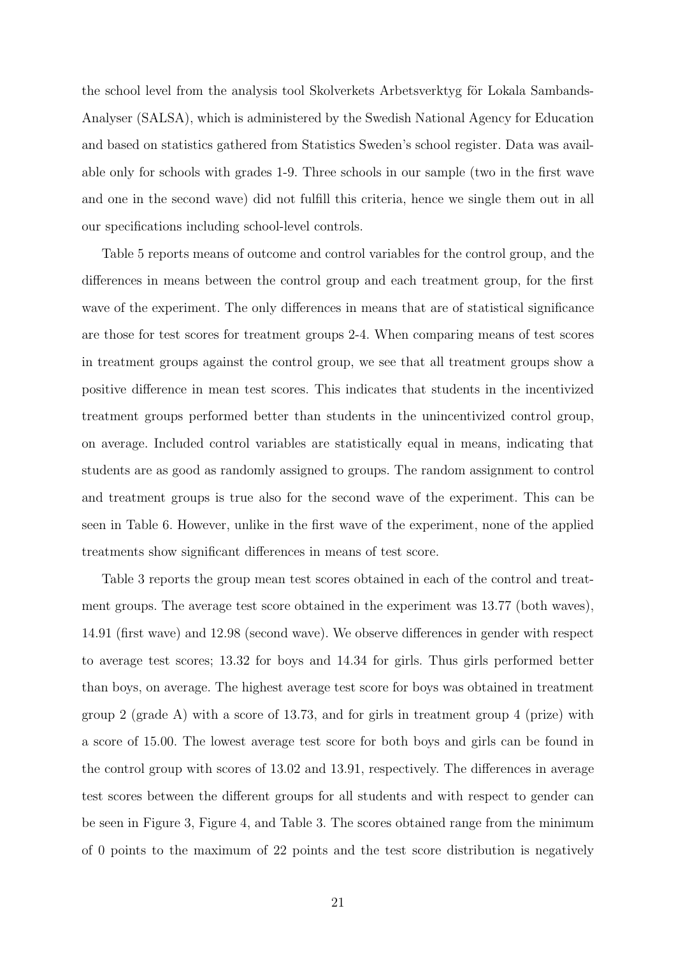the school level from the analysis tool Skolverkets Arbetsverktyg för Lokala Sambands-Analyser (SALSA), which is administered by the Swedish National Agency for Education and based on statistics gathered from Statistics Sweden's school register. Data was available only for schools with grades 1-9. Three schools in our sample (two in the first wave and one in the second wave) did not fulfill this criteria, hence we single them out in all our specifications including school-level controls.

Table [5](#page-51-0) reports means of outcome and control variables for the control group, and the differences in means between the control group and each treatment group, for the first wave of the experiment. The only differences in means that are of statistical significance are those for test scores for treatment groups 2-4. When comparing means of test scores in treatment groups against the control group, we see that all treatment groups show a positive difference in mean test scores. This indicates that students in the incentivized treatment groups performed better than students in the unincentivized control group, on average. Included control variables are statistically equal in means, indicating that students are as good as randomly assigned to groups. The random assignment to control and treatment groups is true also for the second wave of the experiment. This can be seen in Table [6.](#page-52-0) However, unlike in the first wave of the experiment, none of the applied treatments show significant differences in means of test score.

Table [3](#page-49-0) reports the group mean test scores obtained in each of the control and treatment groups. The average test score obtained in the experiment was 13.77 (both waves), 14.91 (first wave) and 12.98 (second wave). We observe differences in gender with respect to average test scores; 13.32 for boys and 14.34 for girls. Thus girls performed better than boys, on average. The highest average test score for boys was obtained in treatment group 2 (grade A) with a score of 13.73, and for girls in treatment group 4 (prize) with a score of 15.00. The lowest average test score for both boys and girls can be found in the control group with scores of 13.02 and 13.91, respectively. The differences in average test scores between the different groups for all students and with respect to gender can be seen in Figure [3,](#page-45-0) Figure [4,](#page-45-1) and Table [3.](#page-49-0) The scores obtained range from the minimum of 0 points to the maximum of 22 points and the test score distribution is negatively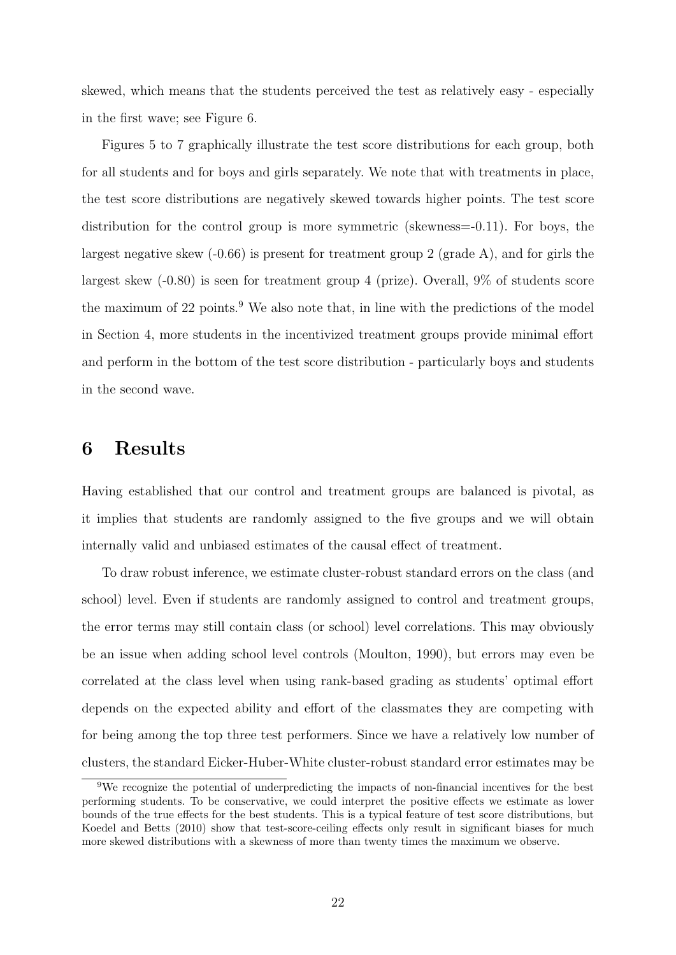skewed, which means that the students perceived the test as relatively easy - especially in the first wave; see Figure [6.](#page-47-0)

Figures [5](#page-46-0) to [7](#page-48-0) graphically illustrate the test score distributions for each group, both for all students and for boys and girls separately. We note that with treatments in place, the test score distributions are negatively skewed towards higher points. The test score distribution for the control group is more symmetric (skewness=-0.11). For boys, the largest negative skew  $(-0.66)$  is present for treatment group 2 (grade A), and for girls the largest skew (-0.80) is seen for treatment group 4 (prize). Overall, 9% of students score the maximum of 22 points.<sup>[9](#page--1-0)</sup> We also note that, in line with the predictions of the model in Section 4, more students in the incentivized treatment groups provide minimal effort and perform in the bottom of the test score distribution - particularly boys and students in the second wave.

#### 6 Results

Having established that our control and treatment groups are balanced is pivotal, as it implies that students are randomly assigned to the five groups and we will obtain internally valid and unbiased estimates of the causal effect of treatment.

To draw robust inference, we estimate cluster-robust standard errors on the class (and school) level. Even if students are randomly assigned to control and treatment groups, the error terms may still contain class (or school) level correlations. This may obviously be an issue when adding school level controls [\(Moulton,](#page-42-3) [1990\)](#page-42-3), but errors may even be correlated at the class level when using rank-based grading as students' optimal effort depends on the expected ability and effort of the classmates they are competing with for being among the top three test performers. Since we have a relatively low number of clusters, the standard Eicker-Huber-White cluster-robust standard error estimates may be

<sup>9</sup>We recognize the potential of underpredicting the impacts of non-financial incentives for the best performing students. To be conservative, we could interpret the positive effects we estimate as lower bounds of the true effects for the best students. This is a typical feature of test score distributions, but [Koedel and Betts](#page-41-3) [\(2010\)](#page-41-3) show that test-score-ceiling effects only result in significant biases for much more skewed distributions with a skewness of more than twenty times the maximum we observe.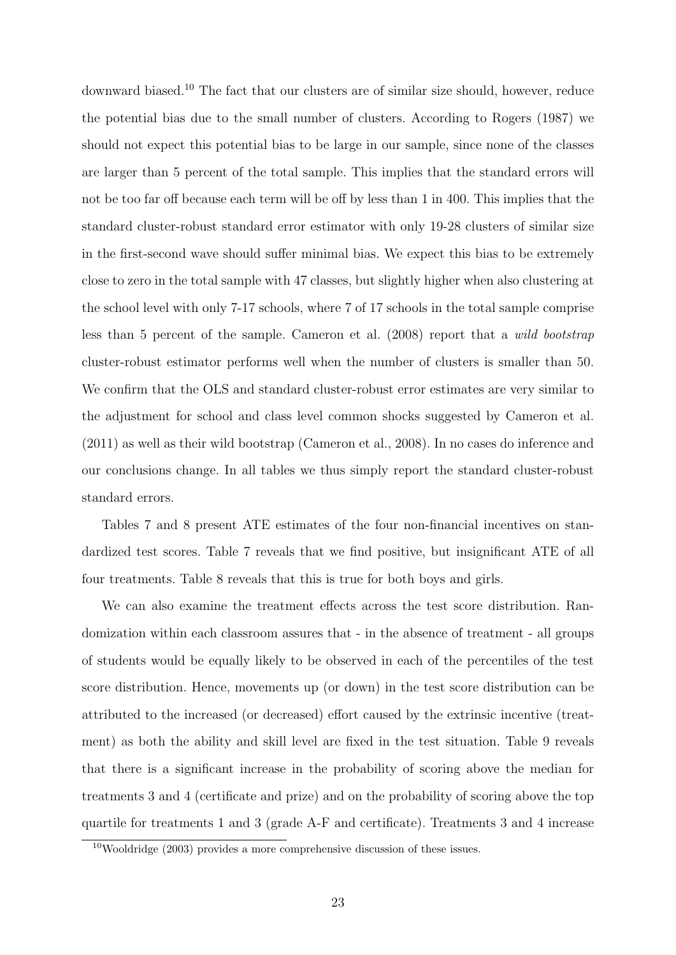downward biased.[10](#page--1-0) The fact that our clusters are of similar size should, however, reduce the potential bias due to the small number of clusters. According to [Rogers](#page-42-4) [\(1987\)](#page-42-4) we should not expect this potential bias to be large in our sample, since none of the classes are larger than 5 percent of the total sample. This implies that the standard errors will not be too far off because each term will be off by less than 1 in 400. This implies that the standard cluster-robust standard error estimator with only 19-28 clusters of similar size in the first-second wave should suffer minimal bias. We expect this bias to be extremely close to zero in the total sample with 47 classes, but slightly higher when also clustering at the school level with only 7-17 schools, where 7 of 17 schools in the total sample comprise less than 5 percent of the sample. [Cameron et al.](#page-38-5) [\(2008\)](#page-38-5) report that a wild bootstrap cluster-robust estimator performs well when the number of clusters is smaller than 50. We confirm that the OLS and standard cluster-robust error estimates are very similar to the adjustment for school and class level common shocks suggested by [Cameron et al.](#page-38-6) [\(2011\)](#page-38-6) as well as their wild bootstrap [\(Cameron et al.,](#page-38-5) [2008\)](#page-38-5). In no cases do inference and our conclusions change. In all tables we thus simply report the standard cluster-robust standard errors.

Tables [7](#page-53-0) and [8](#page-54-0) present ATE estimates of the four non-financial incentives on standardized test scores. Table [7](#page-53-0) reveals that we find positive, but insignificant ATE of all four treatments. Table [8](#page-54-0) reveals that this is true for both boys and girls.

We can also examine the treatment effects across the test score distribution. Randomization within each classroom assures that - in the absence of treatment - all groups of students would be equally likely to be observed in each of the percentiles of the test score distribution. Hence, movements up (or down) in the test score distribution can be attributed to the increased (or decreased) effort caused by the extrinsic incentive (treatment) as both the ability and skill level are fixed in the test situation. Table [9](#page-55-0) reveals that there is a significant increase in the probability of scoring above the median for treatments 3 and 4 (certificate and prize) and on the probability of scoring above the top quartile for treatments 1 and 3 (grade A-F and certificate). Treatments 3 and 4 increase

 $10$ [Wooldridge](#page-43-3) [\(2003\)](#page-43-3) provides a more comprehensive discussion of these issues.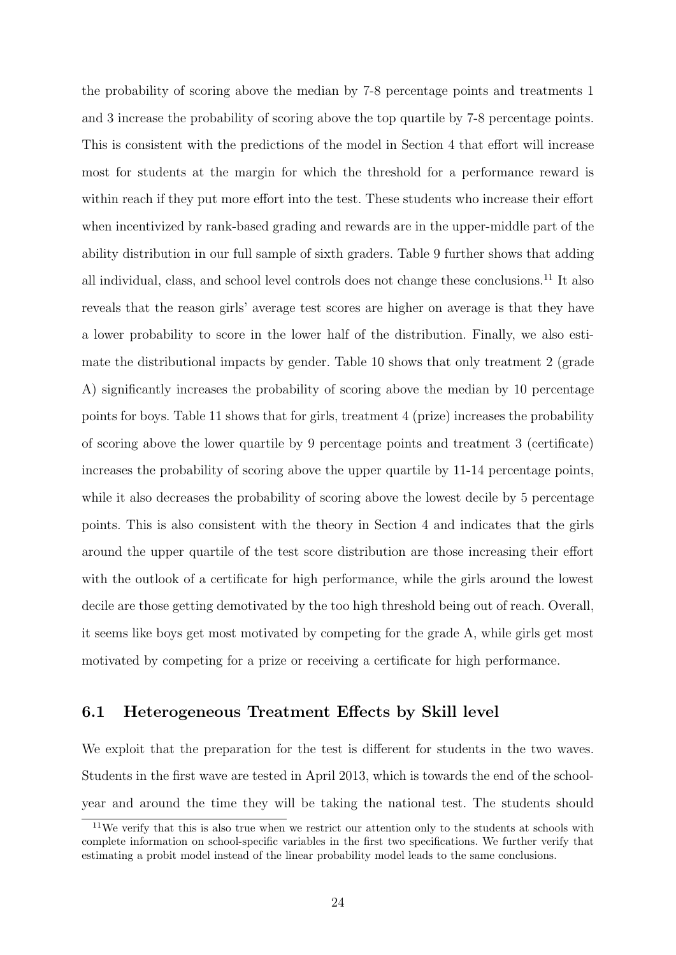the probability of scoring above the median by 7-8 percentage points and treatments 1 and 3 increase the probability of scoring above the top quartile by 7-8 percentage points. This is consistent with the predictions of the model in Section 4 that effort will increase most for students at the margin for which the threshold for a performance reward is within reach if they put more effort into the test. These students who increase their effort when incentivized by rank-based grading and rewards are in the upper-middle part of the ability distribution in our full sample of sixth graders. Table [9](#page-55-0) further shows that adding all individual, class, and school level controls does not change these conclusions.[11](#page--1-0) It also reveals that the reason girls' average test scores are higher on average is that they have a lower probability to score in the lower half of the distribution. Finally, we also estimate the distributional impacts by gender. Table [10](#page-56-0) shows that only treatment 2 (grade A) significantly increases the probability of scoring above the median by 10 percentage points for boys. Table [11](#page-57-0) shows that for girls, treatment 4 (prize) increases the probability of scoring above the lower quartile by 9 percentage points and treatment 3 (certificate) increases the probability of scoring above the upper quartile by 11-14 percentage points, while it also decreases the probability of scoring above the lowest decile by 5 percentage points. This is also consistent with the theory in Section 4 and indicates that the girls around the upper quartile of the test score distribution are those increasing their effort with the outlook of a certificate for high performance, while the girls around the lowest decile are those getting demotivated by the too high threshold being out of reach. Overall, it seems like boys get most motivated by competing for the grade A, while girls get most motivated by competing for a prize or receiving a certificate for high performance.

#### 6.1 Heterogeneous Treatment Effects by Skill level

We exploit that the preparation for the test is different for students in the two waves. Students in the first wave are tested in April 2013, which is towards the end of the schoolyear and around the time they will be taking the national test. The students should

 $11$ We verify that this is also true when we restrict our attention only to the students at schools with complete information on school-specific variables in the first two specifications. We further verify that estimating a probit model instead of the linear probability model leads to the same conclusions.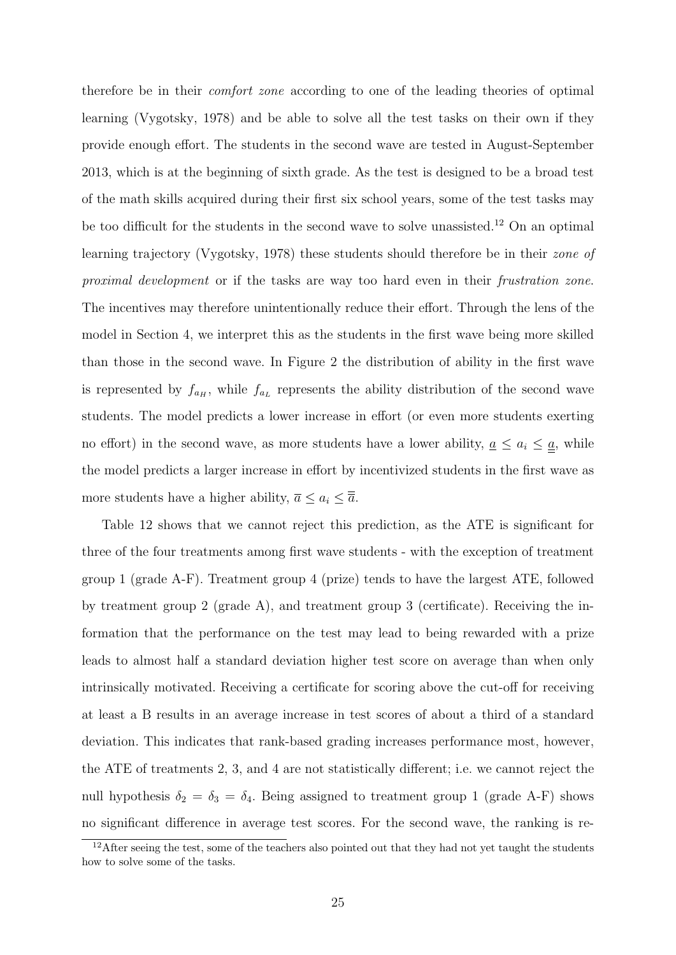therefore be in their comfort zone according to one of the leading theories of optimal learning [\(Vygotsky,](#page-43-4) [1978\)](#page-43-4) and be able to solve all the test tasks on their own if they provide enough effort. The students in the second wave are tested in August-September 2013, which is at the beginning of sixth grade. As the test is designed to be a broad test of the math skills acquired during their first six school years, some of the test tasks may be too difficult for the students in the second wave to solve unassisted.[12](#page--1-0) On an optimal learning trajectory [\(Vygotsky,](#page-43-4) [1978\)](#page-43-4) these students should therefore be in their zone of proximal development or if the tasks are way too hard even in their frustration zone. The incentives may therefore unintentionally reduce their effort. Through the lens of the model in Section 4, we interpret this as the students in the first wave being more skilled than those in the second wave. In Figure [2](#page-44-1) the distribution of ability in the first wave is represented by  $f_{a_H}$ , while  $f_{a_L}$  represents the ability distribution of the second wave students. The model predicts a lower increase in effort (or even more students exerting no effort) in the second wave, as more students have a lower ability,  $a \leq a_i \leq a$ , while the model predicts a larger increase in effort by incentivized students in the first wave as more students have a higher ability,  $\overline{a} \leq a_i \leq \overline{\overline{a}}$ .

Table [12](#page-58-0) shows that we cannot reject this prediction, as the ATE is significant for three of the four treatments among first wave students - with the exception of treatment group 1 (grade A-F). Treatment group 4 (prize) tends to have the largest ATE, followed by treatment group 2 (grade A), and treatment group 3 (certificate). Receiving the information that the performance on the test may lead to being rewarded with a prize leads to almost half a standard deviation higher test score on average than when only intrinsically motivated. Receiving a certificate for scoring above the cut-off for receiving at least a B results in an average increase in test scores of about a third of a standard deviation. This indicates that rank-based grading increases performance most, however, the ATE of treatments 2, 3, and 4 are not statistically different; i.e. we cannot reject the null hypothesis  $\delta_2 = \delta_3 = \delta_4$ . Being assigned to treatment group 1 (grade A-F) shows no significant difference in average test scores. For the second wave, the ranking is re-

 $12$ After seeing the test, some of the teachers also pointed out that they had not yet taught the students how to solve some of the tasks.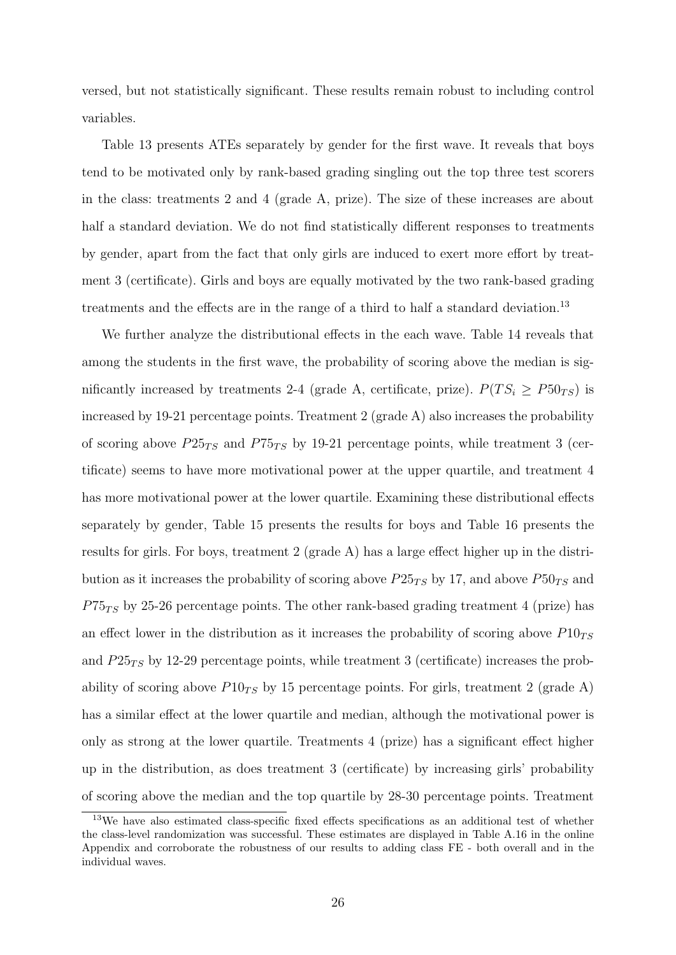versed, but not statistically significant. These results remain robust to including control variables.

Table [13](#page-59-0) presents ATEs separately by gender for the first wave. It reveals that boys tend to be motivated only by rank-based grading singling out the top three test scorers in the class: treatments 2 and 4 (grade A, prize). The size of these increases are about half a standard deviation. We do not find statistically different responses to treatments by gender, apart from the fact that only girls are induced to exert more effort by treatment 3 (certificate). Girls and boys are equally motivated by the two rank-based grading treatments and the effects are in the range of a third to half a standard deviation.<sup>[13](#page--1-0)</sup>

We further analyze the distributional effects in the each wave. Table [14](#page-60-0) reveals that among the students in the first wave, the probability of scoring above the median is significantly increased by treatments 2-4 (grade A, certificate, prize).  $P(T S_i \ge P50_{TS})$  is increased by 19-21 percentage points. Treatment 2 (grade A) also increases the probability of scoring above  $P25_{TS}$  and  $P75_{TS}$  by 19-21 percentage points, while treatment 3 (certificate) seems to have more motivational power at the upper quartile, and treatment 4 has more motivational power at the lower quartile. Examining these distributional effects separately by gender, Table [15](#page-61-0) presents the results for boys and Table [16](#page-62-0) presents the results for girls. For boys, treatment 2 (grade A) has a large effect higher up in the distribution as it increases the probability of scoring above  $P25_{TS}$  by 17, and above  $P50_{TS}$  and  $P75_{TS}$  by 25-26 percentage points. The other rank-based grading treatment 4 (prize) has an effect lower in the distribution as it increases the probability of scoring above  $P10_{TS}$ and  $P25_{TS}$  by 12-29 percentage points, while treatment 3 (certificate) increases the probability of scoring above  $P10_{TS}$  by 15 percentage points. For girls, treatment 2 (grade A) has a similar effect at the lower quartile and median, although the motivational power is only as strong at the lower quartile. Treatments 4 (prize) has a significant effect higher up in the distribution, as does treatment 3 (certificate) by increasing girls' probability of scoring above the median and the top quartile by 28-30 percentage points. Treatment

<sup>&</sup>lt;sup>13</sup>We have also estimated class-specific fixed effects specifications as an additional test of whether the class-level randomization was successful. These estimates are displayed in Table A.16 in the online Appendix and corroborate the robustness of our results to adding class FE - both overall and in the individual waves.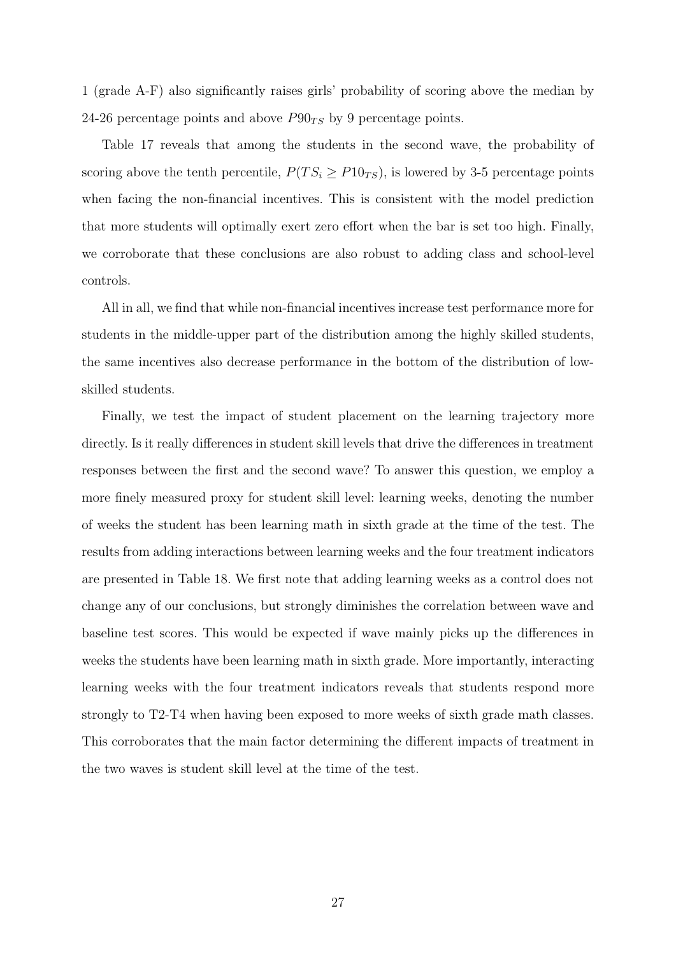1 (grade A-F) also significantly raises girls' probability of scoring above the median by 24-26 percentage points and above  $P90_{TS}$  by 9 percentage points.

Table [17](#page-63-0) reveals that among the students in the second wave, the probability of scoring above the tenth percentile,  $P(T S_i \geq P10_{TS})$ , is lowered by 3-5 percentage points when facing the non-financial incentives. This is consistent with the model prediction that more students will optimally exert zero effort when the bar is set too high. Finally, we corroborate that these conclusions are also robust to adding class and school-level controls.

All in all, we find that while non-financial incentives increase test performance more for students in the middle-upper part of the distribution among the highly skilled students, the same incentives also decrease performance in the bottom of the distribution of lowskilled students.

Finally, we test the impact of student placement on the learning trajectory more directly. Is it really differences in student skill levels that drive the differences in treatment responses between the first and the second wave? To answer this question, we employ a more finely measured proxy for student skill level: learning weeks, denoting the number of weeks the student has been learning math in sixth grade at the time of the test. The results from adding interactions between learning weeks and the four treatment indicators are presented in Table [18.](#page-64-0) We first note that adding learning weeks as a control does not change any of our conclusions, but strongly diminishes the correlation between wave and baseline test scores. This would be expected if wave mainly picks up the differences in weeks the students have been learning math in sixth grade. More importantly, interacting learning weeks with the four treatment indicators reveals that students respond more strongly to T2-T4 when having been exposed to more weeks of sixth grade math classes. This corroborates that the main factor determining the different impacts of treatment in the two waves is student skill level at the time of the test.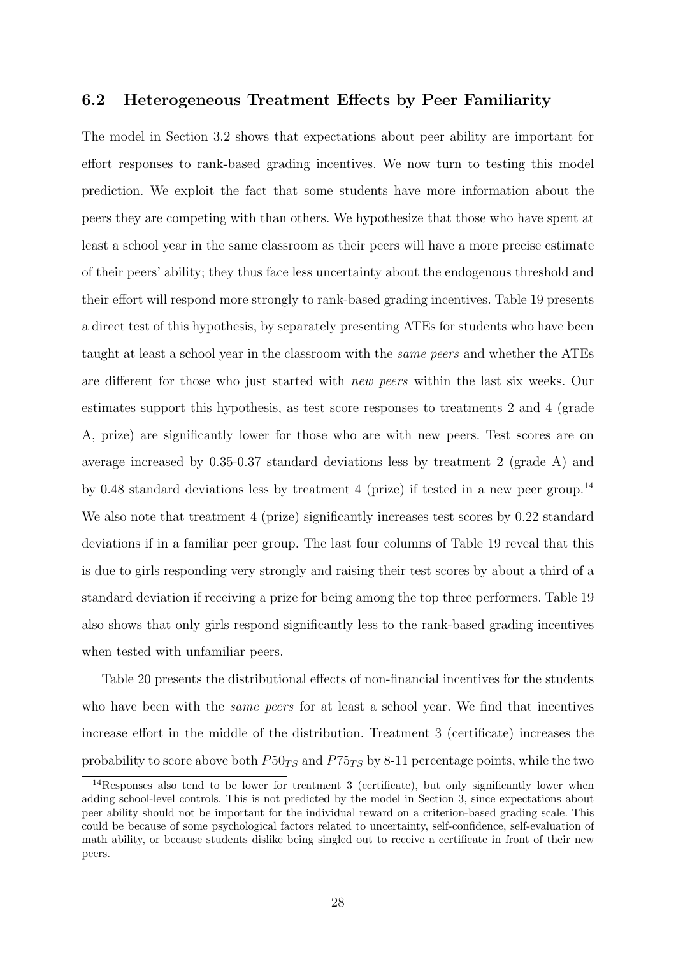#### 6.2 Heterogeneous Treatment Effects by Peer Familiarity

The model in Section 3.2 shows that expectations about peer ability are important for effort responses to rank-based grading incentives. We now turn to testing this model prediction. We exploit the fact that some students have more information about the peers they are competing with than others. We hypothesize that those who have spent at least a school year in the same classroom as their peers will have a more precise estimate of their peers' ability; they thus face less uncertainty about the endogenous threshold and their effort will respond more strongly to rank-based grading incentives. Table [19](#page-65-0) presents a direct test of this hypothesis, by separately presenting ATEs for students who have been taught at least a school year in the classroom with the same peers and whether the ATEs are different for those who just started with new peers within the last six weeks. Our estimates support this hypothesis, as test score responses to treatments 2 and 4 (grade A, prize) are significantly lower for those who are with new peers. Test scores are on average increased by 0.35-0.37 standard deviations less by treatment 2 (grade A) and by 0.48 standard deviations less by treatment 4 (prize) if tested in a new peer group.<sup>[14](#page--1-0)</sup> We also note that treatment 4 (prize) significantly increases test scores by 0.22 standard deviations if in a familiar peer group. The last four columns of Table [19](#page-65-0) reveal that this is due to girls responding very strongly and raising their test scores by about a third of a standard deviation if receiving a prize for being among the top three performers. Table [19](#page-65-0) also shows that only girls respond significantly less to the rank-based grading incentives when tested with unfamiliar peers.

Table [20](#page-66-0) presents the distributional effects of non-financial incentives for the students who have been with the *same peers* for at least a school year. We find that incentives increase effort in the middle of the distribution. Treatment 3 (certificate) increases the probability to score above both  $P50_{TS}$  and  $P75_{TS}$  by 8-11 percentage points, while the two

<sup>&</sup>lt;sup>14</sup>Responses also tend to be lower for treatment 3 (certificate), but only significantly lower when adding school-level controls. This is not predicted by the model in Section 3, since expectations about peer ability should not be important for the individual reward on a criterion-based grading scale. This could be because of some psychological factors related to uncertainty, self-confidence, self-evaluation of math ability, or because students dislike being singled out to receive a certificate in front of their new peers.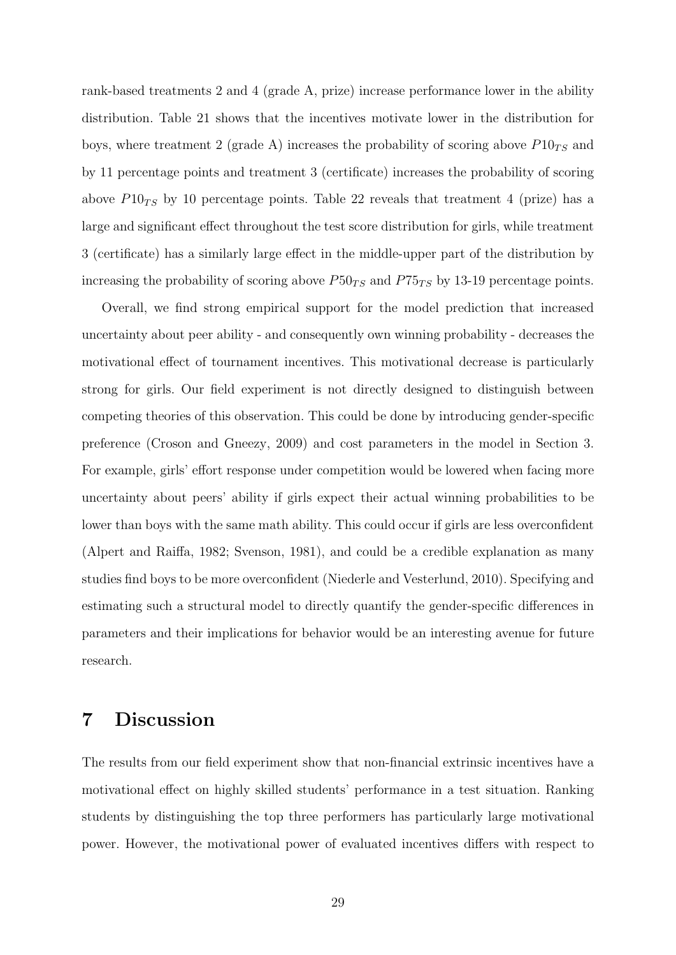rank-based treatments 2 and 4 (grade A, prize) increase performance lower in the ability distribution. Table [21](#page-67-0) shows that the incentives motivate lower in the distribution for boys, where treatment 2 (grade A) increases the probability of scoring above  $P10_{TS}$  and by 11 percentage points and treatment 3 (certificate) increases the probability of scoring above  $P10_{TS}$  by 10 percentage points. Table [22](#page-68-0) reveals that treatment 4 (prize) has a large and significant effect throughout the test score distribution for girls, while treatment 3 (certificate) has a similarly large effect in the middle-upper part of the distribution by increasing the probability of scoring above  $P50_{TS}$  and  $P75_{TS}$  by 13-19 percentage points.

Overall, we find strong empirical support for the model prediction that increased uncertainty about peer ability - and consequently own winning probability - decreases the motivational effect of tournament incentives. This motivational decrease is particularly strong for girls. Our field experiment is not directly designed to distinguish between competing theories of this observation. This could be done by introducing gender-specific preference [\(Croson and Gneezy,](#page-39-5) [2009\)](#page-39-5) and cost parameters in the model in Section 3. For example, girls' effort response under competition would be lowered when facing more uncertainty about peers' ability if girls expect their actual winning probabilities to be lower than boys with the same math ability. This could occur if girls are less overconfident [\(Alpert and Raiffa,](#page-37-6) [1982;](#page-37-6) [Svenson,](#page-43-5) [1981\)](#page-43-5), and could be a credible explanation as many studies find boys to be more overconfident [\(Niederle and Vesterlund,](#page-42-5) [2010\)](#page-42-5). Specifying and estimating such a structural model to directly quantify the gender-specific differences in parameters and their implications for behavior would be an interesting avenue for future research.

#### 7 Discussion

The results from our field experiment show that non-financial extrinsic incentives have a motivational effect on highly skilled students' performance in a test situation. Ranking students by distinguishing the top three performers has particularly large motivational power. However, the motivational power of evaluated incentives differs with respect to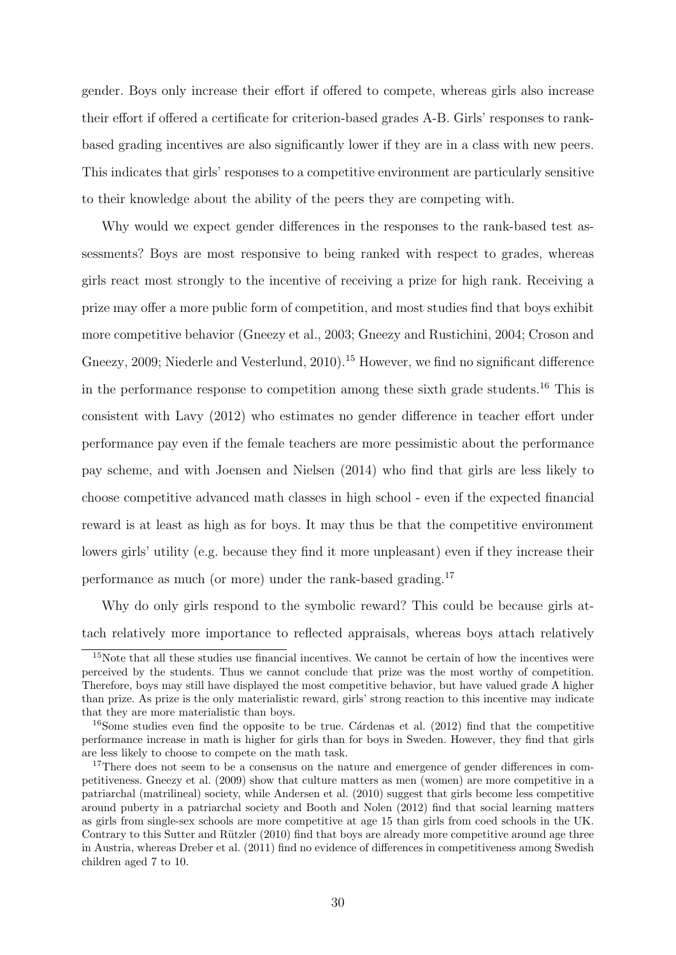gender. Boys only increase their effort if offered to compete, whereas girls also increase their effort if offered a certificate for criterion-based grades A-B. Girls' responses to rankbased grading incentives are also significantly lower if they are in a class with new peers. This indicates that girls' responses to a competitive environment are particularly sensitive to their knowledge about the ability of the peers they are competing with.

Why would we expect gender differences in the responses to the rank-based test assessments? Boys are most responsive to being ranked with respect to grades, whereas girls react most strongly to the incentive of receiving a prize for high rank. Receiving a prize may offer a more public form of competition, and most studies find that boys exhibit more competitive behavior [\(Gneezy et al.,](#page-40-4) [2003;](#page-40-4) [Gneezy and Rustichini,](#page-40-5) [2004;](#page-40-5) [Croson and](#page-39-5) [Gneezy,](#page-39-5) [2009;](#page-39-5) [Niederle and Vesterlund,](#page-42-5) [2010\)](#page-42-5).<sup>[15](#page--1-0)</sup> However, we find no significant difference in the performance response to competition among these sixth grade students.<sup>[16](#page--1-0)</sup> This is consistent with [Lavy](#page-41-4) [\(2012\)](#page-41-4) who estimates no gender difference in teacher effort under performance pay even if the female teachers are more pessimistic about the performance pay scheme, and with [Joensen and Nielsen](#page-41-5) [\(2014\)](#page-41-5) who find that girls are less likely to choose competitive advanced math classes in high school - even if the expected financial reward is at least as high as for boys. It may thus be that the competitive environment lowers girls' utility (e.g. because they find it more unpleasant) even if they increase their performance as much (or more) under the rank-based grading.[17](#page--1-0)

Why do only girls respond to the symbolic reward? This could be because girls attach relatively more importance to reflected appraisals, whereas boys attach relatively

<sup>&</sup>lt;sup>15</sup>Note that all these studies use financial incentives. We cannot be certain of how the incentives were perceived by the students. Thus we cannot conclude that prize was the most worthy of competition. Therefore, boys may still have displayed the most competitive behavior, but have valued grade A higher than prize. As prize is the only materialistic reward, girls' strong reaction to this incentive may indicate that they are more materialistic than boys.

 $16$ Some studies even find the opposite to be true. Cárdenas et al. [\(2012\)](#page-38-7) find that the competitive performance increase in math is higher for girls than for boys in Sweden. However, they find that girls are less likely to choose to compete on the math task.

<sup>&</sup>lt;sup>17</sup>There does not seem to be a consensus on the nature and emergence of gender differences in competitiveness. [Gneezy et al.](#page-40-6) [\(2009\)](#page-40-6) show that culture matters as men (women) are more competitive in a patriarchal (matrilineal) society, while [Andersen et al.](#page-37-7) [\(2010\)](#page-37-7) suggest that girls become less competitive around puberty in a patriarchal society and [Booth and Nolen](#page-38-8) [\(2012\)](#page-38-8) find that social learning matters as girls from single-sex schools are more competitive at age 15 than girls from coed schools in the UK. Contrary to this Sutter and Rützler [\(2010\)](#page-43-6) find that boys are already more competitive around age three in Austria, whereas [Dreber et al.](#page-39-6) [\(2011\)](#page-39-6) find no evidence of differences in competitiveness among Swedish children aged 7 to 10.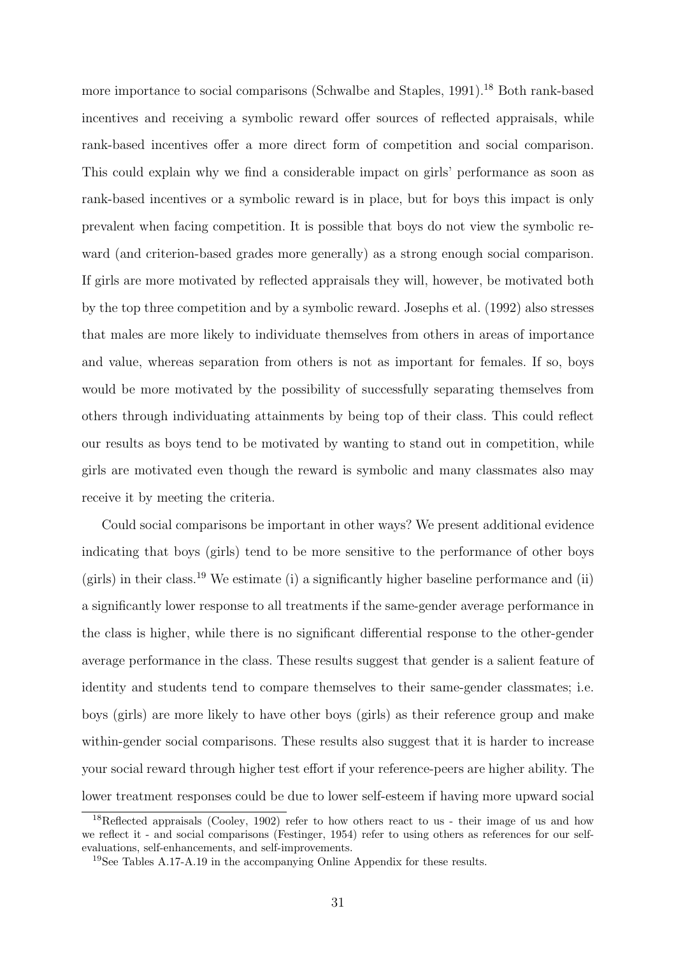more importance to social comparisons [\(Schwalbe and Staples,](#page-42-6) [1991\)](#page-42-6).<sup>[18](#page--1-0)</sup> Both rank-based incentives and receiving a symbolic reward offer sources of reflected appraisals, while rank-based incentives offer a more direct form of competition and social comparison. This could explain why we find a considerable impact on girls' performance as soon as rank-based incentives or a symbolic reward is in place, but for boys this impact is only prevalent when facing competition. It is possible that boys do not view the symbolic reward (and criterion-based grades more generally) as a strong enough social comparison. If girls are more motivated by reflected appraisals they will, however, be motivated both by the top three competition and by a symbolic reward. [Josephs et al.](#page-41-6) [\(1992\)](#page-41-6) also stresses that males are more likely to individuate themselves from others in areas of importance and value, whereas separation from others is not as important for females. If so, boys would be more motivated by the possibility of successfully separating themselves from others through individuating attainments by being top of their class. This could reflect our results as boys tend to be motivated by wanting to stand out in competition, while girls are motivated even though the reward is symbolic and many classmates also may receive it by meeting the criteria.

Could social comparisons be important in other ways? We present additional evidence indicating that boys (girls) tend to be more sensitive to the performance of other boys (girls) in their class.<sup>[19](#page--1-0)</sup> We estimate (i) a significantly higher baseline performance and (ii) a significantly lower response to all treatments if the same-gender average performance in the class is higher, while there is no significant differential response to the other-gender average performance in the class. These results suggest that gender is a salient feature of identity and students tend to compare themselves to their same-gender classmates; i.e. boys (girls) are more likely to have other boys (girls) as their reference group and make within-gender social comparisons. These results also suggest that it is harder to increase your social reward through higher test effort if your reference-peers are higher ability. The lower treatment responses could be due to lower self-esteem if having more upward social

<sup>&</sup>lt;sup>18</sup>Reflected appraisals [\(Cooley,](#page-38-9) [1902\)](#page-38-9) refer to how others react to us - their image of us and how we reflect it - and social comparisons [\(Festinger,](#page-40-7) [1954\)](#page-40-7) refer to using others as references for our selfevaluations, self-enhancements, and self-improvements.

<sup>19</sup>See Tables A.17-A.19 in the accompanying Online Appendix for these results.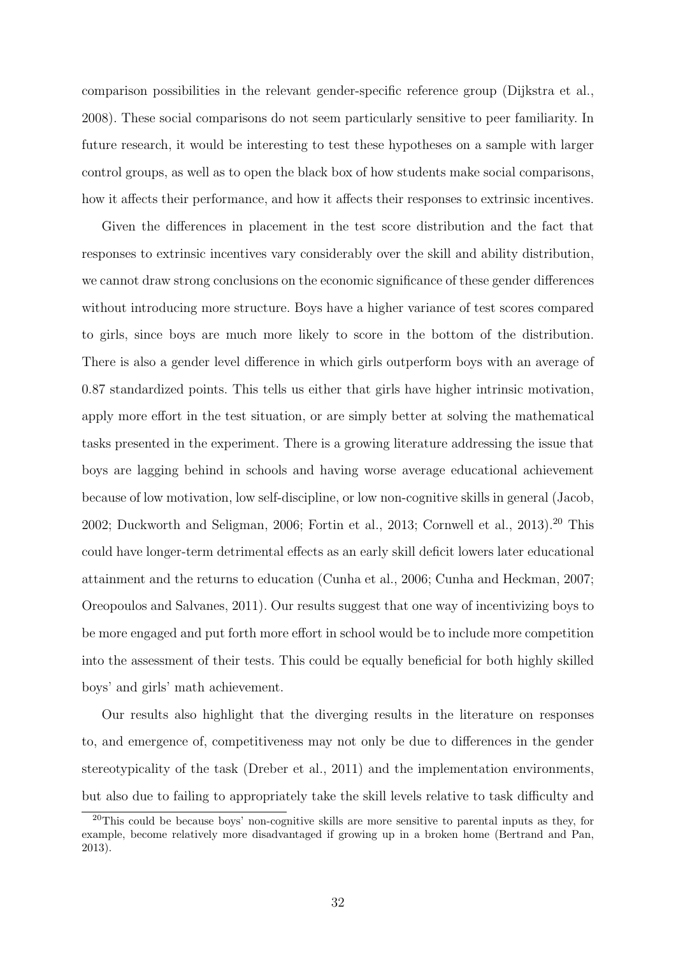comparison possibilities in the relevant gender-specific reference group [\(Dijkstra et al.,](#page-39-7) [2008\)](#page-39-7). These social comparisons do not seem particularly sensitive to peer familiarity. In future research, it would be interesting to test these hypotheses on a sample with larger control groups, as well as to open the black box of how students make social comparisons, how it affects their performance, and how it affects their responses to extrinsic incentives.

Given the differences in placement in the test score distribution and the fact that responses to extrinsic incentives vary considerably over the skill and ability distribution, we cannot draw strong conclusions on the economic significance of these gender differences without introducing more structure. Boys have a higher variance of test scores compared to girls, since boys are much more likely to score in the bottom of the distribution. There is also a gender level difference in which girls outperform boys with an average of 0.87 standardized points. This tells us either that girls have higher intrinsic motivation, apply more effort in the test situation, or are simply better at solving the mathematical tasks presented in the experiment. There is a growing literature addressing the issue that boys are lagging behind in schools and having worse average educational achievement because of low motivation, low self-discipline, or low non-cognitive skills in general [\(Jacob,](#page-40-8) [2002;](#page-40-8) [Duckworth and Seligman,](#page-39-8) [2006;](#page-39-8) [Fortin et al.,](#page-40-9) [2013;](#page-40-9) [Cornwell et al.,](#page-38-10) [2013\)](#page-38-10).<sup>[20](#page--1-0)</sup> This could have longer-term detrimental effects as an early skill deficit lowers later educational attainment and the returns to education [\(Cunha et al.,](#page-39-9) [2006;](#page-39-9) [Cunha and Heckman,](#page-39-10) [2007;](#page-39-10) [Oreopoulos and Salvanes,](#page-42-7) [2011\)](#page-42-7). Our results suggest that one way of incentivizing boys to be more engaged and put forth more effort in school would be to include more competition into the assessment of their tests. This could be equally beneficial for both highly skilled boys' and girls' math achievement.

Our results also highlight that the diverging results in the literature on responses to, and emergence of, competitiveness may not only be due to differences in the gender stereotypicality of the task [\(Dreber et al.,](#page-39-6) [2011\)](#page-39-6) and the implementation environments, but also due to failing to appropriately take the skill levels relative to task difficulty and

 $20$ This could be because boys' non-cognitive skills are more sensitive to parental inputs as they, for example, become relatively more disadvantaged if growing up in a broken home [\(Bertrand and Pan,](#page-37-8) [2013\)](#page-37-8).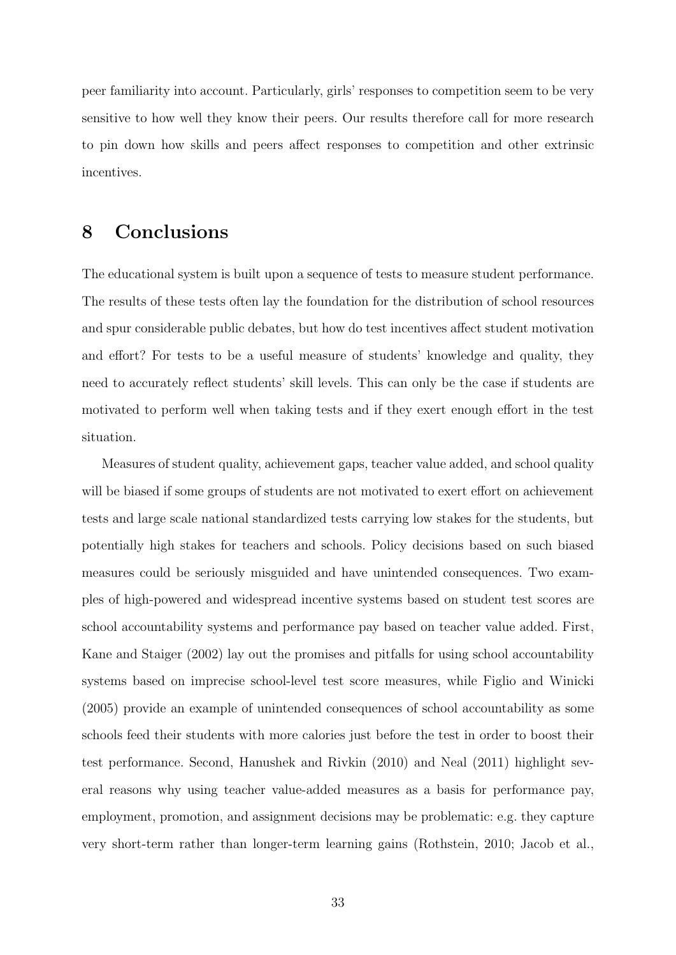peer familiarity into account. Particularly, girls' responses to competition seem to be very sensitive to how well they know their peers. Our results therefore call for more research to pin down how skills and peers affect responses to competition and other extrinsic incentives.

### 8 Conclusions

The educational system is built upon a sequence of tests to measure student performance. The results of these tests often lay the foundation for the distribution of school resources and spur considerable public debates, but how do test incentives affect student motivation and effort? For tests to be a useful measure of students' knowledge and quality, they need to accurately reflect students' skill levels. This can only be the case if students are motivated to perform well when taking tests and if they exert enough effort in the test situation.

Measures of student quality, achievement gaps, teacher value added, and school quality will be biased if some groups of students are not motivated to exert effort on achievement tests and large scale national standardized tests carrying low stakes for the students, but potentially high stakes for teachers and schools. Policy decisions based on such biased measures could be seriously misguided and have unintended consequences. Two examples of high-powered and widespread incentive systems based on student test scores are school accountability systems and performance pay based on teacher value added. First, [Kane and Staiger](#page-41-1) [\(2002\)](#page-41-1) lay out the promises and pitfalls for using school accountability systems based on imprecise school-level test score measures, while [Figlio and Winicki](#page-40-10) [\(2005\)](#page-40-10) provide an example of unintended consequences of school accountability as some schools feed their students with more calories just before the test in order to boost their test performance. Second, [Hanushek and Rivkin](#page-40-11) [\(2010\)](#page-40-11) and [Neal](#page-42-8) [\(2011\)](#page-42-8) highlight several reasons why using teacher value-added measures as a basis for performance pay, employment, promotion, and assignment decisions may be problematic: e.g. they capture very short-term rather than longer-term learning gains [\(Rothstein,](#page-42-9) [2010;](#page-42-9) [Jacob et al.,](#page-41-7)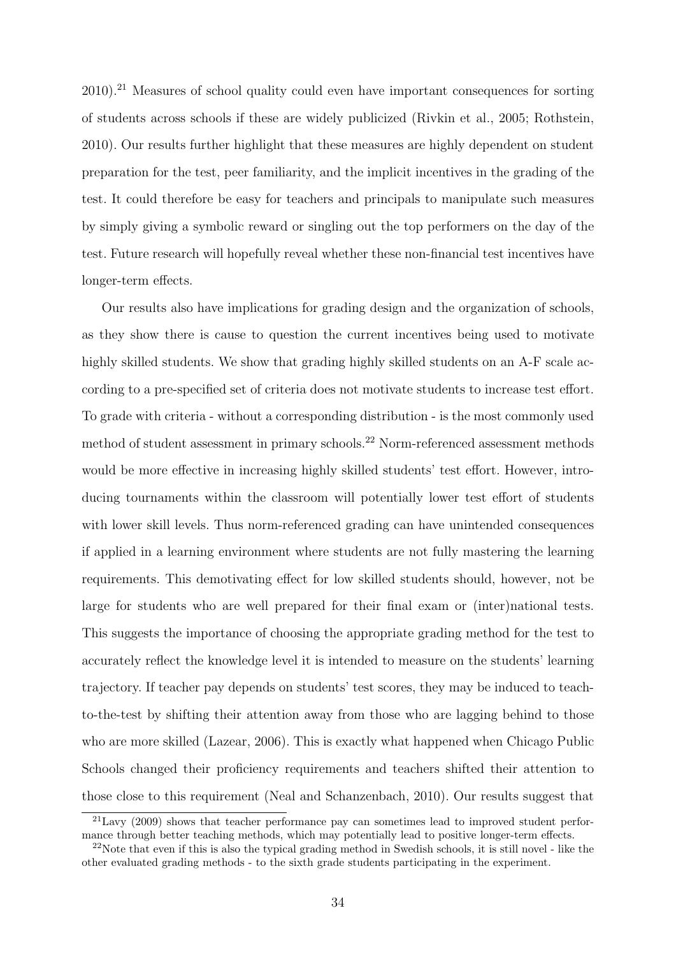[2010\)](#page-41-7).[21](#page--1-0) Measures of school quality could even have important consequences for sorting of students across schools if these are widely publicized [\(Rivkin et al.,](#page-42-10) [2005;](#page-42-10) [Rothstein,](#page-42-9) [2010\)](#page-42-9). Our results further highlight that these measures are highly dependent on student preparation for the test, peer familiarity, and the implicit incentives in the grading of the test. It could therefore be easy for teachers and principals to manipulate such measures by simply giving a symbolic reward or singling out the top performers on the day of the test. Future research will hopefully reveal whether these non-financial test incentives have longer-term effects.

Our results also have implications for grading design and the organization of schools, as they show there is cause to question the current incentives being used to motivate highly skilled students. We show that grading highly skilled students on an A-F scale according to a pre-specified set of criteria does not motivate students to increase test effort. To grade with criteria - without a corresponding distribution - is the most commonly used method of student assessment in primary schools.[22](#page--1-0) Norm-referenced assessment methods would be more effective in increasing highly skilled students' test effort. However, introducing tournaments within the classroom will potentially lower test effort of students with lower skill levels. Thus norm-referenced grading can have unintended consequences if applied in a learning environment where students are not fully mastering the learning requirements. This demotivating effect for low skilled students should, however, not be large for students who are well prepared for their final exam or (inter)national tests. This suggests the importance of choosing the appropriate grading method for the test to accurately reflect the knowledge level it is intended to measure on the students' learning trajectory. If teacher pay depends on students' test scores, they may be induced to teachto-the-test by shifting their attention away from those who are lagging behind to those who are more skilled [\(Lazear,](#page-41-8) [2006\)](#page-41-8). This is exactly what happened when Chicago Public Schools changed their proficiency requirements and teachers shifted their attention to those close to this requirement [\(Neal and Schanzenbach,](#page-42-11) [2010\)](#page-42-11). Our results suggest that

 $^{21}$ [Lavy](#page-41-9) [\(2009\)](#page-41-9) shows that teacher performance pay can sometimes lead to improved student performance through better teaching methods, which may potentially lead to positive longer-term effects.

 $22$ Note that even if this is also the typical grading method in Swedish schools, it is still novel - like the other evaluated grading methods - to the sixth grade students participating in the experiment.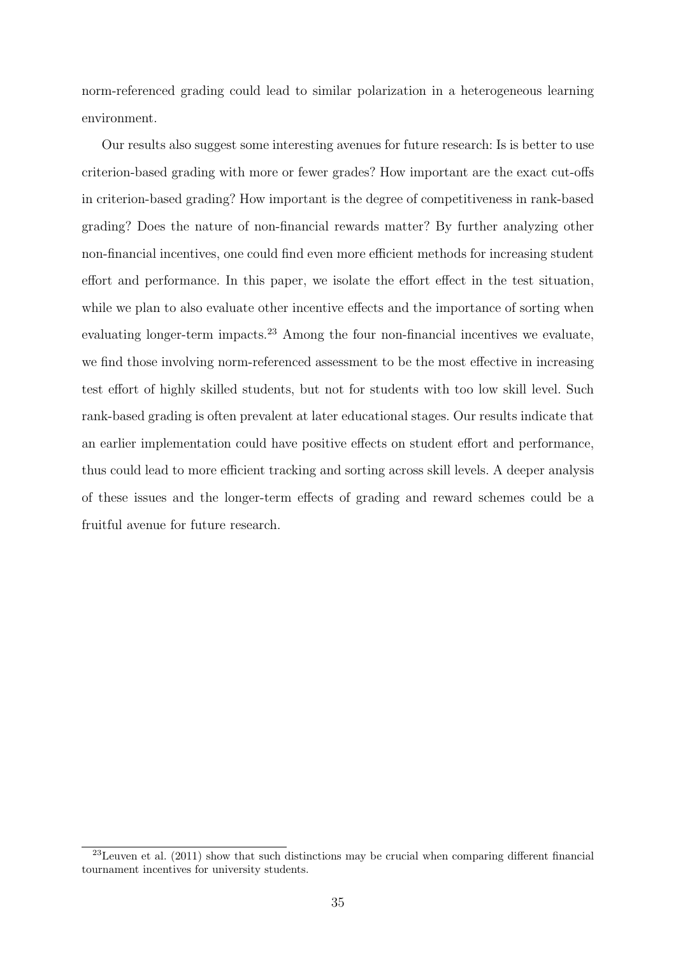norm-referenced grading could lead to similar polarization in a heterogeneous learning environment.

Our results also suggest some interesting avenues for future research: Is is better to use criterion-based grading with more or fewer grades? How important are the exact cut-offs in criterion-based grading? How important is the degree of competitiveness in rank-based grading? Does the nature of non-financial rewards matter? By further analyzing other non-financial incentives, one could find even more efficient methods for increasing student effort and performance. In this paper, we isolate the effort effect in the test situation, while we plan to also evaluate other incentive effects and the importance of sorting when evaluating longer-term impacts.<sup>[23](#page--1-0)</sup> Among the four non-financial incentives we evaluate, we find those involving norm-referenced assessment to be the most effective in increasing test effort of highly skilled students, but not for students with too low skill level. Such rank-based grading is often prevalent at later educational stages. Our results indicate that an earlier implementation could have positive effects on student effort and performance, thus could lead to more efficient tracking and sorting across skill levels. A deeper analysis of these issues and the longer-term effects of grading and reward schemes could be a fruitful avenue for future research.

 $^{23}$ [Leuven et al.](#page-41-10) [\(2011\)](#page-41-10) show that such distinctions may be crucial when comparing different financial tournament incentives for university students.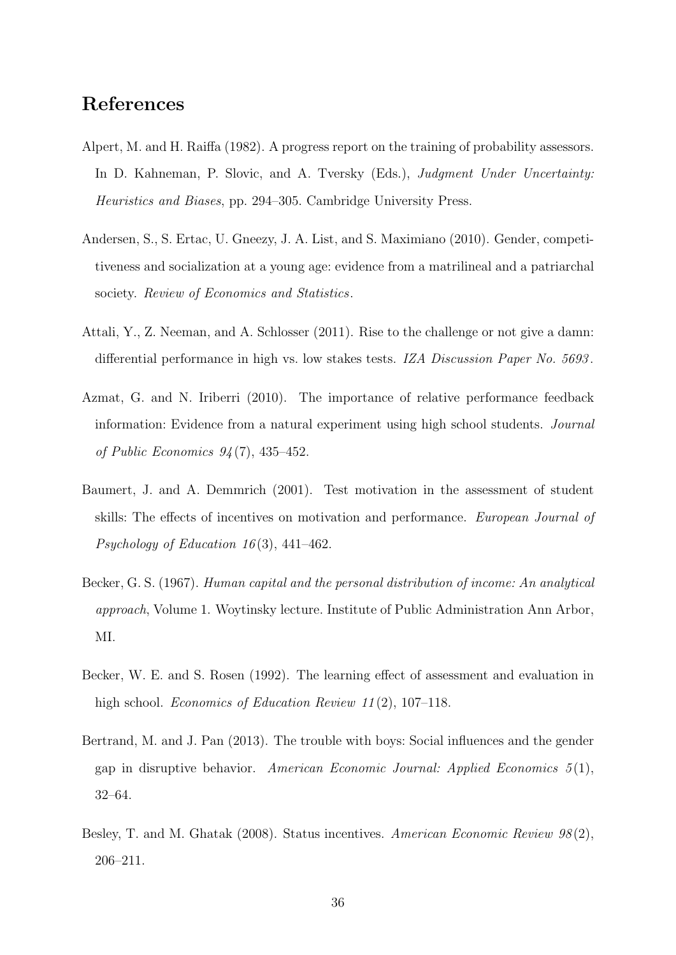### References

- <span id="page-37-6"></span>Alpert, M. and H. Raiffa (1982). A progress report on the training of probability assessors. In D. Kahneman, P. Slovic, and A. Tversky (Eds.), *Judgment Under Uncertainty:* Heuristics and Biases, pp. 294–305. Cambridge University Press.
- <span id="page-37-7"></span>Andersen, S., S. Ertac, U. Gneezy, J. A. List, and S. Maximiano (2010). Gender, competitiveness and socialization at a young age: evidence from a matrilineal and a patriarchal society. Review of Economics and Statistics.
- <span id="page-37-2"></span>Attali, Y., Z. Neeman, and A. Schlosser (2011). Rise to the challenge or not give a damn: differential performance in high vs. low stakes tests. IZA Discussion Paper No. 5693.
- <span id="page-37-1"></span>Azmat, G. and N. Iriberri (2010). The importance of relative performance feedback information: Evidence from a natural experiment using high school students. Journal of Public Economics 94 (7), 435–452.
- <span id="page-37-3"></span>Baumert, J. and A. Demmrich (2001). Test motivation in the assessment of student skills: The effects of incentives on motivation and performance. European Journal of Psychology of Education 16(3), 441–462.
- <span id="page-37-5"></span>Becker, G. S. (1967). Human capital and the personal distribution of income: An analytical approach, Volume 1. Woytinsky lecture. Institute of Public Administration Ann Arbor, MI.
- <span id="page-37-4"></span>Becker, W. E. and S. Rosen (1992). The learning effect of assessment and evaluation in high school. *Economics of Education Review 11*(2), 107–118.
- <span id="page-37-8"></span>Bertrand, M. and J. Pan (2013). The trouble with boys: Social influences and the gender gap in disruptive behavior. American Economic Journal: Applied Economics  $5(1)$ , 32–64.
- <span id="page-37-0"></span>Besley, T. and M. Ghatak (2008). Status incentives. American Economic Review 98(2), 206–211.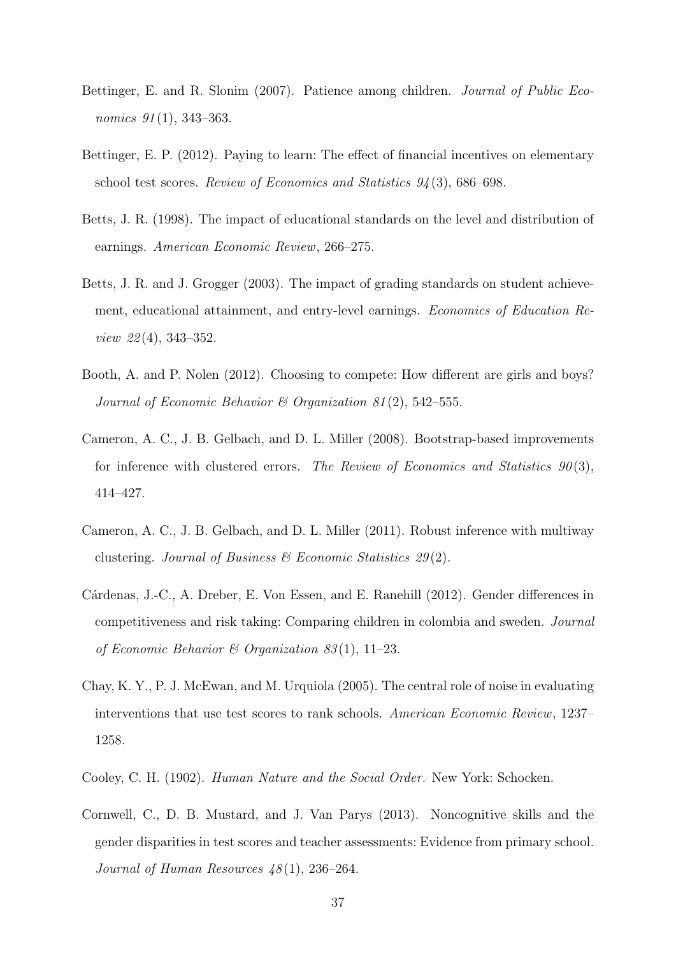- <span id="page-38-0"></span>Bettinger, E. and R. Slonim (2007). Patience among children. Journal of Public Economics  $91(1)$ , 343-363.
- <span id="page-38-1"></span>Bettinger, E. P. (2012). Paying to learn: The effect of financial incentives on elementary school test scores. Review of Economics and Statistics 94 (3), 686–698.
- <span id="page-38-3"></span>Betts, J. R. (1998). The impact of educational standards on the level and distribution of earnings. American Economic Review, 266–275.
- <span id="page-38-4"></span>Betts, J. R. and J. Grogger (2003). The impact of grading standards on student achievement, educational attainment, and entry-level earnings. Economics of Education Review 22 (4), 343–352.
- <span id="page-38-8"></span>Booth, A. and P. Nolen (2012). Choosing to compete: How different are girls and boys? Journal of Economic Behavior & Organization 81(2), 542-555.
- <span id="page-38-5"></span>Cameron, A. C., J. B. Gelbach, and D. L. Miller (2008). Bootstrap-based improvements for inference with clustered errors. The Review of Economics and Statistics  $90(3)$ , 414–427.
- <span id="page-38-6"></span>Cameron, A. C., J. B. Gelbach, and D. L. Miller (2011). Robust inference with multiway clustering. Journal of Business  $\mathcal B$  Economic Statistics 29(2).
- <span id="page-38-7"></span>Cárdenas, J.-C., A. Dreber, E. Von Essen, and E. Ranehill (2012). Gender differences in competitiveness and risk taking: Comparing children in colombia and sweden. Journal of Economic Behavior & Organization 83(1), 11–23.
- <span id="page-38-2"></span>Chay, K. Y., P. J. McEwan, and M. Urquiola (2005). The central role of noise in evaluating interventions that use test scores to rank schools. American Economic Review, 1237– 1258.
- <span id="page-38-9"></span>Cooley, C. H. (1902). Human Nature and the Social Order. New York: Schocken.
- <span id="page-38-10"></span>Cornwell, C., D. B. Mustard, and J. Van Parys (2013). Noncognitive skills and the gender disparities in test scores and teacher assessments: Evidence from primary school. Journal of Human Resources  $48(1)$ , 236–264.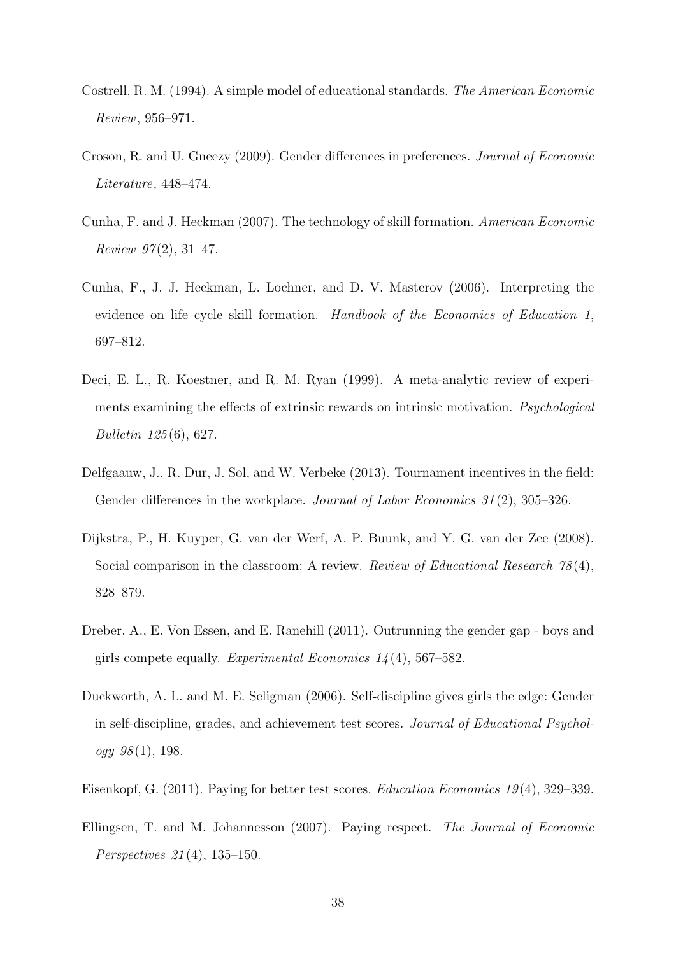- <span id="page-39-4"></span>Costrell, R. M. (1994). A simple model of educational standards. The American Economic Review, 956–971.
- <span id="page-39-5"></span>Croson, R. and U. Gneezy (2009). Gender differences in preferences. Journal of Economic Literature, 448–474.
- <span id="page-39-10"></span>Cunha, F. and J. Heckman (2007). The technology of skill formation. American Economic *Review 97* $(2)$ , 31–47.
- <span id="page-39-9"></span>Cunha, F., J. J. Heckman, L. Lochner, and D. V. Masterov (2006). Interpreting the evidence on life cycle skill formation. Handbook of the Economics of Education 1, 697–812.
- <span id="page-39-1"></span>Deci, E. L., R. Koestner, and R. M. Ryan (1999). A meta-analytic review of experiments examining the effects of extrinsic rewards on intrinsic motivation. Psychological Bulletin 125 (6), 627.
- <span id="page-39-3"></span>Delfgaauw, J., R. Dur, J. Sol, and W. Verbeke (2013). Tournament incentives in the field: Gender differences in the workplace. *Journal of Labor Economics* 31(2), 305–326.
- <span id="page-39-7"></span>Dijkstra, P., H. Kuyper, G. van der Werf, A. P. Buunk, and Y. G. van der Zee (2008). Social comparison in the classroom: A review. Review of Educational Research 78(4), 828–879.
- <span id="page-39-6"></span>Dreber, A., E. Von Essen, and E. Ranehill (2011). Outrunning the gender gap - boys and girls compete equally. Experimental Economics  $1/4(4)$ , 567–582.
- <span id="page-39-8"></span>Duckworth, A. L. and M. E. Seligman (2006). Self-discipline gives girls the edge: Gender in self-discipline, grades, and achievement test scores. Journal of Educational Psychol $oqy \; 98(1), 198.$
- <span id="page-39-0"></span>Eisenkopf, G. (2011). Paying for better test scores. Education Economics 19 (4), 329–339.
- <span id="page-39-2"></span>Ellingsen, T. and M. Johannesson (2007). Paying respect. The Journal of Economic Perspectives 21 (4), 135–150.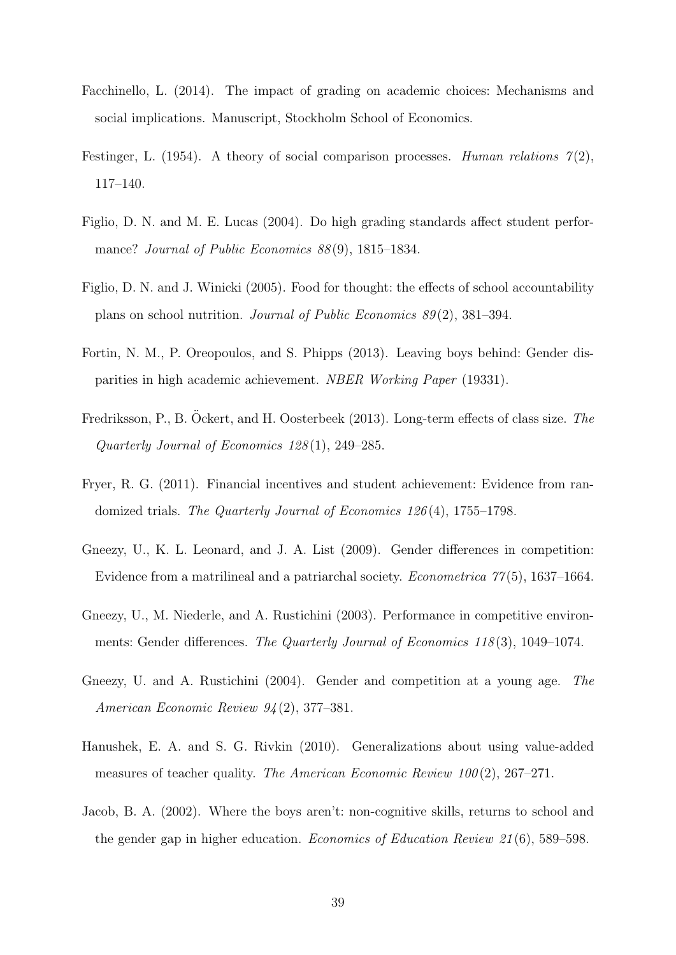- <span id="page-40-2"></span>Facchinello, L. (2014). The impact of grading on academic choices: Mechanisms and social implications. Manuscript, Stockholm School of Economics.
- <span id="page-40-7"></span>Festinger, L. (1954). A theory of social comparison processes. Human relations  $\mathcal{T}(2)$ , 117–140.
- <span id="page-40-1"></span>Figlio, D. N. and M. E. Lucas (2004). Do high grading standards affect student performance? Journal of Public Economics 88(9), 1815–1834.
- <span id="page-40-10"></span>Figlio, D. N. and J. Winicki (2005). Food for thought: the effects of school accountability plans on school nutrition. Journal of Public Economics 89 (2), 381–394.
- <span id="page-40-9"></span>Fortin, N. M., P. Oreopoulos, and S. Phipps (2013). Leaving boys behind: Gender disparities in high academic achievement. NBER Working Paper (19331).
- <span id="page-40-3"></span>Fredriksson, P., B. Öckert, and H. Oosterbeek (2013). Long-term effects of class size. The Quarterly Journal of Economics 128 (1), 249–285.
- <span id="page-40-0"></span>Fryer, R. G. (2011). Financial incentives and student achievement: Evidence from randomized trials. The Quarterly Journal of Economics 126 (4), 1755–1798.
- <span id="page-40-6"></span>Gneezy, U., K. L. Leonard, and J. A. List (2009). Gender differences in competition: Evidence from a matrilineal and a patriarchal society. *Econometrica*  $77(5)$ , 1637–1664.
- <span id="page-40-4"></span>Gneezy, U., M. Niederle, and A. Rustichini (2003). Performance in competitive environments: Gender differences. The Quarterly Journal of Economics 118 (3), 1049–1074.
- <span id="page-40-5"></span>Gneezy, U. and A. Rustichini (2004). Gender and competition at a young age. The American Economic Review 94 (2), 377–381.
- <span id="page-40-11"></span>Hanushek, E. A. and S. G. Rivkin (2010). Generalizations about using value-added measures of teacher quality. The American Economic Review  $100(2)$ , 267–271.
- <span id="page-40-8"></span>Jacob, B. A. (2002). Where the boys aren't: non-cognitive skills, returns to school and the gender gap in higher education. Economics of Education Review 21 (6), 589–598.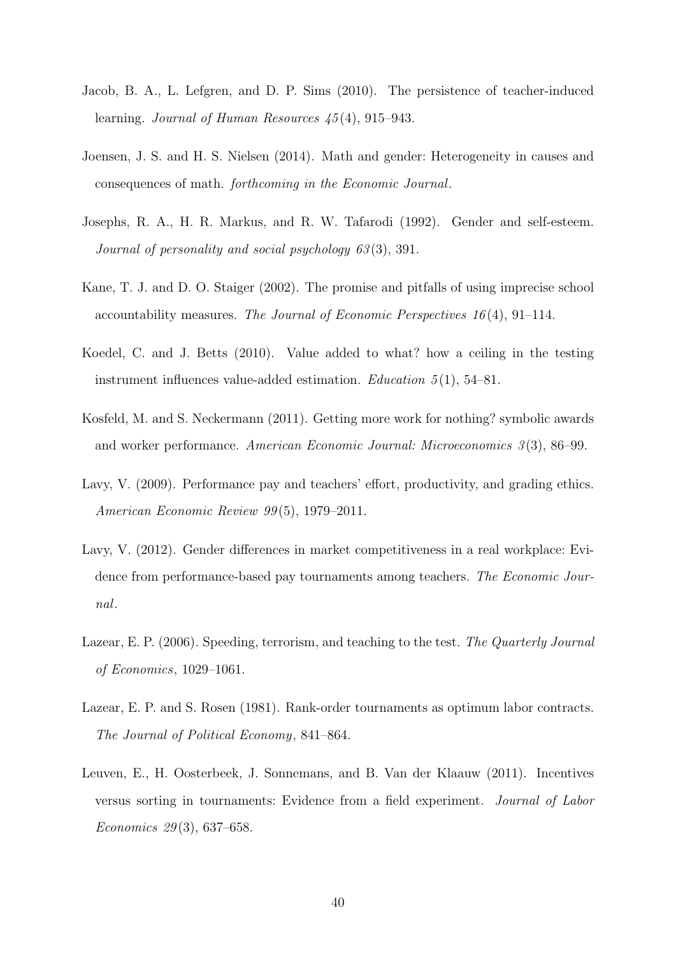- <span id="page-41-7"></span>Jacob, B. A., L. Lefgren, and D. P. Sims (2010). The persistence of teacher-induced learning. Journal of Human Resources 45 (4), 915–943.
- <span id="page-41-5"></span>Joensen, J. S. and H. S. Nielsen (2014). Math and gender: Heterogeneity in causes and consequences of math. forthcoming in the Economic Journal.
- <span id="page-41-6"></span>Josephs, R. A., H. R. Markus, and R. W. Tafarodi (1992). Gender and self-esteem. Journal of personality and social psychology 63(3), 391.
- <span id="page-41-1"></span>Kane, T. J. and D. O. Staiger (2002). The promise and pitfalls of using imprecise school accountability measures. The Journal of Economic Perspectives  $16(4)$ , 91–114.
- <span id="page-41-3"></span>Koedel, C. and J. Betts (2010). Value added to what? how a ceiling in the testing instrument influences value-added estimation. Education  $5(1)$ , 54–81.
- <span id="page-41-0"></span>Kosfeld, M. and S. Neckermann (2011). Getting more work for nothing? symbolic awards and worker performance. American Economic Journal: Microeconomics 3 (3), 86–99.
- <span id="page-41-9"></span>Lavy, V. (2009). Performance pay and teachers' effort, productivity, and grading ethics. American Economic Review 99 (5), 1979–2011.
- <span id="page-41-4"></span>Lavy, V. (2012). Gender differences in market competitiveness in a real workplace: Evidence from performance-based pay tournaments among teachers. The Economic Journal.
- <span id="page-41-8"></span>Lazear, E. P. (2006). Speeding, terrorism, and teaching to the test. The Quarterly Journal of Economics, 1029–1061.
- <span id="page-41-2"></span>Lazear, E. P. and S. Rosen (1981). Rank-order tournaments as optimum labor contracts. The Journal of Political Economy, 841–864.
- <span id="page-41-10"></span>Leuven, E., H. Oosterbeek, J. Sonnemans, and B. Van der Klaauw (2011). Incentives versus sorting in tournaments: Evidence from a field experiment. Journal of Labor Economics 29 (3), 637–658.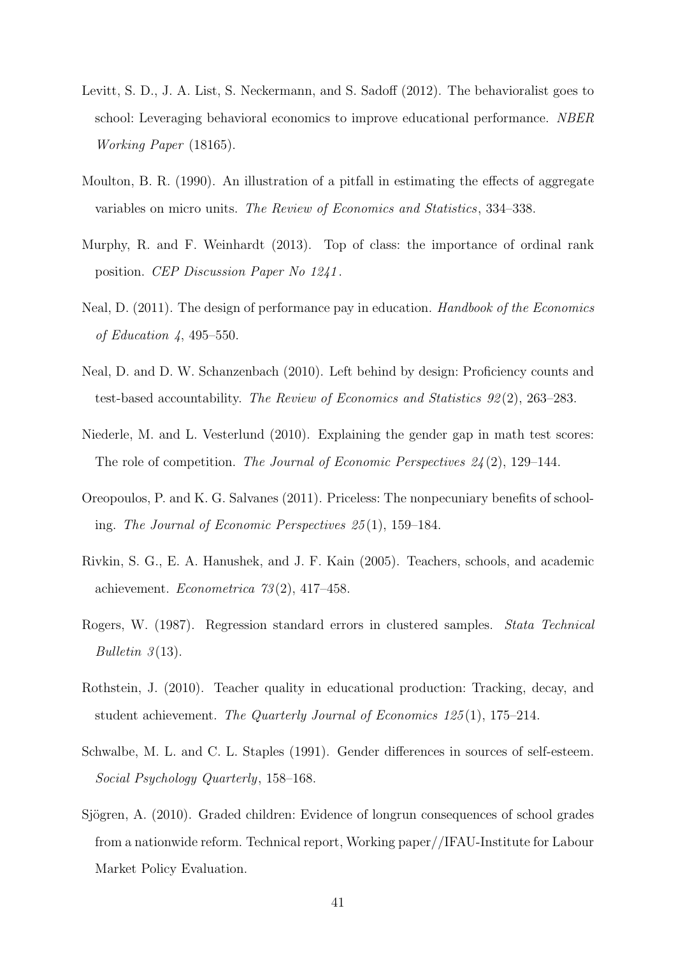- <span id="page-42-0"></span>Levitt, S. D., J. A. List, S. Neckermann, and S. Sadoff (2012). The behavioralist goes to school: Leveraging behavioral economics to improve educational performance. NBER Working Paper (18165).
- <span id="page-42-3"></span>Moulton, B. R. (1990). An illustration of a pitfall in estimating the effects of aggregate variables on micro units. The Review of Economics and Statistics, 334–338.
- <span id="page-42-1"></span>Murphy, R. and F. Weinhardt (2013). Top of class: the importance of ordinal rank position. CEP Discussion Paper No 1241 .
- <span id="page-42-8"></span>Neal, D. (2011). The design of performance pay in education. Handbook of the Economics of Education 4, 495–550.
- <span id="page-42-11"></span>Neal, D. and D. W. Schanzenbach (2010). Left behind by design: Proficiency counts and test-based accountability. The Review of Economics and Statistics 92 (2), 263–283.
- <span id="page-42-5"></span>Niederle, M. and L. Vesterlund (2010). Explaining the gender gap in math test scores: The role of competition. The Journal of Economic Perspectives  $24(2)$ , 129–144.
- <span id="page-42-7"></span>Oreopoulos, P. and K. G. Salvanes (2011). Priceless: The nonpecuniary benefits of schooling. The Journal of Economic Perspectives 25 (1), 159–184.
- <span id="page-42-10"></span>Rivkin, S. G., E. A. Hanushek, and J. F. Kain (2005). Teachers, schools, and academic achievement. Econometrica  $73(2)$ , 417-458.
- <span id="page-42-4"></span>Rogers, W. (1987). Regression standard errors in clustered samples. Stata Technical Bulletin  $3(13)$ .
- <span id="page-42-9"></span>Rothstein, J. (2010). Teacher quality in educational production: Tracking, decay, and student achievement. The Quarterly Journal of Economics  $125(1)$ , 175–214.
- <span id="page-42-6"></span>Schwalbe, M. L. and C. L. Staples (1991). Gender differences in sources of self-esteem. Social Psychology Quarterly, 158–168.
- <span id="page-42-2"></span>Sjögren, A. (2010). Graded children: Evidence of longrun consequences of school grades from a nationwide reform. Technical report, Working paper//IFAU-Institute for Labour Market Policy Evaluation.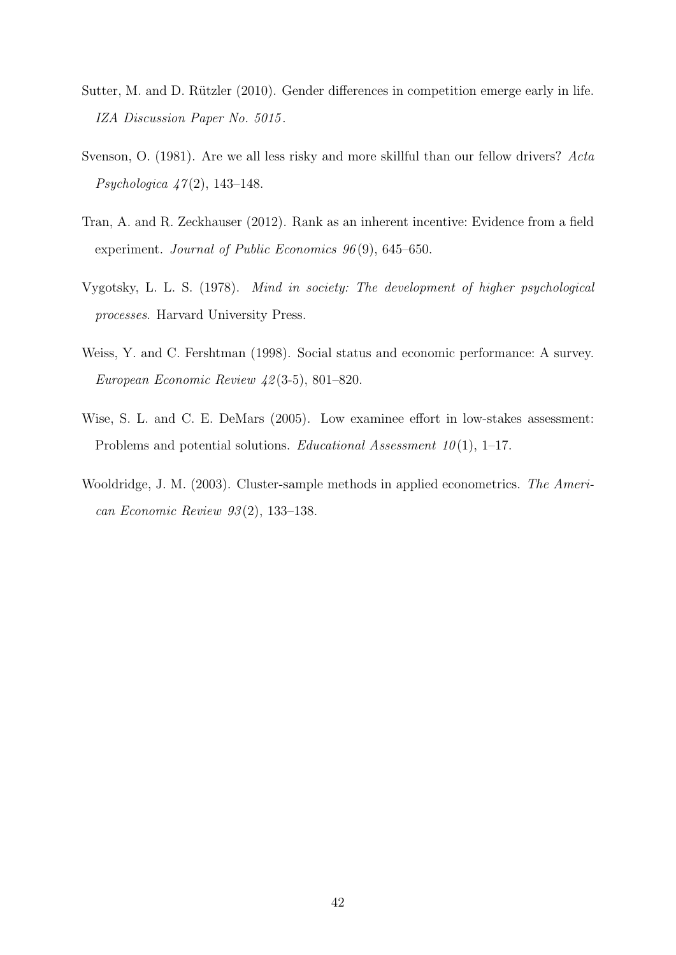- <span id="page-43-6"></span>Sutter, M. and D. Rützler (2010). Gender differences in competition emerge early in life. IZA Discussion Paper No. 5015 .
- <span id="page-43-5"></span>Svenson, O. (1981). Are we all less risky and more skillful than our fellow drivers? Acta *Psychologica*  $47(2)$ , 143–148.
- <span id="page-43-1"></span>Tran, A. and R. Zeckhauser (2012). Rank as an inherent incentive: Evidence from a field experiment. Journal of Public Economics 96(9), 645–650.
- <span id="page-43-4"></span>Vygotsky, L. L. S. (1978). Mind in society: The development of higher psychological processes. Harvard University Press.
- <span id="page-43-0"></span>Weiss, Y. and C. Fershtman (1998). Social status and economic performance: A survey. European Economic Review 42 (3-5), 801–820.
- <span id="page-43-2"></span>Wise, S. L. and C. E. DeMars (2005). Low examinee effort in low-stakes assessment: Problems and potential solutions. Educational Assessment  $10(1)$ , 1–17.
- <span id="page-43-3"></span>Wooldridge, J. M. (2003). Cluster-sample methods in applied econometrics. The American Economic Review 93 (2), 133–138.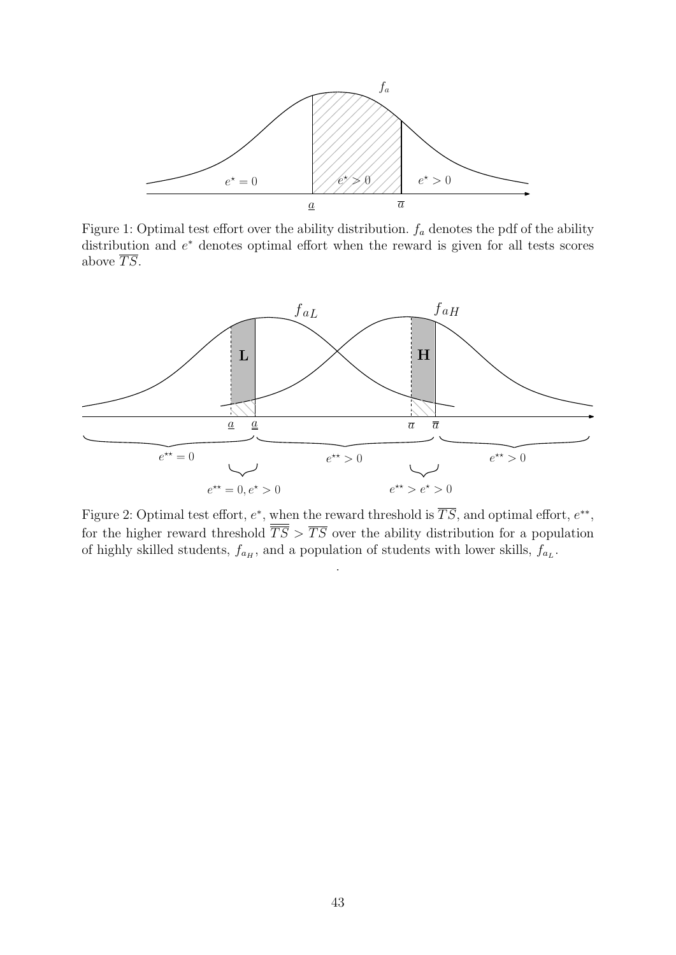<span id="page-44-0"></span>

Figure 1: Optimal test effort over the ability distribution.  $f_a$  denotes the pdf of the ability distribution and  $e^*$  denotes optimal effort when the reward is given for all tests scores above  $\overline{TS}$ .

<span id="page-44-1"></span>

Figure 2: Optimal test effort,  $e^*$ , when the reward threshold is  $\overline{TS}$ , and optimal effort,  $e^{**}$ , for the higher reward threshold  $\overline{\overline{TS}} > \overline{TS}$  over the ability distribution for a population of highly skilled students,  $f_{a_H}$ , and a population of students with lower skills,  $f_{a_L}$ .

.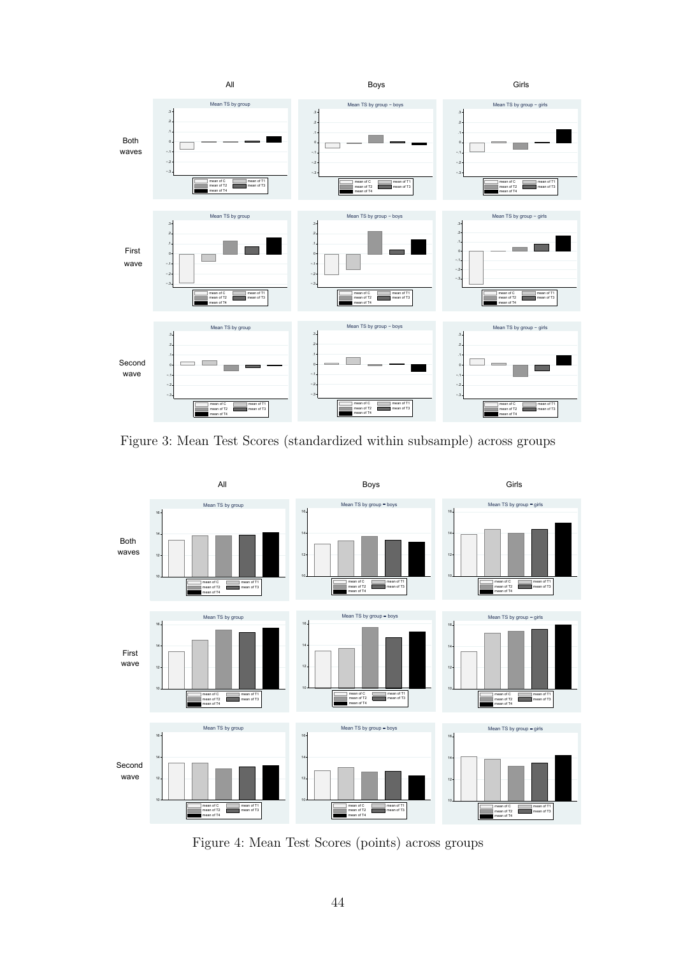<span id="page-45-0"></span>

Figure 3: Mean Test Scores (standardized within subsample) across groups

<span id="page-45-1"></span>

Figure 4: Mean Test Scores (points) across groups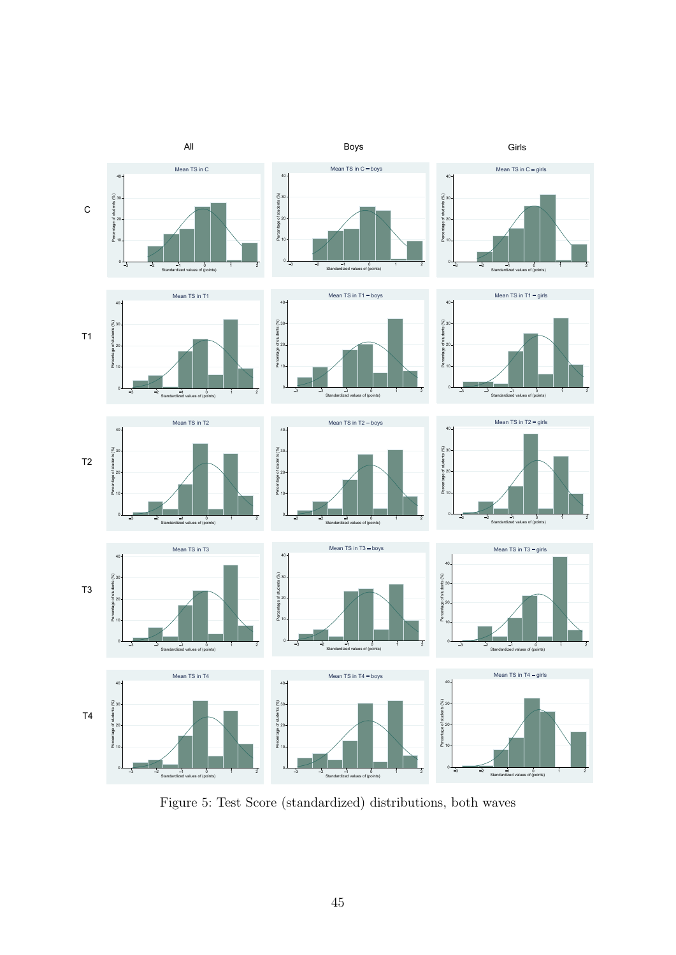<span id="page-46-0"></span>

Figure 5: Test Score (standardized) distributions, both waves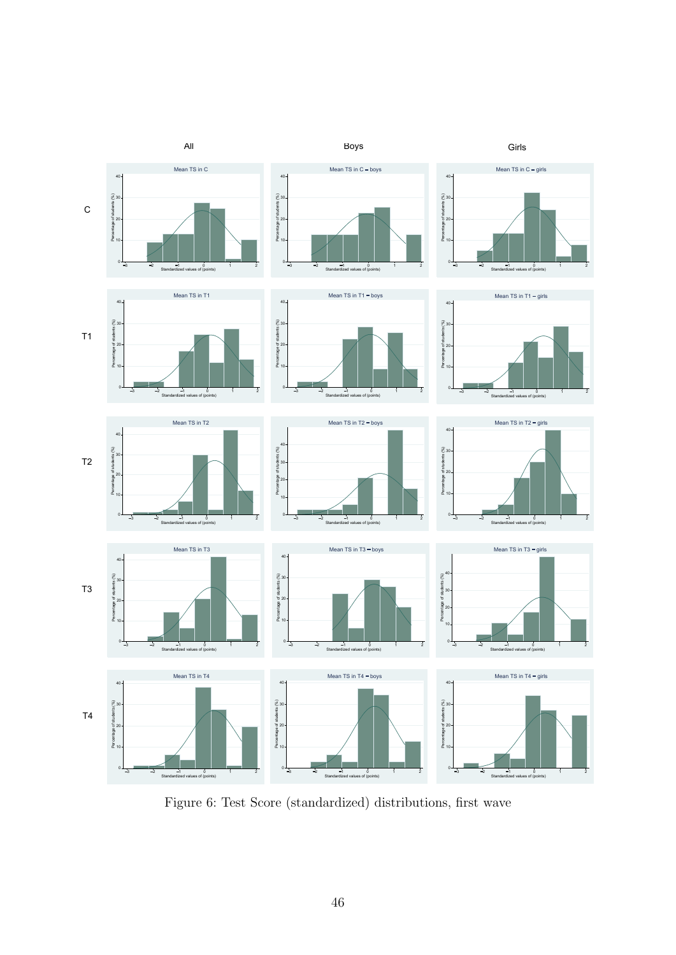<span id="page-47-0"></span>

Figure 6: Test Score (standardized) distributions, first wave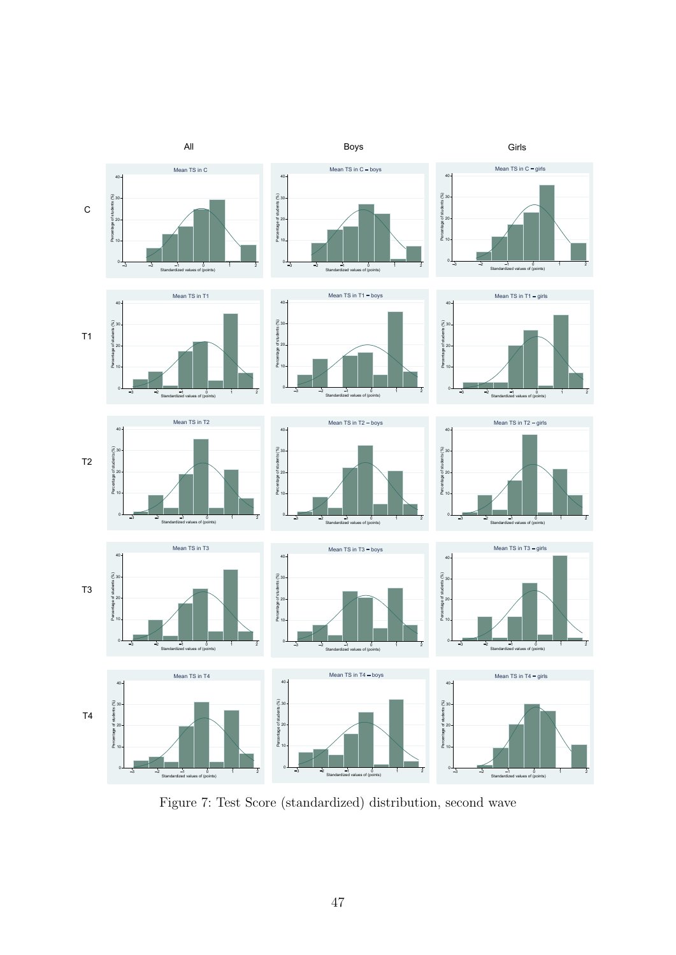<span id="page-48-0"></span>

Figure 7: Test Score (standardized) distribution, second wave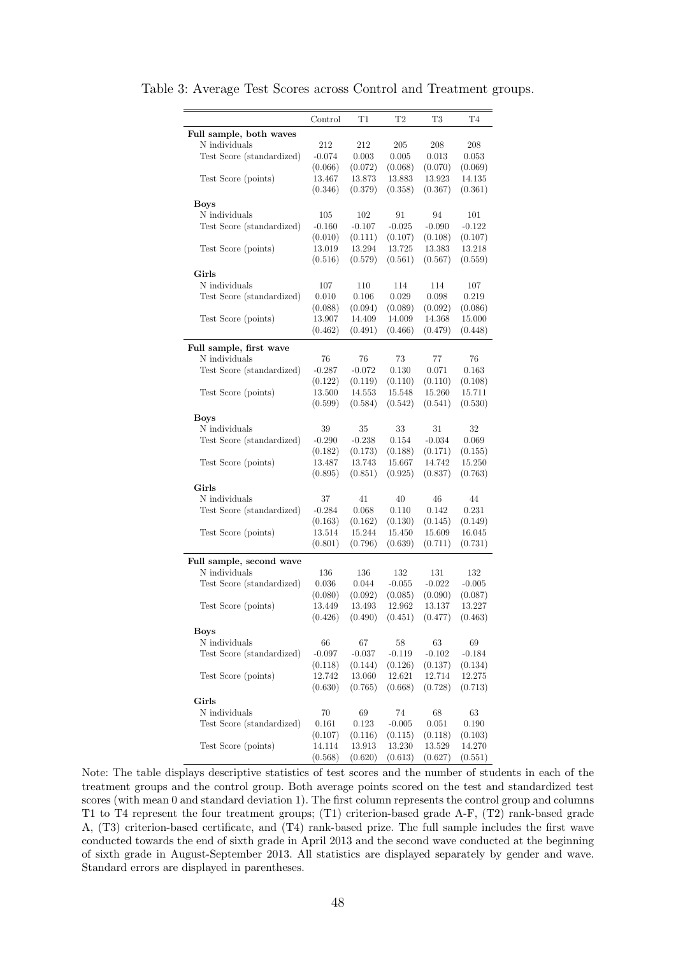|                              | Control         | T1                | T2                | T3                | T4                |
|------------------------------|-----------------|-------------------|-------------------|-------------------|-------------------|
| Full sample, both waves      |                 |                   |                   |                   |                   |
| N individuals                | 212             | 212               | 205               | 208               | 208               |
| Test Score (standardized)    | $-0.074$        | 0.003             | 0.005             | 0.013             | 0.053             |
|                              | (0.066)         | (0.072)           | (0.068)           | (0.070)           | (0.069)           |
| Test Score (points)          | 13.467          | 13.873            | 13.883            | 13.923            | 14.135            |
|                              | (0.346)         | (0.379)           | (0.358)           | (0.367)           | (0.361)           |
|                              |                 |                   |                   |                   |                   |
| <b>Boys</b><br>N individuals |                 | 102               | 91                | 94                |                   |
|                              | 105<br>$-0.160$ | $-0.107$          | $-0.025$          | $-0.090$          | 101<br>$-0.122$   |
| Test Score (standardized)    |                 |                   |                   |                   |                   |
|                              | (0.010)         | (0.111)           | (0.107)<br>13.725 | (0.108)<br>13.383 | (0.107)<br>13.218 |
| Test Score (points)          | 13.019          | 13.294            |                   | (0.567)           |                   |
|                              | (0.516)         | (0.579)           | (0.561)           |                   | (0.559)           |
| Girls                        |                 |                   |                   |                   |                   |
| N individuals                | 107             | 110               | 114               | 114               | 107               |
| Test Score (standardized)    | 0.010           | 0.106             | 0.029             | 0.098             | 0.219             |
|                              | (0.088)         | (0.094)           | (0.089)           | (0.092)           | (0.086)           |
| Test Score (points)          | 13.907          | 14.409            | 14.009            | 14.368            | 15.000            |
|                              | (0.462)         | (0.491)           | (0.466)           | (0.479)           | (0.448)           |
| Full sample, first wave      |                 |                   |                   |                   |                   |
| N individuals                | 76              | 76                | 73                | 77                | 76                |
|                              | $-0.287$        | $-0.072$          | 0.130             | 0.071             | 0.163             |
| Test Score (standardized)    |                 |                   |                   |                   |                   |
|                              | (0.122)         | (0.119)           | (0.110)           | (0.110)           | (0.108)           |
| Test Score (points)          | 13.500          | 14.553            | 15.548            | 15.260            | 15.711            |
|                              | (0.599)         | (0.584)           | (0.542)           | (0.541)           | (0.530)           |
| <b>Boys</b>                  |                 |                   |                   |                   |                   |
| N individuals                | 39              | 35                | 33                | 31                | 32                |
| Test Score (standardized)    | $-0.290$        | $-0.238$          | 0.154             | $-0.034$          | 0.069             |
|                              | (0.182)         | (0.173)           | (0.188)           | (0.171)           | (0.155)           |
| Test Score (points)          | 13.487          | 13.743            | 15.667            | 14.742            | 15.250            |
|                              | (0.895)         | (0.851)           | (0.925)           | (0.837)           | (0.763)           |
| Girls                        |                 |                   |                   |                   |                   |
| N individuals                | 37              | 41                | 40                | 46                | 44                |
| Test Score (standardized)    | $-0.284$        | 0.068             | 0.110             | 0.142             | 0.231             |
|                              | (0.163)         | (0.162)           | (0.130)           | (0.145)           | (0.149)           |
| Test Score (points)          | 13.514          | 15.244            | 15.450            | 15.609            | 16.045            |
|                              | (0.801)         | (0.796)           | (0.639)           | (0.711)           | (0.731)           |
|                              |                 |                   |                   |                   |                   |
| Full sample, second wave     |                 |                   |                   |                   |                   |
| N individuals                | 136             | 136               | 132               | 131               | 132               |
| Test Score (standardized)    | 0.036           | 0.044             | $-0.055$          | $-0.022$          | $-0.005$          |
|                              | (0.080)         | (0.092)           | (0.085)           | (0.090)           | (0.087)           |
| Test Score (points)          | 13.449          | 13.493            | 12.962            | 13.137            | 13.227            |
|                              | (0.426)         | (0.490)           | (0.451)           | (0.477)           | (0.463)           |
| <b>Boys</b>                  |                 |                   |                   |                   |                   |
| $\rm N$ individuals          | 66              | 67                | 58                | 63                | 69                |
| Test Score (standardized)    | $-0.097$        | $-0.037$          | $-0.119$          | $-0.102$          | $-0.184$          |
|                              | (0.118)         | (0.144)           | (0.126)           | (0.137)           | (0.134)           |
| Test Score (points)          | 12.742          | 13.060            | 12.621            | 12.714            | 12.275            |
|                              | (0.630)         | (0.765)           | (0.668)           | (0.728)           | (0.713)           |
| Girls                        |                 |                   |                   |                   |                   |
| N individuals                | 70              | 69                | 74                | 68                | 63                |
| Test Score (standardized)    |                 | $0.123\,$         | $-0.005$          | 0.051             | 0.190             |
|                              | 0.161           |                   |                   |                   |                   |
| Test Score (points)          | (0.107)         | (0.116)<br>13.913 | (0.115)           | (0.118)           | (0.103)           |
|                              | 14.114          |                   | 13.230            | 13.529            | 14.270            |
|                              | (0.568)         | (0.620)           | (0.613)           | (0.627)           | (0.551)           |

<span id="page-49-0"></span>Table 3: Average Test Scores across Control and Treatment groups.

Note: The table displays descriptive statistics of test scores and the number of students in each of the treatment groups and the control group. Both average points scored on the test and standardized test scores (with mean 0 and standard deviation 1). The first column represents the control group and columns T1 to T4 represent the four treatment groups; (T1) criterion-based grade A-F, (T2) rank-based grade A, (T3) criterion-based certificate, and (T4) rank-based prize. The full sample includes the first wave conducted towards the end of sixth grade in April 2013 and the second wave conducted at the beginning of sixth grade in August-September 2013. All statistics are displayed separately by gender and wave. Standard errors are displayed in parentheses.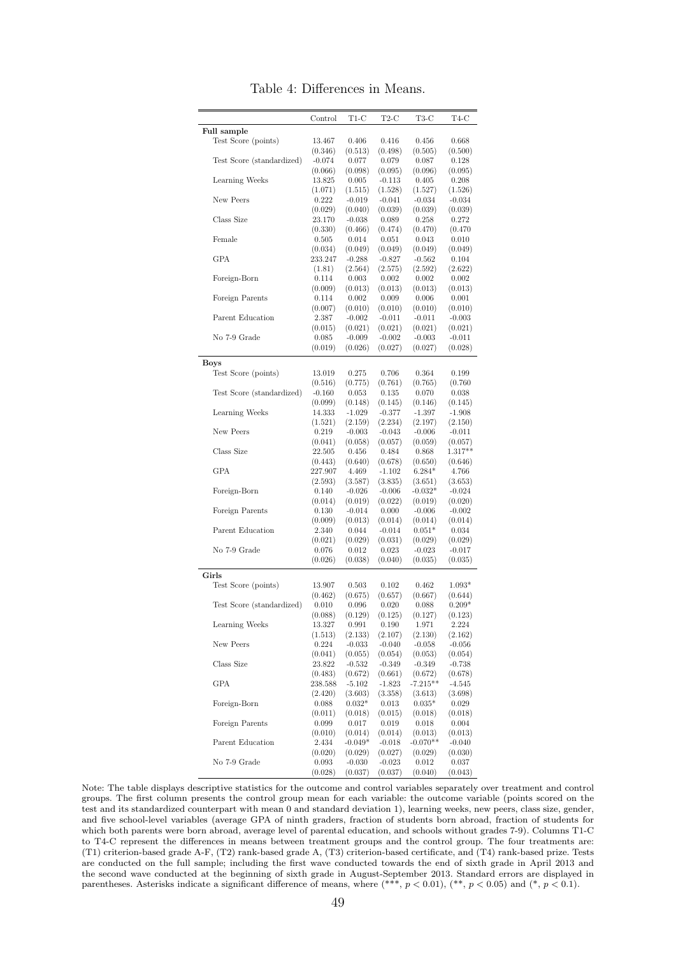<span id="page-50-0"></span>

|                           | Control           | T1-C                | $T2-C$              | T3-C                | T4-C                |
|---------------------------|-------------------|---------------------|---------------------|---------------------|---------------------|
| Full sample               |                   |                     |                     |                     |                     |
| Test Score (points)       | 13.467            | 0.406               | 0.416               | 0.456               | 0.668               |
|                           | (0.346)           | (0.513)             | (0.498)             | (0.505)             | (0.500)             |
| Test Score (standardized) | $-0.074$          | 0.077               | 0.079               | 0.087               | 0.128               |
|                           | (0.066)           | (0.098)             | (0.095)             | (0.096)             | (0.095)             |
| Learning Weeks            | 13.825<br>(1.071) | 0.005<br>(1.515)    | $-0.113$<br>(1.528) | 0.405               | 0.208               |
| New Peers                 | 0.222             | $-0.019$            | $-0.041$            | (1.527)<br>$-0.034$ | (1.526)<br>$-0.034$ |
|                           | (0.029)           | (0.040)             | (0.039)             | (0.039)             | (0.039)             |
| Class Size                | 23.170            | $-0.038$            | 0.089               | 0.258               | 0.272               |
|                           | (0.330)           | (0.466)             | (0.474)             | (0.470)             | (0.470)             |
| Female                    | 0.505             | 0.014               | 0.051               | 0.043               | 0.010               |
|                           | (0.034)           | (0.049)             | (0.049)             | (0.049)             | (0.049)             |
| <b>GPA</b>                | 233.247           | $-0.288$            | $-0.827$            | $-0.562$            | 0.104               |
|                           | (1.81)            | (2.564)             | (2.575)             | (2.592)             | (2.622)             |
| Foreign-Born              | 0.114             | 0.003               | 0.002               | 0.002               | 0.002               |
|                           | (0.009)           | (0.013)             | (0.013)             | (0.013)             | (0.013)             |
| Foreign Parents           | 0.114             | 0.002               | 0.009               | 0.006               | 0.001               |
|                           | (0.007)           | (0.010)             | (0.010)             | (0.010)             | (0.010)             |
| Parent Education          | 2.387             | $-0.002$            | $-0.011$            | $-0.011$            | $-0.003$            |
| No 7-9 Grade              | (0.015)<br>0.085  | (0.021)<br>$-0.009$ | (0.021)<br>$-0.002$ | (0.021)<br>$-0.003$ | (0.021)<br>$-0.011$ |
|                           |                   |                     |                     |                     |                     |
|                           | (0.019)           | (0.026)             | (0.027)             | (0.027)             | (0.028)             |
| Boys                      |                   |                     |                     |                     |                     |
| Test Score (points)       | 13.019            | 0.275               | 0.706               | 0.364               | 0.199               |
|                           | (0.516)           | (0.775)             | (0.761)             | (0.765)             | (0.760)             |
| Test Score (standardized) | $-0.160$          | 0.053               | 0.135               | 0.070               | 0.038               |
| Learning Weeks            | (0.099)           | (0.148)             | (0.145)             | (0.146)             | (0.145)             |
|                           | 14.333<br>(1.521) | $-1.029$<br>(2.159) | $-0.377$<br>(2.234) | $-1.397$<br>(2.197) | $-1.908$<br>(2.150) |
| New Peers                 | 0.219             | $-0.003$            | $-0.043$            | $-0.006$            | $-0.011$            |
|                           | (0.041)           | (0.058)             | (0.057)             | (0.059)             | (0.057)             |
| Class Size                | 22.505            | 0.456               | 0.484               | 0.868               | $1.317**$           |
|                           | (0.443)           | (0.640)             | (0.678)             | (0.650)             | (0.646)             |
| <b>GPA</b>                | 227.907           | 4.469               | $-1.102$            | $6.284*$            | 4.766               |
|                           | (2.593)           | (3.587)             | (3.835)             | (3.651)             | (3.653)             |
| Foreign-Born              | 0.140             | $-0.026$            | $-0.006$            | $-0.032*$           | $-0.024$            |
|                           | (0.014)           | (0.019)             | (0.022)             | (0.019)             | (0.020)             |
| Foreign Parents           | 0.130             | $-0.014$            | 0.000               | $-0.006$            | $-0.002$            |
|                           | (0.009)           | (0.013)             | (0.014)             | (0.014)             | (0.014)             |
| Parent Education          | 2.340             | 0.044               | $-0.014$            | $0.051*$            | 0.034               |
|                           | (0.021)           | (0.029)             | (0.031)             | (0.029)             | (0.029)             |
| No 7-9 Grade              | 0.076             | 0.012               | 0.023               | $-0.023$            | $-0.017$            |
|                           | (0.026)           | (0.038)             | (0.040)             | (0.035)             | (0.035)             |
| Girls                     |                   |                     |                     |                     |                     |
| Test Score (points)       | 13.907            | 0.503               | 0.102               | 0.462               | $1.093*$            |
|                           | (0.462)           | (0.675)             | (0.657)             | (0.667)             | (0.644)             |
| Test Score (standardized) | 0.010             | 0.096               | 0.020               | 0.088               | $0.209*$            |
|                           | (0.088)           | (0.129)             | (0.125)             | (0.127)             | (0.123)             |
| Learning Weeks            | 13.327            | 0.991               | 0.190               | 1.971               | 2.224               |
| New Peers                 | (1.513)<br>0.224  | (2.133)<br>$-0.033$ | (2.107)<br>$-0.040$ | (2.130)<br>$-0.058$ | (2.162)<br>$-0.056$ |
|                           | (0.041)           | (0.055)             | (0.054)             | (0.053)             | (0.054)             |
| Class Size                | 23.822            | $-0.532$            | $-0.349$            | $-0.349$            | $-0.738$            |
|                           | (0.483)           | (0.672)             | (0.661)             | (0.672)             | (0.678)             |
| GPA                       | 238.588           | $-5.102$            | $-1.823$            | $-7.215***$         | $-4.545$            |
|                           | (2.420)           | (3.603)             | (3.358)             | (3.613)             | (3.698)             |
| Foreign-Born              | 0.088             | $0.032*$            | 0.013               | $0.035*$            | 0.029               |
|                           | (0.011)           | (0.018)             | (0.015)             | (0.018)             | (0.018)             |
| Foreign Parents           | 0.099             | 0.017               | 0.019               | 0.018               | 0.004               |
|                           | (0.010)           | (0.014)             | (0.014)             | (0.013)             | (0.013)             |
| Parent Education          | 2.434             | $-0.049*$           | $-0.018$            | $-0.070**$          | $-0.040$            |
|                           | (0.020)           | (0.029)             | (0.027)             | (0.029)             | (0.030)             |
| No 7-9 Grade              | 0.093             | $-0.030$            | $-0.023$            | 0.012               | 0.037               |
|                           | (0.028)           | (0.037)             | (0.037)             | (0.040)             | (0.043)             |

Table 4: Differences in Means.

Note: The table displays descriptive statistics for the outcome and control variables separately over treatment and control groups. The first column presents the control group mean for each variable: the outcome variable (points scored on the test and its standardized counterpart with mean 0 and standard deviation 1), learning weeks, new peers, class size, gender, and five school-level variables (average GPA of ninth graders, fraction of students born abroad, fraction of students for which both parents were born abroad, average level of parental education, and schools without grades 7-9). Columns T1-C to T4-C represent the differences in means between treatment groups and the control group. The four treatments are: (T1) criterion-based grade A-F, (T2) rank-based grade A, (T3) criterion-based certificate, and (T4) rank-based prize. Tests are conducted on the full sample; including the first wave conducted towards the end of sixth grade in April 2013 and the second wave conducted at the beginning of sixth grade in August-September 2013. Standard errors are displayed in parentheses. Asterisks indicate a significant difference of means, where  $(**, p < 0.01)$ ,  $(*, p < 0.05)$  and  $(*, p < 0.1)$ .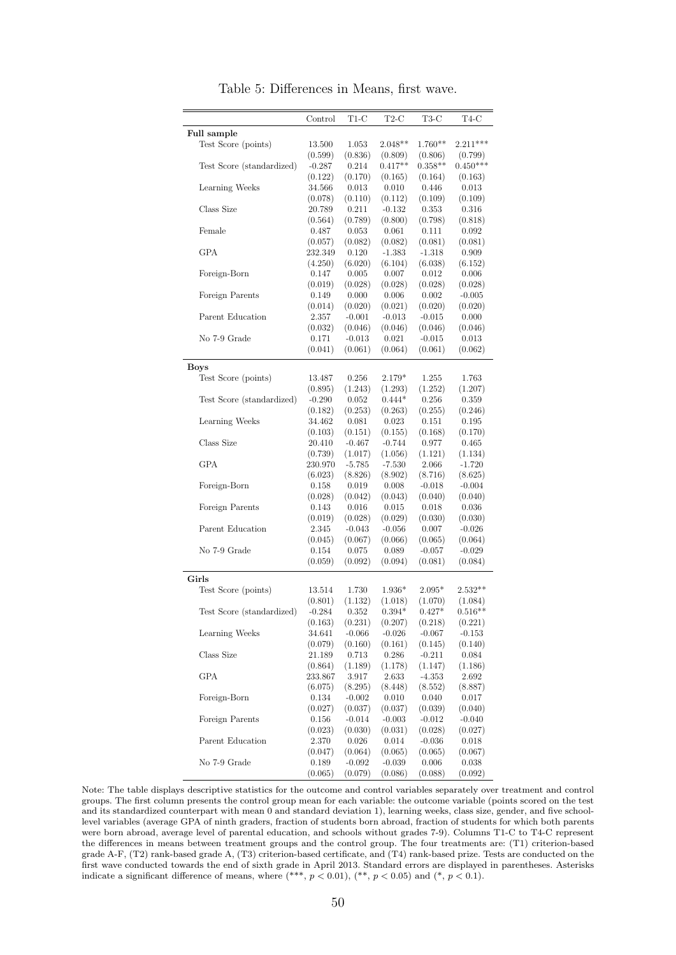<span id="page-51-0"></span>

|                           | Control             | $T1-C$           | $T2-C$    | T3-C      | T4-C       |
|---------------------------|---------------------|------------------|-----------|-----------|------------|
| Full sample               |                     |                  |           |           |            |
| Test Score (points)       | 13.500              | 1.053            | $2.048**$ | $1.760**$ | $2.211***$ |
|                           | (0.599)             | (0.836)          | (0.809)   | (0.806)   | (0.799)    |
| Test Score (standardized) | $-0.287$            | 0.214            | $0.417**$ | $0.358**$ | $0.450***$ |
|                           | (0.122)             | (0.170)          | (0.165)   | (0.164)   | (0.163)    |
| Learning Weeks            | 34.566              | 0.013            | 0.010     | 0.446     | 0.013      |
|                           | (0.078)             | (0.110)          | (0.112)   | (0.109)   | (0.109)    |
| Class Size                | 20.789              | 0.211            | $-0.132$  | 0.353     | 0.316      |
|                           | (0.564)             | (0.789)          | (0.800)   | (0.798)   | (0.818)    |
| Female                    | 0.487               | 0.053            | 0.061     | 0.111     | 0.092      |
|                           | (0.057)             | (0.082)          | (0.082)   | (0.081)   | (0.081)    |
| <b>GPA</b>                | 232.349             | 0.120            | $-1.383$  | $-1.318$  | 0.909      |
|                           | (4.250)             | (6.020)          | (6.104)   | (6.038)   | (6.152)    |
| Foreign-Born              | 0.147               | 0.005            | 0.007     | 0.012     | 0.006      |
|                           | (0.019)             | (0.028)          | (0.028)   | (0.028)   | (0.028)    |
| Foreign Parents           | 0.149               | 0.000            | 0.006     | 0.002     | $-0.005$   |
|                           | (0.014)             | (0.020)          | (0.021)   | (0.020)   | (0.020)    |
| Parent Education          | 2.357               | $-0.001$         | $-0.013$  | $-0.015$  | 0.000      |
|                           | (0.032)             | (0.046)          | (0.046)   | (0.046)   | (0.046)    |
| No 7-9 Grade              | 0.171               | $-0.013$         | 0.021     | $-0.015$  | 0.013      |
|                           | (0.041)             | (0.061)          | (0.064)   | (0.061)   | (0.062)    |
|                           |                     |                  |           |           |            |
| <b>Boys</b>               |                     |                  |           |           |            |
| Test Score (points)       | 13.487              | 0.256            | $2.179*$  | 1.255     | 1.763      |
|                           | (0.895)             | (1.243)          | (1.293)   | (1.252)   | (1.207)    |
| Test Score (standardized) | $-0.290$            | 0.052            | $0.444*$  | 0.256     | 0.359      |
|                           | (0.182)             | (0.253)          | (0.263)   | (0.255)   | (0.246)    |
| Learning Weeks            | 34.462              | 0.081            | 0.023     | 0.151     | 0.195      |
|                           | (0.103)             | (0.151)          | (0.155)   | (0.168)   | (0.170)    |
| Class Size                | 20.410              | $-0.467$         | $-0.744$  | 0.977     | 0.465      |
|                           | (0.739)             | (1.017)          | (1.056)   | (1.121)   | (1.134)    |
| <b>GPA</b>                | 230.970             | $-5.785$         | $-7.530$  | 2.066     | $-1.720$   |
|                           | (6.023)             | (8.826)          | (8.902)   | (8.716)   | (8.625)    |
| Foreign-Born              | 0.158               | 0.019            | 0.008     | $-0.018$  | $-0.004$   |
|                           | (0.028)             | (0.042)          | (0.043)   | (0.040)   | (0.040)    |
| Foreign Parents           | 0.143               | 0.016            | 0.015     | 0.018     | 0.036      |
|                           | (0.019)             | (0.028)          | (0.029)   | (0.030)   | (0.030)    |
| Parent Education          | 2.345               | $-0.043$         | $-0.056$  | 0.007     | $-0.026$   |
|                           | (0.045)             | (0.067)          | (0.066)   | (0.065)   | (0.064)    |
| No 7-9 Grade              | 0.154               | 0.075            | 0.089     | $-0.057$  | $-0.029$   |
|                           | (0.059)             | (0.092)          | (0.094)   | (0.081)   | (0.084)    |
| Girls                     |                     |                  |           |           |            |
| Test Score (points)       | 13.514              | 1.730            | $1.936*$  | $2.095*$  | $2.532**$  |
|                           | (0.801)             | (1.132)          | (1.018)   | (1.070)   | (1.084)    |
| Test Score (standardized) |                     | 0.352            | $0.394*$  | $0.427*$  | $0.516**$  |
|                           | $-0.284$<br>(0.163) | (0.231)          | (0.207)   | (0.218)   | (0.221)    |
| Learning Weeks            |                     |                  |           |           | $-0.153$   |
|                           | 34.641              | $-0.066$         | $-0.026$  | $-0.067$  |            |
| Class Size                | (0.079)             | (0.160)<br>0.713 | (0.161)   | (0.145)   | (0.140)    |
|                           | 21.189              |                  | 0.286     | $-0.211$  | 0.084      |
|                           | (0.864)             | (1.189)          | (1.178)   | (1.147)   | (1.186)    |
| <b>GPA</b>                | 233.867             | 3.917            | 2.633     | $-4.353$  | 2.692      |
|                           | (6.075)             | (8.295)          | (8.448)   | (8.552)   | (8.887)    |
| Foreign-Born              | 0.134               | $-0.002$         | 0.010     | 0.040     | 0.017      |
|                           | (0.027)             | (0.037)          | (0.037)   | (0.039)   | (0.040)    |
| Foreign Parents           | 0.156               | $-0.014$         | $-0.003$  | $-0.012$  | $-0.040$   |
|                           | (0.023)             | (0.030)          | (0.031)   | (0.028)   | (0.027)    |
| Parent Education          | 2.370               | 0.026            | 0.014     | $-0.036$  | 0.018      |
|                           | (0.047)             | (0.064)          | (0.065)   | (0.065)   | (0.067)    |
| No 7-9 Grade              | 0.189               | $-0.092$         | $-0.039$  | 0.006     | 0.038      |
|                           | (0.065)             | (0.079)          | (0.086)   | (0.088)   | (0.092)    |

Table 5: Differences in Means, first wave.

Note: The table displays descriptive statistics for the outcome and control variables separately over treatment and control groups. The first column presents the control group mean for each variable: the outcome variable (points scored on the test and its standardized counterpart with mean 0 and standard deviation 1), learning weeks, class size, gender, and five schoollevel variables (average GPA of ninth graders, fraction of students born abroad, fraction of students for which both parents were born abroad, average level of parental education, and schools without grades 7-9). Columns T1-C to T4-C represent the differences in means between treatment groups and the control group. The four treatments are: (T1) criterion-based grade A-F, (T2) rank-based grade A, (T3) criterion-based certificate, and (T4) rank-based prize. Tests are conducted on the first wave conducted towards the end of sixth grade in April 2013. Standard errors are displayed in parentheses. Asterisks indicate a significant difference of means, where  $(***, p < 0.01)$ ,  $(**, p < 0.05)$  and  $(*, p < 0.1)$ .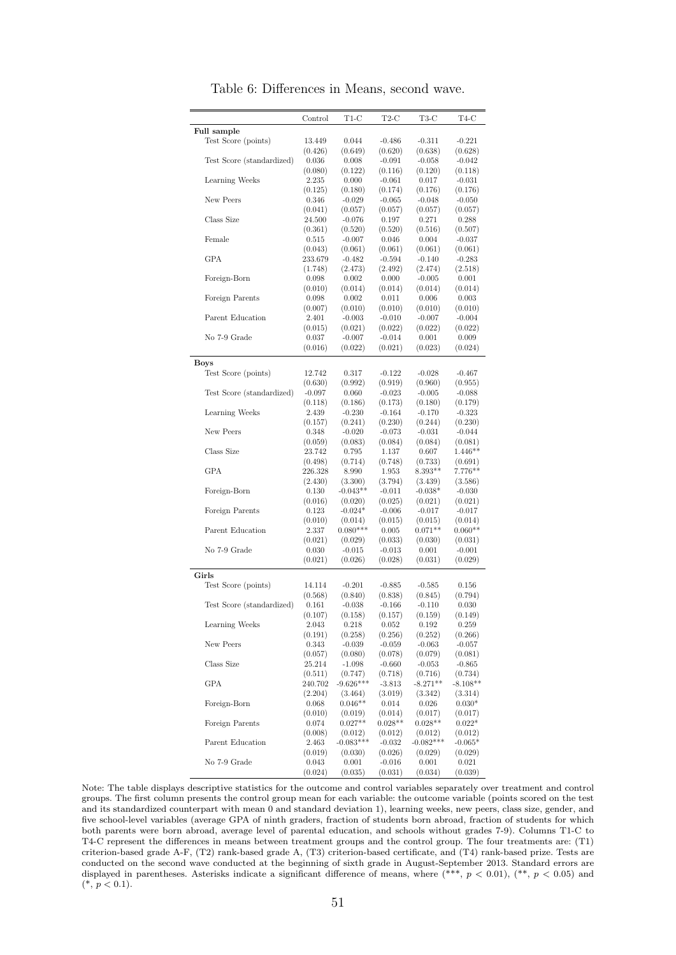<span id="page-52-0"></span>

|                           | Control  | T1-C        | $_{\rm T2-C}$ | T3-C        | T4-C       |
|---------------------------|----------|-------------|---------------|-------------|------------|
| Full sample               |          |             |               |             |            |
| Test Score (points)       | 13.449   | 0.044       | $-0.486$      | $-0.311$    | $-0.221$   |
|                           | (0.426)  | (0.649)     | (0.620)       | (0.638)     | (0.628)    |
| Test Score (standardized) | 0.036    | 0.008       | $-0.091$      | $-0.058$    | $-0.042$   |
|                           | (0.080)  | (0.122)     | (0.116)       | (0.120)     | (0.118)    |
| Learning Weeks            | 2.235    | 0.000       | $-0.061$      | 0.017       | $-0.031$   |
|                           | (0.125)  | (0.180)     | (0.174)       | (0.176)     | (0.176)    |
| New Peers                 | 0.346    | $-0.029$    | $-0.065$      | $-0.048$    | $-0.050$   |
|                           | (0.041)  | (0.057)     | (0.057)       | (0.057)     | (0.057)    |
| Class Size                | 24.500   | $-0.076$    | 0.197         | 0.271       | 0.288      |
|                           | (0.361)  | (0.520)     | (0.520)       | (0.516)     | (0.507)    |
| Female                    | 0.515    | $-0.007$    | 0.046         | 0.004       | $-0.037$   |
|                           | (0.043)  | (0.061)     | (0.061)       | (0.061)     | (0.061)    |
| GPA                       | 233.679  | $-0.482$    | $-0.594$      | $-0.140$    | $-0.283$   |
|                           | (1.748)  | (2.473)     | (2.492)       | (2.474)     | (2.518)    |
| Foreign-Born              | 0.098    | 0.002       | 0.000         | $-0.005$    | 0.001      |
|                           | (0.010)  | (0.014)     | (0.014)       | (0.014)     | (0.014)    |
| Foreign Parents           | 0.098    | 0.002       | 0.011         | 0.006       | 0.003      |
|                           | (0.007)  | (0.010)     | (0.010)       | (0.010)     | (0.010)    |
| Parent Education          | 2.401    | $-0.003$    | $-0.010$      | $-0.007$    | $-0.004$   |
|                           | (0.015)  | (0.021)     | (0.022)       | (0.022)     | (0.022)    |
| No 7-9 Grade              | 0.037    | $-0.007$    | $-0.014$      | 0.001       | 0.009      |
|                           | (0.016)  | (0.022)     | (0.021)       | (0.023)     | (0.024)    |
| <b>Boys</b>               |          |             |               |             |            |
| Test Score (points)       | 12.742   | 0.317       | $-0.122$      | $-0.028$    | $-0.467$   |
|                           | (0.630)  | (0.992)     | (0.919)       | (0.960)     | (0.955)    |
| Test Score (standardized) | $-0.097$ | 0.060       | $-0.023$      | $-0.005$    | $-0.088$   |
|                           | (0.118)  | (0.186)     | (0.173)       | (0.180)     | (0.179)    |
| Learning Weeks            | 2.439    | $-0.230$    | $-0.164$      | $-0.170$    | $-0.323$   |
|                           | (0.157)  | (0.241)     | (0.230)       | (0.244)     | (0.230)    |
| New Peers                 | 0.348    | $-0.020$    | $-0.073$      | $-0.031$    | $-0.044$   |
|                           | (0.059)  | (0.083)     | (0.084)       | (0.084)     | (0.081)    |
| Class Size                | 23.742   | 0.795       | 1.137         | 0.607       | $1.446**$  |
|                           | (0.498)  | (0.714)     | (0.748)       | (0.733)     | (0.691)    |
| <b>GPA</b>                | 226.328  | 8.990       | 1.953         | $8.393**$   | $7.776**$  |
|                           | (2.430)  | (3.300)     | (3.794)       | (3.439)     | (3.586)    |
| Foreign-Born              | 0.130    | $-0.043**$  | $-0.011$      | $-0.038*$   | $-0.030$   |
|                           | (0.016)  | (0.020)     | (0.025)       | (0.021)     | (0.021)    |
| Foreign Parents           | 0.123    | $-0.024*$   | $-0.006$      | $-0.017$    | $-0.017$   |
|                           | (0.010)  | (0.014)     | (0.015)       | (0.015)     | (0.014)    |
| Parent Education          | 2.337    | $0.080***$  | 0.005         | $0.071**$   | $0.060**$  |
|                           | (0.021)  | (0.029)     | (0.033)       | (0.030)     | (0.031)    |
| No 7-9 Grade              | 0.030    | $-0.015$    | $-0.013$      | 0.001       | $-0.001$   |
|                           | (0.021)  | (0.026)     | (0.028)       | (0.031)     | (0.029)    |
|                           |          |             |               |             |            |
| Girls                     |          |             |               |             |            |
| Test Score (points)       | 14.114   | $-0.201$    | $-0.885$      | $-0.585$    | 0.156      |
|                           | (0.568)  | (0.840)     | (0.838)       | (0.845)     | (0.794)    |
| Test Score (standardized) | 0.161    | $-0.038$    | $-0.166$      | $-0.110$    | 0.030      |
|                           | (0.107)  | (0.158)     | (0.157)       | (0.159)     | (0.149)    |
| Learning Weeks            | 2.043    | 0.218       | 0.052         | 0.192       | 0.259      |
|                           | (0.191)  | (0.258)     | (0.256)       | (0.252)     | (0.266)    |
| New Peers                 | 0.343    | $-0.039$    | $-0.059$      | $-0.063$    | $-0.057$   |
|                           | (0.057)  | (0.080)     | (0.078)       | (0.079)     | (0.081)    |
| Class Size                | 25.214   | $-1.098$    | $-0.660$      | $-0.053$    | $-0.865$   |
|                           | (0.511)  | (0.747)     | (0.718)       | (0.716)     | (0.734)    |
| GPA                       | 240.702  | $-9.626***$ | $-3.813$      | $-8.271**$  | $-8.108**$ |
|                           | (2.204)  | (3.464)     | (3.019)       | (3.342)     | (3.314)    |
| Foreign-Born              | 0.068    | $0.046**$   | 0.014         | 0.026       | $0.030*$   |
|                           | (0.010)  | (0.019)     | (0.014)       | (0.017)     | (0.017)    |
| Foreign Parents           | 0.074    | $0.027**$   | $0.028**$     | $0.028**$   | $0.022*$   |
|                           | (0.008)  | (0.012)     | (0.012)       | (0.012)     | (0.012)    |
| Parent Education          | 2.463    | $-0.083***$ | $-0.032$      | $-0.082***$ | $-0.065*$  |
|                           | (0.019)  | (0.030)     | (0.026)       | (0.029)     | (0.029)    |
| No 7-9 Grade              | 0.043    | 0.001       | $-0.016$      | 0.001       | 0.021      |
|                           | (0.024)  | (0.035)     | (0.031)       | (0.034)     | (0.039)    |

Table 6: Differences in Means, second wave.

Note: The table displays descriptive statistics for the outcome and control variables separately over treatment and control groups. The first column presents the control group mean for each variable: the outcome variable (points scored on the test and its standardized counterpart with mean 0 and standard deviation 1), learning weeks, new peers, class size, gender, and five school-level variables (average GPA of ninth graders, fraction of students born abroad, fraction of students for which both parents were born abroad, average level of parental education, and schools without grades 7-9). Columns T1-C to T4-C represent the differences in means between treatment groups and the control group. The four treatments are: (T1) criterion-based grade A-F, (T2) rank-based grade A, (T3) criterion-based certificate, and (T4) rank-based prize. Tests are conducted on the second wave conducted at the beginning of sixth grade in August-September 2013. Standard errors are displayed in parentheses. Asterisks indicate a significant difference of means, where  $(***, p < 0.01)$ ,  $(*, p < 0.05)$  and  $(*, p < 0.1).$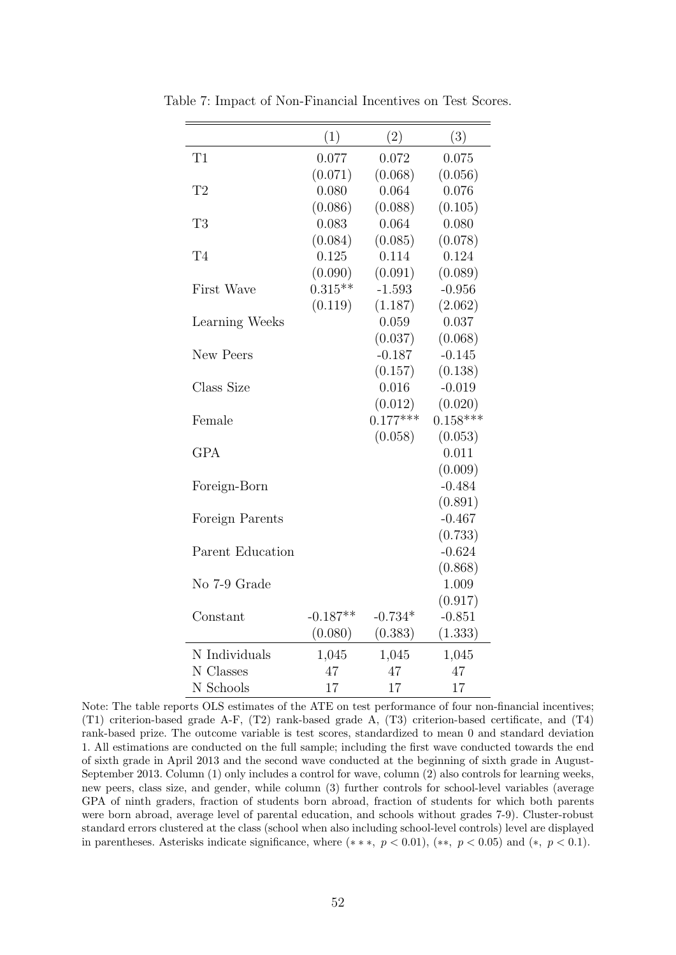|                  | (1)        | (2)        | (3)        |
|------------------|------------|------------|------------|
| T1               | 0.077      | 0.072      | 0.075      |
|                  | (0.071)    | (0.068)    | (0.056)    |
| T <sub>2</sub>   | 0.080      | 0.064      | 0.076      |
|                  | (0.086)    | (0.088)    | (0.105)    |
| T <sub>3</sub>   | 0.083      | 0.064      | 0.080      |
|                  | (0.084)    | (0.085)    | (0.078)    |
| T4               | 0.125      | 0.114      | 0.124      |
|                  | (0.090)    | (0.091)    | (0.089)    |
| First Wave       | $0.315**$  | $-1.593$   | $-0.956$   |
|                  | (0.119)    | (1.187)    | (2.062)    |
| Learning Weeks   |            | 0.059      | 0.037      |
|                  |            | (0.037)    | (0.068)    |
| New Peers        |            | $-0.187$   | $-0.145$   |
|                  |            | (0.157)    | (0.138)    |
| Class Size       |            | 0.016      | $-0.019$   |
|                  |            | (0.012)    | (0.020)    |
| Female           |            | $0.177***$ | $0.158***$ |
|                  |            | (0.058)    | (0.053)    |
| GPA              |            |            | 0.011      |
|                  |            |            | (0.009)    |
| Foreign-Born     |            |            | $-0.484$   |
|                  |            |            | (0.891)    |
| Foreign Parents  |            |            | $-0.467$   |
|                  |            |            | (0.733)    |
| Parent Education |            |            | $-0.624$   |
|                  |            |            | (0.868)    |
| No 7-9 Grade     |            |            | 1.009      |
|                  |            |            | (0.917)    |
| Constant         | $-0.187**$ | $-0.734*$  | $-0.851$   |
|                  | (0.080)    | (0.383)    | (1.333)    |
| N Individuals    | 1,045      | 1,045      | 1,045      |
| N Classes        | 47         | 47         | 47         |
| N Schools        | 17         | 17         | 17         |

<span id="page-53-0"></span>Table 7: Impact of Non-Financial Incentives on Test Scores.

Note: The table reports OLS estimates of the ATE on test performance of four non-financial incentives; (T1) criterion-based grade A-F, (T2) rank-based grade A, (T3) criterion-based certificate, and (T4) rank-based prize. The outcome variable is test scores, standardized to mean 0 and standard deviation 1. All estimations are conducted on the full sample; including the first wave conducted towards the end of sixth grade in April 2013 and the second wave conducted at the beginning of sixth grade in August-September 2013. Column (1) only includes a control for wave, column (2) also controls for learning weeks, new peers, class size, and gender, while column (3) further controls for school-level variables (average GPA of ninth graders, fraction of students born abroad, fraction of students for which both parents were born abroad, average level of parental education, and schools without grades 7-9). Cluster-robust standard errors clustered at the class (school when also including school-level controls) level are displayed in parentheses. Asterisks indicate significance, where  $(**, p < 0.01)$ ,  $(**, p < 0.05)$  and  $(*, p < 0.1)$ .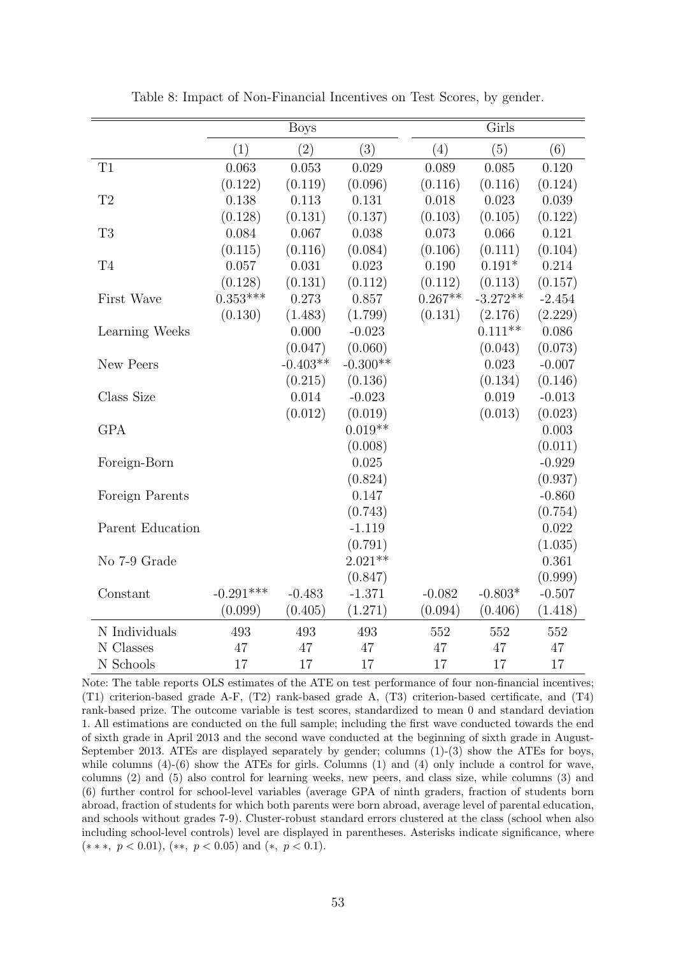<span id="page-54-0"></span>

|                  |             | <b>Boys</b> |            |           | $\overline{\rm Girls}$ |          |
|------------------|-------------|-------------|------------|-----------|------------------------|----------|
|                  | (1)         | (2)         | (3)        | (4)       | (5)                    | (6)      |
| T1               | 0.063       | 0.053       | 0.029      | 0.089     | 0.085                  | 0.120    |
|                  | (0.122)     | (0.119)     | (0.096)    | (0.116)   | (0.116)                | (0.124)  |
| T2               | 0.138       | 0.113       | 0.131      | 0.018     | 0.023                  | 0.039    |
|                  | (0.128)     | (0.131)     | (0.137)    | (0.103)   | (0.105)                | (0.122)  |
| T <sub>3</sub>   | 0.084       | 0.067       | 0.038      | 0.073     | 0.066                  | 0.121    |
|                  | (0.115)     | (0.116)     | (0.084)    | (0.106)   | (0.111)                | (0.104)  |
| T <sub>4</sub>   | 0.057       | 0.031       | 0.023      | 0.190     | $0.191*$               | 0.214    |
|                  | (0.128)     | (0.131)     | (0.112)    | (0.112)   | (0.113)                | (0.157)  |
| First Wave       | $0.353***$  | 0.273       | 0.857      | $0.267**$ | $-3.272**$             | $-2.454$ |
|                  | (0.130)     | (1.483)     | (1.799)    | (0.131)   | (2.176)                | (2.229)  |
| Learning Weeks   |             | 0.000       | $-0.023$   |           | $0.111**$              | 0.086    |
|                  |             | (0.047)     | (0.060)    |           | (0.043)                | (0.073)  |
| New Peers        |             | $-0.403**$  | $-0.300**$ |           | 0.023                  | $-0.007$ |
|                  |             | (0.215)     | (0.136)    |           | (0.134)                | (0.146)  |
| Class Size       |             | 0.014       | $-0.023$   |           | 0.019                  | $-0.013$ |
|                  |             | (0.012)     | (0.019)    |           | (0.013)                | (0.023)  |
| <b>GPA</b>       |             |             | $0.019**$  |           |                        | 0.003    |
|                  |             |             | (0.008)    |           |                        | (0.011)  |
| Foreign-Born     |             |             | 0.025      |           |                        | $-0.929$ |
|                  |             |             | (0.824)    |           |                        | (0.937)  |
| Foreign Parents  |             |             | 0.147      |           |                        | $-0.860$ |
|                  |             |             | (0.743)    |           |                        | (0.754)  |
| Parent Education |             |             | $-1.119$   |           |                        | 0.022    |
|                  |             |             | (0.791)    |           |                        | (1.035)  |
| No 7-9 Grade     |             |             | $2.021**$  |           |                        | 0.361    |
|                  |             |             | (0.847)    |           |                        | (0.999)  |
| Constant         | $-0.291***$ | $-0.483$    | $-1.371$   | $-0.082$  | $-0.803*$              | $-0.507$ |
|                  | (0.099)     | (0.405)     | (1.271)    | (0.094)   | (0.406)                | (1.418)  |
| N Individuals    | 493         | 493         | 493        | 552       | 552                    | 552      |
| N Classes        | 47          | 47          | 47         | 47        | 47                     | 47       |
| N Schools        | 17          | 17          | 17         | 17        | 17                     | 17       |

Table 8: Impact of Non-Financial Incentives on Test Scores, by gender.

Note: The table reports OLS estimates of the ATE on test performance of four non-financial incentives; (T1) criterion-based grade A-F, (T2) rank-based grade A, (T3) criterion-based certificate, and (T4) rank-based prize. The outcome variable is test scores, standardized to mean 0 and standard deviation 1. All estimations are conducted on the full sample; including the first wave conducted towards the end of sixth grade in April 2013 and the second wave conducted at the beginning of sixth grade in August-September 2013. ATEs are displayed separately by gender; columns (1)-(3) show the ATEs for boys, while columns  $(4)-(6)$  show the ATEs for girls. Columns  $(1)$  and  $(4)$  only include a control for wave, columns (2) and (5) also control for learning weeks, new peers, and class size, while columns (3) and (6) further control for school-level variables (average GPA of ninth graders, fraction of students born abroad, fraction of students for which both parents were born abroad, average level of parental education, and schools without grades 7-9). Cluster-robust standard errors clustered at the class (school when also including school-level controls) level are displayed in parentheses. Asterisks indicate significance, where  $(***, p < 0.01), (**, p < 0.05) \text{ and } (*, p < 0.1).$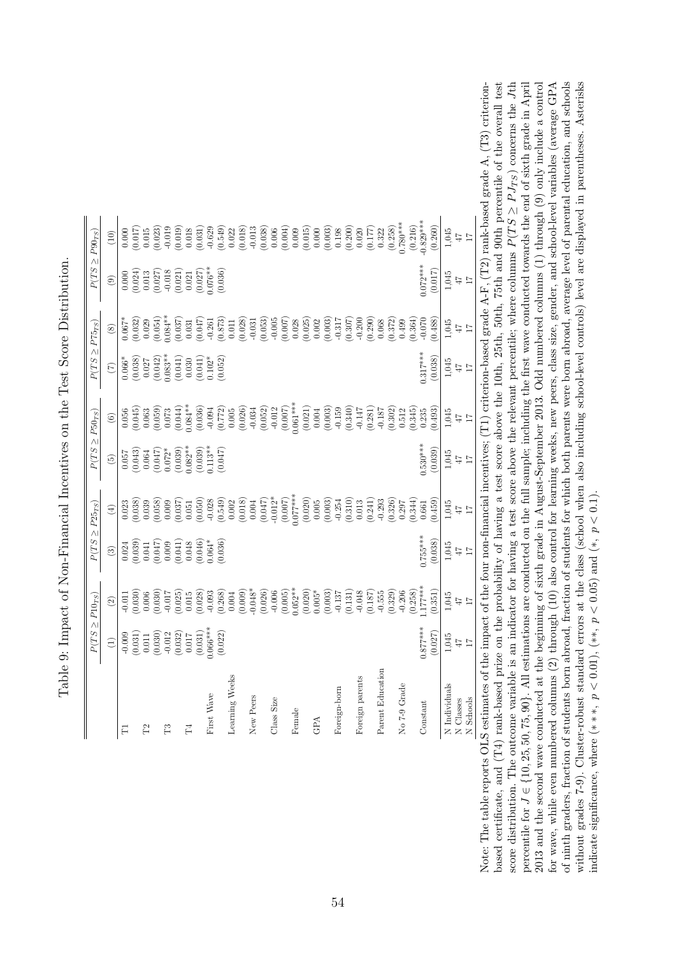<span id="page-55-0"></span>

|                  |                                                                                                                                                               | $P(TS \geq P10_{TS})$                                                                                                                                                                                                                                                                                         | $P(TS \geq P25_{TS})$                                                                                                                                                                                                                                           |                                                                                                                                                                                                                                                                                             | $P(TS \geq P50_{TS})$                                                                                                                                                             |                                                                                                                                                                                                                                                                                                                                        | $P(TS \geq P75_{TS})$                                                                                                                                      |                         | $P(TS \geq P90_{TS})$                                                                                                                  |                   |
|------------------|---------------------------------------------------------------------------------------------------------------------------------------------------------------|---------------------------------------------------------------------------------------------------------------------------------------------------------------------------------------------------------------------------------------------------------------------------------------------------------------|-----------------------------------------------------------------------------------------------------------------------------------------------------------------------------------------------------------------------------------------------------------------|---------------------------------------------------------------------------------------------------------------------------------------------------------------------------------------------------------------------------------------------------------------------------------------------|-----------------------------------------------------------------------------------------------------------------------------------------------------------------------------------|----------------------------------------------------------------------------------------------------------------------------------------------------------------------------------------------------------------------------------------------------------------------------------------------------------------------------------------|------------------------------------------------------------------------------------------------------------------------------------------------------------|-------------------------|----------------------------------------------------------------------------------------------------------------------------------------|-------------------|
|                  | $\widehat{\Xi}$                                                                                                                                               | $\odot$                                                                                                                                                                                                                                                                                                       | $\odot$                                                                                                                                                                                                                                                         | $\bigoplus$                                                                                                                                                                                                                                                                                 | $\widetilde{\mathcal{L}}$                                                                                                                                                         | $\odot$                                                                                                                                                                                                                                                                                                                                | $\widehat{C}$                                                                                                                                              | $\circledast$           | $\circledcirc$                                                                                                                         | $\left(10\right)$ |
| $\Gamma$         |                                                                                                                                                               |                                                                                                                                                                                                                                                                                                               |                                                                                                                                                                                                                                                                 |                                                                                                                                                                                                                                                                                             |                                                                                                                                                                                   |                                                                                                                                                                                                                                                                                                                                        |                                                                                                                                                            |                         |                                                                                                                                        |                   |
|                  | $\begin{array}{c} -0.009 \\ (0.031) \\ (0.011 \\ (0.030) \\ (0.032) \\ (0.032) \\ (0.032) \\ (0.031) \\ (0.031) \\ (0.031) \\ (0.022) \\ (0.022) \end{array}$ |                                                                                                                                                                                                                                                                                                               | $\begin{array}{l} 0.024\\ 0.039)\\ 0.041)\\ 0.047)\\ 0.000\\ 0.0041)\\ 0.000\\ 0.0048\\ 0.0046)\\ 0.0047)\\ 0.0048\\ 0.0004*\\ 0.0004*\\ 0.0004*\\ 0.0004*\\ 0.0004*\\ 0.0004*\\ 0.0004*\\ 0.0004*\\ 0.0004*\\ 0.0004*\\ 0.0004*\\ 0.0004*\\ 0.0004*\\ 0.0004*$ |                                                                                                                                                                                                                                                                                             | $\begin{array}{l} 0.057 \\ 0.043) \\ 0.064 \\ 0.072^* \\ 0.072^* \\ 0.039) \\ 0.033^* \\ 0.039) \\ 0.039 \\ 0.039 \\ 0.030) \\ 0.013^* \\ 0.047 \\ 0.047 \\ 0.047 \\ \end{array}$ |                                                                                                                                                                                                                                                                                                                                        | $\begin{array}{l} 0.066^{*} \\ (0.038) \\ (0.032) \\ (0.042) \\ (0.042) \\ (0.033^{**} \\ (0.041) \\ (0.041) \\ (0.030) \\ (0.030) \\ (0.052) \end{array}$ |                         | $\begin{array}{c} 0.000\\ (0.024)\\ (0.013\\ (0.027)\\ (0.013\\ (0.021)\\ (0.021)\\ (0.021)\\ (0.027)\\ (0.030)\\ (0.036) \end{array}$ |                   |
| P2               |                                                                                                                                                               |                                                                                                                                                                                                                                                                                                               |                                                                                                                                                                                                                                                                 |                                                                                                                                                                                                                                                                                             |                                                                                                                                                                                   |                                                                                                                                                                                                                                                                                                                                        |                                                                                                                                                            |                         |                                                                                                                                        |                   |
|                  |                                                                                                                                                               |                                                                                                                                                                                                                                                                                                               |                                                                                                                                                                                                                                                                 |                                                                                                                                                                                                                                                                                             |                                                                                                                                                                                   |                                                                                                                                                                                                                                                                                                                                        |                                                                                                                                                            |                         |                                                                                                                                        |                   |
| F3               |                                                                                                                                                               |                                                                                                                                                                                                                                                                                                               |                                                                                                                                                                                                                                                                 |                                                                                                                                                                                                                                                                                             |                                                                                                                                                                                   |                                                                                                                                                                                                                                                                                                                                        |                                                                                                                                                            |                         |                                                                                                                                        |                   |
|                  |                                                                                                                                                               |                                                                                                                                                                                                                                                                                                               |                                                                                                                                                                                                                                                                 |                                                                                                                                                                                                                                                                                             |                                                                                                                                                                                   |                                                                                                                                                                                                                                                                                                                                        |                                                                                                                                                            |                         |                                                                                                                                        |                   |
| $\Gamma_4$       |                                                                                                                                                               |                                                                                                                                                                                                                                                                                                               |                                                                                                                                                                                                                                                                 |                                                                                                                                                                                                                                                                                             |                                                                                                                                                                                   |                                                                                                                                                                                                                                                                                                                                        |                                                                                                                                                            |                         |                                                                                                                                        |                   |
|                  |                                                                                                                                                               |                                                                                                                                                                                                                                                                                                               |                                                                                                                                                                                                                                                                 |                                                                                                                                                                                                                                                                                             |                                                                                                                                                                                   |                                                                                                                                                                                                                                                                                                                                        |                                                                                                                                                            |                         |                                                                                                                                        |                   |
| First Wave       |                                                                                                                                                               |                                                                                                                                                                                                                                                                                                               |                                                                                                                                                                                                                                                                 |                                                                                                                                                                                                                                                                                             |                                                                                                                                                                                   |                                                                                                                                                                                                                                                                                                                                        |                                                                                                                                                            |                         |                                                                                                                                        |                   |
|                  |                                                                                                                                                               | $\begin{array}{l} 111 \\ 0000 \\ 0000 \\ 0000 \\ 0000 \\ 0000 \\ 0000 \\ 0000 \\ 0000 \\ 0000 \\ 0000 \\ 0000 \\ 0000 \\ 0000 \\ 0000 \\ 0000 \\ 0000 \\ 0000 \\ 0000 \\ 0000 \\ 0000 \\ 0000 \\ 0000 \\ 0000 \\ 0000 \\ 0000 \\ 0000 \\ 0000 \\ 0000 \\ 0000 \\ 0000 \\ 0000 \\ 0000 \\ 0000 \\ 0000 \\ 000$ |                                                                                                                                                                                                                                                                 | $\begin{array}{r} 0.023\\ 0.0363\\ 0.0393\\ 0.050\\ 0.050\\ 0.050\\ 0.050\\ 0.051\\ 0.050\\ 0.050\\ 0.000\\ 0.000\\ 0.000\\ 0.000\\ 0.000\\ 0.000\\ 0.000\\ 0.000\\ 0.000\\ 0.000\\ 0.000\\ 0.000\\ 0.000\\ 0.000\\ 0.000\\ 0.000\\ 0.000\\ 0.000\\ 0.000\\ 0.000\\ $                       |                                                                                                                                                                                   | $\begin{array}{l} 666 \\[-4pt] 606 \\[-4pt] 606 \\[-4pt] 606 \\[-4pt] 606 \\[-4pt] 606 \\[-4pt] 606 \\[-4pt] 606 \\[-4pt] 606 \\[-4pt] 606 \\[-4pt] 606 \\[-4pt] 606 \\[-4pt] 606 \\[-4pt] 606 \\[-4pt] 606 \\[-4pt] 606 \\[-4pt] 606 \\[-4pt] 606 \\[-4pt] 606 \\[-4pt] 606 \\[-4pt] 606 \\[-4pt] 606 \\[-4pt] 606 \\[-4pt] 606 \\[-$ |                                                                                                                                                            |                         |                                                                                                                                        |                   |
| Learning Weeks   |                                                                                                                                                               |                                                                                                                                                                                                                                                                                                               |                                                                                                                                                                                                                                                                 |                                                                                                                                                                                                                                                                                             |                                                                                                                                                                                   |                                                                                                                                                                                                                                                                                                                                        |                                                                                                                                                            |                         |                                                                                                                                        |                   |
|                  |                                                                                                                                                               |                                                                                                                                                                                                                                                                                                               |                                                                                                                                                                                                                                                                 |                                                                                                                                                                                                                                                                                             |                                                                                                                                                                                   |                                                                                                                                                                                                                                                                                                                                        |                                                                                                                                                            |                         |                                                                                                                                        |                   |
| New Peers        |                                                                                                                                                               |                                                                                                                                                                                                                                                                                                               |                                                                                                                                                                                                                                                                 |                                                                                                                                                                                                                                                                                             |                                                                                                                                                                                   |                                                                                                                                                                                                                                                                                                                                        |                                                                                                                                                            |                         |                                                                                                                                        |                   |
|                  |                                                                                                                                                               |                                                                                                                                                                                                                                                                                                               |                                                                                                                                                                                                                                                                 |                                                                                                                                                                                                                                                                                             |                                                                                                                                                                                   |                                                                                                                                                                                                                                                                                                                                        |                                                                                                                                                            |                         |                                                                                                                                        |                   |
| Class Size       |                                                                                                                                                               |                                                                                                                                                                                                                                                                                                               |                                                                                                                                                                                                                                                                 |                                                                                                                                                                                                                                                                                             |                                                                                                                                                                                   |                                                                                                                                                                                                                                                                                                                                        |                                                                                                                                                            |                         |                                                                                                                                        |                   |
|                  |                                                                                                                                                               |                                                                                                                                                                                                                                                                                                               |                                                                                                                                                                                                                                                                 |                                                                                                                                                                                                                                                                                             |                                                                                                                                                                                   |                                                                                                                                                                                                                                                                                                                                        |                                                                                                                                                            |                         |                                                                                                                                        |                   |
| Female           |                                                                                                                                                               |                                                                                                                                                                                                                                                                                                               |                                                                                                                                                                                                                                                                 |                                                                                                                                                                                                                                                                                             |                                                                                                                                                                                   |                                                                                                                                                                                                                                                                                                                                        |                                                                                                                                                            |                         |                                                                                                                                        |                   |
|                  |                                                                                                                                                               |                                                                                                                                                                                                                                                                                                               |                                                                                                                                                                                                                                                                 |                                                                                                                                                                                                                                                                                             |                                                                                                                                                                                   |                                                                                                                                                                                                                                                                                                                                        |                                                                                                                                                            |                         |                                                                                                                                        |                   |
| GPA              |                                                                                                                                                               |                                                                                                                                                                                                                                                                                                               |                                                                                                                                                                                                                                                                 |                                                                                                                                                                                                                                                                                             |                                                                                                                                                                                   |                                                                                                                                                                                                                                                                                                                                        |                                                                                                                                                            |                         |                                                                                                                                        |                   |
|                  |                                                                                                                                                               |                                                                                                                                                                                                                                                                                                               |                                                                                                                                                                                                                                                                 |                                                                                                                                                                                                                                                                                             |                                                                                                                                                                                   |                                                                                                                                                                                                                                                                                                                                        |                                                                                                                                                            |                         |                                                                                                                                        |                   |
| Foreign-born     |                                                                                                                                                               |                                                                                                                                                                                                                                                                                                               |                                                                                                                                                                                                                                                                 | $\begin{array}{c} (0.020)\\ 0.005\\ 0.003\\ 0.003\\ (0.003)\\ (0.011)\\ (0.11)\\ (0.11)\\ (0.11)\\ (0.11)\\ (0.24)\\ (0.325)\\ (0.344)\\ (0.344)\\ (0.344)\\ (0.344)\\ (0.344)\\ (0.344)\\ (0.344)\\ (0.344)\\ (0.344)\\ (0.345)\\ (0.345)\\ (0.345)\\ (0.346)\\ (0.347)\\ (0.348)\\ (0.34$ |                                                                                                                                                                                   |                                                                                                                                                                                                                                                                                                                                        |                                                                                                                                                            |                         |                                                                                                                                        |                   |
|                  |                                                                                                                                                               |                                                                                                                                                                                                                                                                                                               |                                                                                                                                                                                                                                                                 |                                                                                                                                                                                                                                                                                             |                                                                                                                                                                                   |                                                                                                                                                                                                                                                                                                                                        |                                                                                                                                                            |                         |                                                                                                                                        |                   |
| Foreign parents  |                                                                                                                                                               |                                                                                                                                                                                                                                                                                                               |                                                                                                                                                                                                                                                                 |                                                                                                                                                                                                                                                                                             |                                                                                                                                                                                   |                                                                                                                                                                                                                                                                                                                                        |                                                                                                                                                            |                         |                                                                                                                                        |                   |
|                  |                                                                                                                                                               |                                                                                                                                                                                                                                                                                                               |                                                                                                                                                                                                                                                                 |                                                                                                                                                                                                                                                                                             |                                                                                                                                                                                   |                                                                                                                                                                                                                                                                                                                                        |                                                                                                                                                            |                         |                                                                                                                                        |                   |
| Parent Education |                                                                                                                                                               |                                                                                                                                                                                                                                                                                                               |                                                                                                                                                                                                                                                                 |                                                                                                                                                                                                                                                                                             |                                                                                                                                                                                   |                                                                                                                                                                                                                                                                                                                                        |                                                                                                                                                            |                         |                                                                                                                                        |                   |
|                  |                                                                                                                                                               |                                                                                                                                                                                                                                                                                                               |                                                                                                                                                                                                                                                                 |                                                                                                                                                                                                                                                                                             |                                                                                                                                                                                   |                                                                                                                                                                                                                                                                                                                                        |                                                                                                                                                            |                         |                                                                                                                                        |                   |
| No 7-9 Grade     |                                                                                                                                                               |                                                                                                                                                                                                                                                                                                               |                                                                                                                                                                                                                                                                 |                                                                                                                                                                                                                                                                                             |                                                                                                                                                                                   |                                                                                                                                                                                                                                                                                                                                        |                                                                                                                                                            |                         |                                                                                                                                        |                   |
|                  |                                                                                                                                                               |                                                                                                                                                                                                                                                                                                               |                                                                                                                                                                                                                                                                 |                                                                                                                                                                                                                                                                                             |                                                                                                                                                                                   |                                                                                                                                                                                                                                                                                                                                        |                                                                                                                                                            |                         |                                                                                                                                        | (0.216)           |
| Constant         | $0.877***$                                                                                                                                                    |                                                                                                                                                                                                                                                                                                               | $0.755***$                                                                                                                                                                                                                                                      |                                                                                                                                                                                                                                                                                             | $0.530***$                                                                                                                                                                        |                                                                                                                                                                                                                                                                                                                                        | $0.317***$                                                                                                                                                 |                         | $0.072***$                                                                                                                             | $0.829***$        |
|                  | (0.027)                                                                                                                                                       | (0.351)                                                                                                                                                                                                                                                                                                       | (0.038)                                                                                                                                                                                                                                                         | (0.459)                                                                                                                                                                                                                                                                                     | (0.039)                                                                                                                                                                           | (0.493)                                                                                                                                                                                                                                                                                                                                | (0.038)                                                                                                                                                    | 0.488                   | (0.017)                                                                                                                                | (0.260)           |
| N Individuals    | 1,045                                                                                                                                                         | $\begin{array}{c} 1.045 \\ 47 \\ 11 \end{array}$                                                                                                                                                                                                                                                              | 1,045                                                                                                                                                                                                                                                           | $1,045$<br>47                                                                                                                                                                                                                                                                               | 1,045                                                                                                                                                                             | 1,045                                                                                                                                                                                                                                                                                                                                  | 1,045                                                                                                                                                      | $1,045$<br>$47$<br>$17$ | $1,045$<br>47                                                                                                                          | 1,045             |
| N Classes        | $7\pm1$                                                                                                                                                       |                                                                                                                                                                                                                                                                                                               | $47\,$                                                                                                                                                                                                                                                          |                                                                                                                                                                                                                                                                                             | $71$                                                                                                                                                                              | $71$                                                                                                                                                                                                                                                                                                                                   | $47\,$                                                                                                                                                     |                         |                                                                                                                                        |                   |
| N Schools        |                                                                                                                                                               |                                                                                                                                                                                                                                                                                                               |                                                                                                                                                                                                                                                                 |                                                                                                                                                                                                                                                                                             |                                                                                                                                                                                   |                                                                                                                                                                                                                                                                                                                                        |                                                                                                                                                            |                         |                                                                                                                                        |                   |

Table 9: Impact of Non-Financial Incentives on the Test Score Distribution. Table 9: Impact of Non-Financial Incentives on the Test Score Distribution.

of ninth graders, fraction of students born abroad, fraction of students for which both parents were born abroad, average level of parental education, and schools based certificate, and (T4) rank-based prize on the probability of having a test score above the 10th, 25th, 50th, 75th and 90th percentile of the overall test percentile for  $J \in \{10, 25, 50, 75, 90\}$ . All estimations are conducted on the full sample; including the first wave conducted towards the end of sixth grade in April 2013 and the second wave conducted at the beginning of sixth grade in August-September 2013. Odd numbered columns (1) through (9) only include a control without grades 7-9). Cluster-robust standard errors at the class (school when also including school-level controls) level are displayed in parentheses. Asterisks Note: The table reports OLS estimates of the impact of the four non-financial incentives; (T1) criterion-based grade A-F, (T2) rank-based grade A, (T3) criterion- $Jth$  $J \in \{10, 25, 50, 75, 90\}$ . All estimations are conducted on the full sample; including the first wave conducted towards the end of sixth grade in April 2013 and the second wave conducted at the beginning of sixth grade in August-September 2013. Odd numbered columns (1) through (9) only include a control for wave, while even numbered columns (2) through (10) also control for learning weeks, new peers, class size, gender, and school-level variables (average GPA for wave, while even numbered columns (2) through (10) also control for learning weeks, new peers, class size, gender, and school-level variables (average GPA of ninth graders, fraction of students born abroad, fraction of students for which both parents were born abroad, average level of parental education, and schools Note: The table reports OLS estimates of the impact of the four non-financial incentives; (T1) criterion-based grade A-F, (T2) rank-based grade A, (T3) criterionbased certificate, and (T4) rank-based prize on the probability of having a test score above the 10th, 25th, 50th, 75th and 90th percentile of the overall test without grades 7-9). Cluster-robust standard errors at the class (school when also including school-level controls) level are displayed in parentheses. Asterisks  $\geq P J_{TS}$ ) concerns the ≥ $P(T S$ score distribution. The outcome variable is an indicator for having a test score above the relevant percentile; where columns indicate significance, where  $(***, p < 0.01)$ ,  $(**, p < 0.05)$  and  $(*, p < 0.1)$ . indicate significance, where  $(* * *$ ,  $p < 0.01$ ),  $(* *$ ,  $p < 0.05$ ) and  $(*, p < 0.1)$ . percentile for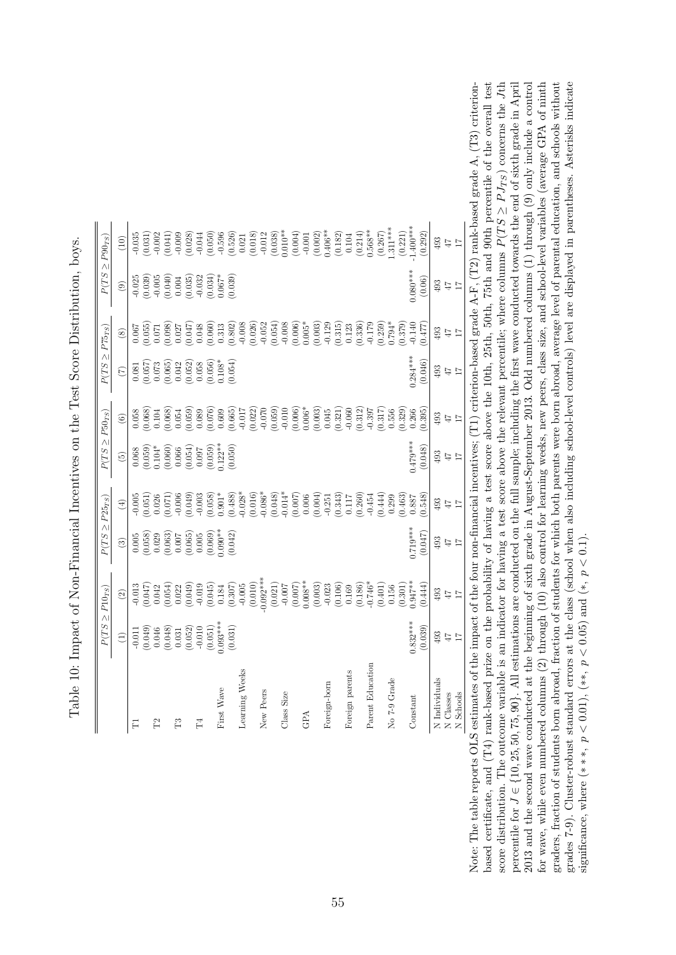<span id="page-56-0"></span>

| $P(TS\geq P90_{TS})$  | (10)                     |   |  | $\begin{array}{c} -0.035 \\ (0.031) \\ (0.011) \\ (0.041) \\ (0.041) \\ (0.028) \\ (0.028) \\ (0.029) \\ (0.050) \\ (0.526) \\ (0.526) \\ 0.04 \\ \end{array}$                                                                                                                                                                                         |    |                                                |            |                               |                | (0.018) | $-0.012$   |         |            |     |              | $\begin{array}{l} (0.038) \\ (0.010^{**} \\ (0.004) \\ (0.001) \\ (0.002) \\ (0.002) \\ (0.182) \\ (0.181) \\ (0.214) \\ (0.368^{**} \\ (0.314) \\ (0.308^{**} \\ (0.308^{**} \\ (0.308^{**} \\ (0.308^{**} \\ (0.308^{**} \\ (0.308^{**} \\ (0.308^{**} \\ (0.308^{**} \\ (0.308^{**} \\ (0.308^{**} \\ (0.308^{**} \\ (0.308^{**} \\ ($ |                 |                  | $\left(0.267\right)$ .311*** |              | (0.221) | $1.400***$ | (0.292) | 493           | 47                      | $\overline{17}$   |
|-----------------------|--------------------------|---|--|--------------------------------------------------------------------------------------------------------------------------------------------------------------------------------------------------------------------------------------------------------------------------------------------------------------------------------------------------------|----|------------------------------------------------|------------|-------------------------------|----------------|---------|------------|---------|------------|-----|--------------|-------------------------------------------------------------------------------------------------------------------------------------------------------------------------------------------------------------------------------------------------------------------------------------------------------------------------------------------|-----------------|------------------|------------------------------|--------------|---------|------------|---------|---------------|-------------------------|-------------------|
|                       | $\circledcirc$           |   |  | $\begin{array}{l} 0.025 \\ 0.039) \\ 0.005 \\ 0.040) \\ 0.004 \\ 0.039) \\ 0.004 \\ 0.035) \\ 0.032 \\ 0.037^* \\ 0.037 \\ 0.030 \\ 0.037^* \\ 0.030 \\ \end{array}$                                                                                                                                                                                   |    |                                                |            |                               |                |         |            |         |            |     |              |                                                                                                                                                                                                                                                                                                                                           |                 |                  |                              |              |         | $0.080***$ | (0.06)  | 493           | $\varGamma\varGamma$    | $\overline{17}$   |
| $P(TS \geq P75_{TS})$ | $\circledast$            |   |  | $\begin{array}{l} 0.067\\ 0.055)\\ 0.071\\ 0.0098)\\ 0.0000\\ 0.0000\\ 0.0000\\ 0.0000\\ 0.0000\\ 0.0000\\ 0.0000\\ 0.0000\\ 0.0000\\ 0.0000\\ 0.000\\ 0.000\\ 0.000\\ 0.000\\ 0.000\\ 0.000\\ 0.000\\ 0.000\\ 0.000\\ 0.000\\ 0.000\\ 0.000\\ 0.000\\ 0.000\\ 0.0$                                                                                    |    |                                                |            |                               |                | (0.026) |            |         |            |     |              | $\begin{array}{l} (0.054) \\ -0.008 \\ (0.006) \\ 0.003 \\ (0.003) \\ -0.129 \\ (0.315) \\ 0.123 \\ (0.336) \end{array}$                                                                                                                                                                                                                  |                 | $-0.179$         | $(0.259)$<br>0.794*          |              | (0.379) | $-0.140$   | (175.0) | 493           | $71\,$                  |                   |
|                       | $\widehat{C}$            |   |  | $\begin{array}{l} 0.081\\ 0.057)\\ 0.073\\ 0.065)\\ 0.042\\ 0.052)\\ 0.038\\ 0.058\\ 0.059\\ 0.006)\\ 0.003\\ 0.004\\ 0.005\\ 0.006\\ 0.007\\ 0.008\\ 0.009\\ 0.009\\ 0.000\\ 0.000\\ 0.000\\ 0.000\\ 0.000\\ 0.000\\ 0.000\\ 0.000\\ 0.000\\ 0.000\\ 0.000\\ 0.000$                                                                                   |    |                                                |            |                               |                |         |            |         |            |     |              |                                                                                                                                                                                                                                                                                                                                           |                 |                  |                              |              |         | $0.284***$ | (0.046) | 493           | $\downarrow \downarrow$ | $\overline{11}$   |
| $P(TS \geq P50_{TS})$ | $\circledcirc$           |   |  | $\begin{array}{l} 0.058 \\ 0.068) \\ 0.104 \\ 0.1068) \\ 0.0631 \\ 0.054 \\ 0.059) \\ 0.0760 \\ 0.0760 \\ 0.0760 \\ 0.0760 \\ 0.0760 \\ 0.0760 \\ 0.009 \\ \end{array}$<br>$\begin{array}{l} 0.068 \\ 0.059) \\ 0.104^* \\ 0.0600 \\ 0.0600 \\ 0.0541 \\ 0.057 \\ 0.059 \\ 0.037 \\ 0.059 \\ 0.059 \\ 0.050 \\ 0.050 \\ 0.050 \\ 0.050 \\ \end{array}$ |    |                                                |            | (0.665)                       | $-0.017$       | (0.022) | $-0.070$   | (0.059) | $-0.010$   |     |              | $\begin{array}{l} (0.006) \\ 0.006^{*} \\ (0.003) \\ 0.045 \\ (0.321) \\ -0.060 \end{array}$                                                                                                                                                                                                                                              |                 | $-0.397$         | (0.317)                      | 0.556        | (0.329) | 0.266      | 0.395)  | 493           | $47$                    | $\overline{17}$   |
|                       | $\widetilde{\mathbf{e}}$ |   |  |                                                                                                                                                                                                                                                                                                                                                        |    |                                                |            |                               |                |         |            |         |            |     |              |                                                                                                                                                                                                                                                                                                                                           |                 |                  |                              |              |         | $0.479***$ | (0.048) | 493           | $47\,$                  | $\overline{17}$   |
| $P(TS\geq P25_{TS})$  | $\tag{4}$                |   |  | $\begin{array}{l} 0.005 \\ -0.051) \\ 0.026 \\ 0.071) \\ 0.006 \\ -0.006 \\ 0.033 \\ \end{array}$                                                                                                                                                                                                                                                      |    |                                                |            | $0.901*$<br>(0.488)<br>0.028* |                |         |            |         |            |     |              | $\begin{array}{l} (0.016)\\ 0.088\\ 0.048)\\ (0.043)\\ (0.007)\\ (0.0000)\\ (0.0004)\\ (0.0004)\\ (0.004)\\ (0.004)\\ (0.004)\\ (0.004)\\ (0.004)\\ (0.004)\\ (0.004)\\ (0.004)\\ (0.004)\\ (0.004)\\ (0.004)\\ (0.004)\\ (0.004)\\ (0.004)\\ (0.004)\\ (0.004)\\ (0.004)\\ (0.004)\\ (0.$                                                |                 |                  | (0.444)                      | 0.299        | (0.463) | 0.887      | 0.548   | 493           | $71\pm$                 |                   |
|                       | $\widehat{\mathcal{E}}$  |   |  | $\begin{array}{l} 0.005\\0.058)\\0.029\\0.063)\\0.065)\\0.007\\0.005\\0.009*\\0.009*\\0.0009*\\0.0009*\\0.000*\\0.000** \end{array}$                                                                                                                                                                                                                   |    |                                                |            | (0.042)                       |                |         |            |         |            |     |              |                                                                                                                                                                                                                                                                                                                                           |                 |                  |                              |              |         | $0.719***$ | (0.047) | 493           | $7\pm1$                 |                   |
| $P(TS \geq P10_{TS})$ | $\rm \odot$              |   |  | $\begin{array}{c} -0.013 \\ -0.047) \\ 0.042 \\ 0.054) \\ 0.052 \\ 0.022 \end{array}$                                                                                                                                                                                                                                                                  |    | $(0.045)$<br>$(0.045)$<br>$0.184$<br>$(0.307)$ |            |                               | $-0.005$       | (0.010) | $0.092***$ | (0.021) |            |     |              | $\begin{array}{l} -0.007\\ -0.007\\ 0.008^{**}\\ 0.008^{**}\\ -0.023\\ 0.106\\ 0.106\\ 0.169\\ 0.160\\ -0.186^{*}\\ -0.746^{*}\\ \end{array}$                                                                                                                                                                                             |                 |                  | (0.401)                      | 0.156        | (0.301) | $0.947**$  | (0.444) | 493           | $71\pm$                 |                   |
|                       | $\widehat{\Xi}$          |   |  | $\begin{array}{c} -0.011 \\ -0.049) \\ 0.046 \\ 0.046 \\ 0.048) \\ 0.031 \\ 0.052) \\ 0.010 \\ 0.010 \\ 0.001) \end{array}$                                                                                                                                                                                                                            |    |                                                | $0.093***$ | (0.031)                       |                |         |            |         |            |     |              |                                                                                                                                                                                                                                                                                                                                           |                 |                  |                              |              |         | $0.832***$ | (0.039) | 493           | $71$                    |                   |
|                       |                          | F |  |                                                                                                                                                                                                                                                                                                                                                        | F3 | $\Gamma4$                                      | First Wave |                               | Learning Weeks |         | New Peers  |         | Class Size | GPA | Foreign-born |                                                                                                                                                                                                                                                                                                                                           | Foreign parents | Parent Education |                              | No 7-9 Grade |         | Constant   |         | N Individuals | N Classes               | Schools<br>$\geq$ |

| こうきん こうしょう                                    |
|-----------------------------------------------|
| $\frac{1}{2}$<br>I<br>$\overline{\mathbf{r}}$ |
| i                                             |
| ĺ                                             |
|                                               |
| )<br>}<br>}<br>I                              |
|                                               |
| i                                             |
| I                                             |
|                                               |
| $\frac{1}{2}$                                 |
| ł<br>i<br>֚֚֬                                 |
|                                               |
| $\frac{1}{2}$                                 |
|                                               |
| $\frac{1}{2}$                                 |
| -<br>F<br>F<br>j<br>i                         |

based certificate, and (T4) rank-based prize on the probability of having a test score above the 10th, 25th, 50th, 75th and 90th percentile of the overall test percentile for  $J \in \{10, 25, 50, 75, 90\}$ . All estimations are conducted on the full sample; including the first wave conducted towards the end of sixth grade in April 2013 and the second wave conducted at the beginning of sixth grade in August-September 2013. Odd numbered columns (1) through (9) only include a control for wave, while even numbered columns (2) through (10) also control for learning weeks, new peers, class size, and school-level variables (average GPA of ninth graders, fraction of students born abroad, fraction of students for which both parents were born abroad, average level of parental education, and schools without grades 7-9). Cluster-robust standard errors at the class (school when also including school-level controls) level are displayed in parentheses. Asterisks indicate Note: The table reports OLS estimates of the impact of the four non-financial incentives; (T1) criterion-based grade A-F, (T2) rank-based grade A, (T3) criterion- $Jth$  $J \in \{10, 25, 50, 75, 90\}$ . All estimations are conducted on the full sample; including the first wave conducted towards the end of sixth grade in April 2013 and the second wave conducted at the beginning of sixth grade in August-September 2013. Odd numbered columns (1) through (9) only include a control for wave, while even numbered columns (2) through (10) also control for learning weeks, new peers, class size, and school-level variables (average GPA of ninth grades 7-9). Cluster-robust standard errors at the class (school when also including school-level controls) level are displayed in parentheses. Asterisks indicate Note: The table reports OLS estimates of the impact of the four non-financial incentives; (T1) criterion-based grade A-F, (T2) rank-based grade A, (T3) criterionbased certificate, and (T4) rank-based prize on the probability of having a test score above the 10th, 25th, 50th, 75th and 90th percentile of the overall test graders, fraction of students born abroad, fraction of students for which both parents were born abroad, average level of parental education, and schools without  $\geq P J_{TS}$ ) concerns the ≥ $P(T S$ score distribution. The outcome variable is an indicator for having a test score above the relevant percentile; where columns significance, where (\*\*\*,  $p < 0.01$ ), (\*\*,  $p < 0.05$ ) and (\*,  $p < 0.1$ ). significance, where (\*\*\*,  $p < 0.01$ ), (\*\*,  $p < 0.05$ ) and (\*,  $p < 0.1$ ). percentile for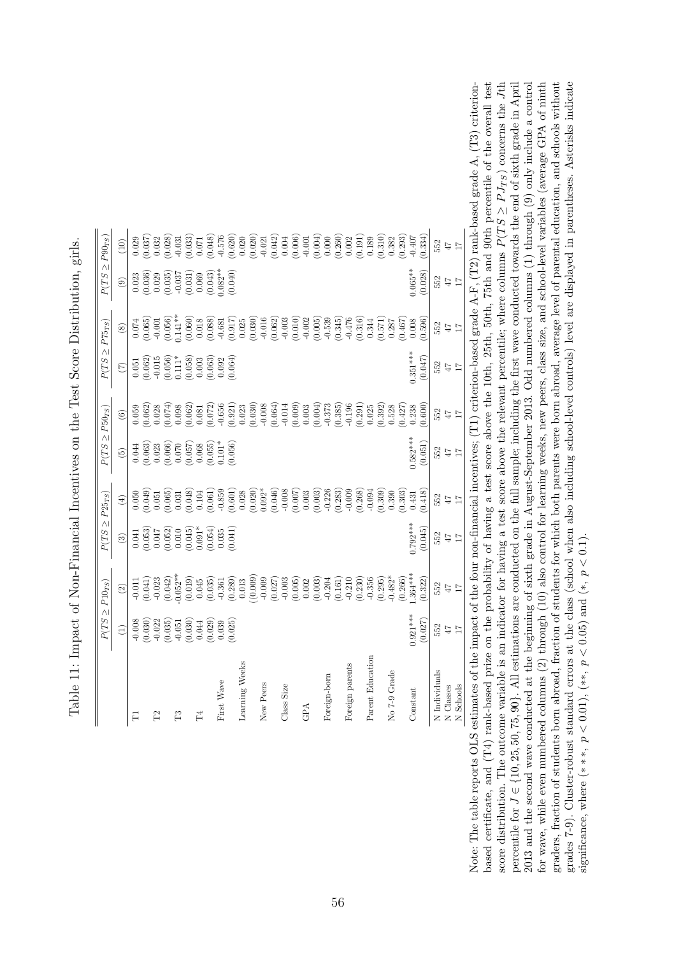<span id="page-57-0"></span>

|                  | $P(TS \geq P10_{TS})$                                                      |                                                                                                                                                                                                                                                                                                                                                  | $P(TS\geq P25_{TS})$                                                                                                       |                                                                                                          | $P(TS \geq P50_{TS})$                                                                                                                                                                                                                                                                             |                                                                                                                                                                                                                                                                                                                                   | $P(TS \geq P75_{TS})$                                                                                                                   |                                                                                                    | $P(TS \geq P90_{TS})$                                                                                                                              |                                                                                                                                                                                                                                                                            |
|------------------|----------------------------------------------------------------------------|--------------------------------------------------------------------------------------------------------------------------------------------------------------------------------------------------------------------------------------------------------------------------------------------------------------------------------------------------|----------------------------------------------------------------------------------------------------------------------------|----------------------------------------------------------------------------------------------------------|---------------------------------------------------------------------------------------------------------------------------------------------------------------------------------------------------------------------------------------------------------------------------------------------------|-----------------------------------------------------------------------------------------------------------------------------------------------------------------------------------------------------------------------------------------------------------------------------------------------------------------------------------|-----------------------------------------------------------------------------------------------------------------------------------------|----------------------------------------------------------------------------------------------------|----------------------------------------------------------------------------------------------------------------------------------------------------|----------------------------------------------------------------------------------------------------------------------------------------------------------------------------------------------------------------------------------------------------------------------------|
|                  | $\widehat{\Xi}$                                                            | $\textcircled{\scriptsize 2}$                                                                                                                                                                                                                                                                                                                    | $\circled{3}$                                                                                                              | $\bigoplus$                                                                                              | $\widetilde{\mathcal{L}}$                                                                                                                                                                                                                                                                         | $\begin{array}{c} \textcircled{\small{6}} \end{array}$                                                                                                                                                                                                                                                                            | $\widehat{C}$                                                                                                                           | $\circledast$                                                                                      | $\circledcirc$                                                                                                                                     | (10)                                                                                                                                                                                                                                                                       |
|                  |                                                                            |                                                                                                                                                                                                                                                                                                                                                  |                                                                                                                            |                                                                                                          |                                                                                                                                                                                                                                                                                                   |                                                                                                                                                                                                                                                                                                                                   |                                                                                                                                         |                                                                                                    |                                                                                                                                                    |                                                                                                                                                                                                                                                                            |
|                  | $-0.008$<br>$(0.030)$<br>$-0.022$<br>$(0.035)$                             | $\begin{array}{c} 0.011 \\ 0.041) \\ 0.023 \\ 0.042) \\ 0.042) \end{array}$                                                                                                                                                                                                                                                                      | $\begin{array}{l} 0.041 \\ 0.053) \\ 0.047 \\ 0.052) \\ 0.010 \\ 0.010 \\ 0.045) \\ 0.031* \\ 0.034) \\ 0.035 \end{array}$ | $\begin{array}{l} 0.050\\ 0.049)\\ 0.051\\ 0.065)\\ 0.031\\ 0.048)\\ 0.040\\ 0.001\\ 0.061) \end{array}$ | $\begin{array}{l} 0.044 \\ 0.063) \\ 0.023 \\ 0.066) \\ 0.070 \\ 0.070 \\ 0.057) \\ 0.059) \\ 0.059) \\ 0.011^* \\ 0.050) \\ 0.000 \\ 0.000 \\ 0.000 \\ 0.000 \\ 0.000 \\ 0.000 \\ 0.000 \\ 0.000 \\ 0.000 \\ 0.000 \\ 0.000 \\ 0.000 \\ 0.000 \\ 0.000 \\ 0.000 \\ 0.000 \\ 0.000 \\ 0.000 \\ 0$ | $\begin{array}{l} 0.059 \\ 0.062) \\ 0.028 \\ 0.074) \\ 0.062) \\ 0.038 \\ 0.062) \\ 0.0031 \\ 0.072) \end{array}$                                                                                                                                                                                                                | $\begin{array}{l} 0.051 \\ 0.062) \\ -0.015 \\ 0.056) \\ 0.111^{*} \\ 0.058) \\ 0.003 \\ 0.003 \\ 0.003 \\ 0.004) \\ 0.004 \end{array}$ | $\begin{array}{c} 0.074 \\ 0.065) \\ -0.001 \\ 0.056) \\ 0.141** \end{array}$                      | $\begin{array}{c} 0.023\\ 0.036)\\ 0.029\\ 0.035)\\ 0.037\\ 0.037\\ 0.037\\ 0.037\\ 0.032\\ 0.043)\\ 0.043)\\ 0.042\\ 0.0040\\ 0.0040 \end{array}$ | $\begin{array}{l} 0.03\\ 0.03\\ 0.04\\ 0.05\\ 0.06\\ 0.07\\ 0.07\\ 0.08\\ 0.07\\ 0.07\\ 0.07\\ 0.07\\ 0.07\\ 0.07\\ 0.07\\ 0.07\\ 0.07\\ 0.07\\ 0.07\\ 0.07\\ 0.07\\ 0.07\\ 0.07\\ 0.07\\ 0.07\\ 0.07\\ 0.07\\ 0.07\\ 0.07\\ 0.07\\ 0.07\\ 0.07\\ 0.07\\ 0.07\\ 0.07\\ 0.$ |
|                  |                                                                            |                                                                                                                                                                                                                                                                                                                                                  |                                                                                                                            |                                                                                                          |                                                                                                                                                                                                                                                                                                   |                                                                                                                                                                                                                                                                                                                                   |                                                                                                                                         |                                                                                                    |                                                                                                                                                    |                                                                                                                                                                                                                                                                            |
|                  |                                                                            |                                                                                                                                                                                                                                                                                                                                                  |                                                                                                                            |                                                                                                          |                                                                                                                                                                                                                                                                                                   |                                                                                                                                                                                                                                                                                                                                   |                                                                                                                                         |                                                                                                    |                                                                                                                                                    |                                                                                                                                                                                                                                                                            |
|                  |                                                                            | $0.052**$                                                                                                                                                                                                                                                                                                                                        |                                                                                                                            |                                                                                                          |                                                                                                                                                                                                                                                                                                   |                                                                                                                                                                                                                                                                                                                                   |                                                                                                                                         |                                                                                                    |                                                                                                                                                    |                                                                                                                                                                                                                                                                            |
|                  | $\begin{array}{c} 0.051 \\ 0.030) \\ 0.044 \\ 0.029) \\ 0.039 \end{array}$ | $\begin{array}{c} (0.019) \\ 0.045 \\ 0.035) \end{array}$                                                                                                                                                                                                                                                                                        |                                                                                                                            |                                                                                                          |                                                                                                                                                                                                                                                                                                   |                                                                                                                                                                                                                                                                                                                                   |                                                                                                                                         | $\begin{array}{c} (0.060) \\ 0.018 \\ (0.088) \end{array}$                                         |                                                                                                                                                    |                                                                                                                                                                                                                                                                            |
|                  |                                                                            |                                                                                                                                                                                                                                                                                                                                                  |                                                                                                                            |                                                                                                          |                                                                                                                                                                                                                                                                                                   |                                                                                                                                                                                                                                                                                                                                   |                                                                                                                                         |                                                                                                    |                                                                                                                                                    |                                                                                                                                                                                                                                                                            |
|                  |                                                                            |                                                                                                                                                                                                                                                                                                                                                  |                                                                                                                            |                                                                                                          |                                                                                                                                                                                                                                                                                                   |                                                                                                                                                                                                                                                                                                                                   |                                                                                                                                         |                                                                                                    |                                                                                                                                                    |                                                                                                                                                                                                                                                                            |
| First Wave       |                                                                            |                                                                                                                                                                                                                                                                                                                                                  |                                                                                                                            | $-0.859$                                                                                                 |                                                                                                                                                                                                                                                                                                   | $-0.656$                                                                                                                                                                                                                                                                                                                          |                                                                                                                                         | $-0.681$                                                                                           |                                                                                                                                                    |                                                                                                                                                                                                                                                                            |
|                  | (0.025)                                                                    | $\begin{array}{c} -0.361 \\ 0.289 \end{array}$<br>0.013                                                                                                                                                                                                                                                                                          | 0.041                                                                                                                      | (0.601)                                                                                                  |                                                                                                                                                                                                                                                                                                   | (0.921)                                                                                                                                                                                                                                                                                                                           |                                                                                                                                         | (0.917)                                                                                            |                                                                                                                                                    |                                                                                                                                                                                                                                                                            |
| Learning Weeks   |                                                                            |                                                                                                                                                                                                                                                                                                                                                  |                                                                                                                            |                                                                                                          |                                                                                                                                                                                                                                                                                                   | 0.023                                                                                                                                                                                                                                                                                                                             |                                                                                                                                         | 0.025                                                                                              |                                                                                                                                                    |                                                                                                                                                                                                                                                                            |
|                  |                                                                            |                                                                                                                                                                                                                                                                                                                                                  |                                                                                                                            | $\begin{array}{c} (0.020) \\ 0.092^* \\ (0.046) \\ -0.008 \\ 0.007) \\ 0.003 \end{array}$                |                                                                                                                                                                                                                                                                                                   | $\begin{array}{l} 6.75 \\ -0.003 \\ -0.004 \\ -0.004 \\ -0.009 \\ -0.003 \\ -0.004 \\ -0.004 \\ -0.004 \\ -0.004 \\ -0.004 \\ -0.004 \\ -0.004 \\ -0.004 \\ -0.004 \\ -0.004 \\ -0.004 \\ -0.004 \\ -0.004 \\ -0.004 \\ -0.004 \\ -0.004 \\ -0.004 \\ -0.004 \\ -0.004 \\ -0.004 \\ -0.004 \\ -0.004 \\ -0.004 \\ -0.004 \\ -0.0$ |                                                                                                                                         | (0.030)                                                                                            |                                                                                                                                                    |                                                                                                                                                                                                                                                                            |
| New Peers        |                                                                            |                                                                                                                                                                                                                                                                                                                                                  |                                                                                                                            |                                                                                                          |                                                                                                                                                                                                                                                                                                   |                                                                                                                                                                                                                                                                                                                                   |                                                                                                                                         |                                                                                                    |                                                                                                                                                    |                                                                                                                                                                                                                                                                            |
|                  |                                                                            |                                                                                                                                                                                                                                                                                                                                                  |                                                                                                                            |                                                                                                          |                                                                                                                                                                                                                                                                                                   |                                                                                                                                                                                                                                                                                                                                   |                                                                                                                                         |                                                                                                    |                                                                                                                                                    |                                                                                                                                                                                                                                                                            |
| Class Size       |                                                                            |                                                                                                                                                                                                                                                                                                                                                  |                                                                                                                            |                                                                                                          |                                                                                                                                                                                                                                                                                                   |                                                                                                                                                                                                                                                                                                                                   |                                                                                                                                         | $\begin{array}{c} -0.016 \\ -0.016 \\ \hline 0.062) \\ -0.003 \\ -0.002 \\ -0.005) \\ \end{array}$ |                                                                                                                                                    |                                                                                                                                                                                                                                                                            |
|                  |                                                                            |                                                                                                                                                                                                                                                                                                                                                  |                                                                                                                            |                                                                                                          |                                                                                                                                                                                                                                                                                                   |                                                                                                                                                                                                                                                                                                                                   |                                                                                                                                         |                                                                                                    |                                                                                                                                                    |                                                                                                                                                                                                                                                                            |
|                  |                                                                            |                                                                                                                                                                                                                                                                                                                                                  |                                                                                                                            |                                                                                                          |                                                                                                                                                                                                                                                                                                   |                                                                                                                                                                                                                                                                                                                                   |                                                                                                                                         |                                                                                                    |                                                                                                                                                    |                                                                                                                                                                                                                                                                            |
|                  |                                                                            |                                                                                                                                                                                                                                                                                                                                                  |                                                                                                                            |                                                                                                          |                                                                                                                                                                                                                                                                                                   |                                                                                                                                                                                                                                                                                                                                   |                                                                                                                                         |                                                                                                    |                                                                                                                                                    |                                                                                                                                                                                                                                                                            |
| Foreign-born     |                                                                            |                                                                                                                                                                                                                                                                                                                                                  |                                                                                                                            |                                                                                                          |                                                                                                                                                                                                                                                                                                   |                                                                                                                                                                                                                                                                                                                                   |                                                                                                                                         |                                                                                                    |                                                                                                                                                    |                                                                                                                                                                                                                                                                            |
|                  |                                                                            | $\begin{array}{l} (0.009) \\ (-0.007) \\ (-0.027) \\ (-0.027) \\ (-0.005) \\ (-0.005) \\ (-0.003) \\ (-0.003) \\ (-0.003) \\ (-0.003) \\ (-0.003) \\ (-0.003) \\ (-0.003) \\ (-0.003) \\ (-0.003) \\ (-0.003) \\ (-0.003) \\ (-0.003) \\ (-0.003) \\ (-0.003) \\ (-0.003) \\ (-0.003) \\ (-0.003) \\ (-0.003) \\ (-0.003) \\ (-0.003) \\ (-0.00$ |                                                                                                                            | $-0.226$<br>$-0.283)$<br>$-0.009$                                                                        |                                                                                                                                                                                                                                                                                                   | (0.385)                                                                                                                                                                                                                                                                                                                           |                                                                                                                                         | (0.345)                                                                                            |                                                                                                                                                    |                                                                                                                                                                                                                                                                            |
| Foreign parents  |                                                                            |                                                                                                                                                                                                                                                                                                                                                  |                                                                                                                            |                                                                                                          |                                                                                                                                                                                                                                                                                                   | $-0.196$                                                                                                                                                                                                                                                                                                                          |                                                                                                                                         | $-0.476$                                                                                           |                                                                                                                                                    |                                                                                                                                                                                                                                                                            |
|                  |                                                                            |                                                                                                                                                                                                                                                                                                                                                  |                                                                                                                            | 0.268)                                                                                                   |                                                                                                                                                                                                                                                                                                   | (0.291)                                                                                                                                                                                                                                                                                                                           |                                                                                                                                         | (0.316)                                                                                            |                                                                                                                                                    |                                                                                                                                                                                                                                                                            |
| Parent Education |                                                                            | $-0.356$                                                                                                                                                                                                                                                                                                                                         |                                                                                                                            | $-0.094$                                                                                                 |                                                                                                                                                                                                                                                                                                   | 0.025                                                                                                                                                                                                                                                                                                                             |                                                                                                                                         | 0.344                                                                                              |                                                                                                                                                    |                                                                                                                                                                                                                                                                            |
|                  |                                                                            | (0.295)                                                                                                                                                                                                                                                                                                                                          |                                                                                                                            | (0.309)                                                                                                  |                                                                                                                                                                                                                                                                                                   | (0.392)                                                                                                                                                                                                                                                                                                                           |                                                                                                                                         | (0.571)                                                                                            |                                                                                                                                                    | (0.310)                                                                                                                                                                                                                                                                    |
| No 7-9 Grade     |                                                                            | $0.482*$                                                                                                                                                                                                                                                                                                                                         |                                                                                                                            | 0.390                                                                                                    |                                                                                                                                                                                                                                                                                                   | 0.528                                                                                                                                                                                                                                                                                                                             |                                                                                                                                         | 0.287                                                                                              |                                                                                                                                                    | 0.382                                                                                                                                                                                                                                                                      |
|                  |                                                                            | (0.266)                                                                                                                                                                                                                                                                                                                                          |                                                                                                                            | 0.303)                                                                                                   |                                                                                                                                                                                                                                                                                                   | (0.427)                                                                                                                                                                                                                                                                                                                           |                                                                                                                                         | (0.467)                                                                                            |                                                                                                                                                    | (0.293)                                                                                                                                                                                                                                                                    |
| Constant         | $0.921***$                                                                 | $.364***$                                                                                                                                                                                                                                                                                                                                        | $0.792***$                                                                                                                 | 0.431                                                                                                    | $0.582***$                                                                                                                                                                                                                                                                                        | 0.238                                                                                                                                                                                                                                                                                                                             | $0.351***$                                                                                                                              | 0.008                                                                                              | $0.065**$                                                                                                                                          | $-0.407$                                                                                                                                                                                                                                                                   |
|                  | (0.027)                                                                    | (0.322)                                                                                                                                                                                                                                                                                                                                          | (0.045)                                                                                                                    | 0.418                                                                                                    | (0.051)                                                                                                                                                                                                                                                                                           | (0.600)                                                                                                                                                                                                                                                                                                                           | (0.047)                                                                                                                                 | 0.596                                                                                              | (0.028)                                                                                                                                            | (0.334)                                                                                                                                                                                                                                                                    |
| N Individuals    | 552                                                                        | 552                                                                                                                                                                                                                                                                                                                                              | $552$ $47$                                                                                                                 | 552                                                                                                      | 552                                                                                                                                                                                                                                                                                               | 552                                                                                                                                                                                                                                                                                                                               | 552                                                                                                                                     | 552                                                                                                | 552                                                                                                                                                | $552$ $47$                                                                                                                                                                                                                                                                 |
| N Classes        | $47\,$                                                                     | $7\pm1$                                                                                                                                                                                                                                                                                                                                          |                                                                                                                            | $47\,$                                                                                                   | $47\,$                                                                                                                                                                                                                                                                                            | $7\bar{7}$                                                                                                                                                                                                                                                                                                                        | $47\,$                                                                                                                                  | $47\,$                                                                                             | $47\,$                                                                                                                                             |                                                                                                                                                                                                                                                                            |
| N Schools        | $\overline{11}$                                                            |                                                                                                                                                                                                                                                                                                                                                  |                                                                                                                            | $\overline{11}$                                                                                          | $\overline{11}$                                                                                                                                                                                                                                                                                   | $\overline{11}$                                                                                                                                                                                                                                                                                                                   | $\overline{11}$                                                                                                                         | $\overline{11}$                                                                                    | $\overline{11}$                                                                                                                                    | $\overline{11}$                                                                                                                                                                                                                                                            |

| į<br>l<br>ׇ֚֬֡<br>$\frac{1}{2}$<br>i<br>١                                                            |
|------------------------------------------------------------------------------------------------------|
| .<br>ו<br>١<br>ו<br>ו                                                                                |
| ׇ֚֓<br>ł<br>i<br> <br>ĺ                                                                              |
| )<br> <br>I<br>)<br>)<br>}                                                                           |
| <br> <br> <br>j<br>$\overline{\phantom{a}}$<br>l                                                     |
|                                                                                                      |
| )<br> -<br> -<br> -<br>֚֚֡<br>$\overline{a}$<br>$\sim$ $     -$<br>$\frac{1}{2}$<br>;<br>;<br>$\sim$ |
|                                                                                                      |
| i<br>3<br>3<br><b>CONTRACTOR</b><br>i<br>I<br>I<br>I<br>I<br>I<br>I                                  |
| i<br>I<br>֚֚֚֬<br>$\frac{1}{2}$                                                                      |
|                                                                                                      |
| i                                                                                                    |
| 1                                                                                                    |
| <br> <br> <br>                                                                                       |
| ı                                                                                                    |
| Į<br>I<br>i                                                                                          |
| .<br> <br> <br>$\overline{\phantom{a}}$<br>Í                                                         |

based certificate, and (T4) rank-based prize on the probability of having a test score above the 10th, 25th, 50th, 75th and 90th percentile of the overall test percentile for  $J \in \{10, 25, 50, 75, 90\}$ . All estimations are conducted on the full sample; including the first wave conducted towards the end of sixth grade in April 2013 and the second wave conducted at the beginning of sixth grade in August-September 2013. Odd numbered columns (1) through (9) only include a control for wave, while even numbered columns (2) through (10) also control for learning weeks, new peers, class size, and school-level variables (average GPA of ninth graders, fraction of students born abroad, fraction of students for which both parents were born abroad, average level of parental education, and schools without grades 7-9). Cluster-robust standard errors at the class (school when also including school-level controls) level are displayed in parentheses. Asterisks indicate Note: The table reports OLS estimates of the impact of the four non-financial incentives;  $(T1)$  criterion-based grade A-F,  $(T2)$  rank-based grade A,  $(T3)$  criterion- $Jth$  $J \in \{10, 25, 50, 75, 90\}$ . All estimations are conducted on the full sample; including the first wave conducted towards the end of sixth grade in April 2013 and the second wave conducted at the beginning of sixth grade in August-September 2013. Odd numbered columns (1) through (9) only include a control for wave, while even numbered columns (2) through (10) also control for learning weeks, new peers, class size, and school-level variables (average GPA of ninth grades 7-9). Cluster-robust standard errors at the class (school when also including school-level controls) level are displayed in parentheses. Asterisks indicate Note: The table reports OLS estimates of the impact of the four non-financial incentives; (T1) criterion-based grade A-F, (T2) rank-based grade A, (T3) criterionbased certificate, and (T4) rank-based prize on the probability of having a test score above the 10th, 25th, 50th, 75th and 90th percentile of the overall test graders, fraction of students born abroad, fraction of students for which both parents were born abroad, average level of parental education, and schools without  $\geq P J_{TS}$ ) concerns the ≥ $P(T S$ score distribution. The outcome variable is an indicator for having a test score above the relevant percentile; where columns significance, where  $(***, p < 0.01)$ ,  $(**, p < 0.05)$  and  $(*, p < 0.1)$ . significance, where (\*\*\*,  $p < 0.01$ ), (\*\*,  $p < 0.05$ ) and (\*,  $p < 0.1$ ). percentile for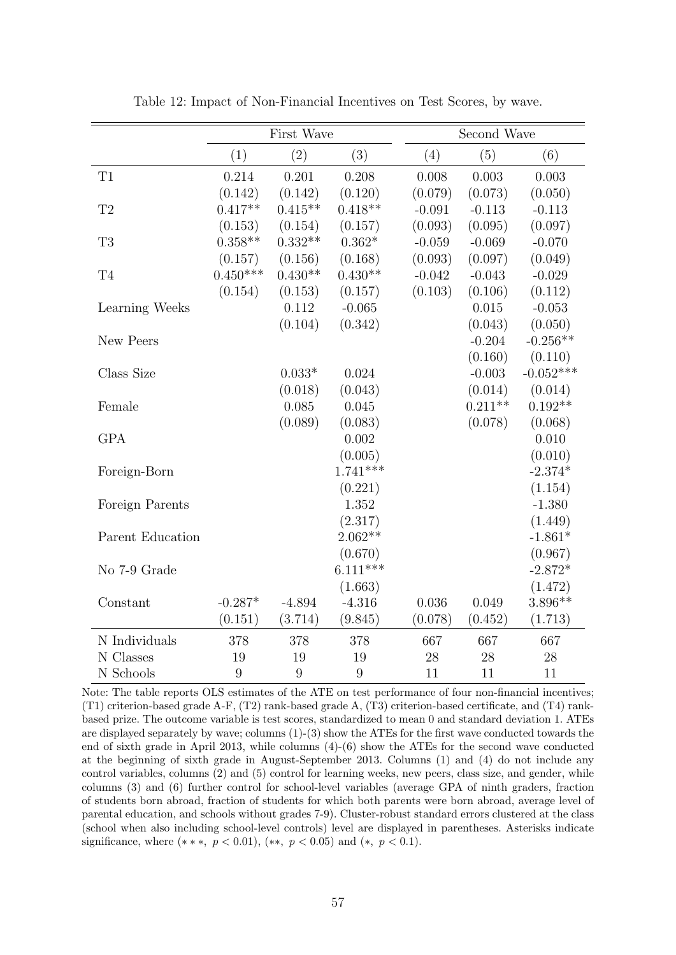<span id="page-58-0"></span>

|                     |            | First Wave |            |          | Second Wave |             |
|---------------------|------------|------------|------------|----------|-------------|-------------|
|                     | (1)        | (2)        | (3)        | (4)      | (5)         | (6)         |
| T1                  | 0.214      | 0.201      | 0.208      | 0.008    | 0.003       | 0.003       |
|                     | (0.142)    | (0.142)    | (0.120)    | (0.079)  | (0.073)     | (0.050)     |
| T2                  | $0.417**$  | $0.415**$  | $0.418**$  | $-0.091$ | $-0.113$    | $-0.113$    |
|                     | (0.153)    | (0.154)    | (0.157)    | (0.093)  | (0.095)     | (0.097)     |
| T <sub>3</sub>      | $0.358**$  | $0.332**$  | $0.362*$   | $-0.059$ | $-0.069$    | $-0.070$    |
|                     | (0.157)    | (0.156)    | (0.168)    | (0.093)  | (0.097)     | (0.049)     |
| $\operatorname{T4}$ | $0.450***$ | $0.430**$  | $0.430**$  | $-0.042$ | $-0.043$    | $-0.029$    |
|                     | (0.154)    | (0.153)    | (0.157)    | (0.103)  | (0.106)     | (0.112)     |
| Learning Weeks      |            | 0.112      | $-0.065$   |          | 0.015       | $-0.053$    |
|                     |            | (0.104)    | (0.342)    |          | (0.043)     | (0.050)     |
| New Peers           |            |            |            |          | $-0.204$    | $-0.256**$  |
|                     |            |            |            |          | (0.160)     | (0.110)     |
| Class Size          |            | $0.033*$   | 0.024      |          | $-0.003$    | $-0.052***$ |
|                     |            | (0.018)    | (0.043)    |          | (0.014)     | (0.014)     |
| Female              |            | 0.085      | 0.045      |          | $0.211**$   | $0.192**$   |
|                     |            | (0.089)    | (0.083)    |          | (0.078)     | (0.068)     |
| <b>GPA</b>          |            |            | 0.002      |          |             | 0.010       |
|                     |            |            | (0.005)    |          |             | (0.010)     |
| Foreign-Born        |            |            | $1.741***$ |          |             | $-2.374*$   |
|                     |            |            | (0.221)    |          |             | (1.154)     |
| Foreign Parents     |            |            | 1.352      |          |             | $-1.380$    |
|                     |            |            | (2.317)    |          |             | (1.449)     |
| Parent Education    |            |            | $2.062**$  |          |             | $-1.861*$   |
|                     |            |            | (0.670)    |          |             | (0.967)     |
| No 7-9 Grade        |            |            | $6.111***$ |          |             | $-2.872*$   |
|                     |            |            | (1.663)    |          |             | (1.472)     |
| Constant            | $-0.287*$  | $-4.894$   | $-4.316$   | 0.036    | 0.049       | $3.896**$   |
|                     | (0.151)    | (3.714)    | (9.845)    | (0.078)  | (0.452)     | (1.713)     |
| N Individuals       | 378        | 378        | 378        | 667      | 667         | 667         |
| N Classes           | 19         | 19         | 19         | 28       | 28          | 28          |
| N Schools           | 9          | 9          | 9          | 11       | 11          | 11          |

Table 12: Impact of Non-Financial Incentives on Test Scores, by wave.

Note: The table reports OLS estimates of the ATE on test performance of four non-financial incentives; (T1) criterion-based grade A-F, (T2) rank-based grade A, (T3) criterion-based certificate, and (T4) rankbased prize. The outcome variable is test scores, standardized to mean 0 and standard deviation 1. ATEs are displayed separately by wave; columns (1)-(3) show the ATEs for the first wave conducted towards the end of sixth grade in April 2013, while columns (4)-(6) show the ATEs for the second wave conducted at the beginning of sixth grade in August-September 2013. Columns (1) and (4) do not include any control variables, columns (2) and (5) control for learning weeks, new peers, class size, and gender, while columns (3) and (6) further control for school-level variables (average GPA of ninth graders, fraction of students born abroad, fraction of students for which both parents were born abroad, average level of parental education, and schools without grades 7-9). Cluster-robust standard errors clustered at the class (school when also including school-level controls) level are displayed in parentheses. Asterisks indicate significance, where  $(**, p < 0.01)$ ,  $(**, p < 0.05)$  and  $(*, p < 0.1)$ .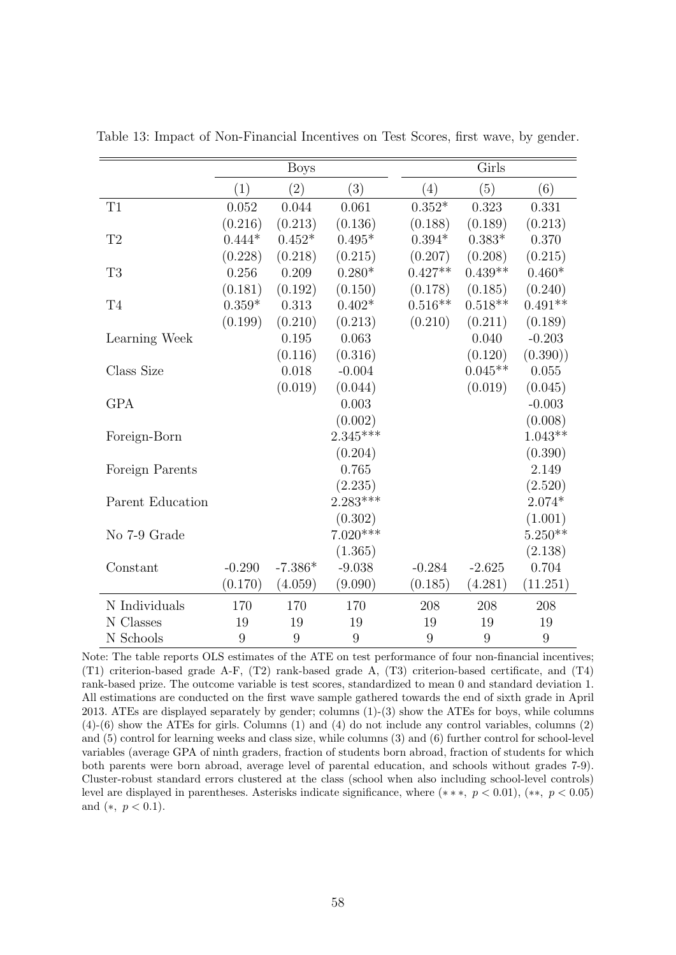|                  |          | <b>Boys</b> |            |           | Girls            |           |
|------------------|----------|-------------|------------|-----------|------------------|-----------|
|                  | (1)      | (2)         | (3)        | (4)       | (5)              | (6)       |
| T1               | 0.052    | 0.044       | 0.061      | $0.352*$  | 0.323            | 0.331     |
|                  | (0.216)  | (0.213)     | (0.136)    | (0.188)   | (0.189)          | (0.213)   |
| T2               | $0.444*$ | $0.452*$    | $0.495*$   | $0.394*$  | $0.383*$         | 0.370     |
|                  | (0.228)  | (0.218)     | (0.215)    | (0.207)   | (0.208)          | (0.215)   |
| T <sub>3</sub>   | 0.256    | 0.209       | $0.280*$   | $0.427**$ | $0.439**$        | $0.460*$  |
|                  | (0.181)  | (0.192)     | (0.150)    | (0.178)   | (0.185)          | (0.240)   |
| T <sub>4</sub>   | $0.359*$ | 0.313       | $0.402*$   | $0.516**$ | $0.518**$        | $0.491**$ |
|                  | (0.199)  | (0.210)     | (0.213)    | (0.210)   | (0.211)          | (0.189)   |
| Learning Week    |          | 0.195       | 0.063      |           | 0.040            | $-0.203$  |
|                  |          | (0.116)     | (0.316)    |           | (0.120)          | (0.390)   |
| Class Size       |          | 0.018       | $-0.004$   |           | $0.045**$        | 0.055     |
|                  |          | (0.019)     | (0.044)    |           | (0.019)          | (0.045)   |
| <b>GPA</b>       |          |             | 0.003      |           |                  | $-0.003$  |
|                  |          |             | (0.002)    |           |                  | (0.008)   |
| Foreign-Born     |          |             | $2.345***$ |           |                  | $1.043**$ |
|                  |          |             | (0.204)    |           |                  | (0.390)   |
| Foreign Parents  |          |             | 0.765      |           |                  | 2.149     |
|                  |          |             | (2.235)    |           |                  | (2.520)   |
| Parent Education |          |             | $2.283***$ |           |                  | $2.074*$  |
|                  |          |             | (0.302)    |           |                  | (1.001)   |
| No 7-9 Grade     |          |             | $7.020***$ |           |                  | $5.250**$ |
|                  |          |             | (1.365)    |           |                  | (2.138)   |
| Constant         | $-0.290$ | $-7.386*$   | $-9.038$   | $-0.284$  | $-2.625$         | 0.704     |
|                  | (0.170)  | (4.059)     | (9.090)    | (0.185)   | (4.281)          | (11.251)  |
| N Individuals    | 170      | 170         | 170        | 208       | 208              | 208       |
| N Classes        | 19       | 19          | 19         | 19        | 19               | 19        |
| N Schools        | 9        | 9           | 9          | 9         | $\boldsymbol{9}$ | 9         |

<span id="page-59-0"></span>Table 13: Impact of Non-Financial Incentives on Test Scores, first wave, by gender.

Note: The table reports OLS estimates of the ATE on test performance of four non-financial incentives; (T1) criterion-based grade A-F, (T2) rank-based grade A, (T3) criterion-based certificate, and (T4) rank-based prize. The outcome variable is test scores, standardized to mean 0 and standard deviation 1. All estimations are conducted on the first wave sample gathered towards the end of sixth grade in April 2013. ATEs are displayed separately by gender; columns (1)-(3) show the ATEs for boys, while columns (4)-(6) show the ATEs for girls. Columns (1) and (4) do not include any control variables, columns (2) and (5) control for learning weeks and class size, while columns (3) and (6) further control for school-level variables (average GPA of ninth graders, fraction of students born abroad, fraction of students for which both parents were born abroad, average level of parental education, and schools without grades 7-9). Cluster-robust standard errors clustered at the class (school when also including school-level controls) level are displayed in parentheses. Asterisks indicate significance, where  $(**, p < 0.01)$ ,  $(**, p < 0.05)$ and  $(*, p < 0.1)$ .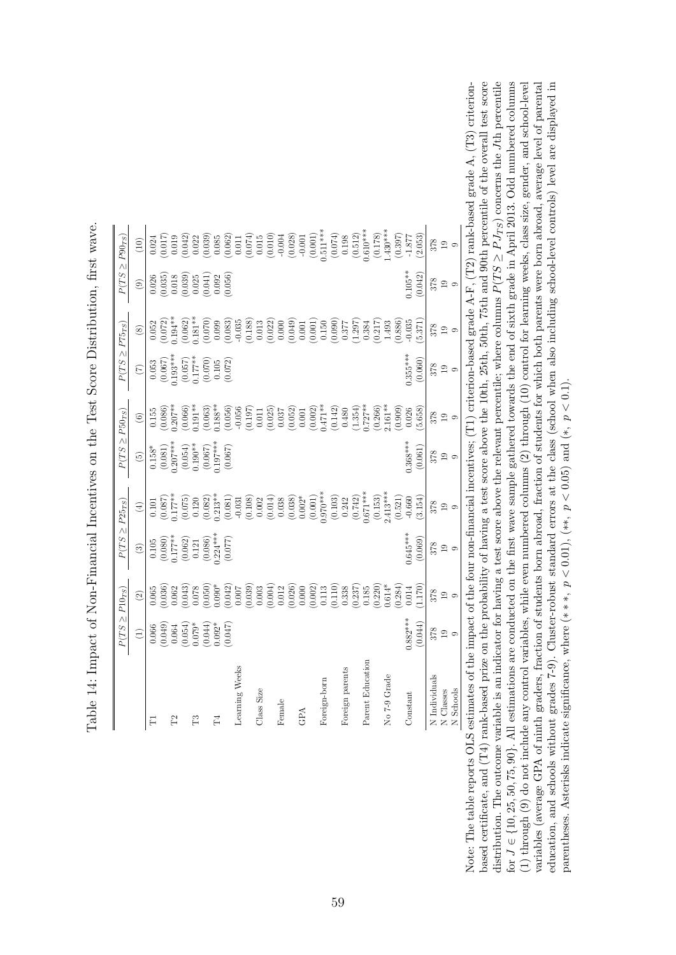<span id="page-60-0"></span>

|                  | $P(TS \geq P10_{TS})$                                        |                                                 | $P(TS \geq P25_{TS})$                                                                                                          |                                                                                                                                                                                                                                                                                              | $P(TS \geq P50_{TS})$                                                                                                        |                                                                                                                                                                                                                                                                                                     | $P(TS \geq P75_{TS})$                                                                                                                       |                                                                                                  |                                                                                                                          | $P(TS \geq P90_{TS})$                                                                                                                                                                                                                                                                               |
|------------------|--------------------------------------------------------------|-------------------------------------------------|--------------------------------------------------------------------------------------------------------------------------------|----------------------------------------------------------------------------------------------------------------------------------------------------------------------------------------------------------------------------------------------------------------------------------------------|------------------------------------------------------------------------------------------------------------------------------|-----------------------------------------------------------------------------------------------------------------------------------------------------------------------------------------------------------------------------------------------------------------------------------------------------|---------------------------------------------------------------------------------------------------------------------------------------------|--------------------------------------------------------------------------------------------------|--------------------------------------------------------------------------------------------------------------------------|-----------------------------------------------------------------------------------------------------------------------------------------------------------------------------------------------------------------------------------------------------------------------------------------------------|
|                  | $\widehat{\Xi}$                                              | $\odot$                                         | $\circled3$                                                                                                                    | $\tag{4}$                                                                                                                                                                                                                                                                                    | $\widetilde{G}$                                                                                                              | $\circledcirc$                                                                                                                                                                                                                                                                                      | $\widetilde{C}$                                                                                                                             | $\circledS$                                                                                      | $\circledcirc$                                                                                                           | (10)                                                                                                                                                                                                                                                                                                |
| $\Box$           | 0.066                                                        |                                                 |                                                                                                                                |                                                                                                                                                                                                                                                                                              |                                                                                                                              |                                                                                                                                                                                                                                                                                                     |                                                                                                                                             |                                                                                                  |                                                                                                                          |                                                                                                                                                                                                                                                                                                     |
|                  |                                                              |                                                 |                                                                                                                                | $\begin{array}{c} 0.101 \\ (0.087) \\ 0.177** \end{array}$                                                                                                                                                                                                                                   |                                                                                                                              |                                                                                                                                                                                                                                                                                                     |                                                                                                                                             |                                                                                                  |                                                                                                                          |                                                                                                                                                                                                                                                                                                     |
|                  |                                                              |                                                 |                                                                                                                                |                                                                                                                                                                                                                                                                                              |                                                                                                                              |                                                                                                                                                                                                                                                                                                     |                                                                                                                                             |                                                                                                  |                                                                                                                          |                                                                                                                                                                                                                                                                                                     |
|                  | $(0.049)$<br>0.064<br>0.054)<br>0.079*                       |                                                 |                                                                                                                                |                                                                                                                                                                                                                                                                                              |                                                                                                                              |                                                                                                                                                                                                                                                                                                     |                                                                                                                                             | $\begin{array}{c} 0.052 \\ (0.072) \\ 0.194^{**} \\ (0.062) \\ (0.062) \\ 1.81^{**} \end{array}$ |                                                                                                                          |                                                                                                                                                                                                                                                                                                     |
| Ë                |                                                              |                                                 |                                                                                                                                |                                                                                                                                                                                                                                                                                              |                                                                                                                              |                                                                                                                                                                                                                                                                                                     |                                                                                                                                             |                                                                                                  |                                                                                                                          |                                                                                                                                                                                                                                                                                                     |
|                  | $\begin{array}{c} (0.044) \\ 0.092^* \\ (0.047) \end{array}$ |                                                 |                                                                                                                                |                                                                                                                                                                                                                                                                                              |                                                                                                                              |                                                                                                                                                                                                                                                                                                     |                                                                                                                                             |                                                                                                  | $\begin{array}{l} 0.026 \\ 0.035 \\ 0.018 \\ 0.039 \\ 0.039 \\ 0.039 \\ 0.039 \\ 0.039 \\ 0.039 \\ 0.056 \\ \end{array}$ |                                                                                                                                                                                                                                                                                                     |
| $^{14}$          |                                                              |                                                 |                                                                                                                                |                                                                                                                                                                                                                                                                                              |                                                                                                                              |                                                                                                                                                                                                                                                                                                     |                                                                                                                                             |                                                                                                  |                                                                                                                          |                                                                                                                                                                                                                                                                                                     |
|                  |                                                              |                                                 | $\begin{array}{c} 0.105 \\ (0.080) \\ 0.177^{***} \\ (0.062) \\ (0.061) \\ 0.121 \\ (0.086) \\ (0.030) \\ (0.077) \end{array}$ | $\begin{array}{l} (0.075)\\ (0.020)\\ (0.082)\\ (0.081)\\ (0.003)\\ (0.0120)\\ (0.001)\\ (0.001)\\ (0.000)\\ (0.000)\\ (0.000)\\ (0.000)\\ (0.000)\\ (0.000)\\ (0.000)\\ (0.001)\\ (0.011)\\ (0.011)\\ (0.011)\\ (0.010)\\ (0.000)\\ (0.000)\\ (0.000)\\ (0.000)\\ (0.000)\\ (0.000)\\ (0.0$ | $\begin{array}{l} 0.158^{*}\\ (0.081)\\ (0.054)\\ (0.054)\\ (0.190^{**}\\ (0.067)\\ (0.067)\\ (0.067)\\ (0.067) \end{array}$ | $\begin{array}{l} 0.155 \\ 0.086) \\ 0.207^{**} \\ 0.060 \\ 0.060 \\ 0.060 \\ 0.050 \\ 0.050 \\ 0.050 \\ 0.000 \\ 0.000 \\ 0.000 \\ 0.000 \\ 0.000 \\ 0.000 \\ 0.000 \\ 0.000 \\ 0.000 \\ 0.000 \\ 0.000 \\ 0.000 \\ 0.000 \\ 0.000 \\ 0.000 \\ 0.000 \\ 0.000 \\ 0.000 \\ 0.000 \\ 0.000 \\ 0.000$ | $\begin{array}{c} 0.053 \\ (0.067) \\ 1.193^{***} \\ (0.057) \\ (0.177^{**} \\ (0.177^{**} \\ (0.070) \\ (0.070) \\ (0.072) \\ \end{array}$ |                                                                                                  |                                                                                                                          | $\begin{array}{l} 0.021 \\ 0.011 \\ 0.010 \\ 0.000 \\ 0.000 \\ 0.000 \\ 0.000 \\ 0.000 \\ 0.000 \\ 0.000 \\ 0.000 \\ 0.000 \\ 0.000 \\ 0.000 \\ 0.000 \\ 0.000 \\ 0.000 \\ 0.000 \\ 0.000 \\ 0.000 \\ 0.000 \\ 0.000 \\ 0.000 \\ 0.000 \\ 0.000 \\ 0.000 \\ 0.000 \\ 0.000 \\ 0.000 \\ 0.000 \\ 0.$ |
| Learning Weeks   |                                                              |                                                 |                                                                                                                                |                                                                                                                                                                                                                                                                                              |                                                                                                                              |                                                                                                                                                                                                                                                                                                     |                                                                                                                                             |                                                                                                  |                                                                                                                          |                                                                                                                                                                                                                                                                                                     |
|                  |                                                              |                                                 |                                                                                                                                |                                                                                                                                                                                                                                                                                              |                                                                                                                              |                                                                                                                                                                                                                                                                                                     |                                                                                                                                             |                                                                                                  |                                                                                                                          |                                                                                                                                                                                                                                                                                                     |
| Class Size       |                                                              |                                                 |                                                                                                                                |                                                                                                                                                                                                                                                                                              |                                                                                                                              |                                                                                                                                                                                                                                                                                                     |                                                                                                                                             |                                                                                                  |                                                                                                                          |                                                                                                                                                                                                                                                                                                     |
|                  |                                                              |                                                 |                                                                                                                                |                                                                                                                                                                                                                                                                                              |                                                                                                                              |                                                                                                                                                                                                                                                                                                     |                                                                                                                                             |                                                                                                  |                                                                                                                          |                                                                                                                                                                                                                                                                                                     |
| Female           |                                                              |                                                 |                                                                                                                                |                                                                                                                                                                                                                                                                                              |                                                                                                                              |                                                                                                                                                                                                                                                                                                     |                                                                                                                                             |                                                                                                  |                                                                                                                          |                                                                                                                                                                                                                                                                                                     |
|                  |                                                              |                                                 |                                                                                                                                |                                                                                                                                                                                                                                                                                              |                                                                                                                              |                                                                                                                                                                                                                                                                                                     |                                                                                                                                             |                                                                                                  |                                                                                                                          |                                                                                                                                                                                                                                                                                                     |
| GPA              |                                                              |                                                 |                                                                                                                                |                                                                                                                                                                                                                                                                                              |                                                                                                                              |                                                                                                                                                                                                                                                                                                     |                                                                                                                                             |                                                                                                  |                                                                                                                          |                                                                                                                                                                                                                                                                                                     |
|                  |                                                              |                                                 |                                                                                                                                |                                                                                                                                                                                                                                                                                              |                                                                                                                              |                                                                                                                                                                                                                                                                                                     |                                                                                                                                             |                                                                                                  |                                                                                                                          |                                                                                                                                                                                                                                                                                                     |
| Foreign-born     |                                                              |                                                 |                                                                                                                                |                                                                                                                                                                                                                                                                                              |                                                                                                                              |                                                                                                                                                                                                                                                                                                     |                                                                                                                                             |                                                                                                  |                                                                                                                          |                                                                                                                                                                                                                                                                                                     |
|                  |                                                              |                                                 |                                                                                                                                |                                                                                                                                                                                                                                                                                              |                                                                                                                              |                                                                                                                                                                                                                                                                                                     |                                                                                                                                             |                                                                                                  |                                                                                                                          |                                                                                                                                                                                                                                                                                                     |
| Foreign parents  |                                                              |                                                 |                                                                                                                                |                                                                                                                                                                                                                                                                                              |                                                                                                                              |                                                                                                                                                                                                                                                                                                     |                                                                                                                                             |                                                                                                  |                                                                                                                          |                                                                                                                                                                                                                                                                                                     |
|                  |                                                              |                                                 |                                                                                                                                |                                                                                                                                                                                                                                                                                              |                                                                                                                              |                                                                                                                                                                                                                                                                                                     |                                                                                                                                             |                                                                                                  |                                                                                                                          |                                                                                                                                                                                                                                                                                                     |
| Parent Education |                                                              |                                                 |                                                                                                                                |                                                                                                                                                                                                                                                                                              |                                                                                                                              |                                                                                                                                                                                                                                                                                                     |                                                                                                                                             |                                                                                                  |                                                                                                                          |                                                                                                                                                                                                                                                                                                     |
|                  |                                                              |                                                 |                                                                                                                                |                                                                                                                                                                                                                                                                                              |                                                                                                                              |                                                                                                                                                                                                                                                                                                     |                                                                                                                                             |                                                                                                  |                                                                                                                          |                                                                                                                                                                                                                                                                                                     |
| No 7-9 Grade     |                                                              |                                                 |                                                                                                                                |                                                                                                                                                                                                                                                                                              |                                                                                                                              |                                                                                                                                                                                                                                                                                                     |                                                                                                                                             |                                                                                                  |                                                                                                                          |                                                                                                                                                                                                                                                                                                     |
|                  |                                                              | $\begin{array}{c} (0.284) \\ 0.014 \end{array}$ |                                                                                                                                |                                                                                                                                                                                                                                                                                              |                                                                                                                              |                                                                                                                                                                                                                                                                                                     |                                                                                                                                             |                                                                                                  |                                                                                                                          |                                                                                                                                                                                                                                                                                                     |
| Constant         | $0.882***$                                                   |                                                 | $0.645***$                                                                                                                     |                                                                                                                                                                                                                                                                                              | $0.368***$                                                                                                                   | $\begin{array}{c} (0.909) \\ 0.026 \end{array}$                                                                                                                                                                                                                                                     | $0.355***$                                                                                                                                  |                                                                                                  | $0.105**$                                                                                                                | $(0.397)$<br>-1.877                                                                                                                                                                                                                                                                                 |
|                  | (0.044)                                                      | (1.170)                                         | (0.069)                                                                                                                        | (3.154)                                                                                                                                                                                                                                                                                      | (0.061)                                                                                                                      | (5.658)                                                                                                                                                                                                                                                                                             | (0.060)                                                                                                                                     | 5.371                                                                                            | (0.042)                                                                                                                  | (2.053)                                                                                                                                                                                                                                                                                             |
| N Individuals    |                                                              |                                                 |                                                                                                                                | 378                                                                                                                                                                                                                                                                                          |                                                                                                                              | 378                                                                                                                                                                                                                                                                                                 | 378                                                                                                                                         |                                                                                                  | 378                                                                                                                      |                                                                                                                                                                                                                                                                                                     |
| N Classes        | $\frac{61}{22}$                                              | $\frac{8}{32}$ 9                                | $\frac{61}{12}$                                                                                                                | $\frac{10}{10}$                                                                                                                                                                                                                                                                              | $\frac{19}{19}$                                                                                                              | $\frac{1}{2}$                                                                                                                                                                                                                                                                                       | $\frac{1}{2}$                                                                                                                               | $\frac{8}{32}$ 9                                                                                 | $_{19}$                                                                                                                  | 878<br>19<br>9                                                                                                                                                                                                                                                                                      |
| N Schools        | $\circ$                                                      |                                                 | $\circ$                                                                                                                        |                                                                                                                                                                                                                                                                                              | $\circ$                                                                                                                      |                                                                                                                                                                                                                                                                                                     |                                                                                                                                             |                                                                                                  | $\circ$                                                                                                                  |                                                                                                                                                                                                                                                                                                     |

Table 14: Impact of Non-Financial Incentives on the Test Score Distribution, first wave. Table 14: Impact of Non-Financial Incentives on the Test Score Distribution, first wave.

based certificate, and  $(T4)$  rank-based prize on the probability of having a test score above the 10th, 25th, 50th, 75th and 90th percentile of the overall test score Note: The table reports OLS estimates of the impact of the four non-financial incentives; (T1) criterion-based grade A-F, (T2) rank-based grade A, (T3) criterionvariables (average GPA of ninth graders, fraction of students born abroad, fraction of students for which both parents were born abroad, average level of parental education, and schools without grades 7-9). Cluster-robust standard errors at the class (school when also including school-level controls) level are displayed in based certificate, and (T4) rank-based prize on the probability of having a test score above the 10th, 25th, 50th, 75th and 90th percentile of the overall test score Jth percentile J ∈ {10, 25, 50, 75, 90}. All estimations are conducted on the first wave sample gathered towards the end of sixth grade in April 2013. Odd numbered columns (1) through (9) do not include any control variables, while even numbered columns (2) through (10) control for learning weeks, class size, gender, and school-level variables (average GPA of ninth graders, fraction of students born abroad, fraction of students for which both parents were born abroad, average level of parental education, and schools without grades 7-9). Cluster-robust standard errors at the class (school when also including school-level controls) level are displayed in Note: The table reports OLS estimates of the impact of the four non-financial incentives; (T1) criterion-based grade A-F, (T2) rank-based grade A, (T3) criterion- $\geq P J_{TS}$ ) concerns the ≥ $P(TS$ distribution. The outcome variable is an indicator for having a test score above the relevant percentile; where columns parentheses. Asterisks indicate significance, where  $(***, p < 0.01)$ ,  $(**, p < 0.05)$  and  $(*, p < 0.1)$ . parentheses. Asterisks indicate significance, where  $(***, p < 0.01, (**, p < 0.05)$  and  $(*, p < 0.1)$ . r. for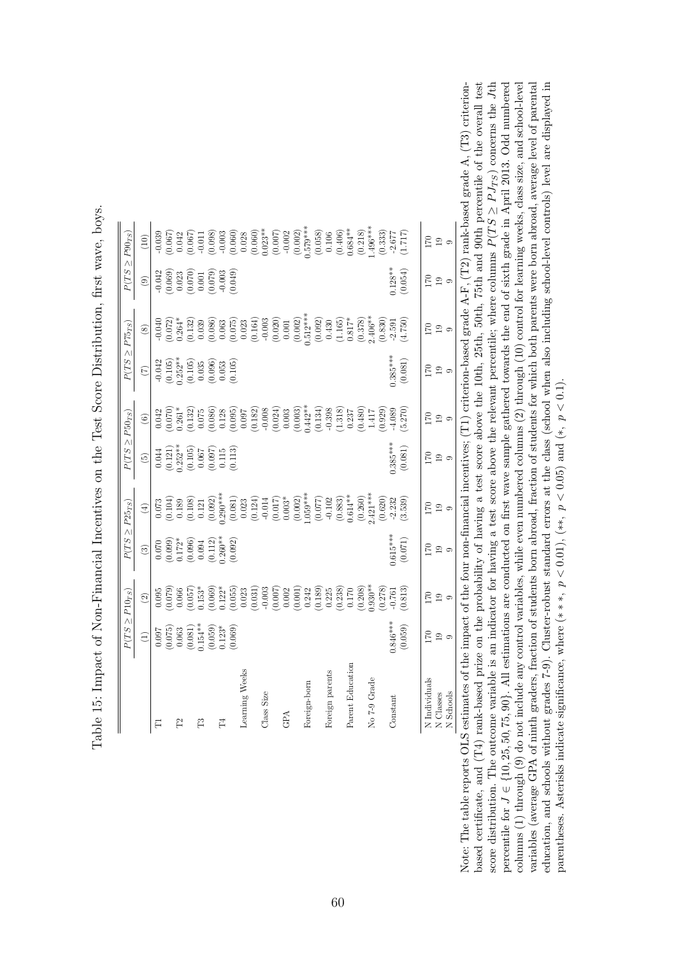<span id="page-61-0"></span>

|                  |                                                                                                                        | $P(TS \geq P10_{TS})$                                                                                                                                                                                                                                                                               |                                                                                                                                  | $P(TS \geq P25_{TS})$                                                                                                                                                                                                                                                                         | $P(TS \geq P50_{TS})$                                                                                                          |                                                                                                                                                                                                                                                                                             |                                                                                                            | $P(TS \geq P75_{TS})$                                                                                                                                                                                                                                                                                               |                                                                                                              | $P(TS \geq P90_{TS})$                                                                                                                                                                                                                                                                            |
|------------------|------------------------------------------------------------------------------------------------------------------------|-----------------------------------------------------------------------------------------------------------------------------------------------------------------------------------------------------------------------------------------------------------------------------------------------------|----------------------------------------------------------------------------------------------------------------------------------|-----------------------------------------------------------------------------------------------------------------------------------------------------------------------------------------------------------------------------------------------------------------------------------------------|--------------------------------------------------------------------------------------------------------------------------------|---------------------------------------------------------------------------------------------------------------------------------------------------------------------------------------------------------------------------------------------------------------------------------------------|------------------------------------------------------------------------------------------------------------|---------------------------------------------------------------------------------------------------------------------------------------------------------------------------------------------------------------------------------------------------------------------------------------------------------------------|--------------------------------------------------------------------------------------------------------------|--------------------------------------------------------------------------------------------------------------------------------------------------------------------------------------------------------------------------------------------------------------------------------------------------|
|                  | $\begin{pmatrix} 1 \end{pmatrix}$                                                                                      | $\odot$                                                                                                                                                                                                                                                                                             | $\circled{3}$                                                                                                                    | $\bigoplus$                                                                                                                                                                                                                                                                                   | $\widehat{5}$                                                                                                                  | $\odot$                                                                                                                                                                                                                                                                                     | $\widehat{C}$                                                                                              | $\circledS$                                                                                                                                                                                                                                                                                                         | $\textcircled{\scriptsize{1}}$                                                                               | $\left(10\right)$                                                                                                                                                                                                                                                                                |
|                  |                                                                                                                        |                                                                                                                                                                                                                                                                                                     |                                                                                                                                  | $\begin{array}{l} 0.073 \\ 0.104 \\ 0.189 \\ 0.0108 \\ 0.0093 \\ 0.0003 \\ 0.0003 \\ 0.0003 \\ 0.0003 \\ 0.0003 \\ 0.0003 \\ 0.0003 \\ 0.0003 \\ 0.0003 \\ 0.0003 \\ 0.0003 \\ 0.0003 \\ 0.0003 \\ 0.0003 \\ 0.0003 \\ 0.0003 \\ 0.0003 \\ 0.0003 \\ 0.0003 \\ 0.0003 \\ 0.0003 \\ 0.0003 \\$ |                                                                                                                                |                                                                                                                                                                                                                                                                                             |                                                                                                            |                                                                                                                                                                                                                                                                                                                     |                                                                                                              |                                                                                                                                                                                                                                                                                                  |
|                  |                                                                                                                        |                                                                                                                                                                                                                                                                                                     |                                                                                                                                  |                                                                                                                                                                                                                                                                                               |                                                                                                                                |                                                                                                                                                                                                                                                                                             |                                                                                                            |                                                                                                                                                                                                                                                                                                                     |                                                                                                              |                                                                                                                                                                                                                                                                                                  |
|                  |                                                                                                                        |                                                                                                                                                                                                                                                                                                     |                                                                                                                                  |                                                                                                                                                                                                                                                                                               |                                                                                                                                |                                                                                                                                                                                                                                                                                             |                                                                                                            |                                                                                                                                                                                                                                                                                                                     |                                                                                                              |                                                                                                                                                                                                                                                                                                  |
|                  |                                                                                                                        |                                                                                                                                                                                                                                                                                                     |                                                                                                                                  |                                                                                                                                                                                                                                                                                               |                                                                                                                                |                                                                                                                                                                                                                                                                                             |                                                                                                            |                                                                                                                                                                                                                                                                                                                     |                                                                                                              |                                                                                                                                                                                                                                                                                                  |
|                  |                                                                                                                        |                                                                                                                                                                                                                                                                                                     |                                                                                                                                  |                                                                                                                                                                                                                                                                                               |                                                                                                                                |                                                                                                                                                                                                                                                                                             |                                                                                                            |                                                                                                                                                                                                                                                                                                                     |                                                                                                              |                                                                                                                                                                                                                                                                                                  |
|                  | $\begin{array}{c} 0.097\\ (0.075)\\ (0.063)\\ (0.081)\\ (0.081)\\ (0.059)\\ (0.059)\\ (0.059)\\ (0.059)\\ \end{array}$ | $\begin{array}{l} 0.095 \\ 0.070 \\ 0.070 \\ 0.070 \\ 0.070 \\ 0.070 \\ 0.070 \\ 0.070 \\ 0.070 \\ 0.070 \\ 0.070 \\ 0.070 \\ 0.070 \\ 0.070 \\ 0.070 \\ 0.070 \\ 0.070 \\ 0.070 \\ 0.070 \\ 0.070 \\ 0.070 \\ 0.070 \\ 0.070 \\ 0.070 \\ 0.070 \\ 0.070 \\ 0.070 \\ 0.070 \\ 0.070 \\ 0.070 \\ 0.$ | $\begin{array}{l} 0.070 \\ 0.099) \\ 0.172^* \\ 0.096) \\ 0.094 \\ 0.0112) \\ 0.0112) \\ 0.004 \\ 0.0112) \\ 0.002) \end{array}$ |                                                                                                                                                                                                                                                                                               | $\begin{array}{c} 0.044 \\ (0.121) \\ 0.252^{**} \\ (0.105) \\ (0.067) \\ 0.067 \\ (0.097) \\ 0.115 \\ (0.113) \\ \end{array}$ | $\begin{array}{l} 0.042 \\ 0.0761 \\ 0.0761 \\ 0.0761 \\ 0.0762 \\ 0.0763 \\ 0.0764 \\ 0.0764 \\ 0.0765 \\ 0.0765 \\ 0.0765 \\ 0.0765 \\ 0.0765 \\ 0.0765 \\ 0.0765 \\ 0.0765 \\ 0.0765 \\ 0.0765 \\ 0.0765 \\ 0.0765 \\ 0.0765 \\ 0.0765 \\ 0.0765 \\ 0.0765 \\ 0.0765 \\ 0.0765 \\ 0.076$ | $\begin{array}{l} -0.042 \\ -0.105) \\ -0.105) \\ -2.52^{**} \\ -0.035 \\ -0.035 \\ -0.053 \\ \end{array}$ | $\begin{array}{l} 0.040 \\[-4pt] 0.072 \\[-4pt] 0.033 \\[-4pt] 0.039 \\[-4pt] 0.039 \\[-4pt] 0.039 \\[-4pt] 0.039 \\[-4pt] 0.030 \\[-4pt] 0.030 \\[-4pt] 0.030 \\[-4pt] 0.030 \\[-4pt] 0.030 \\[-4pt] 0.030 \\[-4pt] 0.030 \\[-4pt] 0.030 \\[-4pt] 0.030 \\[-4pt] 0.030 \\[-4pt] 0.030 \\[-4pt] 0.030 \\[-4pt] 0.0$ | $\begin{array}{c} -0.042 \\ -0.069) \\ 0.023 \\ 0.070) \\ 0.070) \\ 0.070) \\ 0.003 \\ 0.003 \\ \end{array}$ | $\begin{array}{l} 0.039\\[-4pt] 0.067\\[-4pt] 0.067\\[-4pt] 0.060\\[-4pt] 0.060\\[-4pt] 0.060\\[-4pt] 0.060\\[-4pt] 0.060\\[-4pt] 0.060\\[-4pt] 0.060\\[-4pt] 0.060\\[-4pt] 0.060\\[-4pt] 0.060\\[-4pt] 0.060\\[-4pt] 0.060\\[-4pt] 0.060\\[-4pt] 0.060\\[-4pt] 0.060\\[-4pt] 0.060\\[-4pt] 0.0$ |
| $\mathbb{H}$     |                                                                                                                        |                                                                                                                                                                                                                                                                                                     |                                                                                                                                  |                                                                                                                                                                                                                                                                                               |                                                                                                                                |                                                                                                                                                                                                                                                                                             |                                                                                                            |                                                                                                                                                                                                                                                                                                                     |                                                                                                              |                                                                                                                                                                                                                                                                                                  |
|                  |                                                                                                                        |                                                                                                                                                                                                                                                                                                     |                                                                                                                                  |                                                                                                                                                                                                                                                                                               |                                                                                                                                |                                                                                                                                                                                                                                                                                             |                                                                                                            |                                                                                                                                                                                                                                                                                                                     |                                                                                                              |                                                                                                                                                                                                                                                                                                  |
| Learning Weeks   |                                                                                                                        |                                                                                                                                                                                                                                                                                                     |                                                                                                                                  |                                                                                                                                                                                                                                                                                               |                                                                                                                                |                                                                                                                                                                                                                                                                                             |                                                                                                            |                                                                                                                                                                                                                                                                                                                     |                                                                                                              |                                                                                                                                                                                                                                                                                                  |
|                  |                                                                                                                        |                                                                                                                                                                                                                                                                                                     |                                                                                                                                  |                                                                                                                                                                                                                                                                                               |                                                                                                                                |                                                                                                                                                                                                                                                                                             |                                                                                                            |                                                                                                                                                                                                                                                                                                                     |                                                                                                              |                                                                                                                                                                                                                                                                                                  |
| Class Size       |                                                                                                                        |                                                                                                                                                                                                                                                                                                     |                                                                                                                                  |                                                                                                                                                                                                                                                                                               |                                                                                                                                |                                                                                                                                                                                                                                                                                             |                                                                                                            |                                                                                                                                                                                                                                                                                                                     |                                                                                                              |                                                                                                                                                                                                                                                                                                  |
|                  |                                                                                                                        |                                                                                                                                                                                                                                                                                                     |                                                                                                                                  |                                                                                                                                                                                                                                                                                               |                                                                                                                                |                                                                                                                                                                                                                                                                                             |                                                                                                            |                                                                                                                                                                                                                                                                                                                     |                                                                                                              |                                                                                                                                                                                                                                                                                                  |
| GPA              |                                                                                                                        |                                                                                                                                                                                                                                                                                                     |                                                                                                                                  |                                                                                                                                                                                                                                                                                               |                                                                                                                                |                                                                                                                                                                                                                                                                                             |                                                                                                            |                                                                                                                                                                                                                                                                                                                     |                                                                                                              |                                                                                                                                                                                                                                                                                                  |
|                  |                                                                                                                        |                                                                                                                                                                                                                                                                                                     |                                                                                                                                  |                                                                                                                                                                                                                                                                                               |                                                                                                                                |                                                                                                                                                                                                                                                                                             |                                                                                                            |                                                                                                                                                                                                                                                                                                                     |                                                                                                              |                                                                                                                                                                                                                                                                                                  |
| Foreign-born     |                                                                                                                        |                                                                                                                                                                                                                                                                                                     |                                                                                                                                  |                                                                                                                                                                                                                                                                                               |                                                                                                                                |                                                                                                                                                                                                                                                                                             |                                                                                                            |                                                                                                                                                                                                                                                                                                                     |                                                                                                              |                                                                                                                                                                                                                                                                                                  |
|                  |                                                                                                                        |                                                                                                                                                                                                                                                                                                     |                                                                                                                                  |                                                                                                                                                                                                                                                                                               |                                                                                                                                |                                                                                                                                                                                                                                                                                             |                                                                                                            |                                                                                                                                                                                                                                                                                                                     |                                                                                                              |                                                                                                                                                                                                                                                                                                  |
| Foreign parents  |                                                                                                                        |                                                                                                                                                                                                                                                                                                     |                                                                                                                                  |                                                                                                                                                                                                                                                                                               |                                                                                                                                |                                                                                                                                                                                                                                                                                             |                                                                                                            |                                                                                                                                                                                                                                                                                                                     |                                                                                                              |                                                                                                                                                                                                                                                                                                  |
|                  |                                                                                                                        |                                                                                                                                                                                                                                                                                                     |                                                                                                                                  |                                                                                                                                                                                                                                                                                               |                                                                                                                                |                                                                                                                                                                                                                                                                                             |                                                                                                            |                                                                                                                                                                                                                                                                                                                     |                                                                                                              |                                                                                                                                                                                                                                                                                                  |
| Parent Education |                                                                                                                        |                                                                                                                                                                                                                                                                                                     |                                                                                                                                  |                                                                                                                                                                                                                                                                                               |                                                                                                                                |                                                                                                                                                                                                                                                                                             |                                                                                                            |                                                                                                                                                                                                                                                                                                                     |                                                                                                              |                                                                                                                                                                                                                                                                                                  |
|                  |                                                                                                                        |                                                                                                                                                                                                                                                                                                     |                                                                                                                                  |                                                                                                                                                                                                                                                                                               |                                                                                                                                |                                                                                                                                                                                                                                                                                             |                                                                                                            |                                                                                                                                                                                                                                                                                                                     |                                                                                                              |                                                                                                                                                                                                                                                                                                  |
| No 7-9 Grade     |                                                                                                                        |                                                                                                                                                                                                                                                                                                     |                                                                                                                                  |                                                                                                                                                                                                                                                                                               |                                                                                                                                |                                                                                                                                                                                                                                                                                             |                                                                                                            |                                                                                                                                                                                                                                                                                                                     |                                                                                                              |                                                                                                                                                                                                                                                                                                  |
|                  |                                                                                                                        |                                                                                                                                                                                                                                                                                                     |                                                                                                                                  |                                                                                                                                                                                                                                                                                               |                                                                                                                                |                                                                                                                                                                                                                                                                                             |                                                                                                            |                                                                                                                                                                                                                                                                                                                     |                                                                                                              |                                                                                                                                                                                                                                                                                                  |
| Constant         |                                                                                                                        |                                                                                                                                                                                                                                                                                                     | $0.615***$                                                                                                                       |                                                                                                                                                                                                                                                                                               | $0.385***$                                                                                                                     |                                                                                                                                                                                                                                                                                             | $0.385***$                                                                                                 |                                                                                                                                                                                                                                                                                                                     |                                                                                                              |                                                                                                                                                                                                                                                                                                  |
|                  | $0.846***$<br>(0.059)                                                                                                  |                                                                                                                                                                                                                                                                                                     | (0.071)                                                                                                                          |                                                                                                                                                                                                                                                                                               | (0.081)                                                                                                                        |                                                                                                                                                                                                                                                                                             | (0.081)                                                                                                    |                                                                                                                                                                                                                                                                                                                     | $0.128**$<br>(0.054)                                                                                         |                                                                                                                                                                                                                                                                                                  |
| N Individuals    | 170                                                                                                                    | 170                                                                                                                                                                                                                                                                                                 | 170                                                                                                                              | 170                                                                                                                                                                                                                                                                                           | 170                                                                                                                            | <b>DZ1</b>                                                                                                                                                                                                                                                                                  | 170                                                                                                        | 170                                                                                                                                                                                                                                                                                                                 | 170                                                                                                          | 170                                                                                                                                                                                                                                                                                              |
| N Classes        | $\frac{9}{9}$                                                                                                          |                                                                                                                                                                                                                                                                                                     |                                                                                                                                  | $\frac{9}{9}$                                                                                                                                                                                                                                                                                 | $\overline{19}$                                                                                                                | $\frac{9}{9}$                                                                                                                                                                                                                                                                               | $\frac{1}{2}$                                                                                              | $^{20}$                                                                                                                                                                                                                                                                                                             | $^{2}$ $^{\circ}$                                                                                            | $\frac{9}{2}$                                                                                                                                                                                                                                                                                    |
| N Schools        |                                                                                                                        | $\frac{1}{2}$                                                                                                                                                                                                                                                                                       | $\frac{1}{2}$                                                                                                                    |                                                                                                                                                                                                                                                                                               | $\circ$                                                                                                                        |                                                                                                                                                                                                                                                                                             |                                                                                                            |                                                                                                                                                                                                                                                                                                                     |                                                                                                              |                                                                                                                                                                                                                                                                                                  |

Table 15: Impact of Non-Financial Incentives on the Test Score Distribution, first wave, boys. Table 15: Impact of Non-Financial Incentives on the Test Score Distribution, first wave, boys.

based certificate, and (T4) rank-based prize on the probability of having a test score above the 10th, 25th, 50th, 75th and 90th percentile of the overall test percentile for  $J \in \{10, 25, 50, 75, 90\}$ . All estimations are conducted on first wave sample gathered towards the end of sixth grade in April 2013. Odd numbered columns  $(1)$  through  $(9)$  do not include any control variables, while even numbered columns  $(2)$  through  $(10)$  control for learning weeks, class size, and school-level education, and schools without grades 7-9). Cluster-robust standard errors at the class (school when also including school-level controls) level are displayed in Note: The table reports OLS estimates of the impact of the four non-financial incentives;  $(T1)$  criterion-based grade A-F,  $(T2)$  rank-based grade A,  $(T3)$  criterion- $Jth$  ∈ {10, 25, 50, 75, 90}. All estimations are conducted on first wave sample gathered towards the end of sixth grade in April 2013. Odd numbered columns (1) through (9) do not include any control variables, while even numbered columns (2) through (10) control for learning weeks, class size, and school-level variables (average GPA of ninth graders, fraction of students born abroad, fraction of students for which both parents were born abroad, average level of parental variables (average GPA of ninth graders, fraction of students born abroad, fraction of students for which both parents were born abroad, average level of parental education, and schools without grades 7-9). Cluster-robust standard errors at the class (school when also including school-level controls) level are displayed in Note: The table reports OLS estimates of the impact of the four non-financial incentives; (T1) criterion-based grade A-F, (T2) rank-based grade A, (T3) criterionbased certificate, and (T4) rank-based prize on the probability of having a test score above the 10th, 25th, 50th, 75th and 90th percentile of the overall test  $\geq P J_{TS}$ ) concerns the ≥ $P(T S$ N Schools 9 9 9 9 9 9 9 9 9 9 score distribution. The outcome variable is an indicator for having a test score above the relevant percentile; where columns parentheses. Asterisks indicate significance, where  $(***, p < 0.01)$ ,  $(**, p < 0.05)$  and  $(*, p < 0.1)$ . parentheses. Asterisks indicate significance, where  $(***, p < 0.01, (**, p < 0.05)$  and  $(*, p < 0.1)$ . percentile for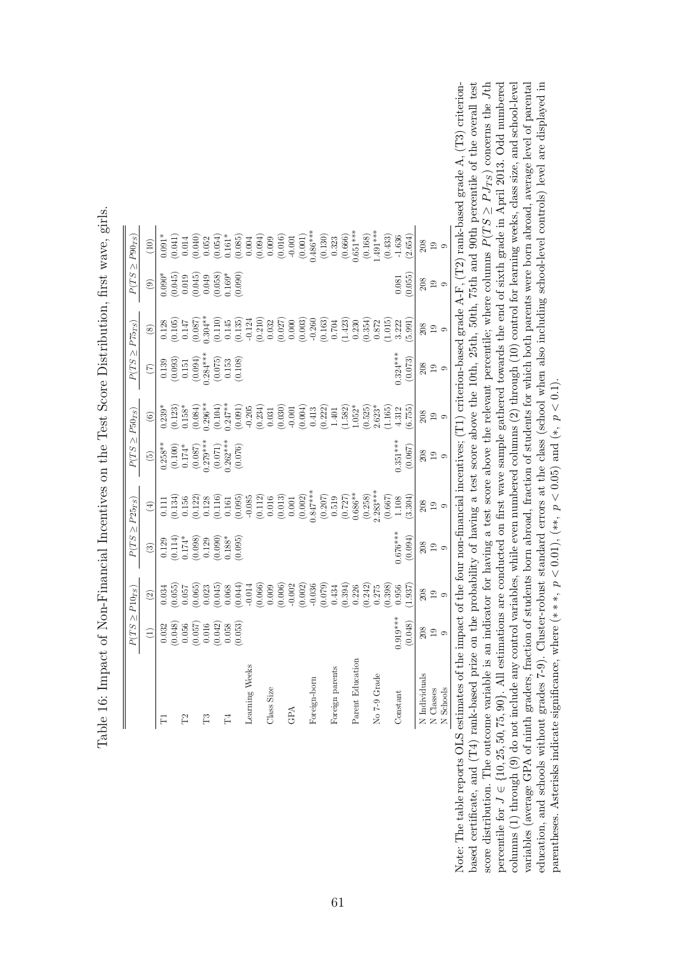<span id="page-62-0"></span>

|                  |                                                                                                       | $P(TS \geq P10_{TS})$                                                                                                                                                                                                                                                                               | $P(TS \geq P25_{TS})$                                                                                    |                                                                                                                                                                                                                                                                                                                     | $P(TS \geq P50_{TS})$                                                                         |                                                                                                                                                                                                                                                                            | $P(TS \geq P75_{TS})$                                                                                                             |                                                                                                                                                                                                                                                                                                     |                                                                                        | $P(TS \geq P90_{TS})$                                                                                                                                                                                                                                                                                   |
|------------------|-------------------------------------------------------------------------------------------------------|-----------------------------------------------------------------------------------------------------------------------------------------------------------------------------------------------------------------------------------------------------------------------------------------------------|----------------------------------------------------------------------------------------------------------|---------------------------------------------------------------------------------------------------------------------------------------------------------------------------------------------------------------------------------------------------------------------------------------------------------------------|-----------------------------------------------------------------------------------------------|----------------------------------------------------------------------------------------------------------------------------------------------------------------------------------------------------------------------------------------------------------------------------|-----------------------------------------------------------------------------------------------------------------------------------|-----------------------------------------------------------------------------------------------------------------------------------------------------------------------------------------------------------------------------------------------------------------------------------------------------|----------------------------------------------------------------------------------------|---------------------------------------------------------------------------------------------------------------------------------------------------------------------------------------------------------------------------------------------------------------------------------------------------------|
|                  | $\widehat{\Xi}$                                                                                       | $\widehat{\infty}$                                                                                                                                                                                                                                                                                  | $\circledR$                                                                                              | $\tag{4}$                                                                                                                                                                                                                                                                                                           | $\widetilde{\Theta}$                                                                          | $\odot$                                                                                                                                                                                                                                                                    | $\widetilde{C}$                                                                                                                   | $\circledast$                                                                                                                                                                                                                                                                                       | $\circledcirc$                                                                         | $\left(10\right)$                                                                                                                                                                                                                                                                                       |
|                  |                                                                                                       |                                                                                                                                                                                                                                                                                                     |                                                                                                          |                                                                                                                                                                                                                                                                                                                     |                                                                                               |                                                                                                                                                                                                                                                                            |                                                                                                                                   |                                                                                                                                                                                                                                                                                                     |                                                                                        | $0.091*$                                                                                                                                                                                                                                                                                                |
|                  | $\begin{array}{c} 0.032 \\ 0.048) \\ 0.056 \\ 0.057) \\ 0.016 \\ 0.016 \\ 0.038 \\ 0.053 \end{array}$ | $\begin{array}{l} 0.035 \\ 0.050 \\ 0.050 \\ 0.050 \\ 0.050 \\ 0.050 \\ 0.050 \\ 0.050 \\ 0.050 \\ 0.050 \\ 0.050 \\ 0.050 \\ 0.050 \\ 0.050 \\ 0.050 \\ 0.050 \\ 0.050 \\ 0.050 \\ 0.050 \\ 0.050 \\ 0.050 \\ 0.050 \\ 0.050 \\ 0.050 \\ 0.050 \\ 0.050 \\ 0.050 \\ 0.050 \\ 0.050 \\ 0.050 \\ 0.$ | $\begin{array}{l} 0.129 \\ 0.114) \\ 0.174^* \\ 0.098) \\ 0.129 \\ 0.129 \\ 0.090) \\ 0.095 \end{array}$ | $\begin{array}{l} 111 \\[-4pt] 0.156 \\[-4pt] 0.128 \\[-4pt] 0.012 \\[-4pt] 0.012 \\[-4pt] 0.003 \\[-4pt] 0.001 \\[-4pt] 0.001 \\[-4pt] 0.001 \\[-4pt] 0.001 \\[-4pt] 0.001 \\[-4pt] 0.001 \\[-4pt] 0.001 \\[-4pt] 0.001 \\[-4pt] 0.001 \\[-4pt] 0.001 \\[-4pt] 0.001 \\[-4pt] 0.001 \\[-4pt] 0.001 \\[-4pt] 0.001$ | $0.258**$<br>$(0.100)$<br>$0.174*$<br>$0.087$<br>$0.279***$<br>$0.071)$<br>$0.071$<br>$0.076$ | $\begin{array}{l} 0.239^{*}\\ 0.123^{*}\\ 0.158^{*}\\ 0.084)\\ 0.084)\\ 0.000\\ 0.000\\ 0.001\\ 0.001\\ 0.001\\ 0.000\\ 0.000\\ 0.000\\ 0.000\\ 0.001\\ 0.000\\ 0.001\\ 0.001\\ 0.000\\ 0.001\\ 0.001\\ 0.001\\ 0.000\\ 0.001\\ 0.001\\ 0.002\\ 0.003\\ 0.000\\ 0.001\\ 0$ | $\begin{array}{c} 0.139\\ (0.093)\\ 0.151\\ (0.094)\\ (0.094)\\ 0.284^{***}\\ (0.075)\\ (0.075)\\ (0.153\\ (0.108)\\ \end{array}$ | $\begin{array}{l} 0.128 \\ 0.016 \\ 0.017 \\ 0.019 \\ 0.019 \\ 0.019 \\ 0.019 \\ 0.019 \\ 0.019 \\ 0.019 \\ 0.019 \\ 0.019 \\ 0.019 \\ 0.019 \\ 0.019 \\ 0.019 \\ 0.019 \\ 0.019 \\ 0.019 \\ 0.019 \\ 0.019 \\ 0.019 \\ 0.019 \\ 0.019 \\ 0.019 \\ 0.019 \\ 0.019 \\ 0.019 \\ 0.019 \\ 0.019 \\ 0.$ | $0.090*$<br>$(0.045)$<br>$(0.045)$<br>$(0.045)$<br>$(0.049)$<br>$(0.058)$<br>$(0.090)$ | $\begin{smallmatrix} 0.041 \\ 0.040 \\ 0.052 \\ 0.053 \\ 0.054 \\ 0.059 \\ 0.059 \\ 0.000 \\ 0.000 \\ 0.000 \\ 0.000 \\ 0.000 \\ 0.000 \\ 0.000 \\ 0.000 \\ 0.000 \\ 0.000 \\ 0.000 \\ 0.000 \\ 0.000 \\ 0.000 \\ 0.000 \\ 0.000 \\ 0.000 \\ 0.000 \\ 0.000 \\ 0.000 \\ 0.000 \\ 0.000 \\ 0.000 \\ 0.0$ |
| P <sub>2</sub>   |                                                                                                       |                                                                                                                                                                                                                                                                                                     |                                                                                                          |                                                                                                                                                                                                                                                                                                                     |                                                                                               |                                                                                                                                                                                                                                                                            |                                                                                                                                   |                                                                                                                                                                                                                                                                                                     |                                                                                        |                                                                                                                                                                                                                                                                                                         |
|                  |                                                                                                       |                                                                                                                                                                                                                                                                                                     |                                                                                                          |                                                                                                                                                                                                                                                                                                                     |                                                                                               |                                                                                                                                                                                                                                                                            |                                                                                                                                   |                                                                                                                                                                                                                                                                                                     |                                                                                        |                                                                                                                                                                                                                                                                                                         |
| n                |                                                                                                       |                                                                                                                                                                                                                                                                                                     |                                                                                                          |                                                                                                                                                                                                                                                                                                                     |                                                                                               |                                                                                                                                                                                                                                                                            |                                                                                                                                   |                                                                                                                                                                                                                                                                                                     |                                                                                        |                                                                                                                                                                                                                                                                                                         |
|                  |                                                                                                       |                                                                                                                                                                                                                                                                                                     |                                                                                                          |                                                                                                                                                                                                                                                                                                                     |                                                                                               |                                                                                                                                                                                                                                                                            |                                                                                                                                   |                                                                                                                                                                                                                                                                                                     |                                                                                        |                                                                                                                                                                                                                                                                                                         |
| $\Gamma_4$       |                                                                                                       |                                                                                                                                                                                                                                                                                                     |                                                                                                          |                                                                                                                                                                                                                                                                                                                     |                                                                                               |                                                                                                                                                                                                                                                                            |                                                                                                                                   |                                                                                                                                                                                                                                                                                                     |                                                                                        |                                                                                                                                                                                                                                                                                                         |
|                  |                                                                                                       |                                                                                                                                                                                                                                                                                                     |                                                                                                          |                                                                                                                                                                                                                                                                                                                     |                                                                                               |                                                                                                                                                                                                                                                                            |                                                                                                                                   |                                                                                                                                                                                                                                                                                                     |                                                                                        |                                                                                                                                                                                                                                                                                                         |
| Learning Weeks   |                                                                                                       |                                                                                                                                                                                                                                                                                                     |                                                                                                          |                                                                                                                                                                                                                                                                                                                     |                                                                                               |                                                                                                                                                                                                                                                                            |                                                                                                                                   |                                                                                                                                                                                                                                                                                                     |                                                                                        |                                                                                                                                                                                                                                                                                                         |
|                  |                                                                                                       |                                                                                                                                                                                                                                                                                                     |                                                                                                          |                                                                                                                                                                                                                                                                                                                     |                                                                                               |                                                                                                                                                                                                                                                                            |                                                                                                                                   |                                                                                                                                                                                                                                                                                                     |                                                                                        |                                                                                                                                                                                                                                                                                                         |
| Class Size       |                                                                                                       |                                                                                                                                                                                                                                                                                                     |                                                                                                          |                                                                                                                                                                                                                                                                                                                     |                                                                                               |                                                                                                                                                                                                                                                                            |                                                                                                                                   |                                                                                                                                                                                                                                                                                                     |                                                                                        |                                                                                                                                                                                                                                                                                                         |
|                  |                                                                                                       |                                                                                                                                                                                                                                                                                                     |                                                                                                          |                                                                                                                                                                                                                                                                                                                     |                                                                                               |                                                                                                                                                                                                                                                                            |                                                                                                                                   |                                                                                                                                                                                                                                                                                                     |                                                                                        |                                                                                                                                                                                                                                                                                                         |
| GPA              |                                                                                                       |                                                                                                                                                                                                                                                                                                     |                                                                                                          |                                                                                                                                                                                                                                                                                                                     |                                                                                               |                                                                                                                                                                                                                                                                            |                                                                                                                                   |                                                                                                                                                                                                                                                                                                     |                                                                                        |                                                                                                                                                                                                                                                                                                         |
|                  |                                                                                                       |                                                                                                                                                                                                                                                                                                     |                                                                                                          |                                                                                                                                                                                                                                                                                                                     |                                                                                               |                                                                                                                                                                                                                                                                            |                                                                                                                                   |                                                                                                                                                                                                                                                                                                     |                                                                                        |                                                                                                                                                                                                                                                                                                         |
| Foreign-born     |                                                                                                       |                                                                                                                                                                                                                                                                                                     |                                                                                                          |                                                                                                                                                                                                                                                                                                                     |                                                                                               |                                                                                                                                                                                                                                                                            |                                                                                                                                   |                                                                                                                                                                                                                                                                                                     |                                                                                        |                                                                                                                                                                                                                                                                                                         |
|                  |                                                                                                       |                                                                                                                                                                                                                                                                                                     |                                                                                                          |                                                                                                                                                                                                                                                                                                                     |                                                                                               |                                                                                                                                                                                                                                                                            |                                                                                                                                   |                                                                                                                                                                                                                                                                                                     |                                                                                        |                                                                                                                                                                                                                                                                                                         |
| Foreign parents  |                                                                                                       |                                                                                                                                                                                                                                                                                                     |                                                                                                          |                                                                                                                                                                                                                                                                                                                     |                                                                                               |                                                                                                                                                                                                                                                                            |                                                                                                                                   |                                                                                                                                                                                                                                                                                                     |                                                                                        |                                                                                                                                                                                                                                                                                                         |
|                  |                                                                                                       |                                                                                                                                                                                                                                                                                                     |                                                                                                          |                                                                                                                                                                                                                                                                                                                     |                                                                                               |                                                                                                                                                                                                                                                                            |                                                                                                                                   |                                                                                                                                                                                                                                                                                                     |                                                                                        |                                                                                                                                                                                                                                                                                                         |
| Parent Education |                                                                                                       |                                                                                                                                                                                                                                                                                                     |                                                                                                          |                                                                                                                                                                                                                                                                                                                     |                                                                                               |                                                                                                                                                                                                                                                                            |                                                                                                                                   |                                                                                                                                                                                                                                                                                                     |                                                                                        |                                                                                                                                                                                                                                                                                                         |
|                  |                                                                                                       |                                                                                                                                                                                                                                                                                                     |                                                                                                          |                                                                                                                                                                                                                                                                                                                     |                                                                                               | $\begin{array}{c} (0.525) \\ 2.623^* \\ (1.165) \end{array}$                                                                                                                                                                                                               |                                                                                                                                   |                                                                                                                                                                                                                                                                                                     |                                                                                        |                                                                                                                                                                                                                                                                                                         |
| No 7-9 Grade     |                                                                                                       |                                                                                                                                                                                                                                                                                                     |                                                                                                          |                                                                                                                                                                                                                                                                                                                     |                                                                                               |                                                                                                                                                                                                                                                                            |                                                                                                                                   |                                                                                                                                                                                                                                                                                                     |                                                                                        |                                                                                                                                                                                                                                                                                                         |
|                  |                                                                                                       |                                                                                                                                                                                                                                                                                                     |                                                                                                          |                                                                                                                                                                                                                                                                                                                     |                                                                                               |                                                                                                                                                                                                                                                                            |                                                                                                                                   |                                                                                                                                                                                                                                                                                                     |                                                                                        |                                                                                                                                                                                                                                                                                                         |
| Constant         | $0.919***$                                                                                            | 0.956                                                                                                                                                                                                                                                                                               | $0.676***$                                                                                               | $1.108$                                                                                                                                                                                                                                                                                                             | $0.351***$                                                                                    | 4.312                                                                                                                                                                                                                                                                      | $0.324***$                                                                                                                        |                                                                                                                                                                                                                                                                                                     | 0.081                                                                                  |                                                                                                                                                                                                                                                                                                         |
|                  | (0.048)                                                                                               | 1.937                                                                                                                                                                                                                                                                                               | (0.094)                                                                                                  | (3.304)                                                                                                                                                                                                                                                                                                             | (0.067)                                                                                       | (6.755)                                                                                                                                                                                                                                                                    | (0.073)                                                                                                                           | (5.991)                                                                                                                                                                                                                                                                                             | (0.055)                                                                                | (2.654)                                                                                                                                                                                                                                                                                                 |
| N Individuals    |                                                                                                       |                                                                                                                                                                                                                                                                                                     |                                                                                                          |                                                                                                                                                                                                                                                                                                                     | 208                                                                                           | $\frac{208}{19}$                                                                                                                                                                                                                                                           | 208                                                                                                                               |                                                                                                                                                                                                                                                                                                     | 208                                                                                    |                                                                                                                                                                                                                                                                                                         |
| N Classes        | $\frac{5}{19}$                                                                                        | $\begin{array}{c} 208 \\ 19 \end{array}$                                                                                                                                                                                                                                                            | $\begin{array}{c} 208 \\ 19 \end{array}$                                                                 | $\frac{208}{19}$                                                                                                                                                                                                                                                                                                    | $\overline{19}$                                                                               |                                                                                                                                                                                                                                                                            | $_{19}$                                                                                                                           | 80 g o                                                                                                                                                                                                                                                                                              | $19\,$                                                                                 | $\begin{array}{c} 208 \\ 19 \end{array}$                                                                                                                                                                                                                                                                |
| N Schools        | $\circ$                                                                                               | $\circ$                                                                                                                                                                                                                                                                                             | $\circ$                                                                                                  | $\circ$                                                                                                                                                                                                                                                                                                             | $\circ$                                                                                       | $\circ$                                                                                                                                                                                                                                                                    | $\circ$                                                                                                                           |                                                                                                                                                                                                                                                                                                     | $\circ$                                                                                |                                                                                                                                                                                                                                                                                                         |

Table 16: Impact of Non-Financial Incentives on the Test Score Distribution, first wave, girls. Table 16: Impact of Non-Financial Incentives on the Test Score Distribution, first wave, girls.

percentile for  $J \in \{10, 25, 50, 75, 90\}$ . All estimations are conducted on first wave sample gathered towards the end of sixth grade in April 2013. Odd numbered variables (average GPA of ninth graders, fraction of students born abroad, fraction of students for which both parents were born abroad, average level of parental education, and schools without grades 7-9). Cluster-robust standard errors at the class (school when also including school-level controls) level are displayed in Note: The table reports OLS estimates of the impact of the four non-financial incentives; (T1) criterion-based grade A-F, (T2) rank-based grade A, (T3) criterionbased certificate, and (T4) rank-based prize on the probability of having a test score above the 10th, 25th, 50th, 75th and 90th percentile of the overall test  $Jth$  $J \in \{10, 25, 50, 75, 90\}$ . All estimations are conducted on first wave sample gathered towards the end of sixth grade in April 2013. Odd numbered  $J = 1, 1, 1, 1, 1$ columns  $(1)$  through  $(9)$  do not include any control variables, while even numbered columns  $(2)$  through  $(10)$  control for learning weeks, class size, and school-level columns (1) through (9) do not include any control variables, while even numbered columns (2) through (10) control for learning weeks, class size, and school-level variables (average GPA of ninth graders, fraction of students born abroad, fraction of students for which both parents were born abroad, average level of parental education, and schools without grades 7-9). Cluster-robust standard errors at the class (school when also including school-level controls) level are displayed in Note: The table reports OLS estimates of the impact of the four non-financial incentives; (T1) criterion-based grade A-F, (T2) rank-based grade A, (T3) criterionbased certificate, and (T4) rank-based prize on the probability of having a test score above the 10th, 25th, 50th, 75th and 90th percentile of the overall test  $\geq P J_{TS}$ ) concerns the ≥ $P(T S$ score distribution. The outcome variable is an indicator for having a test score above the relevant percentile; where columns parentheses. Asterisks indicate significance, where  $(***, p < 0.01)$ ,  $(**, p < 0.05)$  and  $(*, p < 0.1)$ . parentheses. Asterisks indicate significance, where  $(***, p < 0.01, (**, p < 0.05)$  and  $(*, p < 0.1)$ . percentile for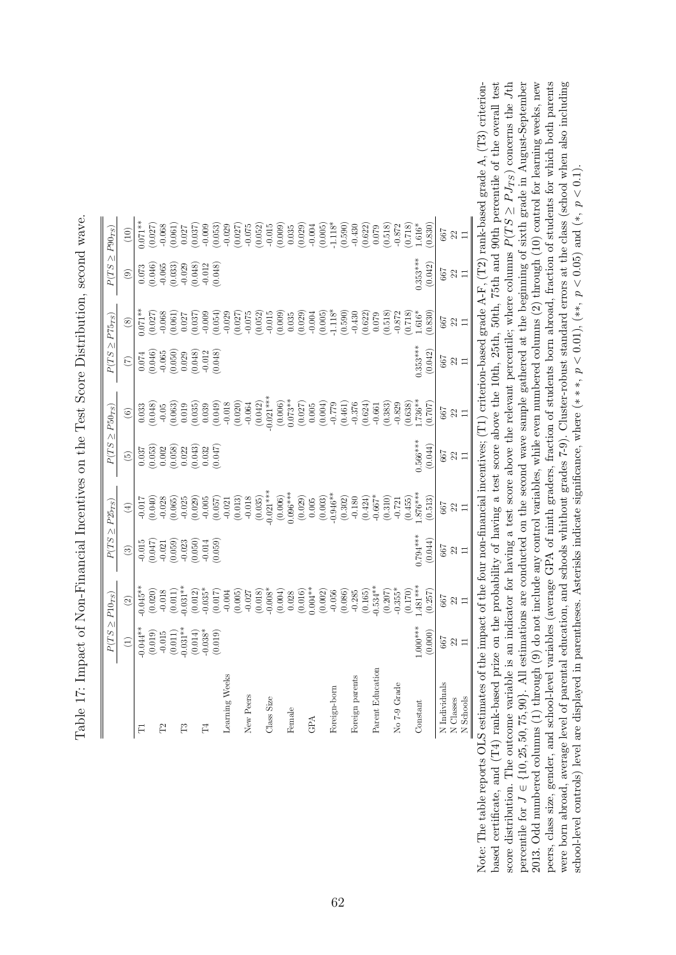<span id="page-63-0"></span>

|                  | $P(TS \geq P10_{TS})$                                                                                                                                                                                                                                                                                                  |                                                                                                                                                                                                                                                                                                  | $P(TS \geq P25_{TS})$                                                                                          |                                                                                                                                                                                                                                                                                                               | $P(TS \geq P50_{TS})$                                                                                         |                                                                                                                                                                                                                                                                                                              | $P(TS \geq P75_{TS})$                                                                                              |                                                                                                                                                                                                                                                                                                                  | $P(TS \geq P90_{TS})$                                                                                  |            |
|------------------|------------------------------------------------------------------------------------------------------------------------------------------------------------------------------------------------------------------------------------------------------------------------------------------------------------------------|--------------------------------------------------------------------------------------------------------------------------------------------------------------------------------------------------------------------------------------------------------------------------------------------------|----------------------------------------------------------------------------------------------------------------|---------------------------------------------------------------------------------------------------------------------------------------------------------------------------------------------------------------------------------------------------------------------------------------------------------------|---------------------------------------------------------------------------------------------------------------|--------------------------------------------------------------------------------------------------------------------------------------------------------------------------------------------------------------------------------------------------------------------------------------------------------------|--------------------------------------------------------------------------------------------------------------------|------------------------------------------------------------------------------------------------------------------------------------------------------------------------------------------------------------------------------------------------------------------------------------------------------------------|--------------------------------------------------------------------------------------------------------|------------|
|                  | $\widehat{\Xi}$                                                                                                                                                                                                                                                                                                        | $\odot$                                                                                                                                                                                                                                                                                          | $\odot$                                                                                                        | $\bigoplus$                                                                                                                                                                                                                                                                                                   | $\widetilde{\Theta}$                                                                                          | $\odot$                                                                                                                                                                                                                                                                                                      | $\begin{pmatrix} 7 \end{pmatrix}$                                                                                  | $\circledast$                                                                                                                                                                                                                                                                                                    | $\circledcirc$                                                                                         | (10)       |
|                  |                                                                                                                                                                                                                                                                                                                        | $0.045**$<br>$(0.020)$<br>$-0.018$<br>$(0.011)$<br>$(0.011)$<br>$0.031**$                                                                                                                                                                                                                        |                                                                                                                |                                                                                                                                                                                                                                                                                                               |                                                                                                               |                                                                                                                                                                                                                                                                                                              |                                                                                                                    | $\begin{array}{l} * \\ 1111 \\ 1211 \\ 1311 \\ 1411 \\ 1511 \\ 1611 \\ 1711 \\ 1811 \\ 1811 \\ 1911 \\ 1911 \\ 1911 \\ 1911 \\ 1911 \\ 1911 \\ 1911 \\ 1911 \\ 1911 \\ 1911 \\ 1911 \\ 1911 \\ 1911 \\ 1911 \\ 1911 \\ 1911 \\ 1911 \\ 1911 \\ 1911 \\ 1911 \\ 1911 \\ 1911 \\ 1911 \\ 1911 \\ 1911 \\ 1911 \\ $ |                                                                                                        |            |
|                  | $\begin{array}{l} (0.044* \\ (0.019) \\ (0.015) \\ (0.011) \\ (0.011) \\ (0.014) \\ (0.014) \\ (0.038* \\ (0.019) \\ (0.019) \\ (0.019) \\ (0.019) \\ (0.019) \\ (0.019) \\ (0.019) \\ (0.019) \\ (0.019) \\ (0.019) \\ (0.019) \\ (0.019) \\ (0.019) \\ (0.019) \\ (0.019) \\ (0.019) \\ (0.019) \\ (0.019) \\ (0.01$ |                                                                                                                                                                                                                                                                                                  | $\begin{array}{l} 0.015 \\ -0.047) \\ -0.021 \\ -0.059) \\ -0.050) \\ -0.050) \\ -0.014 \\ 0.059) \end{array}$ |                                                                                                                                                                                                                                                                                                               | $\begin{array}{l} 0.037 \\ 0.053) \\ 0.002 \\ 0.003 \\ 0.003 \\ 0.01 \\ 0.032 \\ 0.047) \\ 0.047 \end{array}$ |                                                                                                                                                                                                                                                                                                              | $\begin{array}{l} 0.074 \\ 0.046) \\ 0.065 \\ 0.050) \\ 0.029 \\ 0.048) \\ 0.048) \\ 0.048) \\ 0.048) \end{array}$ |                                                                                                                                                                                                                                                                                                                  | $\begin{array}{l} 0.073 \\ 0.046 \\ 0.065 \\ 0.033 \\ 0.032 \\ 0.048 \\ 0.048 \\ 0.048 \\ \end{array}$ |            |
|                  |                                                                                                                                                                                                                                                                                                                        |                                                                                                                                                                                                                                                                                                  |                                                                                                                |                                                                                                                                                                                                                                                                                                               |                                                                                                               |                                                                                                                                                                                                                                                                                                              |                                                                                                                    |                                                                                                                                                                                                                                                                                                                  |                                                                                                        |            |
|                  |                                                                                                                                                                                                                                                                                                                        |                                                                                                                                                                                                                                                                                                  |                                                                                                                |                                                                                                                                                                                                                                                                                                               |                                                                                                               |                                                                                                                                                                                                                                                                                                              |                                                                                                                    |                                                                                                                                                                                                                                                                                                                  |                                                                                                        |            |
|                  |                                                                                                                                                                                                                                                                                                                        |                                                                                                                                                                                                                                                                                                  |                                                                                                                |                                                                                                                                                                                                                                                                                                               |                                                                                                               |                                                                                                                                                                                                                                                                                                              |                                                                                                                    |                                                                                                                                                                                                                                                                                                                  |                                                                                                        |            |
|                  |                                                                                                                                                                                                                                                                                                                        |                                                                                                                                                                                                                                                                                                  |                                                                                                                |                                                                                                                                                                                                                                                                                                               |                                                                                                               |                                                                                                                                                                                                                                                                                                              |                                                                                                                    |                                                                                                                                                                                                                                                                                                                  |                                                                                                        |            |
|                  |                                                                                                                                                                                                                                                                                                                        |                                                                                                                                                                                                                                                                                                  |                                                                                                                |                                                                                                                                                                                                                                                                                                               |                                                                                                               |                                                                                                                                                                                                                                                                                                              |                                                                                                                    |                                                                                                                                                                                                                                                                                                                  |                                                                                                        |            |
|                  |                                                                                                                                                                                                                                                                                                                        |                                                                                                                                                                                                                                                                                                  |                                                                                                                |                                                                                                                                                                                                                                                                                                               |                                                                                                               |                                                                                                                                                                                                                                                                                                              |                                                                                                                    |                                                                                                                                                                                                                                                                                                                  |                                                                                                        |            |
| Learning Weeks   |                                                                                                                                                                                                                                                                                                                        |                                                                                                                                                                                                                                                                                                  |                                                                                                                |                                                                                                                                                                                                                                                                                                               |                                                                                                               |                                                                                                                                                                                                                                                                                                              |                                                                                                                    |                                                                                                                                                                                                                                                                                                                  |                                                                                                        |            |
|                  |                                                                                                                                                                                                                                                                                                                        |                                                                                                                                                                                                                                                                                                  |                                                                                                                |                                                                                                                                                                                                                                                                                                               |                                                                                                               |                                                                                                                                                                                                                                                                                                              |                                                                                                                    |                                                                                                                                                                                                                                                                                                                  |                                                                                                        |            |
|                  |                                                                                                                                                                                                                                                                                                                        |                                                                                                                                                                                                                                                                                                  |                                                                                                                |                                                                                                                                                                                                                                                                                                               |                                                                                                               |                                                                                                                                                                                                                                                                                                              |                                                                                                                    |                                                                                                                                                                                                                                                                                                                  |                                                                                                        |            |
|                  |                                                                                                                                                                                                                                                                                                                        |                                                                                                                                                                                                                                                                                                  |                                                                                                                |                                                                                                                                                                                                                                                                                                               |                                                                                                               |                                                                                                                                                                                                                                                                                                              |                                                                                                                    |                                                                                                                                                                                                                                                                                                                  |                                                                                                        |            |
|                  |                                                                                                                                                                                                                                                                                                                        |                                                                                                                                                                                                                                                                                                  |                                                                                                                |                                                                                                                                                                                                                                                                                                               |                                                                                                               |                                                                                                                                                                                                                                                                                                              |                                                                                                                    |                                                                                                                                                                                                                                                                                                                  |                                                                                                        |            |
|                  |                                                                                                                                                                                                                                                                                                                        |                                                                                                                                                                                                                                                                                                  |                                                                                                                |                                                                                                                                                                                                                                                                                                               |                                                                                                               |                                                                                                                                                                                                                                                                                                              |                                                                                                                    |                                                                                                                                                                                                                                                                                                                  |                                                                                                        |            |
|                  |                                                                                                                                                                                                                                                                                                                        |                                                                                                                                                                                                                                                                                                  |                                                                                                                |                                                                                                                                                                                                                                                                                                               |                                                                                                               |                                                                                                                                                                                                                                                                                                              |                                                                                                                    |                                                                                                                                                                                                                                                                                                                  |                                                                                                        |            |
|                  |                                                                                                                                                                                                                                                                                                                        |                                                                                                                                                                                                                                                                                                  |                                                                                                                |                                                                                                                                                                                                                                                                                                               |                                                                                                               |                                                                                                                                                                                                                                                                                                              |                                                                                                                    |                                                                                                                                                                                                                                                                                                                  |                                                                                                        |            |
|                  |                                                                                                                                                                                                                                                                                                                        |                                                                                                                                                                                                                                                                                                  |                                                                                                                |                                                                                                                                                                                                                                                                                                               |                                                                                                               |                                                                                                                                                                                                                                                                                                              |                                                                                                                    |                                                                                                                                                                                                                                                                                                                  |                                                                                                        |            |
|                  |                                                                                                                                                                                                                                                                                                                        |                                                                                                                                                                                                                                                                                                  |                                                                                                                |                                                                                                                                                                                                                                                                                                               |                                                                                                               |                                                                                                                                                                                                                                                                                                              |                                                                                                                    |                                                                                                                                                                                                                                                                                                                  |                                                                                                        |            |
| Foreign-born     |                                                                                                                                                                                                                                                                                                                        |                                                                                                                                                                                                                                                                                                  |                                                                                                                |                                                                                                                                                                                                                                                                                                               |                                                                                                               |                                                                                                                                                                                                                                                                                                              |                                                                                                                    |                                                                                                                                                                                                                                                                                                                  |                                                                                                        |            |
|                  |                                                                                                                                                                                                                                                                                                                        | $\begin{smallmatrix} (0.012)\\ (0.035)\\ (0.017)\\ (0.005)\\ (0.006)\\ (0.010)\\ (0.010)\\ (0.005)\\ (0.008)\\ (0.004)\\ (0.007)\\ (0.004)\\ (0.007)\\ (0.007)\\ (0.008)\\ (0.007)\\ (0.008)\\ (0.007)\\ (0.008)\\ (0.007)\\ (0.008)\\ (0.007)\\ (0.008)\\ (0.009)\\ (0.007)\\ (0.007)\\ (0.008$ |                                                                                                                | $\begin{array}{l} 111 \\ 7040 \\ 9040 \\ 9050 \\ 9065 \\ 9070 \\ 9080 \\ 9090 \\ 9090 \\ 9090 \\ 9090 \\ 9090 \\ 9090 \\ 9090 \\ 9090 \\ 9090 \\ 9090 \\ 9090 \\ 9090 \\ 9090 \\ 9090 \\ 9090 \\ 9090 \\ 9090 \\ 9090 \\ 9090 \\ 9090 \\ 9090 \\ 9090 \\ 9090 \\ 9090 \\ 9090 \\ 9090 \\ 9090 \\ 9090 \\ 909$ |                                                                                                               | $\begin{array}{r} 633\\[-4pt] 6048\\[-4pt] 6049\\[-4pt] 609\\[-4pt] 609\\[-4pt] 609\\[-4pt] 609\\[-4pt] 609\\[-4pt] 609\\[-4pt] 609\\[-4pt] 609\\[-4pt] 609\\[-4pt] 609\\[-4pt] 609\\[-4pt] 609\\[-4pt] 609\\[-4pt] 609\\[-4pt] 609\\[-4pt] 609\\[-4pt] 609\\[-4pt] 609\\[-4pt] 609\\[-4pt] 609\\[-4pt] 609$ |                                                                                                                    |                                                                                                                                                                                                                                                                                                                  |                                                                                                        |            |
| Foreign parents  |                                                                                                                                                                                                                                                                                                                        |                                                                                                                                                                                                                                                                                                  |                                                                                                                |                                                                                                                                                                                                                                                                                                               |                                                                                                               |                                                                                                                                                                                                                                                                                                              |                                                                                                                    |                                                                                                                                                                                                                                                                                                                  |                                                                                                        |            |
|                  |                                                                                                                                                                                                                                                                                                                        |                                                                                                                                                                                                                                                                                                  |                                                                                                                |                                                                                                                                                                                                                                                                                                               |                                                                                                               |                                                                                                                                                                                                                                                                                                              |                                                                                                                    |                                                                                                                                                                                                                                                                                                                  |                                                                                                        |            |
| Parent Education |                                                                                                                                                                                                                                                                                                                        |                                                                                                                                                                                                                                                                                                  |                                                                                                                |                                                                                                                                                                                                                                                                                                               |                                                                                                               |                                                                                                                                                                                                                                                                                                              |                                                                                                                    |                                                                                                                                                                                                                                                                                                                  |                                                                                                        |            |
|                  |                                                                                                                                                                                                                                                                                                                        | $(0.207)$<br>$0.355*$                                                                                                                                                                                                                                                                            |                                                                                                                |                                                                                                                                                                                                                                                                                                               |                                                                                                               |                                                                                                                                                                                                                                                                                                              |                                                                                                                    |                                                                                                                                                                                                                                                                                                                  |                                                                                                        |            |
| No 7-9 Grade     |                                                                                                                                                                                                                                                                                                                        |                                                                                                                                                                                                                                                                                                  |                                                                                                                |                                                                                                                                                                                                                                                                                                               |                                                                                                               |                                                                                                                                                                                                                                                                                                              |                                                                                                                    |                                                                                                                                                                                                                                                                                                                  |                                                                                                        |            |
|                  |                                                                                                                                                                                                                                                                                                                        | (0.170)                                                                                                                                                                                                                                                                                          |                                                                                                                |                                                                                                                                                                                                                                                                                                               |                                                                                                               |                                                                                                                                                                                                                                                                                                              |                                                                                                                    |                                                                                                                                                                                                                                                                                                                  |                                                                                                        |            |
|                  | $1.000***$                                                                                                                                                                                                                                                                                                             | $.481***$                                                                                                                                                                                                                                                                                        | $0.794***$                                                                                                     |                                                                                                                                                                                                                                                                                                               | $0.566***$                                                                                                    |                                                                                                                                                                                                                                                                                                              | $0.353***$                                                                                                         | $1.616*$                                                                                                                                                                                                                                                                                                         | $0.353***$                                                                                             |            |
|                  | (0.000)                                                                                                                                                                                                                                                                                                                | (0.257)                                                                                                                                                                                                                                                                                          | (0.044)                                                                                                        | (0.513)                                                                                                                                                                                                                                                                                                       | (0.044)                                                                                                       | (0.707)                                                                                                                                                                                                                                                                                                      | (0.042)                                                                                                            | (0.830)                                                                                                                                                                                                                                                                                                          | (0.042)                                                                                                | (0.830)    |
| N Individuals    |                                                                                                                                                                                                                                                                                                                        | 667                                                                                                                                                                                                                                                                                              |                                                                                                                | 667                                                                                                                                                                                                                                                                                                           |                                                                                                               | 667                                                                                                                                                                                                                                                                                                          | 667                                                                                                                | 667                                                                                                                                                                                                                                                                                                              |                                                                                                        | <b>667</b> |
|                  | $667$<br>22 $1$                                                                                                                                                                                                                                                                                                        | $\frac{2}{11}$                                                                                                                                                                                                                                                                                   | $\begin{array}{c} 667 \\ 23 \\ 11 \end{array}$                                                                 | $\frac{2}{11}$                                                                                                                                                                                                                                                                                                | $667$ $22$ $1$                                                                                                | $\frac{22}{11}$                                                                                                                                                                                                                                                                                              | $\frac{2}{11}$                                                                                                     | $\frac{2}{11}$                                                                                                                                                                                                                                                                                                   | $667$<br>22 $1$                                                                                        | 22         |
|                  |                                                                                                                                                                                                                                                                                                                        |                                                                                                                                                                                                                                                                                                  |                                                                                                                |                                                                                                                                                                                                                                                                                                               |                                                                                                               |                                                                                                                                                                                                                                                                                                              |                                                                                                                    |                                                                                                                                                                                                                                                                                                                  |                                                                                                        |            |

Table 17: Impact of Non-Financial Incentives on the Test Score Distribution, second wave. Table 17: Impact of Non-Financial Incentives on the Test Score Distribution, second wave.

peers, class size, gender, and school-level variables (average GPA of ninth graders, fraction of students born abroad, fraction of students for which both parents based certificate, and (T4) rank-based prize on the probability of having a test score above the 10th, 25th, 50th, 75th and 90th percentile of the overall test percentile for  $J \in \{10, 25, 50, 75, 90\}$ . All estimations are conducted on the second wave sample gathered at the beginning of sixth grade in August-September 2013. Odd numbered columns (1) through (9) do not include any control variables, while even numbered columns (2) through (10) control for learning weeks, new Note: The table reports OLS estimates of the impact of the four non-financial incentives; (T1) criterion-based grade A-F, (T2) rank-based grade A, (T3) criterion- $Jth$  $J \in \{10, 25, 50, 75, 90\}$ . All estimations are conducted on the second wave sample gathered at the beginning of sixth grade in August-September 2013. Odd numbered columns (1) through (9) do not include any control variables, while even numbered columns (2) through (10) control for learning weeks, new were born abroad, average level of parental education, and schools whithout grades 7-9). Cluster-robust standard errors at the class (school when also including were born abroad, average level of parental education, and schools whithout grades 7-9). Cluster-robust standard errors at the class (school when also including Note: The table reports OLS estimates of the impact of the four non-financial incentives; (T1) criterion-based grade A-F, (T2) rank-based grade A, (T3) criterionbased certificate, and (T4) rank-based prize on the probability of having a test score above the 10th, 25th, 50th, 75th and 90th percentile of the overall test peers, class size, gender, and school-level variables (average GPA of ninth graders, fraction of students born abroad, fraction of students for which both parents  $\geq P J_{TS}$ ) concerns the school-level controls) level are displayed in parentheses. Asterisks indicate significance, where  $(***, p < 0.01$ ,  $(**, p < 0.05)$  and  $(*, p < 0.1)$ . school-level controls) level are displayed in parentheses. Asterisks indicate significance, where  $(* **$ ,  $p < 0.01$ ,  $(**$ ,  $p < 0.05$ ) and  $(*, p < 0.1)$ . ≥ $P(T S$ score distribution. The outcome variable is an indicator for having a test score above the relevant percentile; where columns percentile for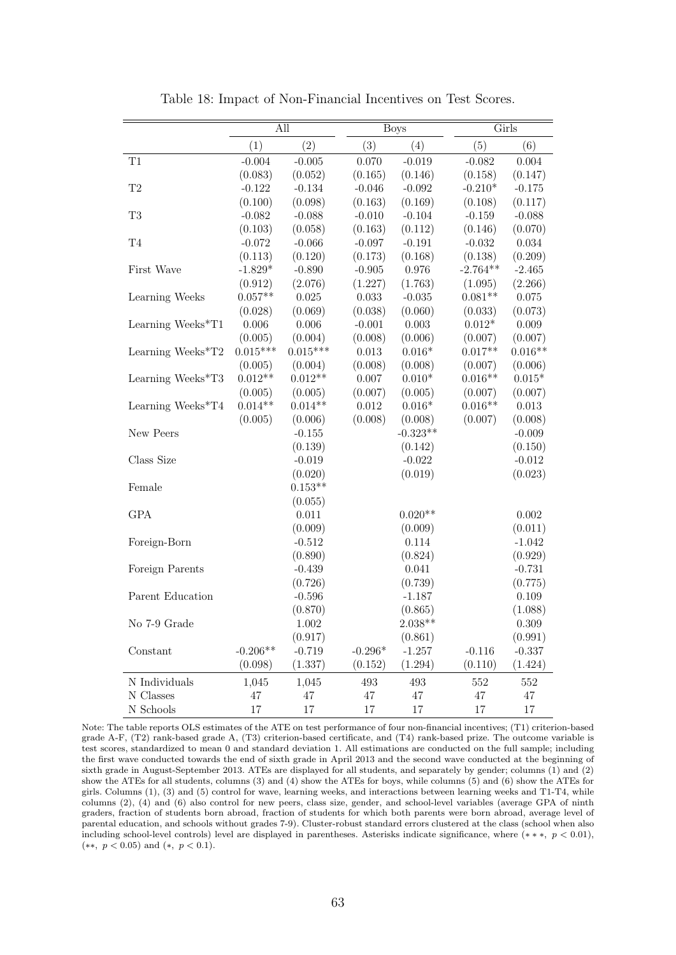<span id="page-64-0"></span>

|                     |            | All        |           | <b>Boys</b> |            | Girls     |
|---------------------|------------|------------|-----------|-------------|------------|-----------|
|                     | (1)        | (2)        | (3)       | (4)         | (5)        | (6)       |
| T1                  | $-0.004$   | $-0.005$   | 0.070     | $-0.019$    | $-0.082$   | 0.004     |
|                     | (0.083)    | (0.052)    | (0.165)   | (0.146)     | (0.158)    | (0.147)   |
| $\mathrm{T}2$       | $-0.122$   | $-0.134$   | $-0.046$  | $-0.092$    | $-0.210*$  | $-0.175$  |
|                     | (0.100)    | (0.098)    | (0.163)   | (0.169)     | (0.108)    | (0.117)   |
| T <sub>3</sub>      | $-0.082$   | $-0.088$   | $-0.010$  | $-0.104$    | $-0.159$   | $-0.088$  |
|                     | (0.103)    | (0.058)    | (0.163)   | (0.112)     | (0.146)    | (0.070)   |
| $\operatorname{T4}$ | $-0.072$   | $-0.066$   | $-0.097$  | $-0.191$    | $-0.032$   | 0.034     |
|                     | (0.113)    | (0.120)    | (0.173)   | (0.168)     | (0.138)    | (0.209)   |
| First Wave          | $-1.829*$  | $-0.890$   | $-0.905$  | 0.976       | $-2.764**$ | $-2.465$  |
|                     | (0.912)    | (2.076)    | (1.227)   | (1.763)     | (1.095)    | (2.266)   |
| Learning Weeks      | $0.057**$  | $0.025\,$  | 0.033     | $-0.035$    | $0.081**$  | $0.075\,$ |
|                     | (0.028)    | (0.069)    | (0.038)   | (0.060)     | (0.033)    | (0.073)   |
| Learning Weeks*T1   | $0.006\,$  | $0.006\,$  | $-0.001$  | $0.003\,$   | $0.012*$   | $0.009\,$ |
|                     | (0.005)    | (0.004)    | (0.008)   | (0.006)     | (0.007)    | (0.007)   |
| Learning Weeks*T2   | $0.015***$ | $0.015***$ | $0.013\,$ | $0.016*$    | $0.017**$  | $0.016**$ |
|                     | (0.005)    | (0.004)    | (0.008)   | (0.008)     | (0.007)    | (0.006)   |
| Learning Weeks*T3   | $0.012**$  | $0.012**$  | $0.007\,$ | $0.010*$    | $0.016**$  | $0.015*$  |
|                     | (0.005)    | (0.005)    | (0.007)   | (0.005)     | (0.007)    | (0.007)   |
| Learning Weeks*T4   | $0.014**$  | $0.014**$  | 0.012     | $0.016*$    | $0.016**$  | $0.013\,$ |
|                     | (0.005)    | (0.006)    | (0.008)   | (0.008)     | (0.007)    | (0.008)   |
| New Peers           |            | $-0.155$   |           | $-0.323**$  |            | $-0.009$  |
|                     |            | (0.139)    |           | (0.142)     |            | (0.150)   |
| Class Size          |            | $-0.019$   |           | $-0.022$    |            | $-0.012$  |
|                     |            | (0.020)    |           | (0.019)     |            | (0.023)   |
| Female              |            | $0.153**$  |           |             |            |           |
|                     |            | (0.055)    |           |             |            |           |
| <b>GPA</b>          |            | 0.011      |           | $0.020**$   |            | $0.002\,$ |
|                     |            | (0.009)    |           | (0.009)     |            | (0.011)   |
| Foreign-Born        |            | $-0.512$   |           | 0.114       |            | $-1.042$  |
|                     |            | (0.890)    |           | (0.824)     |            | (0.929)   |
| Foreign Parents     |            | $-0.439$   |           | 0.041       |            | $-0.731$  |
|                     |            | (0.726)    |           | (0.739)     |            | (0.775)   |
| Parent Education    |            | $-0.596$   |           | $-1.187$    |            | 0.109     |
|                     |            | (0.870)    |           | (0.865)     |            | (1.088)   |
| No 7-9 Grade        |            | 1.002      |           | $2.038**$   |            | 0.309     |
|                     |            | (0.917)    |           | (0.861)     |            | (0.991)   |
| Constant            | $-0.206**$ | $-0.719$   | $-0.296*$ | $-1.257$    | $-0.116$   | $-0.337$  |
|                     | (0.098)    | (1.337)    | (0.152)   | (1.294)     | (0.110)    | (1.424)   |
| N Individuals       | 1,045      | 1,045      | 493       | 493         | 552        | 552       |
| N Classes           | 47         | 47         | $47\,$    | 47          | 47         | 47        |
| N Schools           | 17         | 17         | 17        | 17          | 17         | 17        |

Table 18: Impact of Non-Financial Incentives on Test Scores.

Note: The table reports OLS estimates of the ATE on test performance of four non-financial incentives; (T1) criterion-based grade A-F, (T2) rank-based grade A, (T3) criterion-based certificate, and (T4) rank-based prize. The outcome variable is test scores, standardized to mean 0 and standard deviation 1. All estimations are conducted on the full sample; including the first wave conducted towards the end of sixth grade in April 2013 and the second wave conducted at the beginning of sixth grade in August-September 2013. ATEs are displayed for all students, and separately by gender; columns (1) and (2) show the ATEs for all students, columns (3) and (4) show the ATEs for boys, while columns (5) and (6) show the ATEs for girls. Columns (1), (3) and (5) control for wave, learning weeks, and interactions between learning weeks and T1-T4, while columns (2), (4) and (6) also control for new peers, class size, gender, and school-level variables (average GPA of ninth graders, fraction of students born abroad, fraction of students for which both parents were born abroad, average level of parental education, and schools without grades 7-9). Cluster-robust standard errors clustered at the class (school when also including school-level controls) level are displayed in parentheses. Asterisks indicate significance, where (∗ ∗ ∗, p < 0.01), (∗∗, p < 0.05) and (∗, p < 0.1).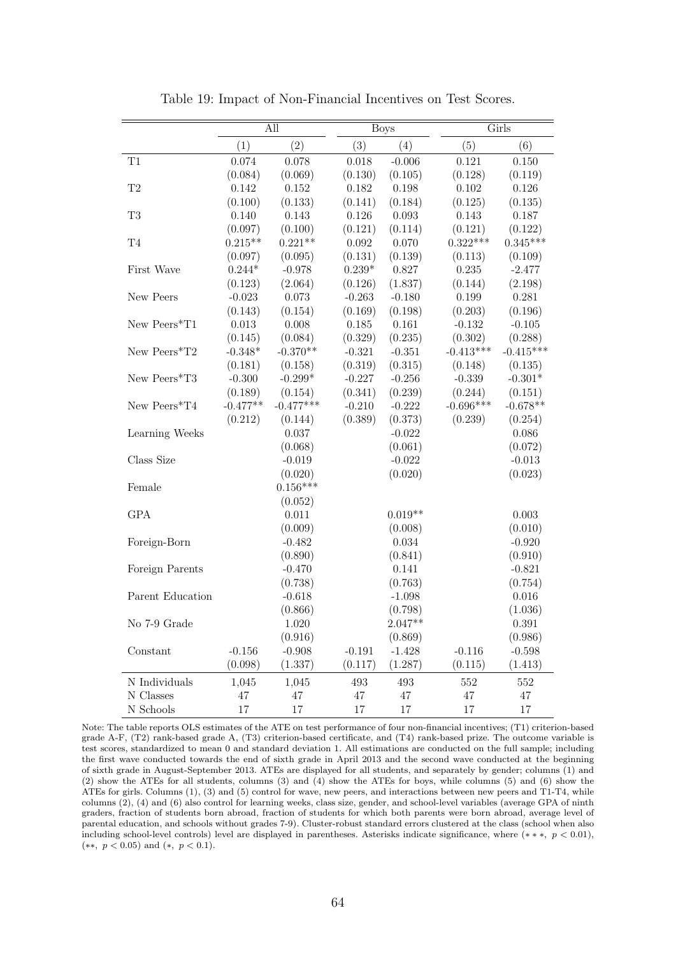<span id="page-65-0"></span>

|                     |            | All         |           | <b>Boys</b> |             | Girls       |
|---------------------|------------|-------------|-----------|-------------|-------------|-------------|
|                     | (1)        | (2)         | (3)       | (4)         | (5)         | (6)         |
| T1                  | 0.074      | 0.078       | 0.018     | $-0.006$    | 0.121       | 0.150       |
|                     | (0.084)    | (0.069)     | (0.130)   | (0.105)     | (0.128)     | (0.119)     |
| $\mathrm{T}2$       | 0.142      | 0.152       | 0.182     | 0.198       | $0.102\,$   | 0.126       |
|                     | (0.100)    | (0.133)     | (0.141)   | (0.184)     | (0.125)     | (0.135)     |
| T <sub>3</sub>      | 0.140      | 0.143       | 0.126     | 0.093       | 0.143       | 0.187       |
|                     | (0.097)    | (0.100)     | (0.121)   | (0.114)     | (0.121)     | (0.122)     |
| $\operatorname{T4}$ | $0.215**$  | $0.221**$   | 0.092     | 0.070       | $0.322***$  | $0.345***$  |
|                     | (0.097)    | (0.095)     | (0.131)   | (0.139)     | (0.113)     | (0.109)     |
| First Wave          | $0.244*$   | $-0.978$    | $0.239*$  | 0.827       | 0.235       | $-2.477$    |
|                     | (0.123)    | (2.064)     | (0.126)   | (1.837)     | (0.144)     | (2.198)     |
| New Peers           | $-0.023$   | 0.073       | $-0.263$  | $-0.180$    | 0.199       | 0.281       |
|                     | (0.143)    | (0.154)     | (0.169)   | (0.198)     | (0.203)     | (0.196)     |
| New Peers*T1        | 0.013      | 0.008       | $0.185\,$ | 0.161       | $-0.132$    | $-0.105$    |
|                     | (0.145)    | (0.084)     | (0.329)   | (0.235)     | (0.302)     | (0.288)     |
| New Peers*T2        | $-0.348*$  | $-0.370**$  | $-0.321$  | $-0.351$    | $-0.413***$ | $-0.415***$ |
|                     | (0.181)    | (0.158)     | (0.319)   | (0.315)     | (0.148)     | (0.135)     |
| New Peers*T3        | $-0.300$   | $-0.299*$   | $-0.227$  | $-0.256$    | $-0.339$    | $-0.301*$   |
|                     | (0.189)    | (0.154)     | (0.341)   | (0.239)     | (0.244)     | (0.151)     |
| New Peers*T4        | $-0.477**$ | $-0.477***$ | $-0.210$  | $-0.222$    | $-0.696***$ | $-0.678**$  |
|                     | (0.212)    | (0.144)     | (0.389)   | (0.373)     | (0.239)     | (0.254)     |
| Learning Weeks      |            | 0.037       |           | $-0.022$    |             | 0.086       |
|                     |            | (0.068)     |           | (0.061)     |             | (0.072)     |
| Class Size          |            | $-0.019$    |           | $-0.022$    |             | $-0.013$    |
|                     |            | (0.020)     |           | (0.020)     |             | (0.023)     |
| Female              |            | $0.156***$  |           |             |             |             |
|                     |            | (0.052)     |           |             |             |             |
| <b>GPA</b>          |            | 0.011       |           | $0.019**$   |             | 0.003       |
|                     |            | (0.009)     |           | (0.008)     |             | (0.010)     |
| Foreign-Born        |            | $-0.482$    |           | 0.034       |             | $-0.920$    |
|                     |            | (0.890)     |           | (0.841)     |             | (0.910)     |
| Foreign Parents     |            | $-0.470$    |           | 0.141       |             | $-0.821$    |
|                     |            | (0.738)     |           | (0.763)     |             | (0.754)     |
| Parent Education    |            | $-0.618$    |           | $-1.098$    |             | $0.016\,$   |
|                     |            | (0.866)     |           | (0.798)     |             | (1.036)     |
| No 7-9 Grade        |            | 1.020       |           | $2.047**$   |             | 0.391       |
|                     |            | (0.916)     |           | (0.869)     |             | (0.986)     |
| Constant            | $-0.156$   | $-0.908$    | $-0.191$  | $-1.428$    | $-0.116$    | $-0.598$    |
|                     | (0.098)    | (1.337)     | (0.117)   | (1.287)     | (0.115)     | (1.413)     |
| N Individuals       | 1,045      | 1,045       | 493       | 493         | 552         | 552         |
| $\rm N$ Classes     | 47         | 47          | 47        | 47          | $47\,$      | $47\,$      |
| N Schools           | 17         | 17          | 17        | 17          | 17          | 17          |

Table 19: Impact of Non-Financial Incentives on Test Scores.

Note: The table reports OLS estimates of the ATE on test performance of four non-financial incentives; (T1) criterion-based grade A-F, (T2) rank-based grade A, (T3) criterion-based certificate, and (T4) rank-based prize. The outcome variable is test scores, standardized to mean 0 and standard deviation 1. All estimations are conducted on the full sample; including the first wave conducted towards the end of sixth grade in April 2013 and the second wave conducted at the beginning of sixth grade in August-September 2013. ATEs are displayed for all students, and separately by gender; columns (1) and (2) show the ATEs for all students, columns (3) and (4) show the ATEs for boys, while columns (5) and (6) show the ATEs for girls. Columns (1), (3) and (5) control for wave, new peers, and interactions between new peers and T1-T4, while columns (2), (4) and (6) also control for learning weeks, class size, gender, and school-level variables (average GPA of ninth graders, fraction of students born abroad, fraction of students for which both parents were born abroad, average level of parental education, and schools without grades 7-9). Cluster-robust standard errors clustered at the class (school when also including school-level controls) level are displayed in parentheses. Asterisks indicate significance, where (∗ ∗ ∗, p < 0.01), (∗∗, p < 0.05) and (∗, p < 0.1).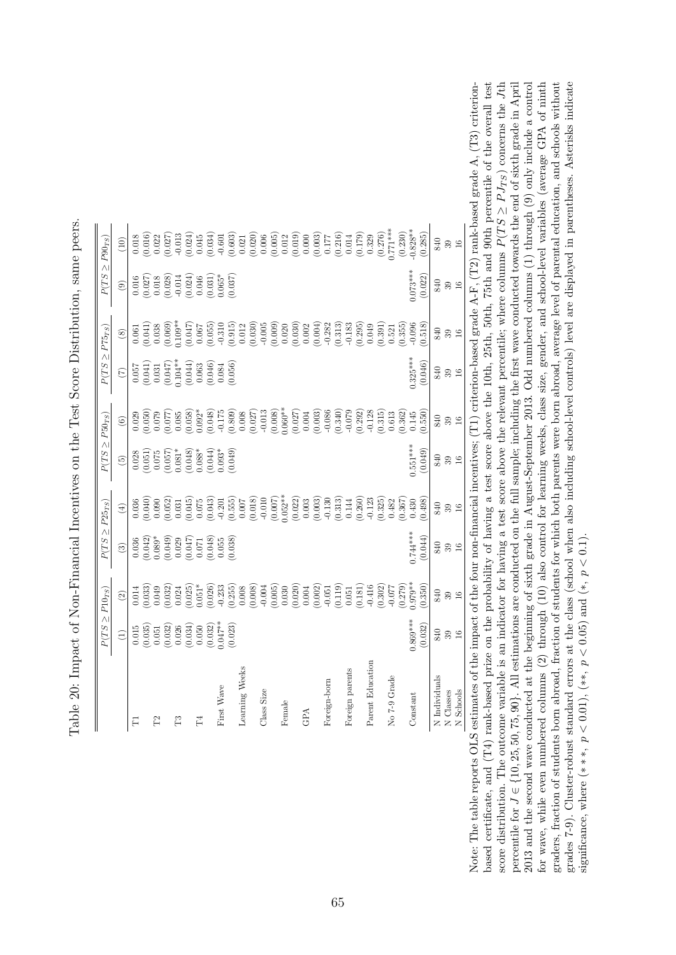<span id="page-66-0"></span>

|                   | $P(TS \geq P10_{TS})$                                                                                                                                                                                                                                                                               |                                                                                                                                                                                                                                                                                                                     | $P(TS \geq P25_{TS})$                                                                                                             |                                                                                                                                                                                                                                                                      | $P(TS \geq P50_{TS})$                                                                                                                                                |                                                                                                                                                                                                                                                                   | $P(TS \geq P75_{TS})$                                                                                                                         |                                                           |                                                                                                                                                                                                                                                                     | $P(TS \geq P90_{TS})$                                                                                                                                                                                                                                                                           |
|-------------------|-----------------------------------------------------------------------------------------------------------------------------------------------------------------------------------------------------------------------------------------------------------------------------------------------------|---------------------------------------------------------------------------------------------------------------------------------------------------------------------------------------------------------------------------------------------------------------------------------------------------------------------|-----------------------------------------------------------------------------------------------------------------------------------|----------------------------------------------------------------------------------------------------------------------------------------------------------------------------------------------------------------------------------------------------------------------|----------------------------------------------------------------------------------------------------------------------------------------------------------------------|-------------------------------------------------------------------------------------------------------------------------------------------------------------------------------------------------------------------------------------------------------------------|-----------------------------------------------------------------------------------------------------------------------------------------------|-----------------------------------------------------------|---------------------------------------------------------------------------------------------------------------------------------------------------------------------------------------------------------------------------------------------------------------------|-------------------------------------------------------------------------------------------------------------------------------------------------------------------------------------------------------------------------------------------------------------------------------------------------|
|                   | $\widehat{\Xi}$                                                                                                                                                                                                                                                                                     | $\textcircled{\scriptsize 2}$                                                                                                                                                                                                                                                                                       | $\odot$                                                                                                                           | $\bigoplus$                                                                                                                                                                                                                                                          | $\begin{pmatrix} 5 \end{pmatrix}$                                                                                                                                    | $\circledcirc$                                                                                                                                                                                                                                                    | $\widehat{C}$                                                                                                                                 | $\circledS$                                               | $\odot$                                                                                                                                                                                                                                                             | $(10)$                                                                                                                                                                                                                                                                                          |
| $\overline{\Box}$ |                                                                                                                                                                                                                                                                                                     | 0.014                                                                                                                                                                                                                                                                                                               |                                                                                                                                   |                                                                                                                                                                                                                                                                      |                                                                                                                                                                      |                                                                                                                                                                                                                                                                   |                                                                                                                                               |                                                           |                                                                                                                                                                                                                                                                     | 0.018                                                                                                                                                                                                                                                                                           |
|                   |                                                                                                                                                                                                                                                                                                     |                                                                                                                                                                                                                                                                                                                     |                                                                                                                                   |                                                                                                                                                                                                                                                                      |                                                                                                                                                                      |                                                                                                                                                                                                                                                                   |                                                                                                                                               |                                                           |                                                                                                                                                                                                                                                                     |                                                                                                                                                                                                                                                                                                 |
| P <sub>2</sub>    |                                                                                                                                                                                                                                                                                                     |                                                                                                                                                                                                                                                                                                                     |                                                                                                                                   |                                                                                                                                                                                                                                                                      |                                                                                                                                                                      |                                                                                                                                                                                                                                                                   |                                                                                                                                               |                                                           |                                                                                                                                                                                                                                                                     |                                                                                                                                                                                                                                                                                                 |
|                   |                                                                                                                                                                                                                                                                                                     | $\begin{array}{c} (0.033) \\ 0.049 \\ 0.032) \\ 0.024 \\ 0.025) \\ 0.01^* \\ 0.01^* \end{array}$                                                                                                                                                                                                                    |                                                                                                                                   |                                                                                                                                                                                                                                                                      |                                                                                                                                                                      |                                                                                                                                                                                                                                                                   |                                                                                                                                               |                                                           |                                                                                                                                                                                                                                                                     |                                                                                                                                                                                                                                                                                                 |
| ñ                 |                                                                                                                                                                                                                                                                                                     |                                                                                                                                                                                                                                                                                                                     |                                                                                                                                   |                                                                                                                                                                                                                                                                      |                                                                                                                                                                      |                                                                                                                                                                                                                                                                   |                                                                                                                                               |                                                           |                                                                                                                                                                                                                                                                     |                                                                                                                                                                                                                                                                                                 |
|                   |                                                                                                                                                                                                                                                                                                     |                                                                                                                                                                                                                                                                                                                     |                                                                                                                                   |                                                                                                                                                                                                                                                                      |                                                                                                                                                                      |                                                                                                                                                                                                                                                                   |                                                                                                                                               |                                                           |                                                                                                                                                                                                                                                                     |                                                                                                                                                                                                                                                                                                 |
| P4                |                                                                                                                                                                                                                                                                                                     |                                                                                                                                                                                                                                                                                                                     |                                                                                                                                   |                                                                                                                                                                                                                                                                      |                                                                                                                                                                      |                                                                                                                                                                                                                                                                   |                                                                                                                                               |                                                           |                                                                                                                                                                                                                                                                     |                                                                                                                                                                                                                                                                                                 |
|                   | $\begin{array}{l} 0.015 \\ 0.035) \\ 0.051 \\ 0.032) \\ 0.028 \\ 0.032) \\ 0.034 \\ 0.030 \\ 0.031 \\ 0.032) \\ 0.032) \\ 0.047^{**} \\ 0.023 \\ 0.033) \\ 0.047^{**} \\ 0.023 \\ 0.033 \\ 0.033 \\ 0.033 \\ 0.033 \\ 0.033 \\ 0.033 \\ 0.033 \\ 0.033 \\ 0.033 \\ 0.033 \\ 0.033 \\ 0.033 \\ 0.03$ | $\begin{array}{c} 0.026 \\ -0.233 \\ 0.255 \end{array}$                                                                                                                                                                                                                                                             | $\begin{array}{l} 0.036\\ 0.042)\\ 0.089*\\ 0.039*\\ 0.020\\ 0.021\\ 0.047\\ 0.047\\ 0.048)\\ 0.055\\ 0.038)\\ 0.039 \end{array}$ | $\begin{array}{l} 0.036\\ 0.040)\\ 0.090\\ 0.052)\\ 0.031\\ 0.045)\\ 0.075\\ 0.043)\\ 0.075\\ 0.043)\\ 0.076\\ 0.043)\\ 0.076\\ 0.043)\\ 0.076\\ 0.076\\ 0.076\\ 0.076\\ 0.076\\ 0.076\\ 0.076\\ 0.076\\ 0.076\\ 0.076\\ 0.076\\ 0.076\\ 0.076\\ 0.076\\ 0.076\\ 0.$ | $\begin{array}{l} 0.028 \\ 0.051) \\ 0.075 \\ 0.081^{*} \\ 0.081^{*} \\ 0.084 \\ 0.044) \\ 0.093^{*} \\ 0.004) \\ 0.0003^{*} \\ 0.0003^{*} \\ 0.0003 \\ \end{array}$ | $\begin{array}{l} 0.0200\\ 0.0500\\ 0.0700\\ 0.0000\\ 0.0000\\ 0.0000\\ 0.0000\\ 0.0000\\ 0.0000\\ 0.0000\\ 0.0000\\ 0.0000\\ 0.0000\\ 0.0000\\ 0.0000\\ 0.0000\\ 0.0000\\ 0.0000\\ 0.0000\\ 0.0000\\ 0.0000\\ 0.0000\\ 0.0000\\ 0.0000\\ 0.0000\\ 0.0000\\ 0.00$ | $\begin{array}{l} 0.057 \\ 0.041) \\ 0.031 \\ 0.047) \\ 0.047) \\ 0.047) \\ 0.044) \\ 0.063 \\ 0.046) \\ 0.004 \\ 0.004 \\ 0.004 \end{array}$ |                                                           | $\begin{array}{l} 0.016\\ 0.027)\\ 0.018\\ 0.013\\ 0.014\\ 0.014\\ 0.024)\\ 0.031)\\ 0.033\\ 0.037)\\ 0.037)\\ 0.037)\\ 0.037)\\ 0.037)\\ 0.037)\\ 0.037)\\ 0.038)\\ 0.039\\ 0.030\\ 0.030\\ 0.030\\ 0.030\\ 0.030\\ 0.030\\ 0.030\\ 0.030\\ 0.030\\ 0.030\\ 0.030$ | $\begin{smallmatrix} 0.0160 \\ 0.0201 \\ 0.0211 \\ 0.0131 \\ 0.0131 \\ 0.0131 \\ 0.0000 \\ 0.0000 \\ 0.0000 \\ 0.0000 \\ 0.0000 \\ 0.0000 \\ 0.0000 \\ 0.0000 \\ 0.0000 \\ 0.0000 \\ 0.0000 \\ 0.0000 \\ 0.0000 \\ 0.0000 \\ 0.0000 \\ 0.0000 \\ 0.0000 \\ 0.0000 \\ 0.0000 \\ 0.0000 \\ 0.000$ |
| First Wave        |                                                                                                                                                                                                                                                                                                     |                                                                                                                                                                                                                                                                                                                     |                                                                                                                                   |                                                                                                                                                                                                                                                                      |                                                                                                                                                                      |                                                                                                                                                                                                                                                                   |                                                                                                                                               |                                                           |                                                                                                                                                                                                                                                                     |                                                                                                                                                                                                                                                                                                 |
|                   |                                                                                                                                                                                                                                                                                                     |                                                                                                                                                                                                                                                                                                                     |                                                                                                                                   |                                                                                                                                                                                                                                                                      |                                                                                                                                                                      |                                                                                                                                                                                                                                                                   |                                                                                                                                               |                                                           |                                                                                                                                                                                                                                                                     |                                                                                                                                                                                                                                                                                                 |
| Learning Weeks    |                                                                                                                                                                                                                                                                                                     | $0.008\,$                                                                                                                                                                                                                                                                                                           |                                                                                                                                   | $0.007$                                                                                                                                                                                                                                                              |                                                                                                                                                                      |                                                                                                                                                                                                                                                                   |                                                                                                                                               |                                                           |                                                                                                                                                                                                                                                                     |                                                                                                                                                                                                                                                                                                 |
|                   |                                                                                                                                                                                                                                                                                                     |                                                                                                                                                                                                                                                                                                                     |                                                                                                                                   | $\begin{array}{c} (0.018) \\ -0.010 \\ (0.007) \\ 0.052^{**} \end{array}$                                                                                                                                                                                            |                                                                                                                                                                      |                                                                                                                                                                                                                                                                   |                                                                                                                                               |                                                           |                                                                                                                                                                                                                                                                     |                                                                                                                                                                                                                                                                                                 |
| Class Size        |                                                                                                                                                                                                                                                                                                     |                                                                                                                                                                                                                                                                                                                     |                                                                                                                                   |                                                                                                                                                                                                                                                                      |                                                                                                                                                                      |                                                                                                                                                                                                                                                                   |                                                                                                                                               |                                                           |                                                                                                                                                                                                                                                                     |                                                                                                                                                                                                                                                                                                 |
|                   |                                                                                                                                                                                                                                                                                                     |                                                                                                                                                                                                                                                                                                                     |                                                                                                                                   |                                                                                                                                                                                                                                                                      |                                                                                                                                                                      |                                                                                                                                                                                                                                                                   |                                                                                                                                               |                                                           |                                                                                                                                                                                                                                                                     |                                                                                                                                                                                                                                                                                                 |
| Female            |                                                                                                                                                                                                                                                                                                     |                                                                                                                                                                                                                                                                                                                     |                                                                                                                                   |                                                                                                                                                                                                                                                                      |                                                                                                                                                                      |                                                                                                                                                                                                                                                                   |                                                                                                                                               |                                                           |                                                                                                                                                                                                                                                                     |                                                                                                                                                                                                                                                                                                 |
|                   |                                                                                                                                                                                                                                                                                                     |                                                                                                                                                                                                                                                                                                                     |                                                                                                                                   |                                                                                                                                                                                                                                                                      |                                                                                                                                                                      |                                                                                                                                                                                                                                                                   |                                                                                                                                               |                                                           |                                                                                                                                                                                                                                                                     |                                                                                                                                                                                                                                                                                                 |
| <b>A</b>          |                                                                                                                                                                                                                                                                                                     |                                                                                                                                                                                                                                                                                                                     |                                                                                                                                   |                                                                                                                                                                                                                                                                      |                                                                                                                                                                      |                                                                                                                                                                                                                                                                   |                                                                                                                                               |                                                           |                                                                                                                                                                                                                                                                     |                                                                                                                                                                                                                                                                                                 |
|                   |                                                                                                                                                                                                                                                                                                     |                                                                                                                                                                                                                                                                                                                     |                                                                                                                                   |                                                                                                                                                                                                                                                                      |                                                                                                                                                                      |                                                                                                                                                                                                                                                                   |                                                                                                                                               |                                                           |                                                                                                                                                                                                                                                                     |                                                                                                                                                                                                                                                                                                 |
| Foreign-born      |                                                                                                                                                                                                                                                                                                     |                                                                                                                                                                                                                                                                                                                     |                                                                                                                                   |                                                                                                                                                                                                                                                                      |                                                                                                                                                                      |                                                                                                                                                                                                                                                                   |                                                                                                                                               |                                                           |                                                                                                                                                                                                                                                                     |                                                                                                                                                                                                                                                                                                 |
|                   |                                                                                                                                                                                                                                                                                                     | $\begin{array}{l} (0.008)\\ (-0.004)\\ (-0.005)\\ 0.030\\ (0.002)\\ (-0.004)\\ (-0.004)\\ (-0.001)\\ (-0.011)\\ (-0.011)\\ (-0.051)\\ (-0.051)\\ (-0.051)\\ (-0.051)\\ (-0.051)\\ (-0.051)\\ (-0.051)\\ (-0.051)\\ (-0.051)\\ (-0.051)\\ (-0.051)\\ (-0.051)\\ (-0.051)\\ (-0.051)\\ (-0.051)\\ (-0.051)\\ (-0.051$ |                                                                                                                                   | $\begin{array}{c} (0.022) \\ 0.003 \\ (0.003) \\ (0.003) \\ -0.130 \\ (0.313) \\ 0.144 \end{array}$                                                                                                                                                                  |                                                                                                                                                                      |                                                                                                                                                                                                                                                                   |                                                                                                                                               |                                                           |                                                                                                                                                                                                                                                                     |                                                                                                                                                                                                                                                                                                 |
| Foreign parents   |                                                                                                                                                                                                                                                                                                     |                                                                                                                                                                                                                                                                                                                     |                                                                                                                                   |                                                                                                                                                                                                                                                                      |                                                                                                                                                                      |                                                                                                                                                                                                                                                                   |                                                                                                                                               |                                                           |                                                                                                                                                                                                                                                                     |                                                                                                                                                                                                                                                                                                 |
|                   |                                                                                                                                                                                                                                                                                                     | $\begin{array}{c} (0.181) \\ -0.416 \end{array}$                                                                                                                                                                                                                                                                    |                                                                                                                                   | $(0.260)$<br>-0.123                                                                                                                                                                                                                                                  |                                                                                                                                                                      |                                                                                                                                                                                                                                                                   |                                                                                                                                               |                                                           |                                                                                                                                                                                                                                                                     |                                                                                                                                                                                                                                                                                                 |
| Parent Education  |                                                                                                                                                                                                                                                                                                     |                                                                                                                                                                                                                                                                                                                     |                                                                                                                                   |                                                                                                                                                                                                                                                                      |                                                                                                                                                                      |                                                                                                                                                                                                                                                                   |                                                                                                                                               |                                                           |                                                                                                                                                                                                                                                                     |                                                                                                                                                                                                                                                                                                 |
|                   |                                                                                                                                                                                                                                                                                                     | (0.302)                                                                                                                                                                                                                                                                                                             |                                                                                                                                   | (0.325)                                                                                                                                                                                                                                                              |                                                                                                                                                                      | $\begin{array}{c} (0.315) \\ 0.613 \end{array}$                                                                                                                                                                                                                   |                                                                                                                                               |                                                           |                                                                                                                                                                                                                                                                     |                                                                                                                                                                                                                                                                                                 |
| No 7-9 Grade      |                                                                                                                                                                                                                                                                                                     | $-0.077$                                                                                                                                                                                                                                                                                                            |                                                                                                                                   | 0.482                                                                                                                                                                                                                                                                |                                                                                                                                                                      |                                                                                                                                                                                                                                                                   |                                                                                                                                               | $\begin{array}{c} (0.391) \\ 0.521 \\ 0.355) \end{array}$ |                                                                                                                                                                                                                                                                     |                                                                                                                                                                                                                                                                                                 |
|                   |                                                                                                                                                                                                                                                                                                     | 0.279)                                                                                                                                                                                                                                                                                                              |                                                                                                                                   | (0.367)                                                                                                                                                                                                                                                              |                                                                                                                                                                      | (0.362)                                                                                                                                                                                                                                                           |                                                                                                                                               |                                                           |                                                                                                                                                                                                                                                                     | (0.230)                                                                                                                                                                                                                                                                                         |
| Constant          | $0.869***$                                                                                                                                                                                                                                                                                          | $0.979**$                                                                                                                                                                                                                                                                                                           | 0.744***                                                                                                                          | 0.430                                                                                                                                                                                                                                                                | $0.551***$                                                                                                                                                           | 0.145                                                                                                                                                                                                                                                             | $0.325***$                                                                                                                                    | $-0.096$                                                  | $0.073***$                                                                                                                                                                                                                                                          | $0.828**$                                                                                                                                                                                                                                                                                       |
|                   | (0.032)                                                                                                                                                                                                                                                                                             | 0.350                                                                                                                                                                                                                                                                                                               | (0.044)                                                                                                                           | (0.498)                                                                                                                                                                                                                                                              | (0.049)                                                                                                                                                              | 0.550)                                                                                                                                                                                                                                                            | (0.046)                                                                                                                                       | 0.518                                                     | (0.022)                                                                                                                                                                                                                                                             | (0.285)                                                                                                                                                                                                                                                                                         |
| N Individuals     |                                                                                                                                                                                                                                                                                                     | 840                                                                                                                                                                                                                                                                                                                 | $840\,$                                                                                                                           | 840                                                                                                                                                                                                                                                                  | 840                                                                                                                                                                  |                                                                                                                                                                                                                                                                   | 840                                                                                                                                           | 840                                                       |                                                                                                                                                                                                                                                                     | 840                                                                                                                                                                                                                                                                                             |
| N Classes         | $989$<br>$16$                                                                                                                                                                                                                                                                                       | $\frac{39}{16}$                                                                                                                                                                                                                                                                                                     | $\frac{39}{16}$                                                                                                                   | 39                                                                                                                                                                                                                                                                   | $39\,$                                                                                                                                                               | $289$<br>38                                                                                                                                                                                                                                                       | $39\,$                                                                                                                                        | $\frac{39}{16}$                                           | 98 B                                                                                                                                                                                                                                                                | $\frac{39}{16}$                                                                                                                                                                                                                                                                                 |
| N Schools         |                                                                                                                                                                                                                                                                                                     |                                                                                                                                                                                                                                                                                                                     |                                                                                                                                   | 16                                                                                                                                                                                                                                                                   | $16$                                                                                                                                                                 |                                                                                                                                                                                                                                                                   | 16                                                                                                                                            |                                                           |                                                                                                                                                                                                                                                                     |                                                                                                                                                                                                                                                                                                 |

Table 20: Impact of Non-Financial Incentives on the Test Score Distribution, same peers. Table 20: Impact of Non-Financial Incentives on the Test Score Distribution, same peers.

based certificate, and (T4) rank-based prize on the probability of having a test score above the 10th, 25th, 50th, 75th and 90th percentile of the overall test percentile for  $J \in \{10, 25, 50, 75, 90\}$ . All estimations are conducted on the full sample; including the first wave conducted towards the end of sixth grade in April 2013 and the second wave conducted at the beginning of sixth grade in August-September 2013. Odd numbered columns (1) through (9) only include a control for wave, while even numbered columns (2) through (10) also control for learning weeks, class size, gender, and school-level variables (average GPA of ninth graders, fraction of students born abroad, fraction of students for which both parents were born abroad, average level of parental education, and schools without grades 7-9). Cluster-robust standard errors at the class (school when also including school-level controls) level are displayed in parentheses. Asterisks indicate Note: The table reports OLS estimates of the impact of the four non-financial incentives;  $(T1)$  criterion-based grade A-F,  $(T2)$  rank-based grade A,  $(T3)$  criterion- $Jth$  $J \in \{10, 25, 50, 75, 90\}$ . All estimations are conducted on the full sample; including the first wave conducted towards the end of sixth grade in April 2013 and the second wave conducted at the beginning of sixth grade in August-September 2013. Odd numbered columns (1) through (9) only include a control for wave, while even numbered columns (2) through (10) also control for learning weeks, class size, gender, and school-level variables (average GPA of ninth grades 7-9). Cluster-robust standard errors at the class (school when also including school-level controls) level are displayed in parentheses. Asterisks indicate Note: The table reports OLS estimates of the impact of the four non-financial incentives; (T1) criterion-based grade A-F, (T2) rank-based grade A, (T3) criterionbased certificate, and (T4) rank-based prize on the probability of having a test score above the 10th, 25th, 50th, 75th and 90th percentile of the overall test graders, fraction of students born abroad, fraction of students for which both parents were born abroad, average level of parental education, and schools without  $\geq P J_{TS}$ ) concerns the ≥ $P(T S$ score distribution. The outcome variable is an indicator for having a test score above the relevant percentile; where columns significance, where  $(***, p < 0.01)$ ,  $(**, p < 0.05)$  and  $(*, p < 0.1)$ . significance, where (\*\*\*,  $p < 0.01$ ), (\*\*,  $p < 0.05$ ) and (\*,  $p < 0.1$ ). percentile for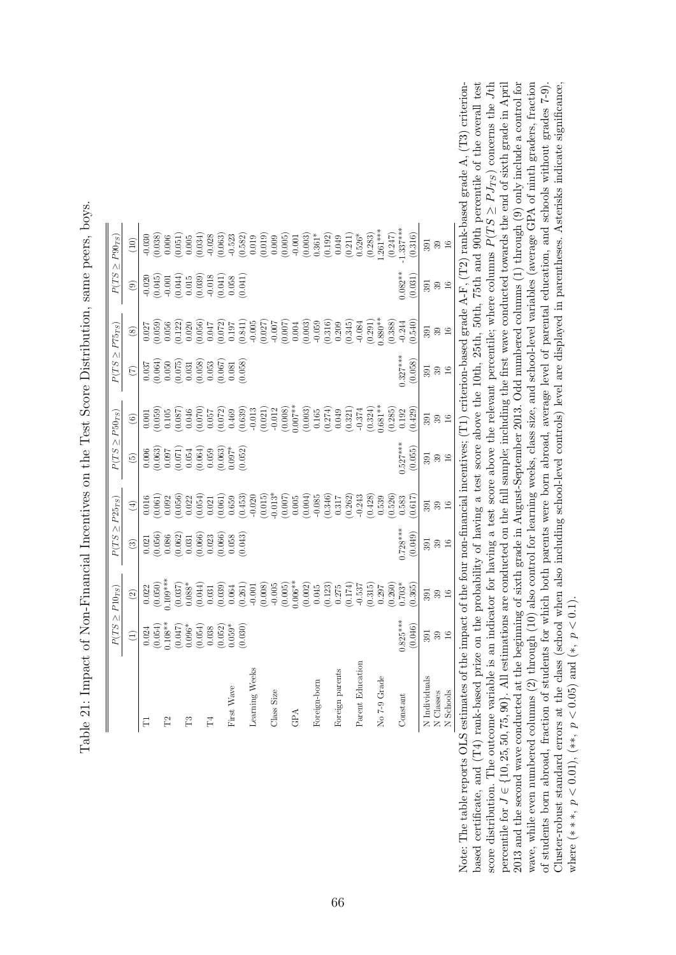<span id="page-67-0"></span>

|                  |                                                                                                                                                        | $P(TS \geq P10_{TS})$                                                                                                                                                                                                                                                                               | $P(TS \geq P25_{TS})$                                                                                                                                                                                                                                                                                     |                                                                                                                                                                                                                                                              | $P(TS \geq P50_{TS})$                                                                                                                                                                                                                                            |                                                                                                                                                                                                                                                                   | $P(TS \geq P75_{TS})$                                                                                                                                                                                                                                                 |                                                                                                                                                                                                                                                                                                     |                                                                                                                                                                                                                                                                                                                            | $P(TS \ge P90_{TS})$                                                                                                                                                                                                                                                                                           |
|------------------|--------------------------------------------------------------------------------------------------------------------------------------------------------|-----------------------------------------------------------------------------------------------------------------------------------------------------------------------------------------------------------------------------------------------------------------------------------------------------|-----------------------------------------------------------------------------------------------------------------------------------------------------------------------------------------------------------------------------------------------------------------------------------------------------------|--------------------------------------------------------------------------------------------------------------------------------------------------------------------------------------------------------------------------------------------------------------|------------------------------------------------------------------------------------------------------------------------------------------------------------------------------------------------------------------------------------------------------------------|-------------------------------------------------------------------------------------------------------------------------------------------------------------------------------------------------------------------------------------------------------------------|-----------------------------------------------------------------------------------------------------------------------------------------------------------------------------------------------------------------------------------------------------------------------|-----------------------------------------------------------------------------------------------------------------------------------------------------------------------------------------------------------------------------------------------------------------------------------------------------|----------------------------------------------------------------------------------------------------------------------------------------------------------------------------------------------------------------------------------------------------------------------------------------------------------------------------|----------------------------------------------------------------------------------------------------------------------------------------------------------------------------------------------------------------------------------------------------------------------------------------------------------------|
|                  | $\widehat{\Xi}$                                                                                                                                        | $\odot$                                                                                                                                                                                                                                                                                             | $\circled{3}$                                                                                                                                                                                                                                                                                             | $\bigoplus$                                                                                                                                                                                                                                                  | $\widetilde{G}$                                                                                                                                                                                                                                                  | $\copyright$                                                                                                                                                                                                                                                      | $\widehat{(\mathbb{Z})}$                                                                                                                                                                                                                                              | $\circledS$                                                                                                                                                                                                                                                                                         | $\odot$                                                                                                                                                                                                                                                                                                                    | (10)                                                                                                                                                                                                                                                                                                           |
| Ę                |                                                                                                                                                        |                                                                                                                                                                                                                                                                                                     |                                                                                                                                                                                                                                                                                                           |                                                                                                                                                                                                                                                              |                                                                                                                                                                                                                                                                  |                                                                                                                                                                                                                                                                   |                                                                                                                                                                                                                                                                       |                                                                                                                                                                                                                                                                                                     |                                                                                                                                                                                                                                                                                                                            |                                                                                                                                                                                                                                                                                                                |
|                  |                                                                                                                                                        |                                                                                                                                                                                                                                                                                                     |                                                                                                                                                                                                                                                                                                           |                                                                                                                                                                                                                                                              |                                                                                                                                                                                                                                                                  |                                                                                                                                                                                                                                                                   |                                                                                                                                                                                                                                                                       |                                                                                                                                                                                                                                                                                                     |                                                                                                                                                                                                                                                                                                                            |                                                                                                                                                                                                                                                                                                                |
| $\mathbb{R}^2$   |                                                                                                                                                        |                                                                                                                                                                                                                                                                                                     |                                                                                                                                                                                                                                                                                                           |                                                                                                                                                                                                                                                              |                                                                                                                                                                                                                                                                  |                                                                                                                                                                                                                                                                   |                                                                                                                                                                                                                                                                       |                                                                                                                                                                                                                                                                                                     |                                                                                                                                                                                                                                                                                                                            |                                                                                                                                                                                                                                                                                                                |
|                  |                                                                                                                                                        |                                                                                                                                                                                                                                                                                                     |                                                                                                                                                                                                                                                                                                           |                                                                                                                                                                                                                                                              |                                                                                                                                                                                                                                                                  |                                                                                                                                                                                                                                                                   |                                                                                                                                                                                                                                                                       |                                                                                                                                                                                                                                                                                                     |                                                                                                                                                                                                                                                                                                                            |                                                                                                                                                                                                                                                                                                                |
| F3               |                                                                                                                                                        |                                                                                                                                                                                                                                                                                                     |                                                                                                                                                                                                                                                                                                           |                                                                                                                                                                                                                                                              |                                                                                                                                                                                                                                                                  |                                                                                                                                                                                                                                                                   |                                                                                                                                                                                                                                                                       |                                                                                                                                                                                                                                                                                                     |                                                                                                                                                                                                                                                                                                                            |                                                                                                                                                                                                                                                                                                                |
|                  |                                                                                                                                                        |                                                                                                                                                                                                                                                                                                     |                                                                                                                                                                                                                                                                                                           |                                                                                                                                                                                                                                                              |                                                                                                                                                                                                                                                                  |                                                                                                                                                                                                                                                                   |                                                                                                                                                                                                                                                                       |                                                                                                                                                                                                                                                                                                     |                                                                                                                                                                                                                                                                                                                            |                                                                                                                                                                                                                                                                                                                |
| $\Gamma_4$       |                                                                                                                                                        |                                                                                                                                                                                                                                                                                                     |                                                                                                                                                                                                                                                                                                           |                                                                                                                                                                                                                                                              |                                                                                                                                                                                                                                                                  |                                                                                                                                                                                                                                                                   |                                                                                                                                                                                                                                                                       |                                                                                                                                                                                                                                                                                                     |                                                                                                                                                                                                                                                                                                                            |                                                                                                                                                                                                                                                                                                                |
|                  | $\begin{array}{c} 0.024 \\ (0.054) \\ (0.047) \\ (0.047) \\ (0.096^* \\ (0.054) \\ (0.054) \\ (0.052) \\ (0.052) \\ (0.059^* \\ (0.050)^* \end{array}$ | $\begin{array}{l} 0.022 \\ 0.050 \\ 0.037 \\ 0.037 \\ 0.038 \\ 0.044 \\ 0.030 \\ 0.000 \\ 0.000 \\ 0.000 \\ 0.000 \\ 0.000 \\ 0.000 \\ 0.000 \\ 0.000 \\ 0.000 \\ 0.000 \\ 0.000 \\ 0.000 \\ 0.000 \\ 0.000 \\ 0.000 \\ 0.000 \\ 0.000 \\ 0.000 \\ 0.000 \\ 0.000 \\ 0.000 \\ 0.000 \\ 0.000 \\ 0.$ | $\begin{array}{l} 0.021 \\ 0.056 \\ 0.086 \\ 0.003 \\ 0.001 \\ 0.000 \\ 0.000 \\ 0.000 \\ 0.000 \\ 0.000 \\ 0.000 \\ 0.000 \\ 0.000 \\ 0.001 \\ 0.001 \\ 0.01 \\ 0.01 \\ 0.01 \\ 0.01 \\ 0.01 \\ 0.01 \\ 0.01 \\ 0.01 \\ 0.01 \\ 0.01 \\ 0.01 \\ 0.01 \\ 0.01 \\ 0.01 \\ 0.01 \\ 0.01 \\ 0.01 \\ 0.01 \\$ | $\begin{array}{l} 0.00000\\ 0.000000\\ 0.000000\\ 0.000000\\ 0.000000\\ 0.000000\\ 0.000000\\ 0.000000\\ 0.000000\\ 0.000000\\ 0.000000\\ 0.000000\\ 0.000000\\ 0.000000\\ 0.000000\\ 0.000000\\ 0.000000\\ 0.000000\\ 0.000000\\ 0.000000\\ 0.000000\\ 0.0$ | $\begin{array}{l} 0.006\\ 0.063)\\ 0.003\\ 0.007\\ 0.054\\ 0.054\\ 0.064)\\ 0.059\\ 0.0007*\\ 0.003)\\ 0.0007*\\ 0.0007*\\ 0.0007*\\ 0.0007*\\ 0.0007*\\ 0.0007*\\ 0.0007*\\ 0.0007*\\ 0.0007*\\ 0.0007*\\ 0.0007*\\ 0.0007*\\ 0.0007*\\ 0.0007*\\ 0.0007*\\ 0.$ | $\begin{array}{l} 0.0000\\ 0.0000\\ 0.0000\\ 0.0000\\ 0.0000\\ 0.0000\\ 0.0000\\ 0.0000\\ 0.0000\\ 0.0000\\ 0.0000\\ 0.0000\\ 0.0000\\ 0.0000\\ 0.0000\\ 0.0000\\ 0.0000\\ 0.0000\\ 0.0000\\ 0.0000\\ 0.0000\\ 0.0000\\ 0.0000\\ 0.0000\\ 0.0000\\ 0.0000\\ 0.00$ | $\begin{array}{l} 0.037\\ 0.064)\\ 0.050\\ 0.075)\\ 0.031\\ 0.031\\ 0.033\\ 0.053\\ 0.067)\\ 0.000\\ 0.000\\ 0.000\\ 0.000\\ 0.000\\ 0.000\\ 0.000\\ 0.000\\ 0.000\\ 0.000\\ 0.000\\ 0.000\\ 0.000\\ 0.000\\ 0.000\\ 0.000\\ 0.000\\ 0.000\\ 0.000\\ 0.000\\ 0.000\\$ | $\begin{array}{l} 0.027 \\ 0.056 \\ 0.050 \\ 0.050 \\ 0.000 \\ 0.000 \\ 0.000 \\ 0.000 \\ 0.000 \\ 0.000 \\ 0.000 \\ 0.000 \\ 0.000 \\ 0.000 \\ 0.000 \\ 0.000 \\ 0.000 \\ 0.000 \\ 0.000 \\ 0.000 \\ 0.000 \\ 0.000 \\ 0.000 \\ 0.000 \\ 0.000 \\ 0.000 \\ 0.000 \\ 0.000 \\ 0.000 \\ 0.000 \\ 0.$ | $\begin{array}{c} 0.020 \\ -0.045 \\ 0.044 \\ -0.014 \\ -0.014 \\ 0.015 \\ -0.015 \\ -0.018 \\ -0.018 \\ -0.041 \\ -0.041 \\ -0.041 \\ 0.038 \\ 0.030 \\ 0.041 \\ -0.041 \\ 0.041 \\ -0.041 \\ 0.041 \\ -0.041 \\ -0.041 \\ -0.041 \\ -0.041 \\ -0.041 \\ -0.041 \\ -0.041 \\ -0.041 \\ -0.041 \\ -0.041 \\ -0.041 \\ -0.$ | $\begin{array}{l} 36.666 \\[-4pt] 0.6666 \\[-4pt] 0.6666 \\[-4pt] 0.6666 \\[-4pt] 0.6666 \\[-4pt] 0.6666 \\[-4pt] 0.6666 \\[-4pt] 0.6666 \\[-4pt] 0.6666 \\[-4pt] 0.6666 \\[-4pt] 0.6666 \\[-4pt] 0.6666 \\[-4pt] 0.6666 \\[-4pt] 0.6666 \\[-4pt] 0.6666 \\[-4pt] 0.6666 \\[-4pt] 0.6666 \\[-4pt] 0.6666 \\[-$ |
| First Wave       |                                                                                                                                                        |                                                                                                                                                                                                                                                                                                     |                                                                                                                                                                                                                                                                                                           |                                                                                                                                                                                                                                                              |                                                                                                                                                                                                                                                                  |                                                                                                                                                                                                                                                                   |                                                                                                                                                                                                                                                                       |                                                                                                                                                                                                                                                                                                     |                                                                                                                                                                                                                                                                                                                            |                                                                                                                                                                                                                                                                                                                |
|                  |                                                                                                                                                        |                                                                                                                                                                                                                                                                                                     |                                                                                                                                                                                                                                                                                                           |                                                                                                                                                                                                                                                              |                                                                                                                                                                                                                                                                  |                                                                                                                                                                                                                                                                   |                                                                                                                                                                                                                                                                       |                                                                                                                                                                                                                                                                                                     |                                                                                                                                                                                                                                                                                                                            |                                                                                                                                                                                                                                                                                                                |
| Learning Weeks   |                                                                                                                                                        |                                                                                                                                                                                                                                                                                                     |                                                                                                                                                                                                                                                                                                           |                                                                                                                                                                                                                                                              |                                                                                                                                                                                                                                                                  |                                                                                                                                                                                                                                                                   |                                                                                                                                                                                                                                                                       |                                                                                                                                                                                                                                                                                                     |                                                                                                                                                                                                                                                                                                                            |                                                                                                                                                                                                                                                                                                                |
|                  |                                                                                                                                                        |                                                                                                                                                                                                                                                                                                     |                                                                                                                                                                                                                                                                                                           |                                                                                                                                                                                                                                                              |                                                                                                                                                                                                                                                                  |                                                                                                                                                                                                                                                                   |                                                                                                                                                                                                                                                                       |                                                                                                                                                                                                                                                                                                     |                                                                                                                                                                                                                                                                                                                            |                                                                                                                                                                                                                                                                                                                |
| Class Size       |                                                                                                                                                        |                                                                                                                                                                                                                                                                                                     |                                                                                                                                                                                                                                                                                                           |                                                                                                                                                                                                                                                              |                                                                                                                                                                                                                                                                  |                                                                                                                                                                                                                                                                   |                                                                                                                                                                                                                                                                       |                                                                                                                                                                                                                                                                                                     |                                                                                                                                                                                                                                                                                                                            |                                                                                                                                                                                                                                                                                                                |
|                  |                                                                                                                                                        |                                                                                                                                                                                                                                                                                                     |                                                                                                                                                                                                                                                                                                           |                                                                                                                                                                                                                                                              |                                                                                                                                                                                                                                                                  |                                                                                                                                                                                                                                                                   |                                                                                                                                                                                                                                                                       |                                                                                                                                                                                                                                                                                                     |                                                                                                                                                                                                                                                                                                                            |                                                                                                                                                                                                                                                                                                                |
| GPA              |                                                                                                                                                        |                                                                                                                                                                                                                                                                                                     |                                                                                                                                                                                                                                                                                                           |                                                                                                                                                                                                                                                              |                                                                                                                                                                                                                                                                  |                                                                                                                                                                                                                                                                   |                                                                                                                                                                                                                                                                       |                                                                                                                                                                                                                                                                                                     |                                                                                                                                                                                                                                                                                                                            |                                                                                                                                                                                                                                                                                                                |
|                  |                                                                                                                                                        |                                                                                                                                                                                                                                                                                                     |                                                                                                                                                                                                                                                                                                           |                                                                                                                                                                                                                                                              |                                                                                                                                                                                                                                                                  |                                                                                                                                                                                                                                                                   |                                                                                                                                                                                                                                                                       |                                                                                                                                                                                                                                                                                                     |                                                                                                                                                                                                                                                                                                                            |                                                                                                                                                                                                                                                                                                                |
| Foreign-born     |                                                                                                                                                        |                                                                                                                                                                                                                                                                                                     |                                                                                                                                                                                                                                                                                                           |                                                                                                                                                                                                                                                              |                                                                                                                                                                                                                                                                  |                                                                                                                                                                                                                                                                   |                                                                                                                                                                                                                                                                       |                                                                                                                                                                                                                                                                                                     |                                                                                                                                                                                                                                                                                                                            |                                                                                                                                                                                                                                                                                                                |
|                  |                                                                                                                                                        |                                                                                                                                                                                                                                                                                                     |                                                                                                                                                                                                                                                                                                           |                                                                                                                                                                                                                                                              |                                                                                                                                                                                                                                                                  |                                                                                                                                                                                                                                                                   |                                                                                                                                                                                                                                                                       | $\begin{array}{c} -0.059 \\ (0.316) \\ 0.209 \\ (0.345) \end{array}$                                                                                                                                                                                                                                |                                                                                                                                                                                                                                                                                                                            |                                                                                                                                                                                                                                                                                                                |
| Foreign parents  |                                                                                                                                                        |                                                                                                                                                                                                                                                                                                     |                                                                                                                                                                                                                                                                                                           |                                                                                                                                                                                                                                                              |                                                                                                                                                                                                                                                                  |                                                                                                                                                                                                                                                                   |                                                                                                                                                                                                                                                                       |                                                                                                                                                                                                                                                                                                     |                                                                                                                                                                                                                                                                                                                            |                                                                                                                                                                                                                                                                                                                |
|                  |                                                                                                                                                        |                                                                                                                                                                                                                                                                                                     |                                                                                                                                                                                                                                                                                                           |                                                                                                                                                                                                                                                              |                                                                                                                                                                                                                                                                  |                                                                                                                                                                                                                                                                   |                                                                                                                                                                                                                                                                       |                                                                                                                                                                                                                                                                                                     |                                                                                                                                                                                                                                                                                                                            |                                                                                                                                                                                                                                                                                                                |
| Parent Education |                                                                                                                                                        |                                                                                                                                                                                                                                                                                                     |                                                                                                                                                                                                                                                                                                           |                                                                                                                                                                                                                                                              |                                                                                                                                                                                                                                                                  |                                                                                                                                                                                                                                                                   |                                                                                                                                                                                                                                                                       | $-0.084$                                                                                                                                                                                                                                                                                            |                                                                                                                                                                                                                                                                                                                            |                                                                                                                                                                                                                                                                                                                |
|                  |                                                                                                                                                        |                                                                                                                                                                                                                                                                                                     |                                                                                                                                                                                                                                                                                                           |                                                                                                                                                                                                                                                              |                                                                                                                                                                                                                                                                  |                                                                                                                                                                                                                                                                   |                                                                                                                                                                                                                                                                       | $(0.291)$<br>$0.880**$                                                                                                                                                                                                                                                                              |                                                                                                                                                                                                                                                                                                                            |                                                                                                                                                                                                                                                                                                                |
| No 7-9 Grade     |                                                                                                                                                        |                                                                                                                                                                                                                                                                                                     |                                                                                                                                                                                                                                                                                                           |                                                                                                                                                                                                                                                              |                                                                                                                                                                                                                                                                  |                                                                                                                                                                                                                                                                   |                                                                                                                                                                                                                                                                       |                                                                                                                                                                                                                                                                                                     |                                                                                                                                                                                                                                                                                                                            |                                                                                                                                                                                                                                                                                                                |
|                  |                                                                                                                                                        |                                                                                                                                                                                                                                                                                                     |                                                                                                                                                                                                                                                                                                           |                                                                                                                                                                                                                                                              |                                                                                                                                                                                                                                                                  | $\begin{array}{c} (0.285) \\ 0.192 \end{array}$                                                                                                                                                                                                                   |                                                                                                                                                                                                                                                                       | $(0.388)$<br>$-0.344$                                                                                                                                                                                                                                                                               |                                                                                                                                                                                                                                                                                                                            | $(0.247)$<br>1.337***                                                                                                                                                                                                                                                                                          |
| Constant         | $0.825***$                                                                                                                                             |                                                                                                                                                                                                                                                                                                     | $0.728***$                                                                                                                                                                                                                                                                                                |                                                                                                                                                                                                                                                              | $0.527***$                                                                                                                                                                                                                                                       |                                                                                                                                                                                                                                                                   | $0.327***$                                                                                                                                                                                                                                                            |                                                                                                                                                                                                                                                                                                     | $0.082**$                                                                                                                                                                                                                                                                                                                  |                                                                                                                                                                                                                                                                                                                |
|                  | (0.046)                                                                                                                                                | (0.365)                                                                                                                                                                                                                                                                                             | (0.049)                                                                                                                                                                                                                                                                                                   | (0.617)                                                                                                                                                                                                                                                      | (0.055)                                                                                                                                                                                                                                                          | (624)                                                                                                                                                                                                                                                             | (0.058)                                                                                                                                                                                                                                                               | (0.540)                                                                                                                                                                                                                                                                                             | (0.031)                                                                                                                                                                                                                                                                                                                    | (0.316)                                                                                                                                                                                                                                                                                                        |
| N Individuals    | 391                                                                                                                                                    | 391                                                                                                                                                                                                                                                                                                 | 391                                                                                                                                                                                                                                                                                                       | 391                                                                                                                                                                                                                                                          |                                                                                                                                                                                                                                                                  | 391                                                                                                                                                                                                                                                               | 391                                                                                                                                                                                                                                                                   | 391                                                                                                                                                                                                                                                                                                 | 591                                                                                                                                                                                                                                                                                                                        | 391                                                                                                                                                                                                                                                                                                            |
| N Classes        | $\frac{39}{16}$                                                                                                                                        | $39\,$                                                                                                                                                                                                                                                                                              | $\frac{39}{16}$                                                                                                                                                                                                                                                                                           | $39\phantom{1}$                                                                                                                                                                                                                                              | <u>នី ខ</u><br>ខេ                                                                                                                                                                                                                                                | 39                                                                                                                                                                                                                                                                | $3916$                                                                                                                                                                                                                                                                | $\frac{39}{16}$                                                                                                                                                                                                                                                                                     | $\frac{39}{16}$                                                                                                                                                                                                                                                                                                            | 39                                                                                                                                                                                                                                                                                                             |
| N Schools        |                                                                                                                                                        | 16                                                                                                                                                                                                                                                                                                  |                                                                                                                                                                                                                                                                                                           |                                                                                                                                                                                                                                                              |                                                                                                                                                                                                                                                                  | 16                                                                                                                                                                                                                                                                |                                                                                                                                                                                                                                                                       |                                                                                                                                                                                                                                                                                                     |                                                                                                                                                                                                                                                                                                                            | 16                                                                                                                                                                                                                                                                                                             |

Table 21: Impact of Non-Financial Incentives on the Test Score Distribution, same peers, boys. Table 21: Impact of Non-Financial Incentives on the Test Score Distribution, same peers, boys.

2013 and the second wave conducted at the beginning of sixth grade in August-September 2013. Odd numbered columns (1) through (9) only include a control for wave, while even numbered columns (2) through (10) also control for learning weeks, class size, and school-level variables (average GPA of ninth graders, fraction Note: The table reports OLS estimates of the impact of the four non-financial incentives; (T1) criterion-based grade A-F, (T2) rank-based grade A, (T3) criterionbased certificate, and (T4) rank-based prize on the probability of having a test score above the 10th, 25th, 50th, 75th and 90th percentile of the overall test  $Jth$ percentile for  $J \in \{10, 25, 50, 75, 90\}$ . All estimations are conducted on the full sample; including the first wave conducted towards the end of sixth grade in April  $J \in \{10, 25, 50, 75, 90\}$ . All estimations are conducted on the full sample; including the first wave conducted towards the end of sixth grade in April 2013 and the second wave conducted at the beginning of sixth grade in August-September 2013. Odd numbered columns (1) through (9) only include a control for wave, while even numbered columns (2) through (10) also control for learning weeks, class size, and school-level variables (average GPA of ninth graders, fraction of students born abroad, fraction of students for which both parents were born abroad, average level of parental education, and schools without grades 7-9). Cluster-robust standard errors at the class (school when also including school-level controls) level are displayed in parentheses. Asterisks indicate significance, Note: The table reports OLS estimates of the impact of the four non-financial incentives; (T1) criterion-based grade A-F, (T2) rank-based grade A, (T3) criterionbased certificate, and (T4) rank-based prize on the probability of having a test score above the 10th, 25th, 50th, 75th and 90th percentile of the overall test of students born abroad, fraction of students for which both parents were born abroad, average level of parental education, and schools without grades 7-9). Cluster-robust standard errors at the class (school when also including school-level controls) level are displayed in parentheses. Asterisks indicate significance,  $\geq P J_{TS}$ ) concerns the ≥ $P(T S$ score distribution. The outcome variable is an indicator for having a test score above the relevant percentile; where columns where (\*\*\*,  $p < 0.01$ ), (\*\*,  $p < 0.05$ ) and (\*,  $p < 0.1$ ). where  $(*, p < 0.01), (**, p < 0.05)$  and  $(*, p < 0.1)$ . percentile for